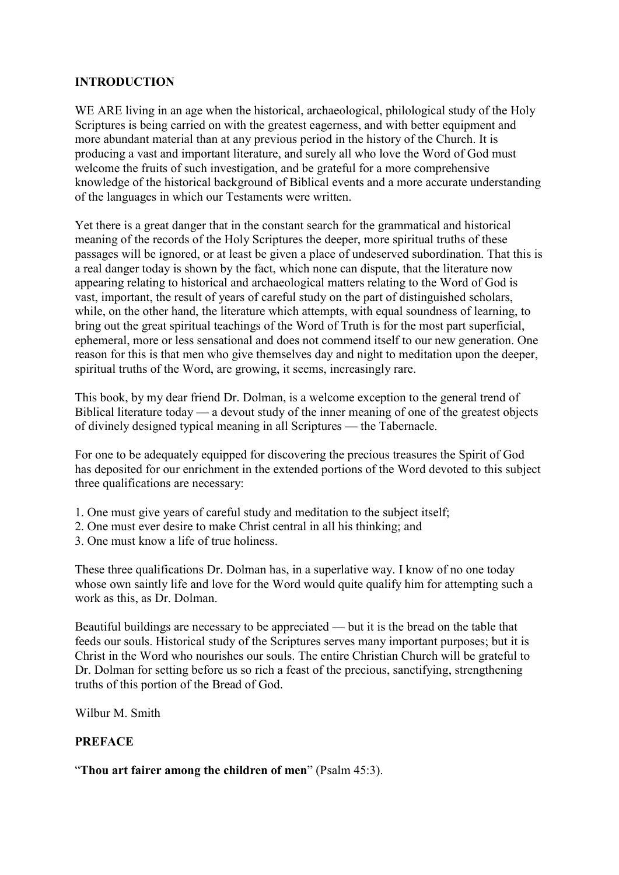## **INTRODUCTION**

WE ARE living in an age when the historical, archaeological, philological study of the Holy Scriptures is being carried on with the greatest eagerness, and with better equipment and more abundant material than at any previous period in the history of the Church. It is producing a vast and important literature, and surely all who love the Word of God must welcome the fruits of such investigation, and be grateful for a more comprehensive knowledge of the historical background of Biblical events and a more accurate understanding of the languages in which our Testaments were written.

Yet there is a great danger that in the constant search for the grammatical and historical meaning of the records of the Holy Scriptures the deeper, more spiritual truths of these passages will be ignored, or at least be given a place of undeserved subordination. That this is a real danger today is shown by the fact, which none can dispute, that the literature now appearing relating to historical and archaeological matters relating to the Word of God is vast, important, the result of years of careful study on the part of distinguished scholars, while, on the other hand, the literature which attempts, with equal soundness of learning, to bring out the great spiritual teachings of the Word of Truth is for the most part superficial, ephemeral, more or less sensational and does not commend itself to our new generation. One reason for this is that men who give themselves day and night to meditation upon the deeper, spiritual truths of the Word, are growing, it seems, increasingly rare.

This book, by my dear friend Dr. Dolman, is a welcome exception to the general trend of Biblical literature today — a devout study of the inner meaning of one of the greatest objects of divinely designed typical meaning in all Scriptures — the Tabernacle.

For one to be adequately equipped for discovering the precious treasures the Spirit of God has deposited for our enrichment in the extended portions of the Word devoted to this subject three qualifications are necessary:

- 1. One must give years of careful study and meditation to the subject itself;
- 2. One must ever desire to make Christ central in all his thinking; and
- 3. One must know a life of true holiness.

These three qualifications Dr. Dolman has, in a superlative way. I know of no one today whose own saintly life and love for the Word would quite qualify him for attempting such a work as this, as Dr. Dolman.

Beautiful buildings are necessary to be appreciated — but it is the bread on the table that feeds our souls. Historical study of the Scriptures serves many important purposes; but it is Christ in the Word who nourishes our souls. The entire Christian Church will be grateful to Dr. Dolman for setting before us so rich a feast of the precious, sanctifying, strengthening truths of this portion of the Bread of God.

Wilbur M. Smith

## **PREFACE**

"**Thou art fairer among the children of men**" (Psalm 45:3).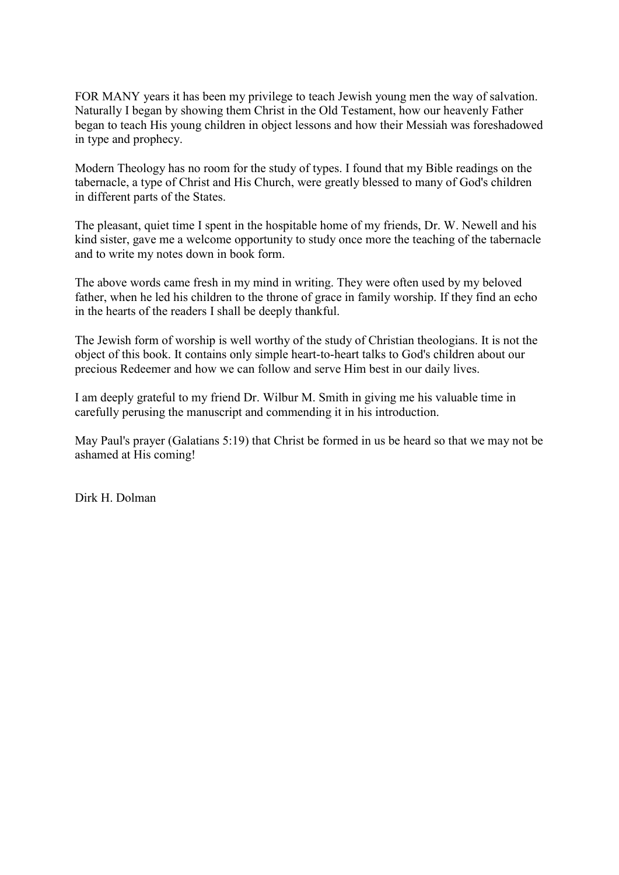FOR MANY years it has been my privilege to teach Jewish young men the way of salvation. Naturally I began by showing them Christ in the Old Testament, how our heavenly Father began to teach His young children in object lessons and how their Messiah was foreshadowed in type and prophecy.

Modern Theology has no room for the study of types. I found that my Bible readings on the tabernacle, a type of Christ and His Church, were greatly blessed to many of God's children in different parts of the States.

The pleasant, quiet time I spent in the hospitable home of my friends, Dr. W. Newell and his kind sister, gave me a welcome opportunity to study once more the teaching of the tabernacle and to write my notes down in book form.

The above words came fresh in my mind in writing. They were often used by my beloved father, when he led his children to the throne of grace in family worship. If they find an echo in the hearts of the readers I shall be deeply thankful.

The Jewish form of worship is well worthy of the study of Christian theologians. It is not the object of this book. It contains only simple heart-to-heart talks to God's children about our precious Redeemer and how we can follow and serve Him best in our daily lives.

I am deeply grateful to my friend Dr. Wilbur M. Smith in giving me his valuable time in carefully perusing the manuscript and commending it in his introduction.

May Paul's prayer (Galatians 5:19) that Christ be formed in us be heard so that we may not be ashamed at His coming!

Dirk H. Dolman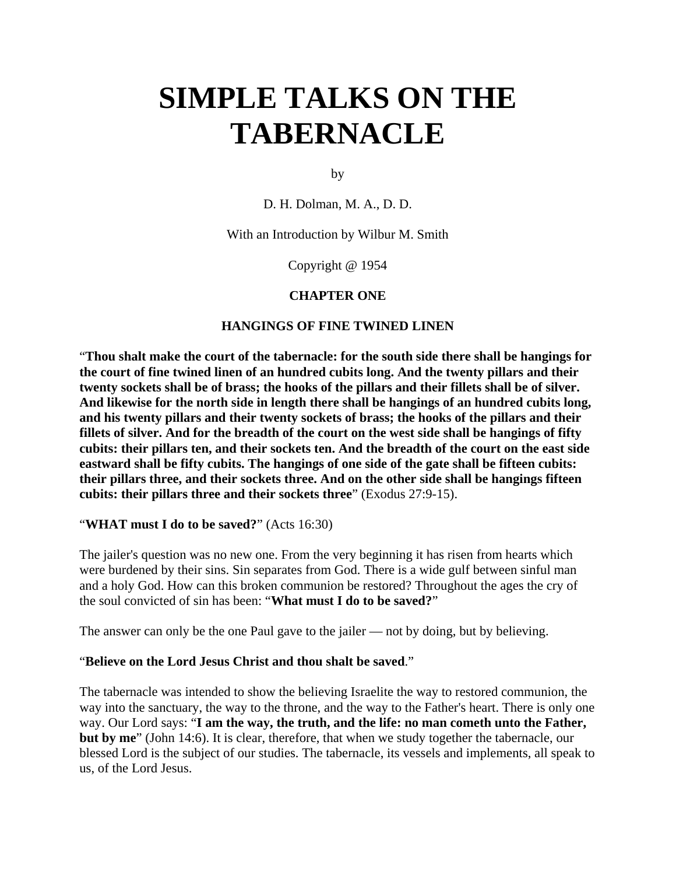by

D. H. Dolman, M. A., D. D.

With an Introduction by Wilbur M. Smith

Copyright @ 1954

### **CHAPTER ONE**

### **HANGINGS OF FINE TWINED LINEN**

"**Thou shalt make the court of the tabernacle: for the south side there shall be hangings for the court of fine twined linen of an hundred cubits long. And the twenty pillars and their twenty sockets shall be of brass; the hooks of the pillars and their fillets shall be of silver. And likewise for the north side in length there shall be hangings of an hundred cubits long, and his twenty pillars and their twenty sockets of brass; the hooks of the pillars and their fillets of silver. And for the breadth of the court on the west side shall be hangings of fifty cubits: their pillars ten, and their sockets ten. And the breadth of the court on the east side eastward shall be fifty cubits. The hangings of one side of the gate shall be fifteen cubits: their pillars three, and their sockets three. And on the other side shall be hangings fifteen cubits: their pillars three and their sockets three**" (Exodus 27:9-15).

### "**WHAT must I do to be saved?**" (Acts 16:30)

The jailer's question was no new one. From the very beginning it has risen from hearts which were burdened by their sins. Sin separates from God. There is a wide gulf between sinful man and a holy God. How can this broken communion be restored? Throughout the ages the cry of the soul convicted of sin has been: "**What must I do to be saved?**"

The answer can only be the one Paul gave to the jailer — not by doing, but by believing.

### "**Believe on the Lord Jesus Christ and thou shalt be saved**."

The tabernacle was intended to show the believing Israelite the way to restored communion, the way into the sanctuary, the way to the throne, and the way to the Father's heart. There is only one way. Our Lord says: "**I am the way, the truth, and the life: no man cometh unto the Father, but by me**" (John 14:6). It is clear, therefore, that when we study together the tabernacle, our blessed Lord is the subject of our studies. The tabernacle, its vessels and implements, all speak to us, of the Lord Jesus.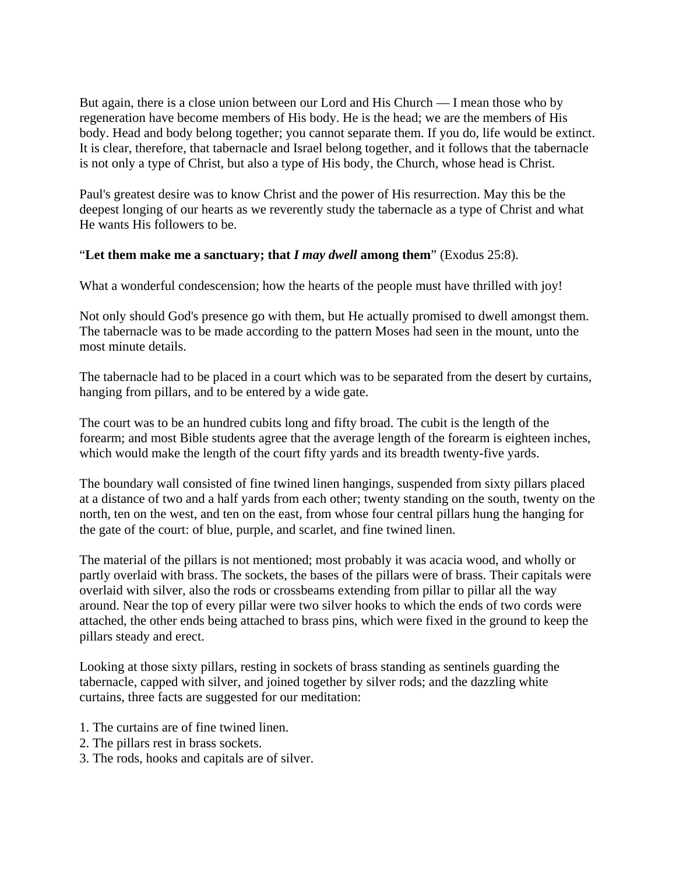But again, there is a close union between our Lord and His Church — I mean those who by regeneration have become members of His body. He is the head; we are the members of His body. Head and body belong together; you cannot separate them. If you do, life would be extinct. It is clear, therefore, that tabernacle and Israel belong together, and it follows that the tabernacle is not only a type of Christ, but also a type of His body, the Church, whose head is Christ.

Paul's greatest desire was to know Christ and the power of His resurrection. May this be the deepest longing of our hearts as we reverently study the tabernacle as a type of Christ and what He wants His followers to be.

## "**Let them make me a sanctuary; that** *I may dwell* **among them**" (Exodus 25:8).

What a wonderful condescension; how the hearts of the people must have thrilled with joy!

Not only should God's presence go with them, but He actually promised to dwell amongst them. The tabernacle was to be made according to the pattern Moses had seen in the mount, unto the most minute details.

The tabernacle had to be placed in a court which was to be separated from the desert by curtains, hanging from pillars, and to be entered by a wide gate.

The court was to be an hundred cubits long and fifty broad. The cubit is the length of the forearm; and most Bible students agree that the average length of the forearm is eighteen inches, which would make the length of the court fifty yards and its breadth twenty-five yards.

The boundary wall consisted of fine twined linen hangings, suspended from sixty pillars placed at a distance of two and a half yards from each other; twenty standing on the south, twenty on the north, ten on the west, and ten on the east, from whose four central pillars hung the hanging for the gate of the court: of blue, purple, and scarlet, and fine twined linen.

The material of the pillars is not mentioned; most probably it was acacia wood, and wholly or partly overlaid with brass. The sockets, the bases of the pillars were of brass. Their capitals were overlaid with silver, also the rods or crossbeams extending from pillar to pillar all the way around. Near the top of every pillar were two silver hooks to which the ends of two cords were attached, the other ends being attached to brass pins, which were fixed in the ground to keep the pillars steady and erect.

Looking at those sixty pillars, resting in sockets of brass standing as sentinels guarding the tabernacle, capped with silver, and joined together by silver rods; and the dazzling white curtains, three facts are suggested for our meditation:

- 1. The curtains are of fine twined linen.
- 2. The pillars rest in brass sockets.
- 3. The rods, hooks and capitals are of silver.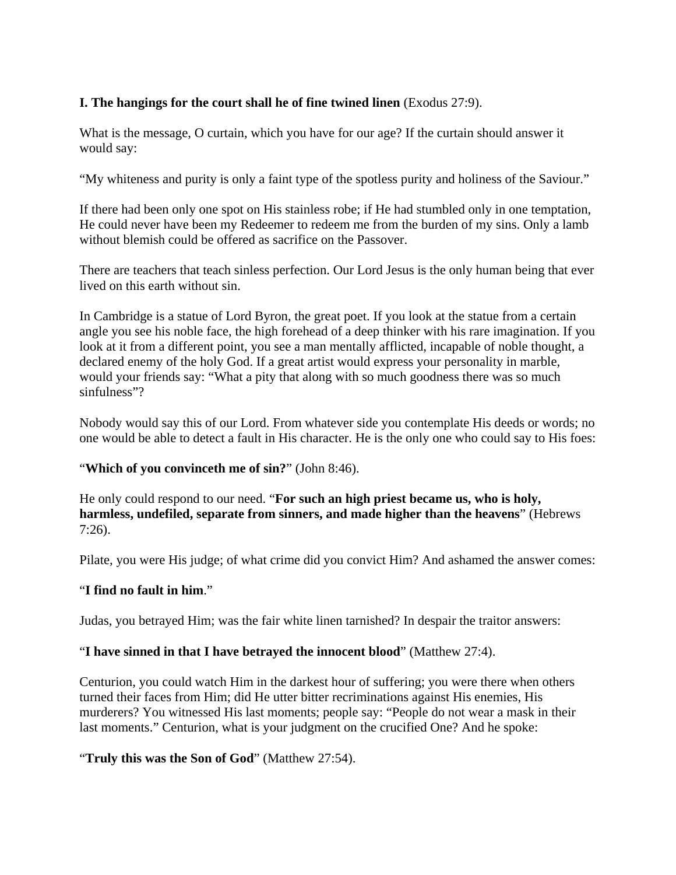## **I. The hangings for the court shall he of fine twined linen** (Exodus 27:9).

What is the message, O curtain, which you have for our age? If the curtain should answer it would say:

"My whiteness and purity is only a faint type of the spotless purity and holiness of the Saviour."

If there had been only one spot on His stainless robe; if He had stumbled only in one temptation, He could never have been my Redeemer to redeem me from the burden of my sins. Only a lamb without blemish could be offered as sacrifice on the Passover.

There are teachers that teach sinless perfection. Our Lord Jesus is the only human being that ever lived on this earth without sin.

In Cambridge is a statue of Lord Byron, the great poet. If you look at the statue from a certain angle you see his noble face, the high forehead of a deep thinker with his rare imagination. If you look at it from a different point, you see a man mentally afflicted, incapable of noble thought, a declared enemy of the holy God. If a great artist would express your personality in marble, would your friends say: "What a pity that along with so much goodness there was so much sinfulness"?

Nobody would say this of our Lord. From whatever side you contemplate His deeds or words; no one would be able to detect a fault in His character. He is the only one who could say to His foes:

## "**Which of you convinceth me of sin?**" (John 8:46).

He only could respond to our need. "**For such an high priest became us, who is holy, harmless, undefiled, separate from sinners, and made higher than the heavens**" (Hebrews 7:26).

Pilate, you were His judge; of what crime did you convict Him? And ashamed the answer comes:

## "**I find no fault in him**."

Judas, you betrayed Him; was the fair white linen tarnished? In despair the traitor answers:

### "**I have sinned in that I have betrayed the innocent blood**" (Matthew 27:4).

Centurion, you could watch Him in the darkest hour of suffering; you were there when others turned their faces from Him; did He utter bitter recriminations against His enemies, His murderers? You witnessed His last moments; people say: "People do not wear a mask in their last moments." Centurion, what is your judgment on the crucified One? And he spoke:

## "**Truly this was the Son of God**" (Matthew 27:54).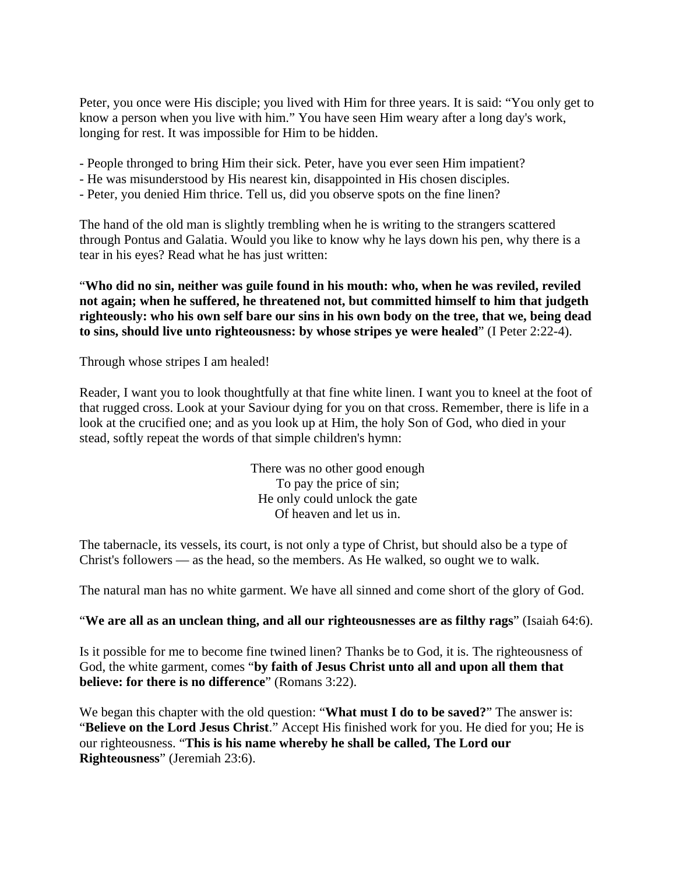Peter, you once were His disciple; you lived with Him for three years. It is said: "You only get to know a person when you live with him." You have seen Him weary after a long day's work, longing for rest. It was impossible for Him to be hidden.

- People thronged to bring Him their sick. Peter, have you ever seen Him impatient?
- He was misunderstood by His nearest kin, disappointed in His chosen disciples.
- Peter, you denied Him thrice. Tell us, did you observe spots on the fine linen?

The hand of the old man is slightly trembling when he is writing to the strangers scattered through Pontus and Galatia. Would you like to know why he lays down his pen, why there is a tear in his eyes? Read what he has just written:

"**Who did no sin, neither was guile found in his mouth: who, when he was reviled, reviled not again; when he suffered, he threatened not, but committed himself to him that judgeth righteously: who his own self bare our sins in his own body on the tree, that we, being dead to sins, should live unto righteousness: by whose stripes ye were healed**" (I Peter 2:22-4).

Through whose stripes I am healed!

Reader, I want you to look thoughtfully at that fine white linen. I want you to kneel at the foot of that rugged cross. Look at your Saviour dying for you on that cross. Remember, there is life in a look at the crucified one; and as you look up at Him, the holy Son of God, who died in your stead, softly repeat the words of that simple children's hymn:

> There was no other good enough To pay the price of sin; He only could unlock the gate Of heaven and let us in.

The tabernacle, its vessels, its court, is not only a type of Christ, but should also be a type of Christ's followers — as the head, so the members. As He walked, so ought we to walk.

The natural man has no white garment. We have all sinned and come short of the glory of God.

### "**We are all as an unclean thing, and all our righteousnesses are as filthy rags**" (Isaiah 64:6).

Is it possible for me to become fine twined linen? Thanks be to God, it is. The righteousness of God, the white garment, comes "**by faith of Jesus Christ unto all and upon all them that believe: for there is no difference**" (Romans 3:22).

We began this chapter with the old question: "**What must I do to be saved?**" The answer is: "**Believe on the Lord Jesus Christ**." Accept His finished work for you. He died for you; He is our righteousness. "**This is his name whereby he shall be called, The Lord our Righteousness**" (Jeremiah 23:6).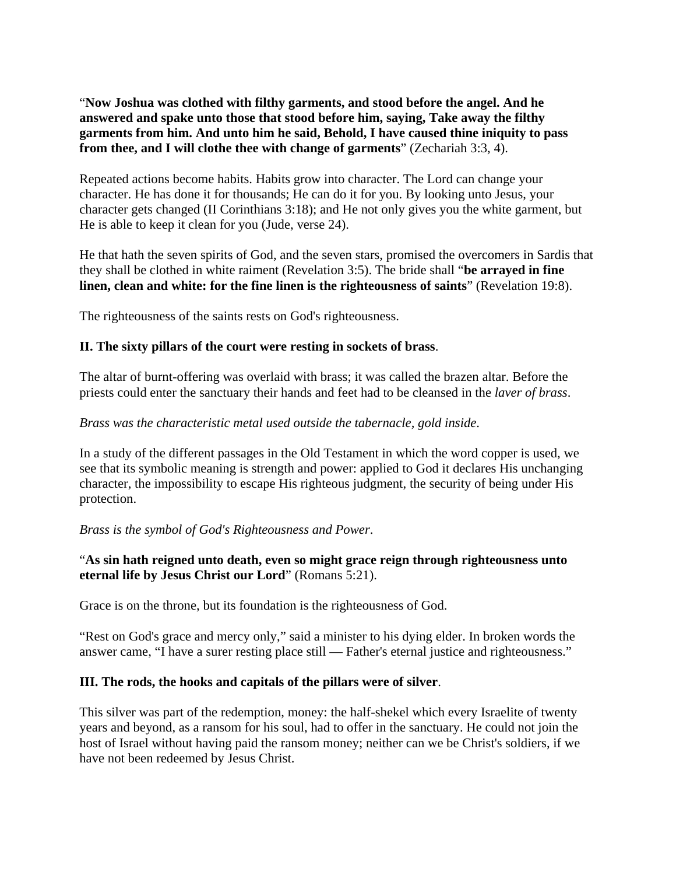"**Now Joshua was clothed with filthy garments, and stood before the angel. And he answered and spake unto those that stood before him, saying, Take away the filthy garments from him. And unto him he said, Behold, I have caused thine iniquity to pass from thee, and I will clothe thee with change of garments**" (Zechariah 3:3, 4).

Repeated actions become habits. Habits grow into character. The Lord can change your character. He has done it for thousands; He can do it for you. By looking unto Jesus, your character gets changed (II Corinthians 3:18); and He not only gives you the white garment, but He is able to keep it clean for you (Jude, verse 24).

He that hath the seven spirits of God, and the seven stars, promised the overcomers in Sardis that they shall be clothed in white raiment (Revelation 3:5). The bride shall "**be arrayed in fine linen, clean and white: for the fine linen is the righteousness of saints**" (Revelation 19:8).

The righteousness of the saints rests on God's righteousness.

## **II. The sixty pillars of the court were resting in sockets of brass**.

The altar of burnt-offering was overlaid with brass; it was called the brazen altar. Before the priests could enter the sanctuary their hands and feet had to be cleansed in the *laver of brass*.

## *Brass was the characteristic metal used outside the tabernacle, gold inside*.

In a study of the different passages in the Old Testament in which the word copper is used, we see that its symbolic meaning is strength and power: applied to God it declares His unchanging character, the impossibility to escape His righteous judgment, the security of being under His protection.

### *Brass is the symbol of God's Righteousness and Power*.

## "**As sin hath reigned unto death, even so might grace reign through righteousness unto eternal life by Jesus Christ our Lord**" (Romans 5:21).

Grace is on the throne, but its foundation is the righteousness of God.

"Rest on God's grace and mercy only," said a minister to his dying elder. In broken words the answer came, "I have a surer resting place still — Father's eternal justice and righteousness."

### **III. The rods, the hooks and capitals of the pillars were of silver**.

This silver was part of the redemption, money: the half-shekel which every Israelite of twenty years and beyond, as a ransom for his soul, had to offer in the sanctuary. He could not join the host of Israel without having paid the ransom money; neither can we be Christ's soldiers, if we have not been redeemed by Jesus Christ.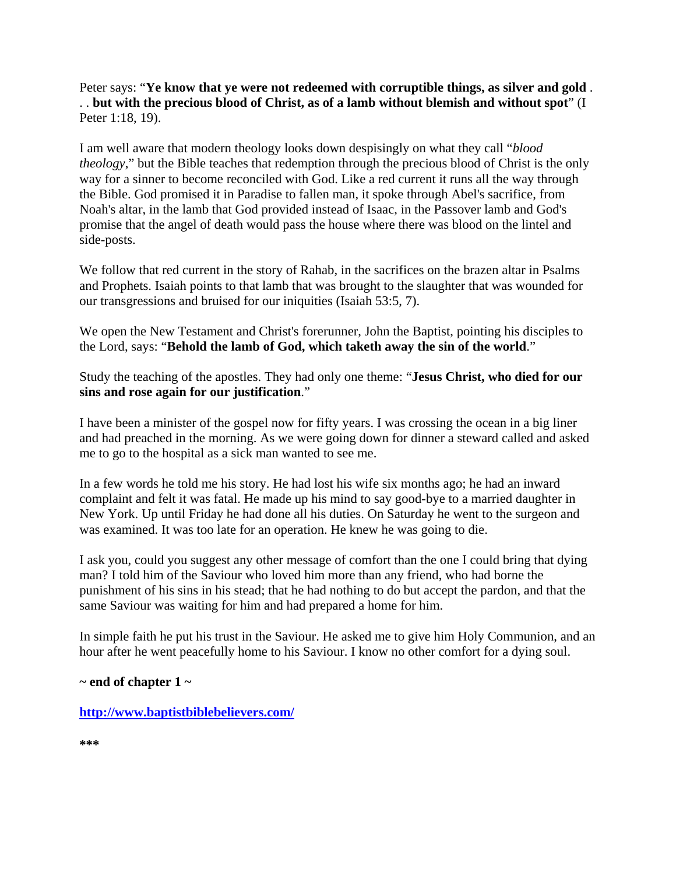Peter says: "**Ye know that ye were not redeemed with corruptible things, as silver and gold** . . . **but with the precious blood of Christ, as of a lamb without blemish and without spot**" (I Peter 1:18, 19).

I am well aware that modern theology looks down despisingly on what they call "*blood theology*," but the Bible teaches that redemption through the precious blood of Christ is the only way for a sinner to become reconciled with God. Like a red current it runs all the way through the Bible. God promised it in Paradise to fallen man, it spoke through Abel's sacrifice, from Noah's altar, in the lamb that God provided instead of Isaac, in the Passover lamb and God's promise that the angel of death would pass the house where there was blood on the lintel and side-posts.

We follow that red current in the story of Rahab, in the sacrifices on the brazen altar in Psalms and Prophets. Isaiah points to that lamb that was brought to the slaughter that was wounded for our transgressions and bruised for our iniquities (Isaiah 53:5, 7).

We open the New Testament and Christ's forerunner, John the Baptist, pointing his disciples to the Lord, says: "**Behold the lamb of God, which taketh away the sin of the world**."

Study the teaching of the apostles. They had only one theme: "**Jesus Christ, who died for our sins and rose again for our justification**."

I have been a minister of the gospel now for fifty years. I was crossing the ocean in a big liner and had preached in the morning. As we were going down for dinner a steward called and asked me to go to the hospital as a sick man wanted to see me.

In a few words he told me his story. He had lost his wife six months ago; he had an inward complaint and felt it was fatal. He made up his mind to say good-bye to a married daughter in New York. Up until Friday he had done all his duties. On Saturday he went to the surgeon and was examined. It was too late for an operation. He knew he was going to die.

I ask you, could you suggest any other message of comfort than the one I could bring that dying man? I told him of the Saviour who loved him more than any friend, who had borne the punishment of his sins in his stead; that he had nothing to do but accept the pardon, and that the same Saviour was waiting for him and had prepared a home for him.

In simple faith he put his trust in the Saviour. He asked me to give him Holy Communion, and an hour after he went peacefully home to his Saviour. I know no other comfort for a dying soul.

**~ end of chapter 1 ~** 

**http://www.baptistbiblebelievers.com/**

**\*\*\***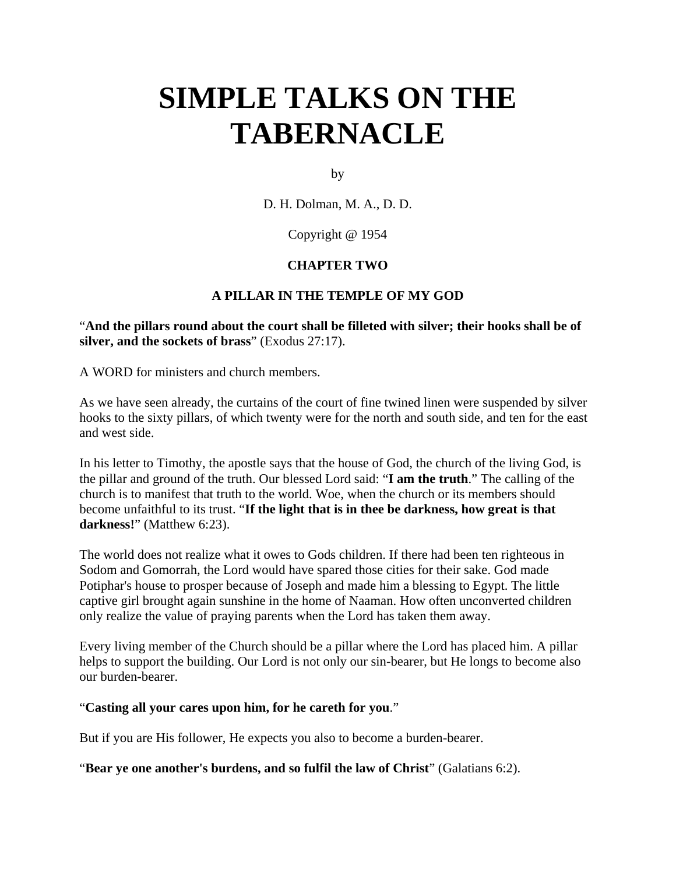by

D. H. Dolman, M. A., D. D.

Copyright @ 1954

## **CHAPTER TWO**

## **A PILLAR IN THE TEMPLE OF MY GOD**

"**And the pillars round about the court shall be filleted with silver; their hooks shall be of silver, and the sockets of brass**" (Exodus 27:17).

A WORD for ministers and church members.

As we have seen already, the curtains of the court of fine twined linen were suspended by silver hooks to the sixty pillars, of which twenty were for the north and south side, and ten for the east and west side.

In his letter to Timothy, the apostle says that the house of God, the church of the living God, is the pillar and ground of the truth. Our blessed Lord said: "**I am the truth**." The calling of the church is to manifest that truth to the world. Woe, when the church or its members should become unfaithful to its trust. "**If the light that is in thee be darkness, how great is that darkness!**" (Matthew 6:23).

The world does not realize what it owes to Gods children. If there had been ten righteous in Sodom and Gomorrah, the Lord would have spared those cities for their sake. God made Potiphar's house to prosper because of Joseph and made him a blessing to Egypt. The little captive girl brought again sunshine in the home of Naaman. How often unconverted children only realize the value of praying parents when the Lord has taken them away.

Every living member of the Church should be a pillar where the Lord has placed him. A pillar helps to support the building. Our Lord is not only our sin-bearer, but He longs to become also our burden-bearer.

### "**Casting all your cares upon him, for he careth for you**."

But if you are His follower, He expects you also to become a burden-bearer.

"**Bear ye one another's burdens, and so fulfil the law of Christ**" (Galatians 6:2).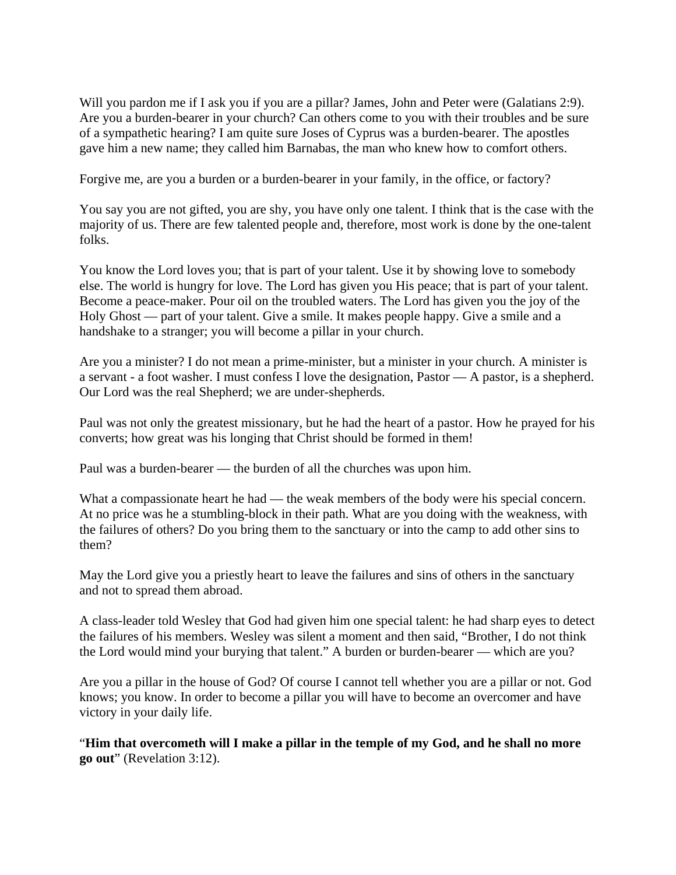Will you pardon me if I ask you if you are a pillar? James, John and Peter were (Galatians 2:9). Are you a burden-bearer in your church? Can others come to you with their troubles and be sure of a sympathetic hearing? I am quite sure Joses of Cyprus was a burden-bearer. The apostles gave him a new name; they called him Barnabas, the man who knew how to comfort others.

Forgive me, are you a burden or a burden-bearer in your family, in the office, or factory?

You say you are not gifted, you are shy, you have only one talent. I think that is the case with the majority of us. There are few talented people and, therefore, most work is done by the one-talent folks.

You know the Lord loves you; that is part of your talent. Use it by showing love to somebody else. The world is hungry for love. The Lord has given you His peace; that is part of your talent. Become a peace-maker. Pour oil on the troubled waters. The Lord has given you the joy of the Holy Ghost — part of your talent. Give a smile. It makes people happy. Give a smile and a handshake to a stranger; you will become a pillar in your church.

Are you a minister? I do not mean a prime-minister, but a minister in your church. A minister is a servant - a foot washer. I must confess I love the designation, Pastor — A pastor, is a shepherd. Our Lord was the real Shepherd; we are under-shepherds.

Paul was not only the greatest missionary, but he had the heart of a pastor. How he prayed for his converts; how great was his longing that Christ should be formed in them!

Paul was a burden-bearer — the burden of all the churches was upon him.

What a compassionate heart he had — the weak members of the body were his special concern. At no price was he a stumbling-block in their path. What are you doing with the weakness, with the failures of others? Do you bring them to the sanctuary or into the camp to add other sins to them?

May the Lord give you a priestly heart to leave the failures and sins of others in the sanctuary and not to spread them abroad.

A class-leader told Wesley that God had given him one special talent: he had sharp eyes to detect the failures of his members. Wesley was silent a moment and then said, "Brother, I do not think the Lord would mind your burying that talent." A burden or burden-bearer — which are you?

Are you a pillar in the house of God? Of course I cannot tell whether you are a pillar or not. God knows; you know. In order to become a pillar you will have to become an overcomer and have victory in your daily life.

"**Him that overcometh will I make a pillar in the temple of my God, and he shall no more go out**" (Revelation 3:12).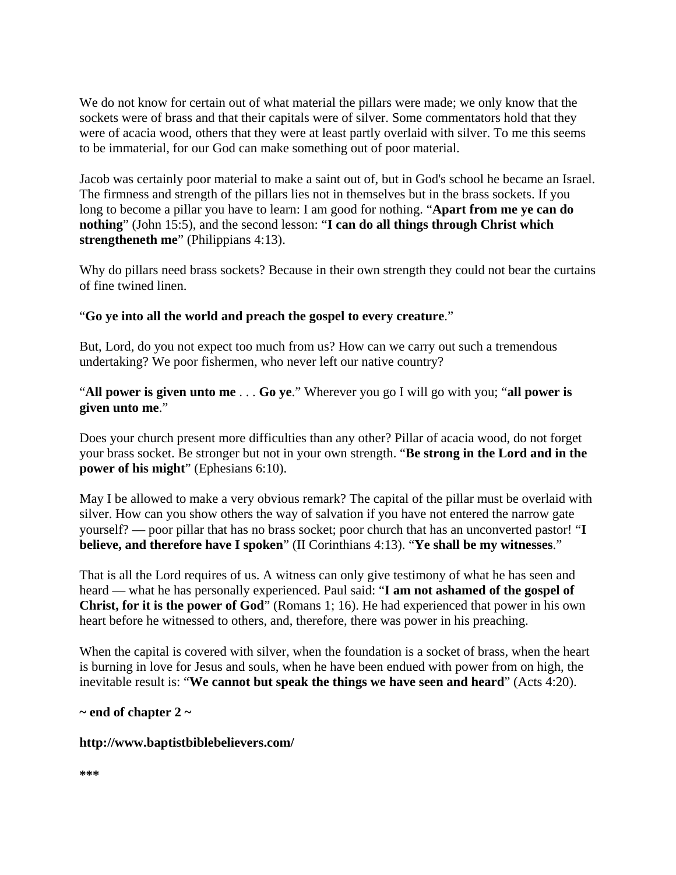We do not know for certain out of what material the pillars were made; we only know that the sockets were of brass and that their capitals were of silver. Some commentators hold that they were of acacia wood, others that they were at least partly overlaid with silver. To me this seems to be immaterial, for our God can make something out of poor material.

Jacob was certainly poor material to make a saint out of, but in God's school he became an Israel. The firmness and strength of the pillars lies not in themselves but in the brass sockets. If you long to become a pillar you have to learn: I am good for nothing. "**Apart from me ye can do nothing**" (John 15:5), and the second lesson: "**I can do all things through Christ which strengtheneth me**" (Philippians 4:13).

Why do pillars need brass sockets? Because in their own strength they could not bear the curtains of fine twined linen.

## "**Go ye into all the world and preach the gospel to every creature**."

But, Lord, do you not expect too much from us? How can we carry out such a tremendous undertaking? We poor fishermen, who never left our native country?

"**All power is given unto me** . . . **Go ye**." Wherever you go I will go with you; "**all power is given unto me**."

Does your church present more difficulties than any other? Pillar of acacia wood, do not forget your brass socket. Be stronger but not in your own strength. "**Be strong in the Lord and in the power of his might**" (Ephesians 6:10).

May I be allowed to make a very obvious remark? The capital of the pillar must be overlaid with silver. How can you show others the way of salvation if you have not entered the narrow gate yourself? — poor pillar that has no brass socket; poor church that has an unconverted pastor! "**I believe, and therefore have I spoken**" (II Corinthians 4:13). "**Ye shall be my witnesses**."

That is all the Lord requires of us. A witness can only give testimony of what he has seen and heard — what he has personally experienced. Paul said: "**I am not ashamed of the gospel of Christ, for it is the power of God**" (Romans 1; 16). He had experienced that power in his own heart before he witnessed to others, and, therefore, there was power in his preaching.

When the capital is covered with silver, when the foundation is a socket of brass, when the heart is burning in love for Jesus and souls, when he have been endued with power from on high, the inevitable result is: "**We cannot but speak the things we have seen and heard**" (Acts 4:20).

### **~ end of chapter 2 ~**

### **http://www.baptistbiblebelievers.com/**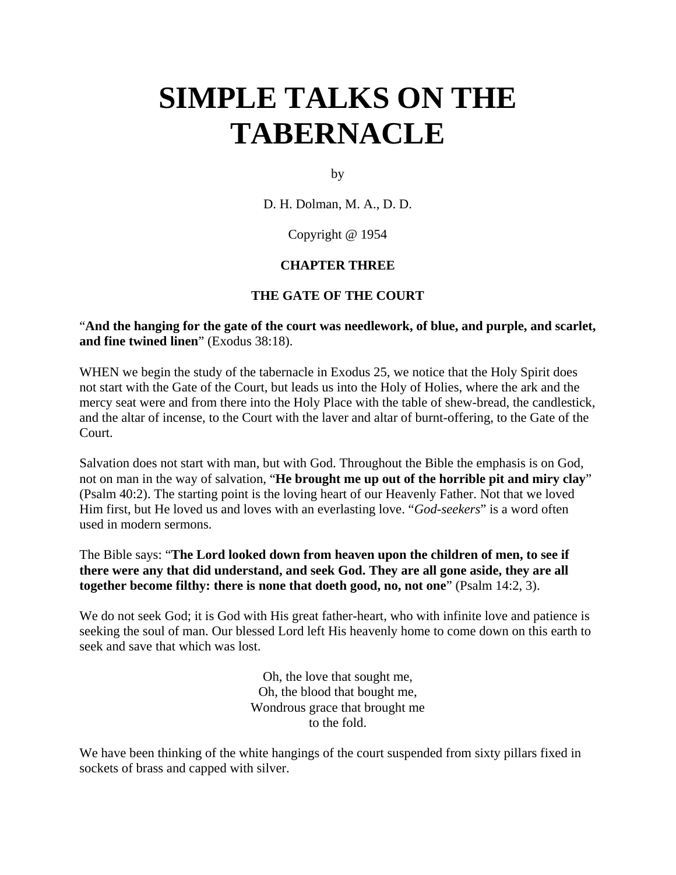by

D. H. Dolman, M. A., D. D.

Copyright @ 1954

### **CHAPTER THREE**

## **THE GATE OF THE COURT**

### "**And the hanging for the gate of the court was needlework, of blue, and purple, and scarlet, and fine twined linen**" (Exodus 38:18).

WHEN we begin the study of the tabernacle in Exodus 25, we notice that the Holy Spirit does not start with the Gate of the Court, but leads us into the Holy of Holies, where the ark and the mercy seat were and from there into the Holy Place with the table of shew-bread, the candlestick, and the altar of incense, to the Court with the laver and altar of burnt-offering, to the Gate of the Court.

Salvation does not start with man, but with God. Throughout the Bible the emphasis is on God, not on man in the way of salvation, "**He brought me up out of the horrible pit and miry clay**" (Psalm 40:2). The starting point is the loving heart of our Heavenly Father. Not that we loved Him first, but He loved us and loves with an everlasting love. "*God-seekers*" is a word often used in modern sermons.

## The Bible says: "**The Lord looked down from heaven upon the children of men, to see if there were any that did understand, and seek God. They are all gone aside, they are all together become filthy: there is none that doeth good, no, not one**" (Psalm 14:2, 3).

We do not seek God; it is God with His great father-heart, who with infinite love and patience is seeking the soul of man. Our blessed Lord left His heavenly home to come down on this earth to seek and save that which was lost.

> Oh, the love that sought me, Oh, the blood that bought me, Wondrous grace that brought me to the fold.

We have been thinking of the white hangings of the court suspended from sixty pillars fixed in sockets of brass and capped with silver.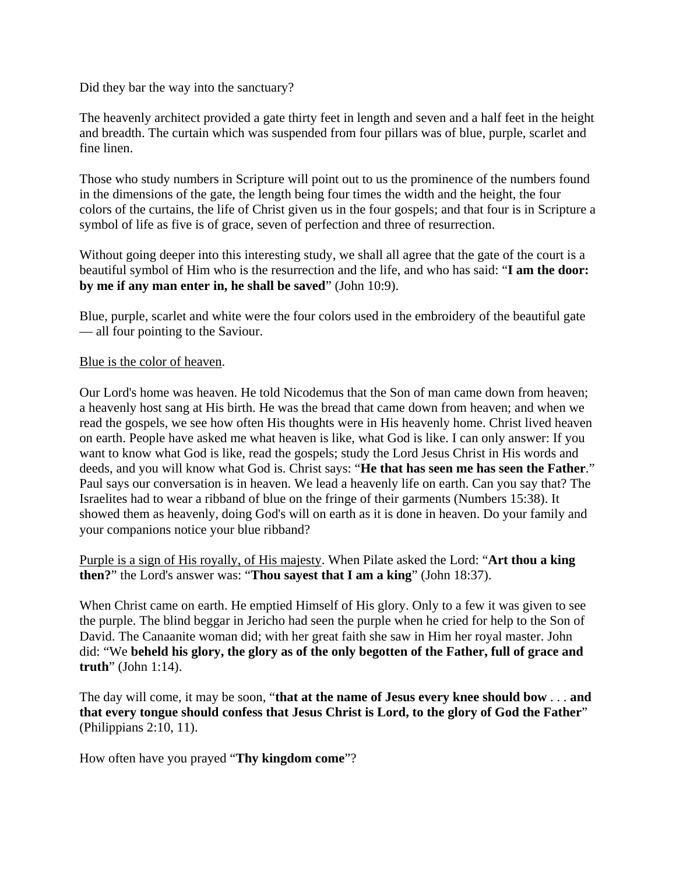Did they bar the way into the sanctuary?

The heavenly architect provided a gate thirty feet in length and seven and a half feet in the height and breadth. The curtain which was suspended from four pillars was of blue, purple, scarlet and fine linen.

Those who study numbers in Scripture will point out to us the prominence of the numbers found in the dimensions of the gate, the length being four times the width and the height, the four colors of the curtains, the life of Christ given us in the four gospels; and that four is in Scripture a symbol of life as five is of grace, seven of perfection and three of resurrection.

Without going deeper into this interesting study, we shall all agree that the gate of the court is a beautiful symbol of Him who is the resurrection and the life, and who has said: "**I am the door: by me if any man enter in, he shall be saved**" (John 10:9).

Blue, purple, scarlet and white were the four colors used in the embroidery of the beautiful gate — all four pointing to the Saviour.

### Blue is the color of heaven.

Our Lord's home was heaven. He told Nicodemus that the Son of man came down from heaven; a heavenly host sang at His birth. He was the bread that came down from heaven; and when we read the gospels, we see how often His thoughts were in His heavenly home. Christ lived heaven on earth. People have asked me what heaven is like, what God is like. I can only answer: If you want to know what God is like, read the gospels; study the Lord Jesus Christ in His words and deeds, and you will know what God is. Christ says: "**He that has seen me has seen the Father**." Paul says our conversation is in heaven. We lead a heavenly life on earth. Can you say that? The Israelites had to wear a ribband of blue on the fringe of their garments (Numbers 15:38). It showed them as heavenly, doing God's will on earth as it is done in heaven. Do your family and your companions notice your blue ribband?

Purple is a sign of His royally, of His majesty. When Pilate asked the Lord: "**Art thou a king then?**" the Lord's answer was: "**Thou sayest that I am a king**" (John 18:37).

When Christ came on earth. He emptied Himself of His glory. Only to a few it was given to see the purple. The blind beggar in Jericho had seen the purple when he cried for help to the Son of David. The Canaanite woman did; with her great faith she saw in Him her royal master. John did: "We **beheld his glory, the glory as of the only begotten of the Father, full of grace and truth**" (John 1:14).

The day will come, it may be soon, "**that at the name of Jesus every knee should bow** . . . **and that every tongue should confess that Jesus Christ is Lord, to the glory of God the Father**" (Philippians 2:10, 11).

How often have you prayed "**Thy kingdom come**"?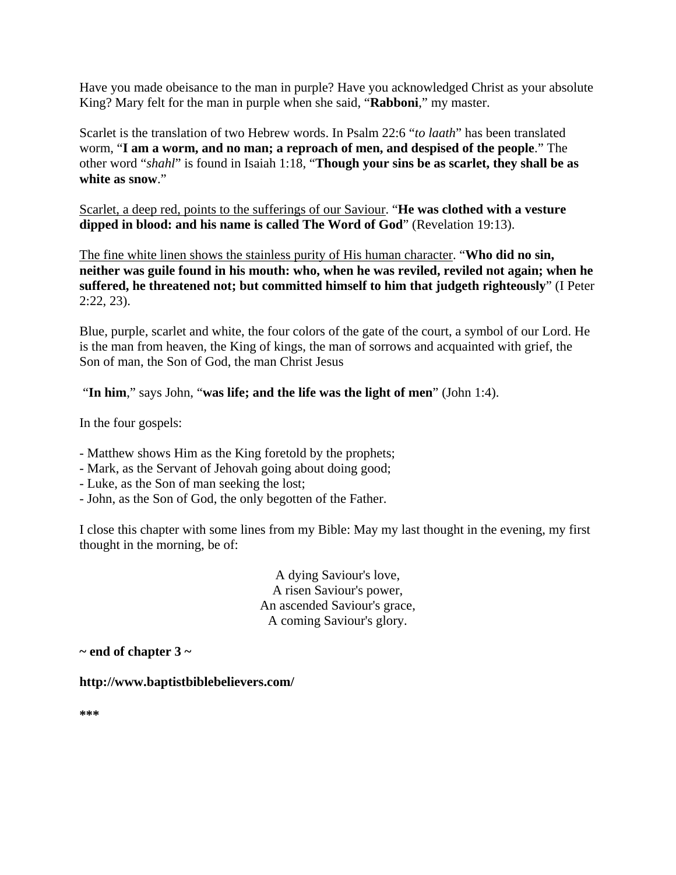Have you made obeisance to the man in purple? Have you acknowledged Christ as your absolute King? Mary felt for the man in purple when she said, "**Rabboni**," my master.

Scarlet is the translation of two Hebrew words. In Psalm 22:6 "*to laath*" has been translated worm, "**I am a worm, and no man; a reproach of men, and despised of the people**." The other word "*shahl*" is found in Isaiah 1:18, "**Though your sins be as scarlet, they shall be as white as snow**."

Scarlet, a deep red, points to the sufferings of our Saviour. "**He was clothed with a vesture dipped in blood: and his name is called The Word of God**" (Revelation 19:13).

The fine white linen shows the stainless purity of His human character. "**Who did no sin, neither was guile found in his mouth: who, when he was reviled, reviled not again; when he suffered, he threatened not; but committed himself to him that judgeth righteously**" (I Peter 2:22, 23).

Blue, purple, scarlet and white, the four colors of the gate of the court, a symbol of our Lord. He is the man from heaven, the King of kings, the man of sorrows and acquainted with grief, the Son of man, the Son of God, the man Christ Jesus

"**In him**," says John, "**was life; and the life was the light of men**" (John 1:4).

In the four gospels:

- Matthew shows Him as the King foretold by the prophets;
- Mark, as the Servant of Jehovah going about doing good;
- Luke, as the Son of man seeking the lost;
- John, as the Son of God, the only begotten of the Father.

I close this chapter with some lines from my Bible: May my last thought in the evening, my first thought in the morning, be of:

> A dying Saviour's love, A risen Saviour's power, An ascended Saviour's grace, A coming Saviour's glory.

**~ end of chapter 3 ~** 

**http://www.baptistbiblebelievers.com/** 

**\*\*\***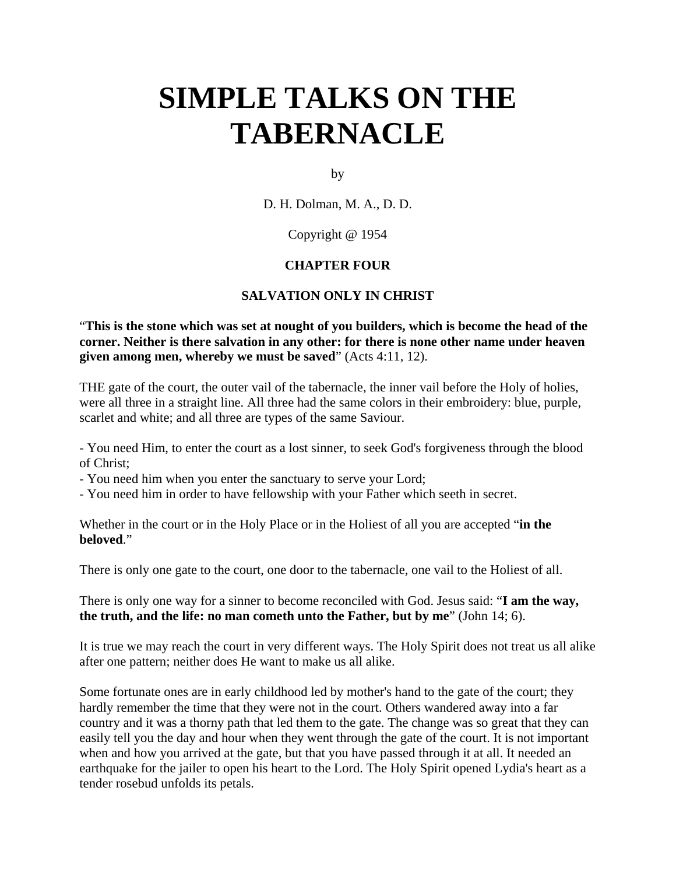by

D. H. Dolman, M. A., D. D.

### Copyright @ 1954

## **CHAPTER FOUR**

### **SALVATION ONLY IN CHRIST**

"**This is the stone which was set at nought of you builders, which is become the head of the corner. Neither is there salvation in any other: for there is none other name under heaven given among men, whereby we must be saved**" (Acts 4:11, 12).

THE gate of the court, the outer vail of the tabernacle, the inner vail before the Holy of holies, were all three in a straight line. All three had the same colors in their embroidery: blue, purple, scarlet and white; and all three are types of the same Saviour.

- You need Him, to enter the court as a lost sinner, to seek God's forgiveness through the blood of Christ;

- You need him when you enter the sanctuary to serve your Lord;

- You need him in order to have fellowship with your Father which seeth in secret.

Whether in the court or in the Holy Place or in the Holiest of all you are accepted "**in the beloved**."

There is only one gate to the court, one door to the tabernacle, one vail to the Holiest of all.

There is only one way for a sinner to become reconciled with God. Jesus said: "**I am the way, the truth, and the life: no man cometh unto the Father, but by me**" (John 14; 6).

It is true we may reach the court in very different ways. The Holy Spirit does not treat us all alike after one pattern; neither does He want to make us all alike.

Some fortunate ones are in early childhood led by mother's hand to the gate of the court; they hardly remember the time that they were not in the court. Others wandered away into a far country and it was a thorny path that led them to the gate. The change was so great that they can easily tell you the day and hour when they went through the gate of the court. It is not important when and how you arrived at the gate, but that you have passed through it at all. It needed an earthquake for the jailer to open his heart to the Lord. The Holy Spirit opened Lydia's heart as a tender rosebud unfolds its petals.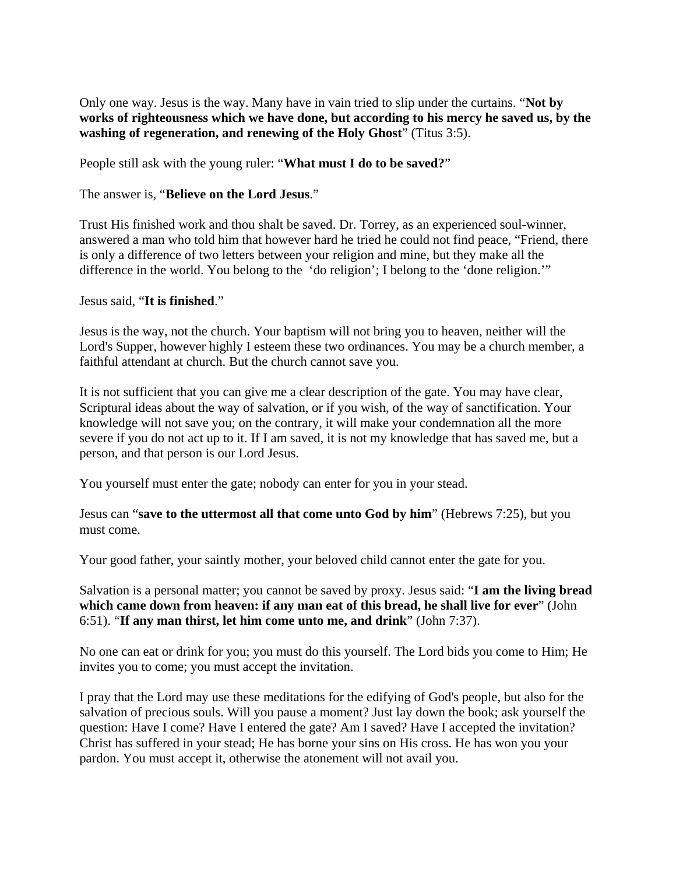Only one way. Jesus is the way. Many have in vain tried to slip under the curtains. "**Not by works of righteousness which we have done, but according to his mercy he saved us, by the washing of regeneration, and renewing of the Holy Ghost**" (Titus 3:5).

People still ask with the young ruler: "**What must I do to be saved?**"

## The answer is, "**Believe on the Lord Jesus**."

Trust His finished work and thou shalt be saved. Dr. Torrey, as an experienced soul-winner, answered a man who told him that however hard he tried he could not find peace, "Friend, there is only a difference of two letters between your religion and mine, but they make all the difference in the world. You belong to the 'do religion'; I belong to the 'done religion.'"

### Jesus said, "**It is finished**."

Jesus is the way, not the church. Your baptism will not bring you to heaven, neither will the Lord's Supper, however highly I esteem these two ordinances. You may be a church member, a faithful attendant at church. But the church cannot save you.

It is not sufficient that you can give me a clear description of the gate. You may have clear, Scriptural ideas about the way of salvation, or if you wish, of the way of sanctification. Your knowledge will not save you; on the contrary, it will make your condemnation all the more severe if you do not act up to it. If I am saved, it is not my knowledge that has saved me, but a person, and that person is our Lord Jesus.

You yourself must enter the gate; nobody can enter for you in your stead.

Jesus can "**save to the uttermost all that come unto God by him**" (Hebrews 7:25), but you must come.

Your good father, your saintly mother, your beloved child cannot enter the gate for you.

Salvation is a personal matter; you cannot be saved by proxy. Jesus said: "**I am the living bread which came down from heaven: if any man eat of this bread, he shall live for ever**" (John 6:51). "**If any man thirst, let him come unto me, and drink**" (John 7:37).

No one can eat or drink for you; you must do this yourself. The Lord bids you come to Him; He invites you to come; you must accept the invitation.

I pray that the Lord may use these meditations for the edifying of God's people, but also for the salvation of precious souls. Will you pause a moment? Just lay down the book; ask yourself the question: Have I come? Have I entered the gate? Am I saved? Have I accepted the invitation? Christ has suffered in your stead; He has borne your sins on His cross. He has won you your pardon. You must accept it, otherwise the atonement will not avail you.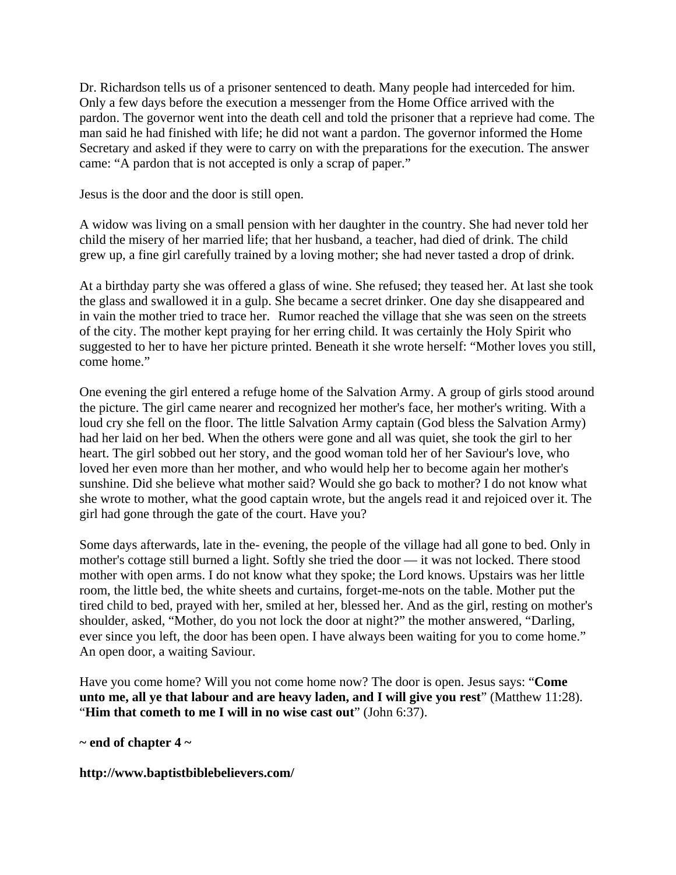Dr. Richardson tells us of a prisoner sentenced to death. Many people had interceded for him. Only a few days before the execution a messenger from the Home Office arrived with the pardon. The governor went into the death cell and told the prisoner that a reprieve had come. The man said he had finished with life; he did not want a pardon. The governor informed the Home Secretary and asked if they were to carry on with the preparations for the execution. The answer came: "A pardon that is not accepted is only a scrap of paper."

Jesus is the door and the door is still open.

A widow was living on a small pension with her daughter in the country. She had never told her child the misery of her married life; that her husband, a teacher, had died of drink. The child grew up, a fine girl carefully trained by a loving mother; she had never tasted a drop of drink.

At a birthday party she was offered a glass of wine. She refused; they teased her. At last she took the glass and swallowed it in a gulp. She became a secret drinker. One day she disappeared and in vain the mother tried to trace her. Rumor reached the village that she was seen on the streets of the city. The mother kept praying for her erring child. It was certainly the Holy Spirit who suggested to her to have her picture printed. Beneath it she wrote herself: "Mother loves you still, come home."

One evening the girl entered a refuge home of the Salvation Army. A group of girls stood around the picture. The girl came nearer and recognized her mother's face, her mother's writing. With a loud cry she fell on the floor. The little Salvation Army captain (God bless the Salvation Army) had her laid on her bed. When the others were gone and all was quiet, she took the girl to her heart. The girl sobbed out her story, and the good woman told her of her Saviour's love, who loved her even more than her mother, and who would help her to become again her mother's sunshine. Did she believe what mother said? Would she go back to mother? I do not know what she wrote to mother, what the good captain wrote, but the angels read it and rejoiced over it. The girl had gone through the gate of the court. Have you?

Some days afterwards, late in the- evening, the people of the village had all gone to bed. Only in mother's cottage still burned a light. Softly she tried the door — it was not locked. There stood mother with open arms. I do not know what they spoke; the Lord knows. Upstairs was her little room, the little bed, the white sheets and curtains, forget-me-nots on the table. Mother put the tired child to bed, prayed with her, smiled at her, blessed her. And as the girl, resting on mother's shoulder, asked, "Mother, do you not lock the door at night?" the mother answered, "Darling, ever since you left, the door has been open. I have always been waiting for you to come home." An open door, a waiting Saviour.

Have you come home? Will you not come home now? The door is open. Jesus says: "**Come unto me, all ye that labour and are heavy laden, and I will give you rest**" (Matthew 11:28). "**Him that cometh to me I will in no wise cast out**" (John 6:37).

**~ end of chapter 4 ~** 

**http://www.baptistbiblebelievers.com/**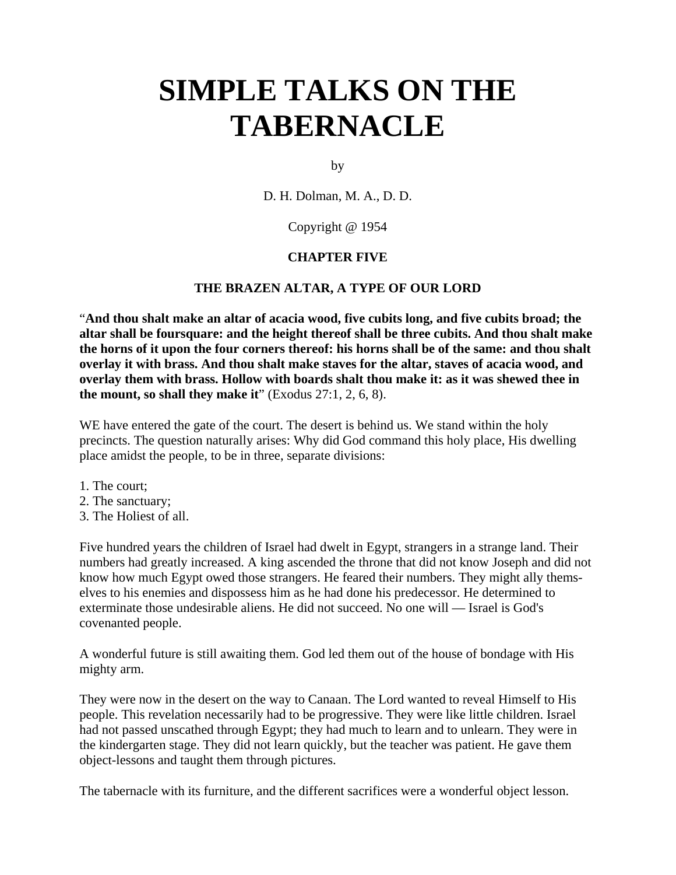by

D. H. Dolman, M. A., D. D.

## Copyright @ 1954

### **CHAPTER FIVE**

### **THE BRAZEN ALTAR, A TYPE OF OUR LORD**

"**And thou shalt make an altar of acacia wood, five cubits long, and five cubits broad; the altar shall be foursquare: and the height thereof shall be three cubits. And thou shalt make the horns of it upon the four corners thereof: his horns shall be of the same: and thou shalt overlay it with brass. And thou shalt make staves for the altar, staves of acacia wood, and overlay them with brass. Hollow with boards shalt thou make it: as it was shewed thee in the mount, so shall they make it**" (Exodus 27:1, 2, 6, 8).

WE have entered the gate of the court. The desert is behind us. We stand within the holy precincts. The question naturally arises: Why did God command this holy place, His dwelling place amidst the people, to be in three, separate divisions:

- 1. The court;
- 2. The sanctuary;
- 3. The Holiest of all.

Five hundred years the children of Israel had dwelt in Egypt, strangers in a strange land. Their numbers had greatly increased. A king ascended the throne that did not know Joseph and did not know how much Egypt owed those strangers. He feared their numbers. They might ally themselves to his enemies and dispossess him as he had done his predecessor. He determined to exterminate those undesirable aliens. He did not succeed. No one will — Israel is God's covenanted people.

A wonderful future is still awaiting them. God led them out of the house of bondage with His mighty arm.

They were now in the desert on the way to Canaan. The Lord wanted to reveal Himself to His people. This revelation necessarily had to be progressive. They were like little children. Israel had not passed unscathed through Egypt; they had much to learn and to unlearn. They were in the kindergarten stage. They did not learn quickly, but the teacher was patient. He gave them object-lessons and taught them through pictures.

The tabernacle with its furniture, and the different sacrifices were a wonderful object lesson.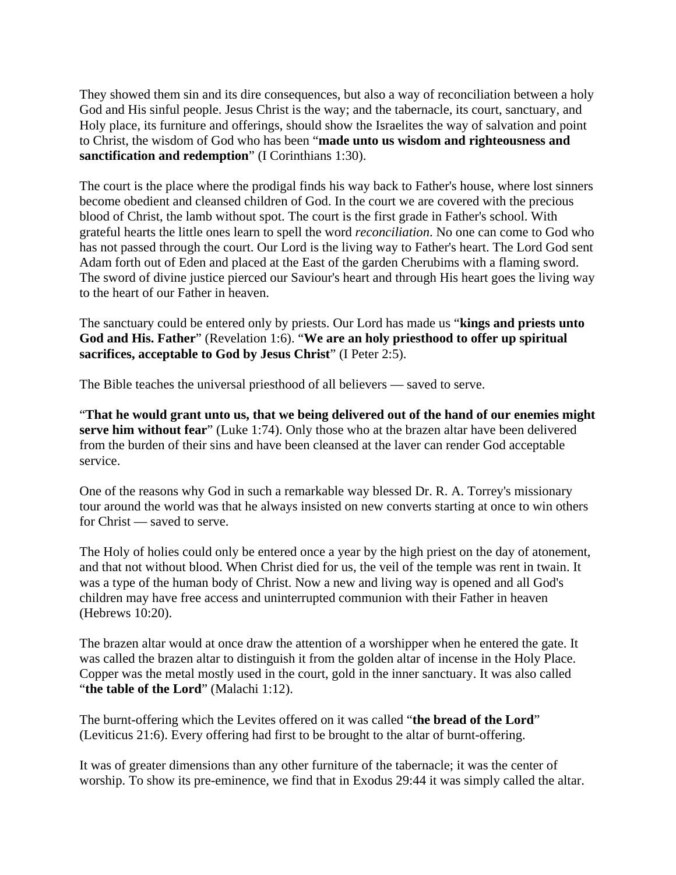They showed them sin and its dire consequences, but also a way of reconciliation between a holy God and His sinful people. Jesus Christ is the way; and the tabernacle, its court, sanctuary, and Holy place, its furniture and offerings, should show the Israelites the way of salvation and point to Christ, the wisdom of God who has been "**made unto us wisdom and righteousness and sanctification and redemption**" (I Corinthians 1:30).

The court is the place where the prodigal finds his way back to Father's house, where lost sinners become obedient and cleansed children of God. In the court we are covered with the precious blood of Christ, the lamb without spot. The court is the first grade in Father's school. With grateful hearts the little ones learn to spell the word *reconciliation*. No one can come to God who has not passed through the court. Our Lord is the living way to Father's heart. The Lord God sent Adam forth out of Eden and placed at the East of the garden Cherubims with a flaming sword. The sword of divine justice pierced our Saviour's heart and through His heart goes the living way to the heart of our Father in heaven.

The sanctuary could be entered only by priests. Our Lord has made us "**kings and priests unto God and His. Father**" (Revelation 1:6). "**We are an holy priesthood to offer up spiritual sacrifices, acceptable to God by Jesus Christ**" (I Peter 2:5).

The Bible teaches the universal priesthood of all believers — saved to serve.

"**That he would grant unto us, that we being delivered out of the hand of our enemies might serve him without fear**" (Luke 1:74). Only those who at the brazen altar have been delivered from the burden of their sins and have been cleansed at the laver can render God acceptable service.

One of the reasons why God in such a remarkable way blessed Dr. R. A. Torrey's missionary tour around the world was that he always insisted on new converts starting at once to win others for Christ — saved to serve.

The Holy of holies could only be entered once a year by the high priest on the day of atonement, and that not without blood. When Christ died for us, the veil of the temple was rent in twain. It was a type of the human body of Christ. Now a new and living way is opened and all God's children may have free access and uninterrupted communion with their Father in heaven (Hebrews 10:20).

The brazen altar would at once draw the attention of a worshipper when he entered the gate. It was called the brazen altar to distinguish it from the golden altar of incense in the Holy Place. Copper was the metal mostly used in the court, gold in the inner sanctuary. It was also called "**the table of the Lord**" (Malachi 1:12).

The burnt-offering which the Levites offered on it was called "**the bread of the Lord**" (Leviticus 21:6). Every offering had first to be brought to the altar of burnt-offering.

It was of greater dimensions than any other furniture of the tabernacle; it was the center of worship. To show its pre-eminence, we find that in Exodus 29:44 it was simply called the altar.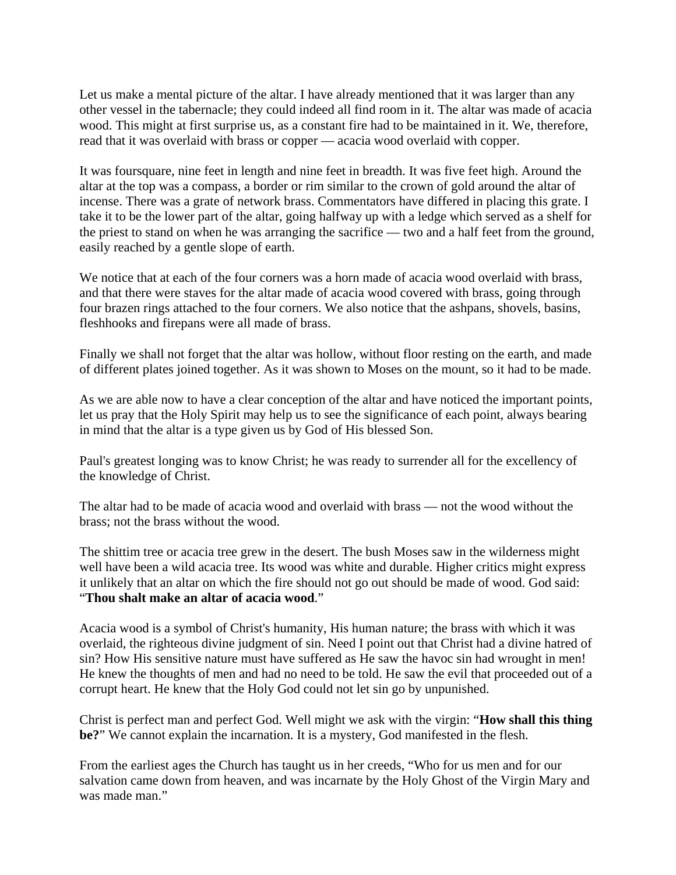Let us make a mental picture of the altar. I have already mentioned that it was larger than any other vessel in the tabernacle; they could indeed all find room in it. The altar was made of acacia wood. This might at first surprise us, as a constant fire had to be maintained in it. We, therefore, read that it was overlaid with brass or copper — acacia wood overlaid with copper.

It was foursquare, nine feet in length and nine feet in breadth. It was five feet high. Around the altar at the top was a compass, a border or rim similar to the crown of gold around the altar of incense. There was a grate of network brass. Commentators have differed in placing this grate. I take it to be the lower part of the altar, going halfway up with a ledge which served as a shelf for the priest to stand on when he was arranging the sacrifice — two and a half feet from the ground, easily reached by a gentle slope of earth.

We notice that at each of the four corners was a horn made of acacia wood overlaid with brass, and that there were staves for the altar made of acacia wood covered with brass, going through four brazen rings attached to the four corners. We also notice that the ashpans, shovels, basins, fleshhooks and firepans were all made of brass.

Finally we shall not forget that the altar was hollow, without floor resting on the earth, and made of different plates joined together. As it was shown to Moses on the mount, so it had to be made.

As we are able now to have a clear conception of the altar and have noticed the important points, let us pray that the Holy Spirit may help us to see the significance of each point, always bearing in mind that the altar is a type given us by God of His blessed Son.

Paul's greatest longing was to know Christ; he was ready to surrender all for the excellency of the knowledge of Christ.

The altar had to be made of acacia wood and overlaid with brass — not the wood without the brass; not the brass without the wood.

The shittim tree or acacia tree grew in the desert. The bush Moses saw in the wilderness might well have been a wild acacia tree. Its wood was white and durable. Higher critics might express it unlikely that an altar on which the fire should not go out should be made of wood. God said: "**Thou shalt make an altar of acacia wood**."

Acacia wood is a symbol of Christ's humanity, His human nature; the brass with which it was overlaid, the righteous divine judgment of sin. Need I point out that Christ had a divine hatred of sin? How His sensitive nature must have suffered as He saw the havoc sin had wrought in men! He knew the thoughts of men and had no need to be told. He saw the evil that proceeded out of a corrupt heart. He knew that the Holy God could not let sin go by unpunished.

Christ is perfect man and perfect God. Well might we ask with the virgin: "**How shall this thing be?**" We cannot explain the incarnation. It is a mystery, God manifested in the flesh.

From the earliest ages the Church has taught us in her creeds, "Who for us men and for our salvation came down from heaven, and was incarnate by the Holy Ghost of the Virgin Mary and was made man."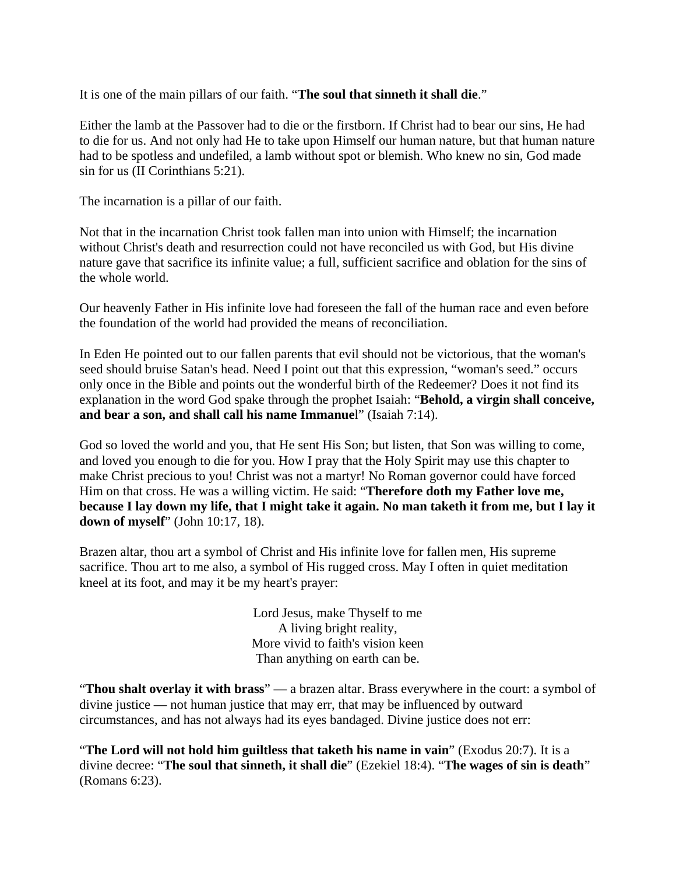It is one of the main pillars of our faith. "**The soul that sinneth it shall die**."

Either the lamb at the Passover had to die or the firstborn. If Christ had to bear our sins, He had to die for us. And not only had He to take upon Himself our human nature, but that human nature had to be spotless and undefiled, a lamb without spot or blemish. Who knew no sin, God made sin for us (II Corinthians 5:21).

The incarnation is a pillar of our faith.

Not that in the incarnation Christ took fallen man into union with Himself; the incarnation without Christ's death and resurrection could not have reconciled us with God, but His divine nature gave that sacrifice its infinite value; a full, sufficient sacrifice and oblation for the sins of the whole world.

Our heavenly Father in His infinite love had foreseen the fall of the human race and even before the foundation of the world had provided the means of reconciliation.

In Eden He pointed out to our fallen parents that evil should not be victorious, that the woman's seed should bruise Satan's head. Need I point out that this expression, "woman's seed." occurs only once in the Bible and points out the wonderful birth of the Redeemer? Does it not find its explanation in the word God spake through the prophet Isaiah: "**Behold, a virgin shall conceive, and bear a son, and shall call his name Immanue**l" (Isaiah 7:14).

God so loved the world and you, that He sent His Son; but listen, that Son was willing to come, and loved you enough to die for you. How I pray that the Holy Spirit may use this chapter to make Christ precious to you! Christ was not a martyr! No Roman governor could have forced Him on that cross. He was a willing victim. He said: "**Therefore doth my Father love me, because I lay down my life, that I might take it again. No man taketh it from me, but I lay it down of myself**" (John 10:17, 18).

Brazen altar, thou art a symbol of Christ and His infinite love for fallen men, His supreme sacrifice. Thou art to me also, a symbol of His rugged cross. May I often in quiet meditation kneel at its foot, and may it be my heart's prayer:

> Lord Jesus, make Thyself to me A living bright reality, More vivid to faith's vision keen Than anything on earth can be.

"**Thou shalt overlay it with brass**" — a brazen altar. Brass everywhere in the court: a symbol of divine justice — not human justice that may err, that may be influenced by outward circumstances, and has not always had its eyes bandaged. Divine justice does not err:

"**The Lord will not hold him guiltless that taketh his name in vain**" (Exodus 20:7). It is a divine decree: "**The soul that sinneth, it shall die**" (Ezekiel 18:4). "**The wages of sin is death**" (Romans 6:23).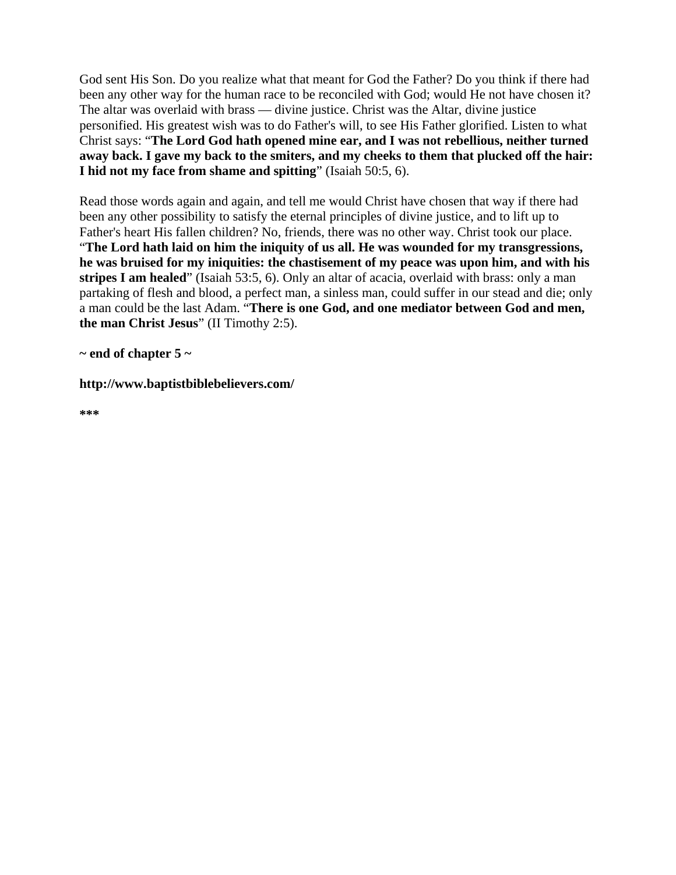God sent His Son. Do you realize what that meant for God the Father? Do you think if there had been any other way for the human race to be reconciled with God; would He not have chosen it? The altar was overlaid with brass — divine justice. Christ was the Altar, divine justice personified. His greatest wish was to do Father's will, to see His Father glorified. Listen to what Christ says: "**The Lord God hath opened mine ear, and I was not rebellious, neither turned away back. I gave my back to the smiters, and my cheeks to them that plucked off the hair: I hid not my face from shame and spitting**" (Isaiah 50:5, 6).

Read those words again and again, and tell me would Christ have chosen that way if there had been any other possibility to satisfy the eternal principles of divine justice, and to lift up to Father's heart His fallen children? No, friends, there was no other way. Christ took our place. "**The Lord hath laid on him the iniquity of us all. He was wounded for my transgressions, he was bruised for my iniquities: the chastisement of my peace was upon him, and with his stripes I am healed**" (Isaiah 53:5, 6). Only an altar of acacia, overlaid with brass: only a man partaking of flesh and blood, a perfect man, a sinless man, could suffer in our stead and die; only a man could be the last Adam. "**There is one God, and one mediator between God and men, the man Christ Jesus**" (II Timothy 2:5).

**~ end of chapter 5 ~** 

**http://www.baptistbiblebelievers.com/** 

**\*\*\***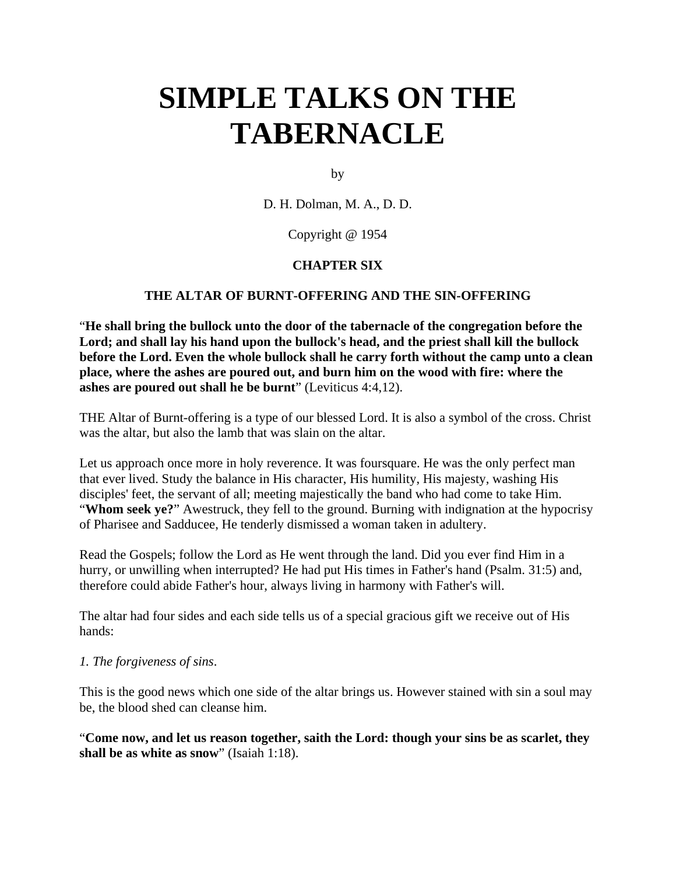by

D. H. Dolman, M. A., D. D.

Copyright @ 1954

## **CHAPTER SIX**

### **THE ALTAR OF BURNT-OFFERING AND THE SIN-OFFERING**

"**He shall bring the bullock unto the door of the tabernacle of the congregation before the Lord; and shall lay his hand upon the bullock's head, and the priest shall kill the bullock before the Lord. Even the whole bullock shall he carry forth without the camp unto a clean place, where the ashes are poured out, and burn him on the wood with fire: where the ashes are poured out shall he be burnt**" (Leviticus 4:4,12).

THE Altar of Burnt-offering is a type of our blessed Lord. It is also a symbol of the cross. Christ was the altar, but also the lamb that was slain on the altar.

Let us approach once more in holy reverence. It was foursquare. He was the only perfect man that ever lived. Study the balance in His character, His humility, His majesty, washing His disciples' feet, the servant of all; meeting majestically the band who had come to take Him. "**Whom seek ye?**" Awestruck, they fell to the ground. Burning with indignation at the hypocrisy of Pharisee and Sadducee, He tenderly dismissed a woman taken in adultery.

Read the Gospels; follow the Lord as He went through the land. Did you ever find Him in a hurry, or unwilling when interrupted? He had put His times in Father's hand (Psalm. 31:5) and, therefore could abide Father's hour, always living in harmony with Father's will.

The altar had four sides and each side tells us of a special gracious gift we receive out of His hands:

### *1. The forgiveness of sins*.

This is the good news which one side of the altar brings us. However stained with sin a soul may be, the blood shed can cleanse him.

"**Come now, and let us reason together, saith the Lord: though your sins be as scarlet, they shall be as white as snow**" (Isaiah 1:18).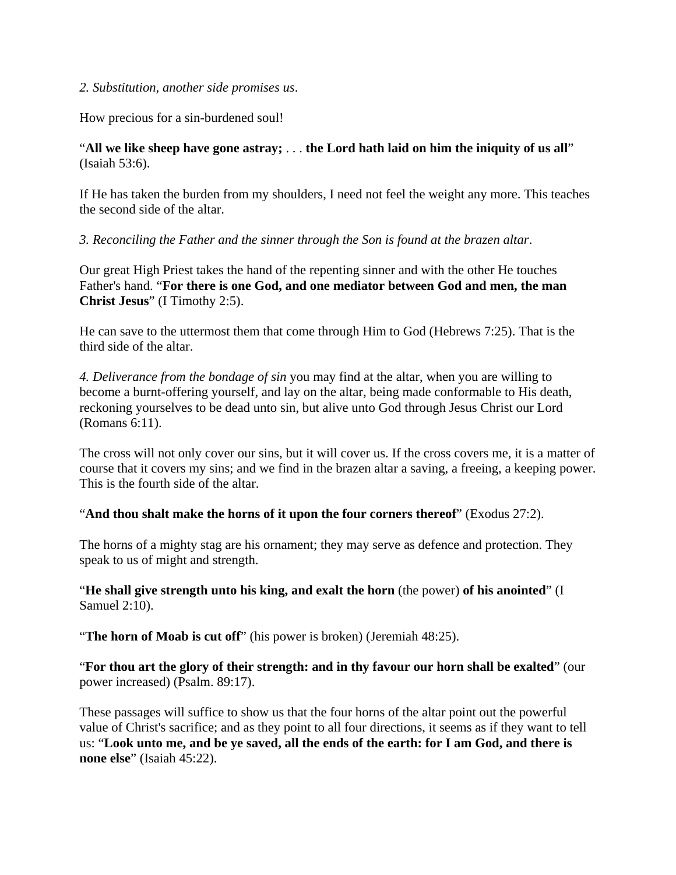### *2. Substitution, another side promises us*.

How precious for a sin-burdened soul!

## "**All we like sheep have gone astray;** . . . **the Lord hath laid on him the iniquity of us all**" (Isaiah 53:6).

If He has taken the burden from my shoulders, I need not feel the weight any more. This teaches the second side of the altar.

### *3. Reconciling the Father and the sinner through the Son is found at the brazen altar*.

Our great High Priest takes the hand of the repenting sinner and with the other He touches Father's hand. "**For there is one God, and one mediator between God and men, the man Christ Jesus**" (I Timothy 2:5).

He can save to the uttermost them that come through Him to God (Hebrews 7:25). That is the third side of the altar.

*4. Deliverance from the bondage of sin* you may find at the altar, when you are willing to become a burnt-offering yourself, and lay on the altar, being made conformable to His death, reckoning yourselves to be dead unto sin, but alive unto God through Jesus Christ our Lord (Romans 6:11).

The cross will not only cover our sins, but it will cover us. If the cross covers me, it is a matter of course that it covers my sins; and we find in the brazen altar a saving, a freeing, a keeping power. This is the fourth side of the altar.

"**And thou shalt make the horns of it upon the four corners thereof**" (Exodus 27:2).

The horns of a mighty stag are his ornament; they may serve as defence and protection. They speak to us of might and strength.

"**He shall give strength unto his king, and exalt the horn** (the power) **of his anointed**" (I Samuel 2:10).

"**The horn of Moab is cut off**" (his power is broken) (Jeremiah 48:25).

"**For thou art the glory of their strength: and in thy favour our horn shall be exalted**" (our power increased) (Psalm. 89:17).

These passages will suffice to show us that the four horns of the altar point out the powerful value of Christ's sacrifice; and as they point to all four directions, it seems as if they want to tell us: "**Look unto me, and be ye saved, all the ends of the earth: for I am God, and there is none else**" (Isaiah 45:22).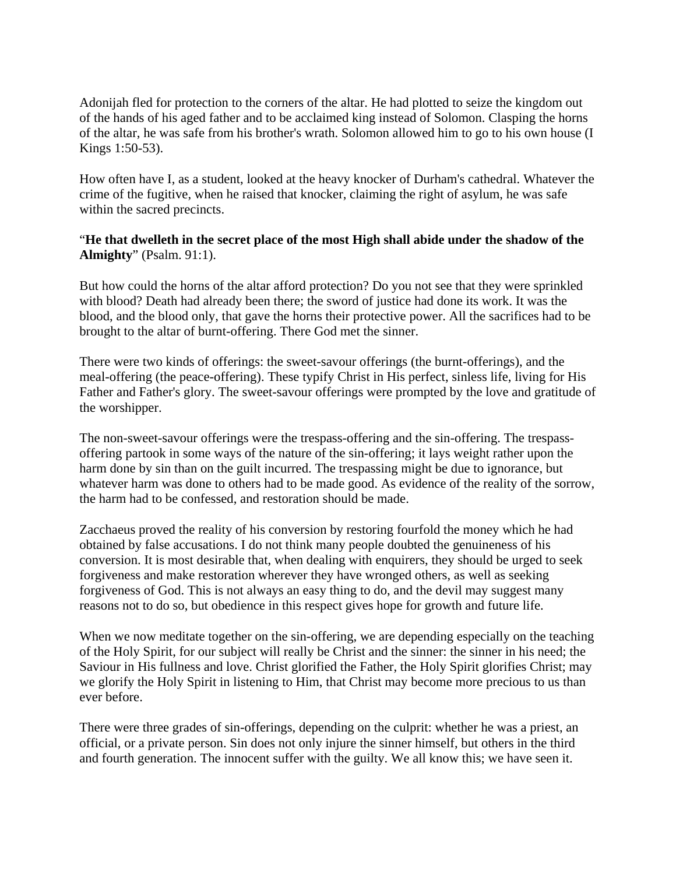Adonijah fled for protection to the corners of the altar. He had plotted to seize the kingdom out of the hands of his aged father and to be acclaimed king instead of Solomon. Clasping the horns of the altar, he was safe from his brother's wrath. Solomon allowed him to go to his own house (I Kings 1:50-53).

How often have I, as a student, looked at the heavy knocker of Durham's cathedral. Whatever the crime of the fugitive, when he raised that knocker, claiming the right of asylum, he was safe within the sacred precincts.

## "**He that dwelleth in the secret place of the most High shall abide under the shadow of the Almighty**" (Psalm. 91:1).

But how could the horns of the altar afford protection? Do you not see that they were sprinkled with blood? Death had already been there; the sword of justice had done its work. It was the blood, and the blood only, that gave the horns their protective power. All the sacrifices had to be brought to the altar of burnt-offering. There God met the sinner.

There were two kinds of offerings: the sweet-savour offerings (the burnt-offerings), and the meal-offering (the peace-offering). These typify Christ in His perfect, sinless life, living for His Father and Father's glory. The sweet-savour offerings were prompted by the love and gratitude of the worshipper.

The non-sweet-savour offerings were the trespass-offering and the sin-offering. The trespassoffering partook in some ways of the nature of the sin-offering; it lays weight rather upon the harm done by sin than on the guilt incurred. The trespassing might be due to ignorance, but whatever harm was done to others had to be made good. As evidence of the reality of the sorrow, the harm had to be confessed, and restoration should be made.

Zacchaeus proved the reality of his conversion by restoring fourfold the money which he had obtained by false accusations. I do not think many people doubted the genuineness of his conversion. It is most desirable that, when dealing with enquirers, they should be urged to seek forgiveness and make restoration wherever they have wronged others, as well as seeking forgiveness of God. This is not always an easy thing to do, and the devil may suggest many reasons not to do so, but obedience in this respect gives hope for growth and future life.

When we now meditate together on the sin-offering, we are depending especially on the teaching of the Holy Spirit, for our subject will really be Christ and the sinner: the sinner in his need; the Saviour in His fullness and love. Christ glorified the Father, the Holy Spirit glorifies Christ; may we glorify the Holy Spirit in listening to Him, that Christ may become more precious to us than ever before.

There were three grades of sin-offerings, depending on the culprit: whether he was a priest, an official, or a private person. Sin does not only injure the sinner himself, but others in the third and fourth generation. The innocent suffer with the guilty. We all know this; we have seen it.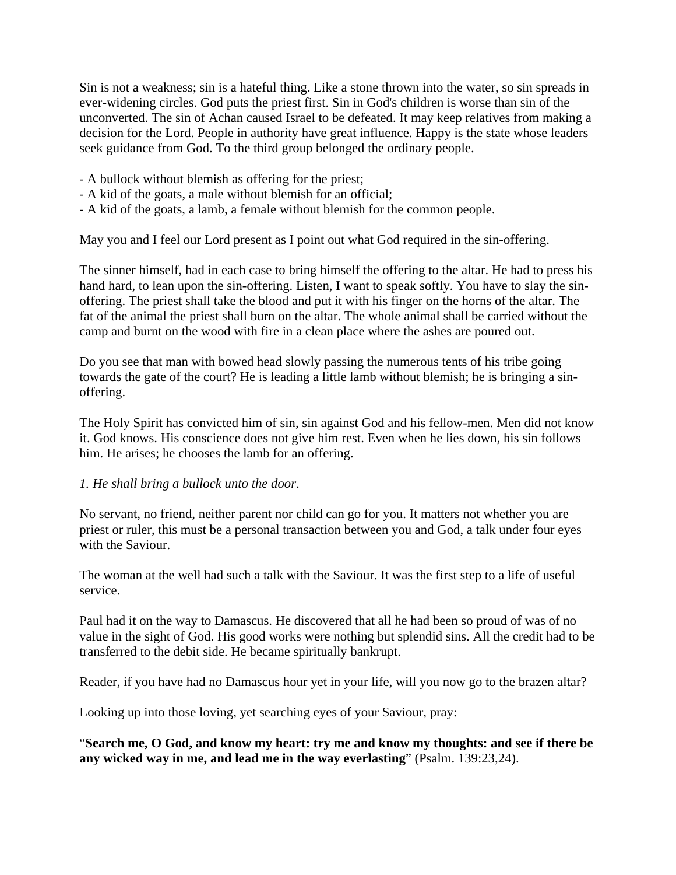Sin is not a weakness; sin is a hateful thing. Like a stone thrown into the water, so sin spreads in ever-widening circles. God puts the priest first. Sin in God's children is worse than sin of the unconverted. The sin of Achan caused Israel to be defeated. It may keep relatives from making a decision for the Lord. People in authority have great influence. Happy is the state whose leaders seek guidance from God. To the third group belonged the ordinary people.

- A bullock without blemish as offering for the priest;
- A kid of the goats, a male without blemish for an official;
- A kid of the goats, a lamb, a female without blemish for the common people.

May you and I feel our Lord present as I point out what God required in the sin-offering.

The sinner himself, had in each case to bring himself the offering to the altar. He had to press his hand hard, to lean upon the sin-offering. Listen, I want to speak softly. You have to slay the sinoffering. The priest shall take the blood and put it with his finger on the horns of the altar. The fat of the animal the priest shall burn on the altar. The whole animal shall be carried without the camp and burnt on the wood with fire in a clean place where the ashes are poured out.

Do you see that man with bowed head slowly passing the numerous tents of his tribe going towards the gate of the court? He is leading a little lamb without blemish; he is bringing a sinoffering.

The Holy Spirit has convicted him of sin, sin against God and his fellow-men. Men did not know it. God knows. His conscience does not give him rest. Even when he lies down, his sin follows him. He arises; he chooses the lamb for an offering.

### *1. He shall bring a bullock unto the door*.

No servant, no friend, neither parent nor child can go for you. It matters not whether you are priest or ruler, this must be a personal transaction between you and God, a talk under four eyes with the Saviour.

The woman at the well had such a talk with the Saviour. It was the first step to a life of useful service.

Paul had it on the way to Damascus. He discovered that all he had been so proud of was of no value in the sight of God. His good works were nothing but splendid sins. All the credit had to be transferred to the debit side. He became spiritually bankrupt.

Reader, if you have had no Damascus hour yet in your life, will you now go to the brazen altar?

Looking up into those loving, yet searching eyes of your Saviour, pray:

"**Search me, O God, and know my heart: try me and know my thoughts: and see if there be any wicked way in me, and lead me in the way everlasting**" (Psalm. 139:23,24).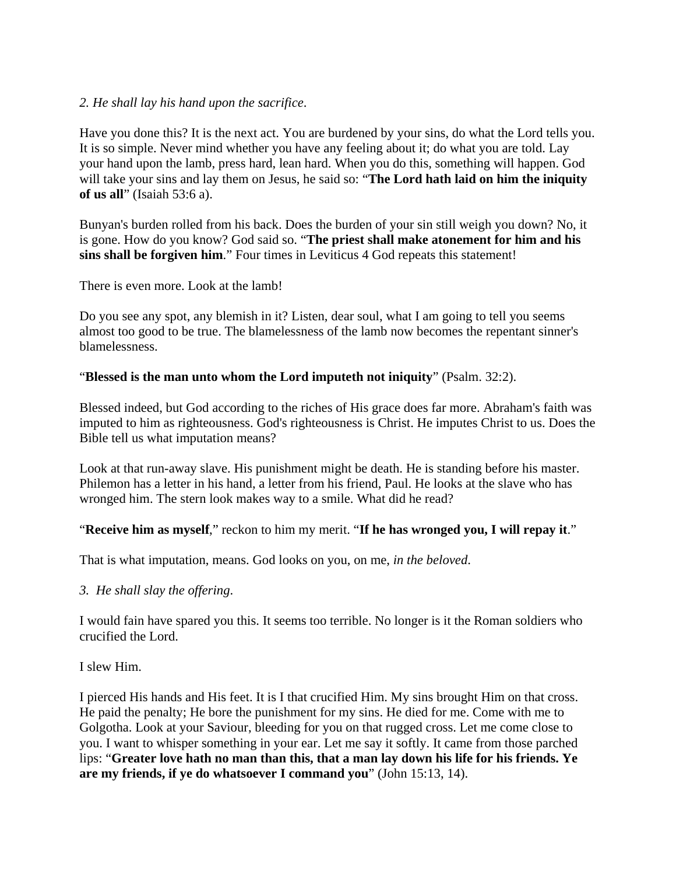## *2. He shall lay his hand upon the sacrifice*.

Have you done this? It is the next act. You are burdened by your sins, do what the Lord tells you. It is so simple. Never mind whether you have any feeling about it; do what you are told. Lay your hand upon the lamb, press hard, lean hard. When you do this, something will happen. God will take your sins and lay them on Jesus, he said so: "**The Lord hath laid on him the iniquity of us all**" (Isaiah 53:6 a).

Bunyan's burden rolled from his back. Does the burden of your sin still weigh you down? No, it is gone. How do you know? God said so. "**The priest shall make atonement for him and his sins shall be forgiven him**." Four times in Leviticus 4 God repeats this statement!

There is even more. Look at the lamb!

Do you see any spot, any blemish in it? Listen, dear soul, what I am going to tell you seems almost too good to be true. The blamelessness of the lamb now becomes the repentant sinner's blamelessness.

## "**Blessed is the man unto whom the Lord imputeth not iniquity**" (Psalm. 32:2).

Blessed indeed, but God according to the riches of His grace does far more. Abraham's faith was imputed to him as righteousness. God's righteousness is Christ. He imputes Christ to us. Does the Bible tell us what imputation means?

Look at that run-away slave. His punishment might be death. He is standing before his master. Philemon has a letter in his hand, a letter from his friend, Paul. He looks at the slave who has wronged him. The stern look makes way to a smile. What did he read?

"**Receive him as myself**," reckon to him my merit. "**If he has wronged you, I will repay it**."

That is what imputation, means. God looks on you, on me, *in the beloved*.

*3. He shall slay the offering*.

I would fain have spared you this. It seems too terrible. No longer is it the Roman soldiers who crucified the Lord.

I slew Him.

I pierced His hands and His feet. It is I that crucified Him. My sins brought Him on that cross. He paid the penalty; He bore the punishment for my sins. He died for me. Come with me to Golgotha. Look at your Saviour, bleeding for you on that rugged cross. Let me come close to you. I want to whisper something in your ear. Let me say it softly. It came from those parched lips: "**Greater love hath no man than this, that a man lay down his life for his friends. Ye are my friends, if ye do whatsoever I command you**" (John 15:13, 14).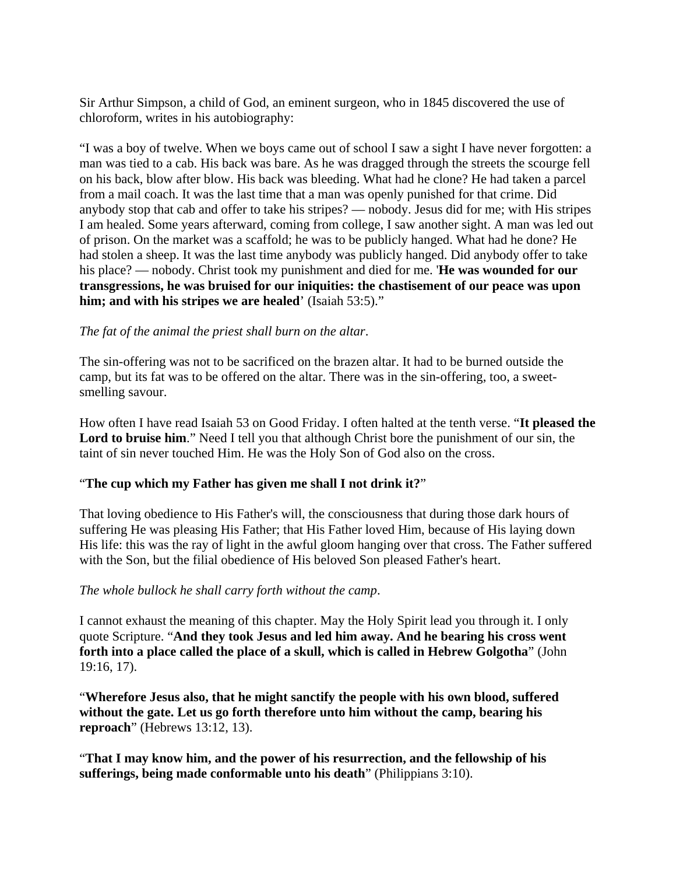Sir Arthur Simpson, a child of God, an eminent surgeon, who in 1845 discovered the use of chloroform, writes in his autobiography:

"I was a boy of twelve. When we boys came out of school I saw a sight I have never forgotten: a man was tied to a cab. His back was bare. As he was dragged through the streets the scourge fell on his back, blow after blow. His back was bleeding. What had he clone? He had taken a parcel from a mail coach. It was the last time that a man was openly punished for that crime. Did anybody stop that cab and offer to take his stripes? — nobody. Jesus did for me; with His stripes I am healed. Some years afterward, coming from college, I saw another sight. A man was led out of prison. On the market was a scaffold; he was to be publicly hanged. What had he done? He had stolen a sheep. It was the last time anybody was publicly hanged. Did anybody offer to take his place? — nobody. Christ took my punishment and died for me. '**He was wounded for our transgressions, he was bruised for our iniquities: the chastisement of our peace was upon him; and with his stripes we are healed**' (Isaiah 53:5)."

## *The fat of the animal the priest shall burn on the altar*.

The sin-offering was not to be sacrificed on the brazen altar. It had to be burned outside the camp, but its fat was to be offered on the altar. There was in the sin-offering, too, a sweetsmelling savour.

How often I have read Isaiah 53 on Good Friday. I often halted at the tenth verse. "**It pleased the**  Lord to bruise him." Need I tell you that although Christ bore the punishment of our sin, the taint of sin never touched Him. He was the Holy Son of God also on the cross.

### "**The cup which my Father has given me shall I not drink it?**"

That loving obedience to His Father's will, the consciousness that during those dark hours of suffering He was pleasing His Father; that His Father loved Him, because of His laying down His life: this was the ray of light in the awful gloom hanging over that cross. The Father suffered with the Son, but the filial obedience of His beloved Son pleased Father's heart.

### *The whole bullock he shall carry forth without the camp*.

I cannot exhaust the meaning of this chapter. May the Holy Spirit lead you through it. I only quote Scripture. "**And they took Jesus and led him away. And he bearing his cross went forth into a place called the place of a skull, which is called in Hebrew Golgotha**" (John 19:16, 17).

"**Wherefore Jesus also, that he might sanctify the people with his own blood, suffered without the gate. Let us go forth therefore unto him without the camp, bearing his reproach**" (Hebrews 13:12, 13).

"**That I may know him, and the power of his resurrection, and the fellowship of his sufferings, being made conformable unto his death**" (Philippians 3:10).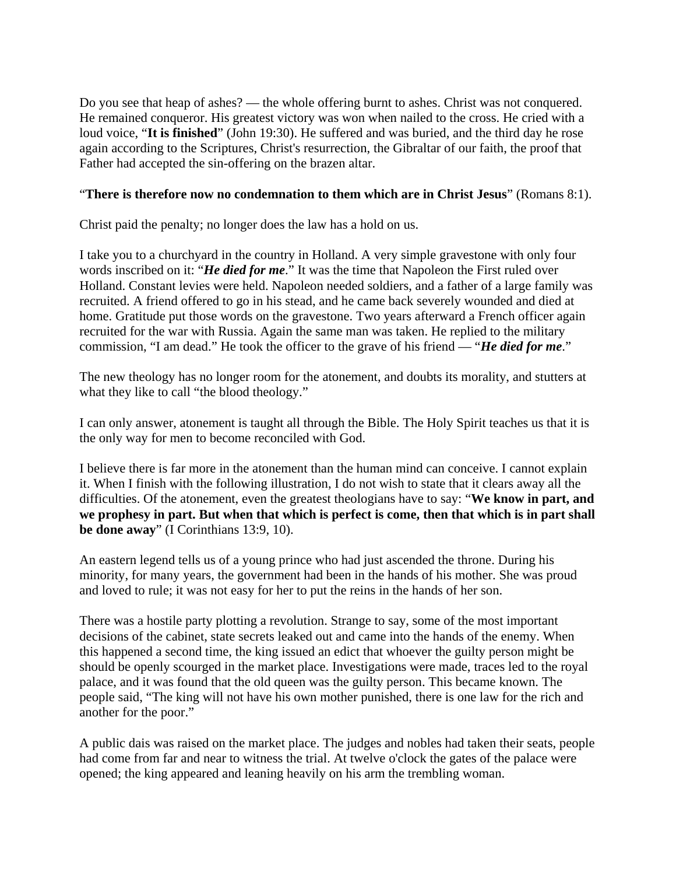Do you see that heap of ashes? — the whole offering burnt to ashes. Christ was not conquered. He remained conqueror. His greatest victory was won when nailed to the cross. He cried with a loud voice, "**It is finished**" (John 19:30). He suffered and was buried, and the third day he rose again according to the Scriptures, Christ's resurrection, the Gibraltar of our faith, the proof that Father had accepted the sin-offering on the brazen altar.

## "**There is therefore now no condemnation to them which are in Christ Jesus**" (Romans 8:1).

Christ paid the penalty; no longer does the law has a hold on us.

I take you to a churchyard in the country in Holland. A very simple gravestone with only four words inscribed on it: "*He died for me*." It was the time that Napoleon the First ruled over Holland. Constant levies were held. Napoleon needed soldiers, and a father of a large family was recruited. A friend offered to go in his stead, and he came back severely wounded and died at home. Gratitude put those words on the gravestone. Two years afterward a French officer again recruited for the war with Russia. Again the same man was taken. He replied to the military commission, "I am dead." He took the officer to the grave of his friend — "*He died for me*."

The new theology has no longer room for the atonement, and doubts its morality, and stutters at what they like to call "the blood theology."

I can only answer, atonement is taught all through the Bible. The Holy Spirit teaches us that it is the only way for men to become reconciled with God.

I believe there is far more in the atonement than the human mind can conceive. I cannot explain it. When I finish with the following illustration, I do not wish to state that it clears away all the difficulties. Of the atonement, even the greatest theologians have to say: "**We know in part, and we prophesy in part. But when that which is perfect is come, then that which is in part shall be done away**" (I Corinthians 13:9, 10).

An eastern legend tells us of a young prince who had just ascended the throne. During his minority, for many years, the government had been in the hands of his mother. She was proud and loved to rule; it was not easy for her to put the reins in the hands of her son.

There was a hostile party plotting a revolution. Strange to say, some of the most important decisions of the cabinet, state secrets leaked out and came into the hands of the enemy. When this happened a second time, the king issued an edict that whoever the guilty person might be should be openly scourged in the market place. Investigations were made, traces led to the royal palace, and it was found that the old queen was the guilty person. This became known. The people said, "The king will not have his own mother punished, there is one law for the rich and another for the poor."

A public dais was raised on the market place. The judges and nobles had taken their seats, people had come from far and near to witness the trial. At twelve o'clock the gates of the palace were opened; the king appeared and leaning heavily on his arm the trembling woman.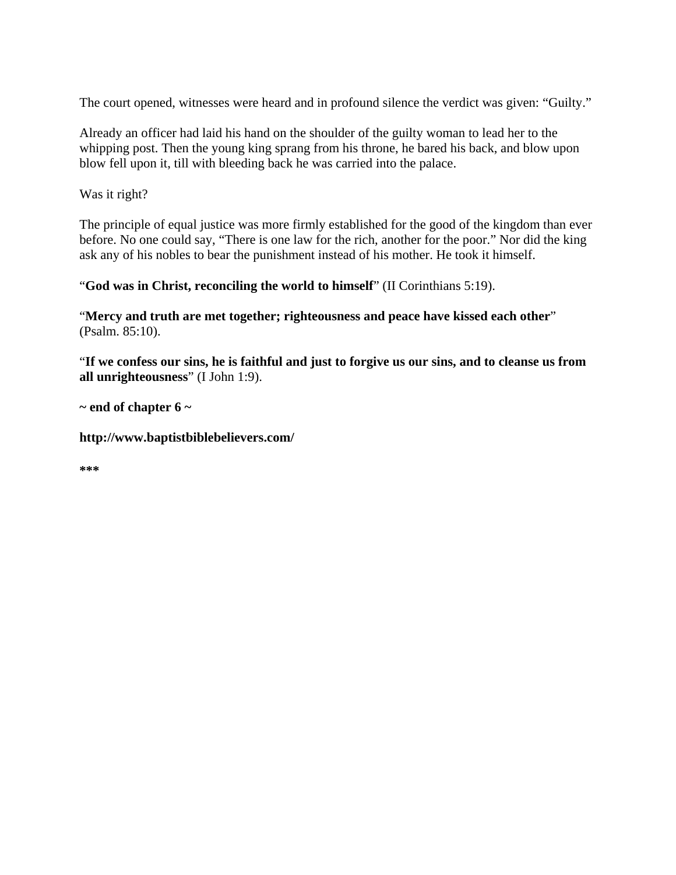The court opened, witnesses were heard and in profound silence the verdict was given: "Guilty."

Already an officer had laid his hand on the shoulder of the guilty woman to lead her to the whipping post. Then the young king sprang from his throne, he bared his back, and blow upon blow fell upon it, till with bleeding back he was carried into the palace.

Was it right?

The principle of equal justice was more firmly established for the good of the kingdom than ever before. No one could say, "There is one law for the rich, another for the poor." Nor did the king ask any of his nobles to bear the punishment instead of his mother. He took it himself.

"**God was in Christ, reconciling the world to himself**" (II Corinthians 5:19).

"**Mercy and truth are met together; righteousness and peace have kissed each other**" (Psalm. 85:10).

"**If we confess our sins, he is faithful and just to forgive us our sins, and to cleanse us from all unrighteousness**" (I John 1:9).

**~ end of chapter 6 ~** 

**http://www.baptistbiblebelievers.com/** 

**\*\*\***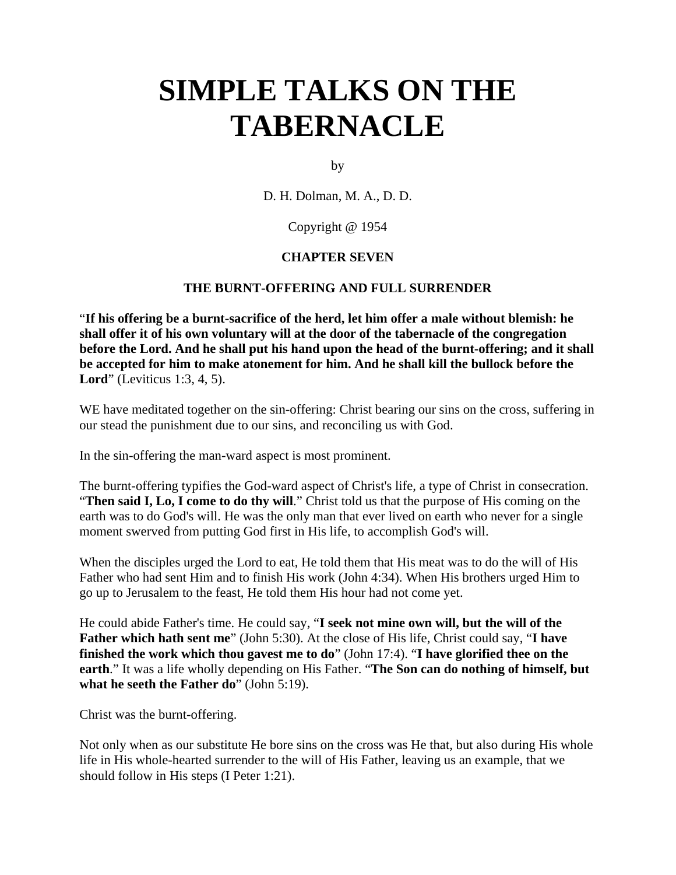by

D. H. Dolman, M. A., D. D.

### Copyright @ 1954

### **CHAPTER SEVEN**

### **THE BURNT-OFFERING AND FULL SURRENDER**

"**If his offering be a burnt-sacrifice of the herd, let him offer a male without blemish: he shall offer it of his own voluntary will at the door of the tabernacle of the congregation before the Lord. And he shall put his hand upon the head of the burnt-offering; and it shall be accepted for him to make atonement for him. And he shall kill the bullock before the Lord**" (Leviticus 1:3, 4, 5).

WE have meditated together on the sin-offering: Christ bearing our sins on the cross, suffering in our stead the punishment due to our sins, and reconciling us with God.

In the sin-offering the man-ward aspect is most prominent.

The burnt-offering typifies the God-ward aspect of Christ's life, a type of Christ in consecration. "**Then said I, Lo, I come to do thy will**." Christ told us that the purpose of His coming on the earth was to do God's will. He was the only man that ever lived on earth who never for a single moment swerved from putting God first in His life, to accomplish God's will.

When the disciples urged the Lord to eat, He told them that His meat was to do the will of His Father who had sent Him and to finish His work (John 4:34). When His brothers urged Him to go up to Jerusalem to the feast, He told them His hour had not come yet.

He could abide Father's time. He could say, "**I seek not mine own will, but the will of the Father which hath sent me**" (John 5:30). At the close of His life, Christ could say, "**I have finished the work which thou gavest me to do**" (John 17:4). "**I have glorified thee on the earth**." It was a life wholly depending on His Father. "**The Son can do nothing of himself, but what he seeth the Father do**" (John 5:19).

Christ was the burnt-offering.

Not only when as our substitute He bore sins on the cross was He that, but also during His whole life in His whole-hearted surrender to the will of His Father, leaving us an example, that we should follow in His steps (I Peter 1:21).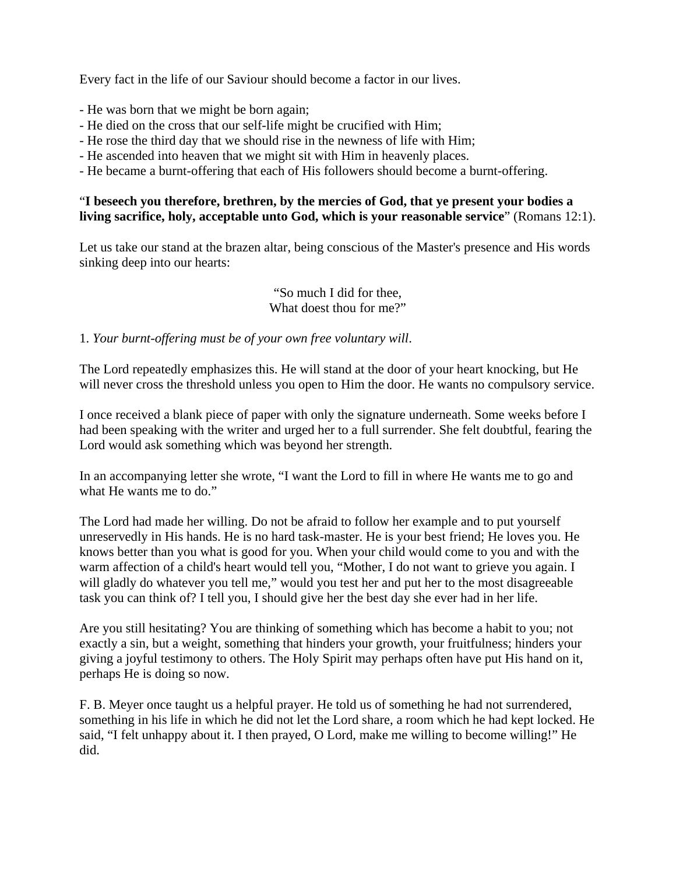Every fact in the life of our Saviour should become a factor in our lives.

- He was born that we might be born again;
- He died on the cross that our self-life might be crucified with Him;
- He rose the third day that we should rise in the newness of life with Him;
- He ascended into heaven that we might sit with Him in heavenly places.
- He became a burnt-offering that each of His followers should become a burnt-offering.

## "**I beseech you therefore, brethren, by the mercies of God, that ye present your bodies a living sacrifice, holy, acceptable unto God, which is your reasonable service**" (Romans 12:1).

Let us take our stand at the brazen altar, being conscious of the Master's presence and His words sinking deep into our hearts:

### "So much I did for thee, What doest thou for me?"

### 1. *Your burnt-offering must be of your own free voluntary will*.

The Lord repeatedly emphasizes this. He will stand at the door of your heart knocking, but He will never cross the threshold unless you open to Him the door. He wants no compulsory service.

I once received a blank piece of paper with only the signature underneath. Some weeks before I had been speaking with the writer and urged her to a full surrender. She felt doubtful, fearing the Lord would ask something which was beyond her strength.

In an accompanying letter she wrote, "I want the Lord to fill in where He wants me to go and what He wants me to do."

The Lord had made her willing. Do not be afraid to follow her example and to put yourself unreservedly in His hands. He is no hard task-master. He is your best friend; He loves you. He knows better than you what is good for you. When your child would come to you and with the warm affection of a child's heart would tell you, "Mother, I do not want to grieve you again. I will gladly do whatever you tell me," would you test her and put her to the most disagreeable task you can think of? I tell you, I should give her the best day she ever had in her life.

Are you still hesitating? You are thinking of something which has become a habit to you; not exactly a sin, but a weight, something that hinders your growth, your fruitfulness; hinders your giving a joyful testimony to others. The Holy Spirit may perhaps often have put His hand on it, perhaps He is doing so now.

F. B. Meyer once taught us a helpful prayer. He told us of something he had not surrendered, something in his life in which he did not let the Lord share, a room which he had kept locked. He said, "I felt unhappy about it. I then prayed, O Lord, make me willing to become willing!" He did.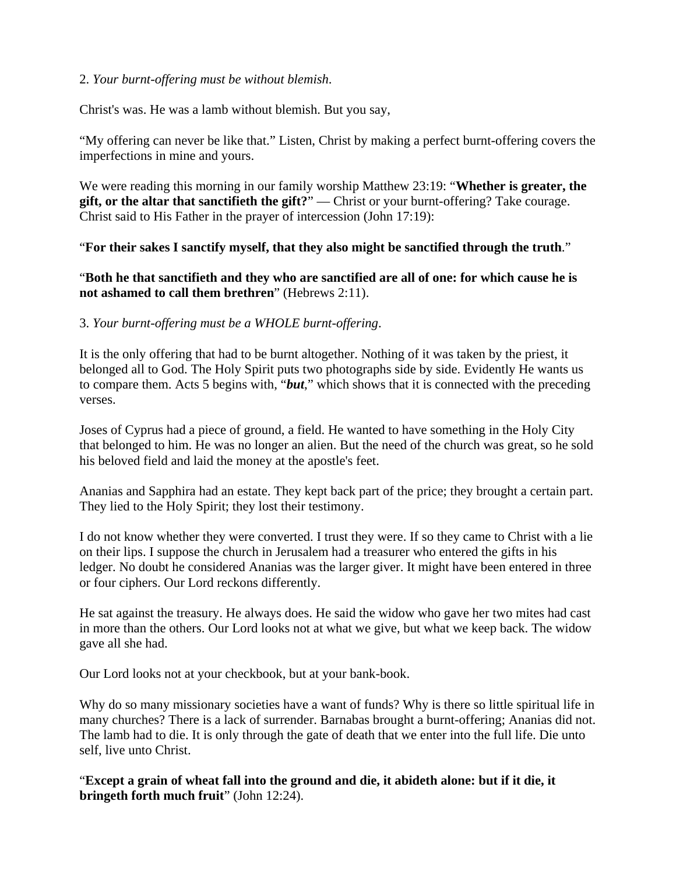### 2. *Your burnt-offering must be without blemish*.

Christ's was. He was a lamb without blemish. But you say,

"My offering can never be like that." Listen, Christ by making a perfect burnt-offering covers the imperfections in mine and yours.

We were reading this morning in our family worship Matthew 23:19: "**Whether is greater, the gift, or the altar that sanctifieth the gift?**" — Christ or your burnt-offering? Take courage. Christ said to His Father in the prayer of intercession (John 17:19):

"**For their sakes I sanctify myself, that they also might be sanctified through the truth**."

"**Both he that sanctifieth and they who are sanctified are all of one: for which cause he is not ashamed to call them brethren**" (Hebrews 2:11).

3. *Your burnt-offering must be a WHOLE burnt-offering*.

It is the only offering that had to be burnt altogether. Nothing of it was taken by the priest, it belonged all to God. The Holy Spirit puts two photographs side by side. Evidently He wants us to compare them. Acts 5 begins with, "*but*," which shows that it is connected with the preceding verses.

Joses of Cyprus had a piece of ground, a field. He wanted to have something in the Holy City that belonged to him. He was no longer an alien. But the need of the church was great, so he sold his beloved field and laid the money at the apostle's feet.

Ananias and Sapphira had an estate. They kept back part of the price; they brought a certain part. They lied to the Holy Spirit; they lost their testimony.

I do not know whether they were converted. I trust they were. If so they came to Christ with a lie on their lips. I suppose the church in Jerusalem had a treasurer who entered the gifts in his ledger. No doubt he considered Ananias was the larger giver. It might have been entered in three or four ciphers. Our Lord reckons differently.

He sat against the treasury. He always does. He said the widow who gave her two mites had cast in more than the others. Our Lord looks not at what we give, but what we keep back. The widow gave all she had.

Our Lord looks not at your checkbook, but at your bank-book.

Why do so many missionary societies have a want of funds? Why is there so little spiritual life in many churches? There is a lack of surrender. Barnabas brought a burnt-offering; Ananias did not. The lamb had to die. It is only through the gate of death that we enter into the full life. Die unto self, live unto Christ.

"**Except a grain of wheat fall into the ground and die, it abideth alone: but if it die, it bringeth forth much fruit**" (John 12:24).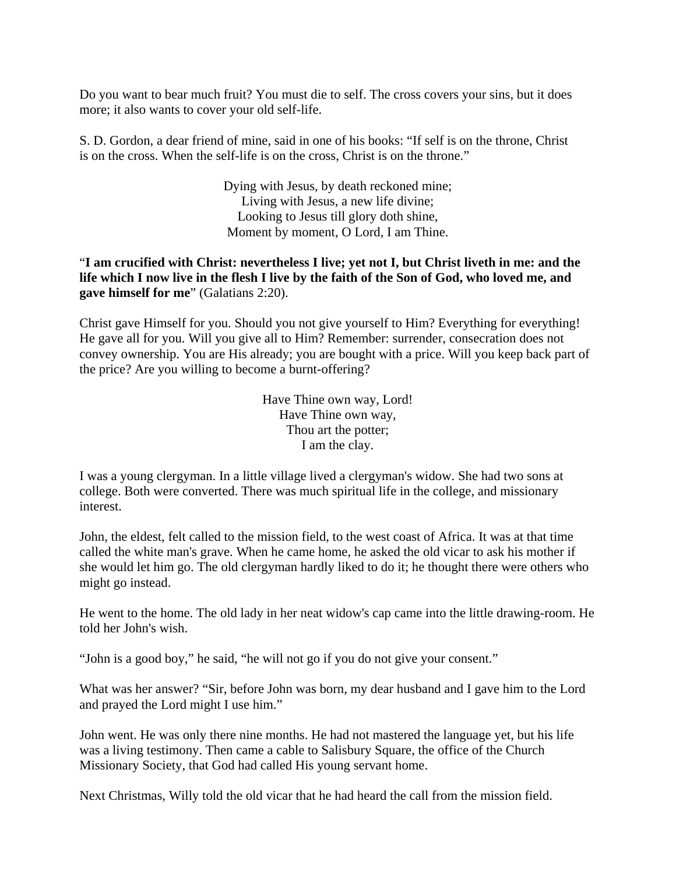Do you want to bear much fruit? You must die to self. The cross covers your sins, but it does more; it also wants to cover your old self-life.

S. D. Gordon, a dear friend of mine, said in one of his books: "If self is on the throne, Christ is on the cross. When the self-life is on the cross, Christ is on the throne."

> Dying with Jesus, by death reckoned mine; Living with Jesus, a new life divine; Looking to Jesus till glory doth shine, Moment by moment, O Lord, I am Thine.

## "**I am crucified with Christ: nevertheless I live; yet not I, but Christ liveth in me: and the life which I now live in the flesh I live by the faith of the Son of God, who loved me, and gave himself for me**" (Galatians 2:20).

Christ gave Himself for you. Should you not give yourself to Him? Everything for everything! He gave all for you. Will you give all to Him? Remember: surrender, consecration does not convey ownership. You are His already; you are bought with a price. Will you keep back part of the price? Are you willing to become a burnt-offering?

> Have Thine own way, Lord! Have Thine own way, Thou art the potter; I am the clay.

I was a young clergyman. In a little village lived a clergyman's widow. She had two sons at college. Both were converted. There was much spiritual life in the college, and missionary interest.

John, the eldest, felt called to the mission field, to the west coast of Africa. It was at that time called the white man's grave. When he came home, he asked the old vicar to ask his mother if she would let him go. The old clergyman hardly liked to do it; he thought there were others who might go instead.

He went to the home. The old lady in her neat widow's cap came into the little drawing-room. He told her John's wish.

"John is a good boy," he said, "he will not go if you do not give your consent."

What was her answer? "Sir, before John was born, my dear husband and I gave him to the Lord and prayed the Lord might I use him."

John went. He was only there nine months. He had not mastered the language yet, but his life was a living testimony. Then came a cable to Salisbury Square, the office of the Church Missionary Society, that God had called His young servant home.

Next Christmas, Willy told the old vicar that he had heard the call from the mission field.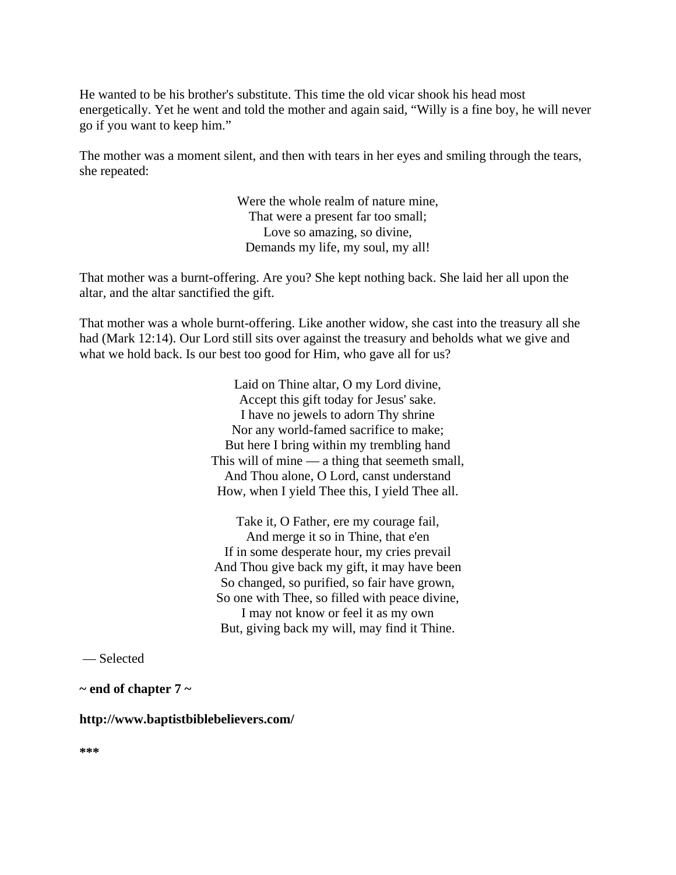He wanted to be his brother's substitute. This time the old vicar shook his head most energetically. Yet he went and told the mother and again said, "Willy is a fine boy, he will never go if you want to keep him."

The mother was a moment silent, and then with tears in her eyes and smiling through the tears, she repeated:

> Were the whole realm of nature mine, That were a present far too small; Love so amazing, so divine, Demands my life, my soul, my all!

That mother was a burnt-offering. Are you? She kept nothing back. She laid her all upon the altar, and the altar sanctified the gift.

That mother was a whole burnt-offering. Like another widow, she cast into the treasury all she had (Mark 12:14). Our Lord still sits over against the treasury and beholds what we give and what we hold back. Is our best too good for Him, who gave all for us?

> Laid on Thine altar, O my Lord divine, Accept this gift today for Jesus' sake. I have no jewels to adorn Thy shrine Nor any world-famed sacrifice to make; But here I bring within my trembling hand This will of mine — a thing that seemeth small, And Thou alone, O Lord, canst understand How, when I yield Thee this, I yield Thee all.

> Take it, O Father, ere my courage fail, And merge it so in Thine, that e'en If in some desperate hour, my cries prevail And Thou give back my gift, it may have been So changed, so purified, so fair have grown, So one with Thee, so filled with peace divine, I may not know or feel it as my own But, giving back my will, may find it Thine.

— Selected

**~ end of chapter 7 ~** 

### **http://www.baptistbiblebelievers.com/**

**\*\*\***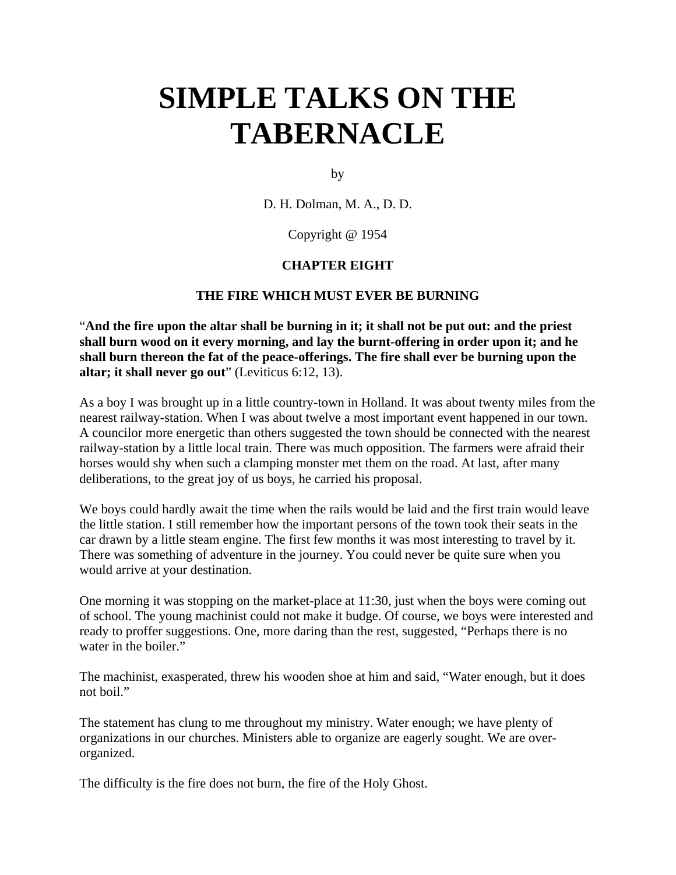by

D. H. Dolman, M. A., D. D.

Copyright @ 1954

### **CHAPTER EIGHT**

### **THE FIRE WHICH MUST EVER BE BURNING**

"**And the fire upon the altar shall be burning in it; it shall not be put out: and the priest shall burn wood on it every morning, and lay the burnt-offering in order upon it; and he shall burn thereon the fat of the peace-offerings. The fire shall ever be burning upon the altar; it shall never go out**" (Leviticus 6:12, 13).

As a boy I was brought up in a little country-town in Holland. It was about twenty miles from the nearest railway-station. When I was about twelve a most important event happened in our town. A councilor more energetic than others suggested the town should be connected with the nearest railway-station by a little local train. There was much opposition. The farmers were afraid their horses would shy when such a clamping monster met them on the road. At last, after many deliberations, to the great joy of us boys, he carried his proposal.

We boys could hardly await the time when the rails would be laid and the first train would leave the little station. I still remember how the important persons of the town took their seats in the car drawn by a little steam engine. The first few months it was most interesting to travel by it. There was something of adventure in the journey. You could never be quite sure when you would arrive at your destination.

One morning it was stopping on the market-place at 11:30, just when the boys were coming out of school. The young machinist could not make it budge. Of course, we boys were interested and ready to proffer suggestions. One, more daring than the rest, suggested, "Perhaps there is no water in the boiler."

The machinist, exasperated, threw his wooden shoe at him and said, "Water enough, but it does not boil."

The statement has clung to me throughout my ministry. Water enough; we have plenty of organizations in our churches. Ministers able to organize are eagerly sought. We are overorganized.

The difficulty is the fire does not burn, the fire of the Holy Ghost.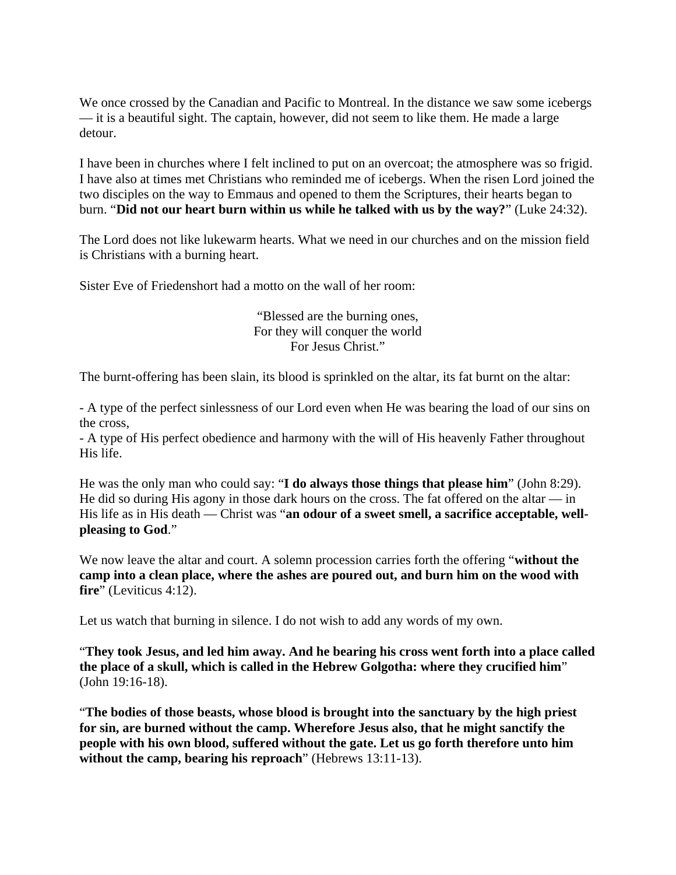We once crossed by the Canadian and Pacific to Montreal. In the distance we saw some icebergs — it is a beautiful sight. The captain, however, did not seem to like them. He made a large detour.

I have been in churches where I felt inclined to put on an overcoat; the atmosphere was so frigid. I have also at times met Christians who reminded me of icebergs. When the risen Lord joined the two disciples on the way to Emmaus and opened to them the Scriptures, their hearts began to burn. "**Did not our heart burn within us while he talked with us by the way?**" (Luke 24:32).

The Lord does not like lukewarm hearts. What we need in our churches and on the mission field is Christians with a burning heart.

Sister Eve of Friedenshort had a motto on the wall of her room:

"Blessed are the burning ones, For they will conquer the world For Jesus Christ."

The burnt-offering has been slain, its blood is sprinkled on the altar, its fat burnt on the altar:

- A type of the perfect sinlessness of our Lord even when He was bearing the load of our sins on the cross,

- A type of His perfect obedience and harmony with the will of His heavenly Father throughout His life.

He was the only man who could say: "**I do always those things that please him**" (John 8:29). He did so during His agony in those dark hours on the cross. The fat offered on the altar — in His life as in His death — Christ was "**an odour of a sweet smell, a sacrifice acceptable, wellpleasing to God**."

We now leave the altar and court. A solemn procession carries forth the offering "**without the camp into a clean place, where the ashes are poured out, and burn him on the wood with fire**" (Leviticus 4:12).

Let us watch that burning in silence. I do not wish to add any words of my own.

"**They took Jesus, and led him away. And he bearing his cross went forth into a place called the place of a skull, which is called in the Hebrew Golgotha: where they crucified him**" (John 19:16-18).

"**The bodies of those beasts, whose blood is brought into the sanctuary by the high priest for sin, are burned without the camp. Wherefore Jesus also, that he might sanctify the people with his own blood, suffered without the gate. Let us go forth therefore unto him without the camp, bearing his reproach**" (Hebrews 13:11-13).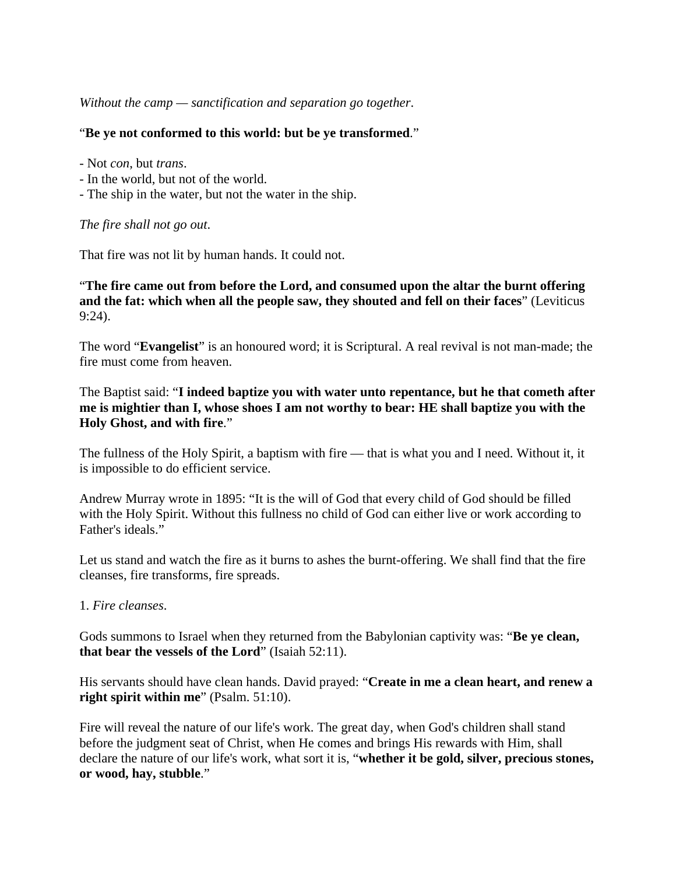*Without the camp — sanctification and separation go together*.

#### "**Be ye not conformed to this world: but be ye transformed**."

- Not *con*, but *trans*.
- In the world, but not of the world.
- The ship in the water, but not the water in the ship.

#### *The fire shall not go out*.

That fire was not lit by human hands. It could not.

## "**The fire came out from before the Lord, and consumed upon the altar the burnt offering and the fat: which when all the people saw, they shouted and fell on their faces**" (Leviticus 9:24).

The word "**Evangelist**" is an honoured word; it is Scriptural. A real revival is not man-made; the fire must come from heaven.

## The Baptist said: "**I indeed baptize you with water unto repentance, but he that cometh after me is mightier than I, whose shoes I am not worthy to bear: HE shall baptize you with the Holy Ghost, and with fire**."

The fullness of the Holy Spirit, a baptism with fire — that is what you and I need. Without it, it is impossible to do efficient service.

Andrew Murray wrote in 1895: "It is the will of God that every child of God should be filled with the Holy Spirit. Without this fullness no child of God can either live or work according to Father's ideals."

Let us stand and watch the fire as it burns to ashes the burnt-offering. We shall find that the fire cleanses, fire transforms, fire spreads.

#### 1. *Fire cleanses*.

Gods summons to Israel when they returned from the Babylonian captivity was: "**Be ye clean, that bear the vessels of the Lord**" (Isaiah 52:11).

His servants should have clean hands. David prayed: "**Create in me a clean heart, and renew a right spirit within me**" (Psalm. 51:10).

Fire will reveal the nature of our life's work. The great day, when God's children shall stand before the judgment seat of Christ, when He comes and brings His rewards with Him, shall declare the nature of our life's work, what sort it is, "**whether it be gold, silver, precious stones, or wood, hay, stubble**."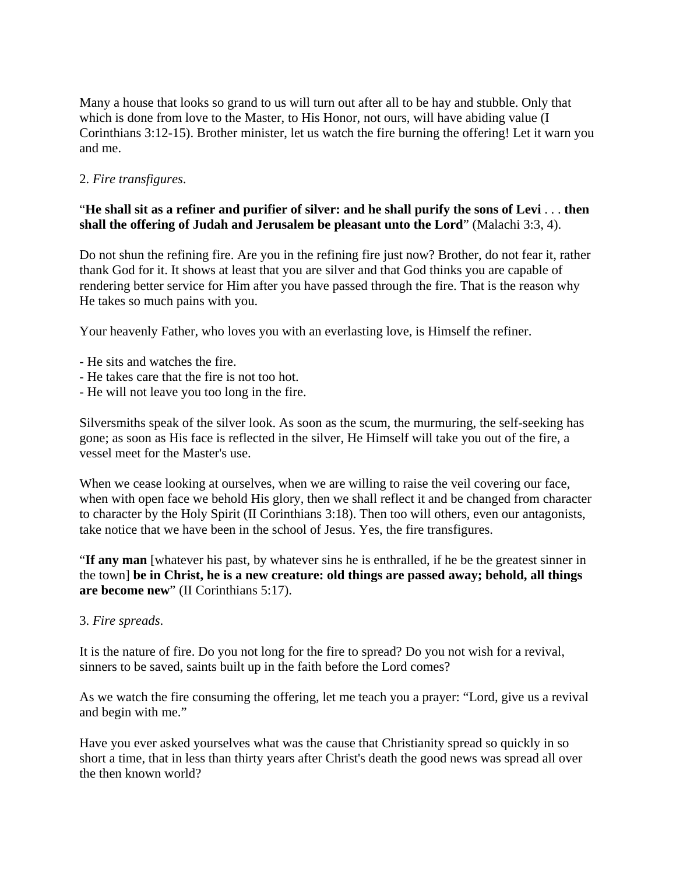Many a house that looks so grand to us will turn out after all to be hay and stubble. Only that which is done from love to the Master, to His Honor, not ours, will have abiding value (I Corinthians 3:12-15). Brother minister, let us watch the fire burning the offering! Let it warn you and me.

2. *Fire transfigures*.

## "**He shall sit as a refiner and purifier of silver: and he shall purify the sons of Levi** . . . **then shall the offering of Judah and Jerusalem be pleasant unto the Lord**" (Malachi 3:3, 4).

Do not shun the refining fire. Are you in the refining fire just now? Brother, do not fear it, rather thank God for it. It shows at least that you are silver and that God thinks you are capable of rendering better service for Him after you have passed through the fire. That is the reason why He takes so much pains with you.

Your heavenly Father, who loves you with an everlasting love, is Himself the refiner.

- He sits and watches the fire.
- He takes care that the fire is not too hot.
- He will not leave you too long in the fire.

Silversmiths speak of the silver look. As soon as the scum, the murmuring, the self-seeking has gone; as soon as His face is reflected in the silver, He Himself will take you out of the fire, a vessel meet for the Master's use.

When we cease looking at ourselves, when we are willing to raise the veil covering our face, when with open face we behold His glory, then we shall reflect it and be changed from character to character by the Holy Spirit (II Corinthians 3:18). Then too will others, even our antagonists, take notice that we have been in the school of Jesus. Yes, the fire transfigures.

"**If any man** [whatever his past, by whatever sins he is enthralled, if he be the greatest sinner in the town] **be in Christ, he is a new creature: old things are passed away; behold, all things are become new**" (II Corinthians 5:17).

3. *Fire spreads*.

It is the nature of fire. Do you not long for the fire to spread? Do you not wish for a revival, sinners to be saved, saints built up in the faith before the Lord comes?

As we watch the fire consuming the offering, let me teach you a prayer: "Lord, give us a revival and begin with me."

Have you ever asked yourselves what was the cause that Christianity spread so quickly in so short a time, that in less than thirty years after Christ's death the good news was spread all over the then known world?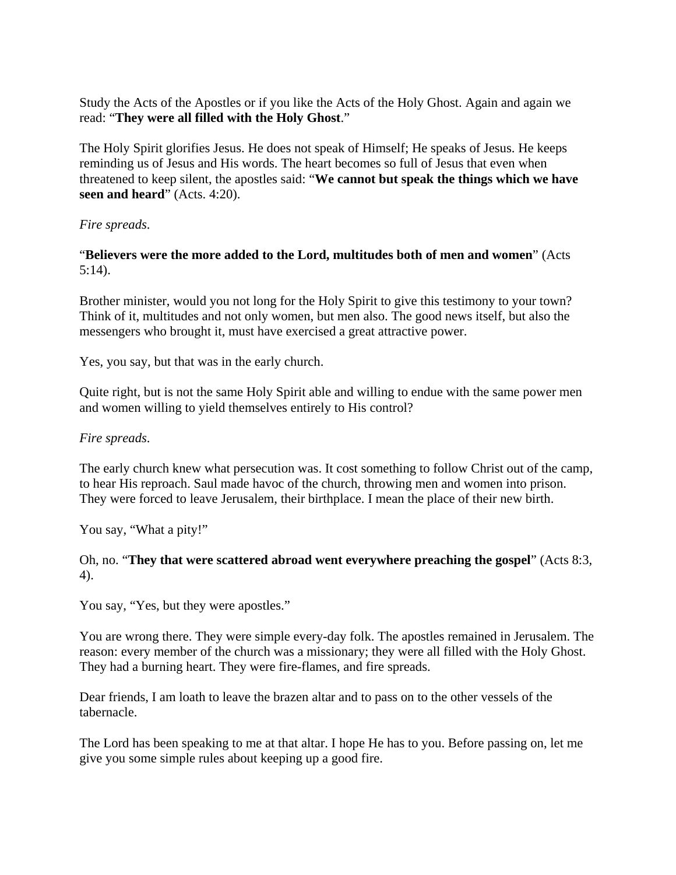Study the Acts of the Apostles or if you like the Acts of the Holy Ghost. Again and again we read: "**They were all filled with the Holy Ghost**."

The Holy Spirit glorifies Jesus. He does not speak of Himself; He speaks of Jesus. He keeps reminding us of Jesus and His words. The heart becomes so full of Jesus that even when threatened to keep silent, the apostles said: "**We cannot but speak the things which we have seen and heard**" (Acts. 4:20).

## *Fire spreads*.

# "**Believers were the more added to the Lord, multitudes both of men and women**" (Acts 5:14).

Brother minister, would you not long for the Holy Spirit to give this testimony to your town? Think of it, multitudes and not only women, but men also. The good news itself, but also the messengers who brought it, must have exercised a great attractive power.

Yes, you say, but that was in the early church.

Quite right, but is not the same Holy Spirit able and willing to endue with the same power men and women willing to yield themselves entirely to His control?

## *Fire spreads*.

The early church knew what persecution was. It cost something to follow Christ out of the camp, to hear His reproach. Saul made havoc of the church, throwing men and women into prison. They were forced to leave Jerusalem, their birthplace. I mean the place of their new birth.

You say, "What a pity!"

## Oh, no. "**They that were scattered abroad went everywhere preaching the gospel**" (Acts 8:3, 4).

You say, "Yes, but they were apostles."

You are wrong there. They were simple every-day folk. The apostles remained in Jerusalem. The reason: every member of the church was a missionary; they were all filled with the Holy Ghost. They had a burning heart. They were fire-flames, and fire spreads.

Dear friends, I am loath to leave the brazen altar and to pass on to the other vessels of the tabernacle.

The Lord has been speaking to me at that altar. I hope He has to you. Before passing on, let me give you some simple rules about keeping up a good fire.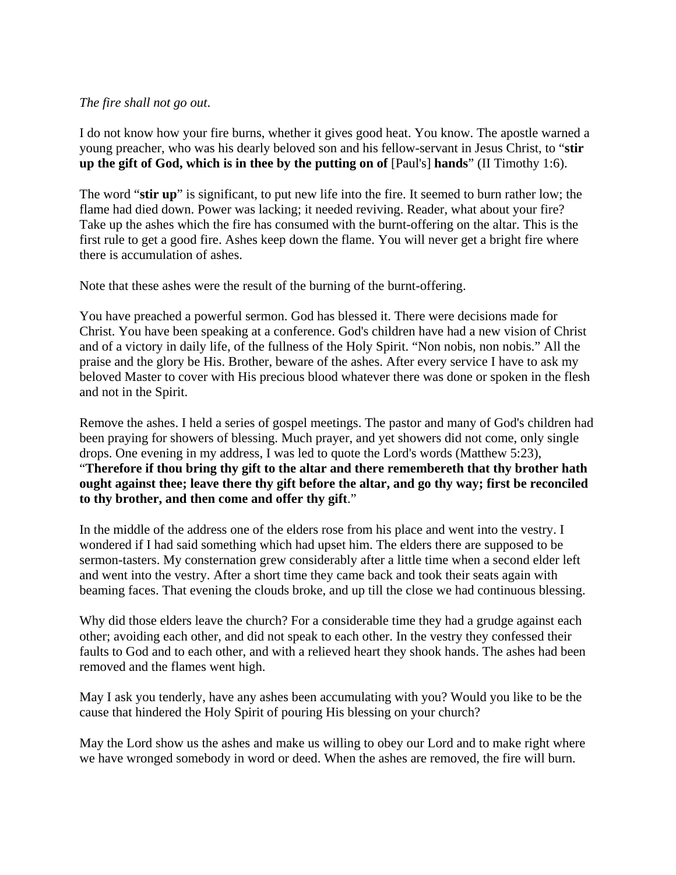#### *The fire shall not go out*.

I do not know how your fire burns, whether it gives good heat. You know. The apostle warned a young preacher, who was his dearly beloved son and his fellow-servant in Jesus Christ, to "**stir up the gift of God, which is in thee by the putting on of** [Paul's] **hands**" (II Timothy 1:6).

The word "**stir up**" is significant, to put new life into the fire. It seemed to burn rather low; the flame had died down. Power was lacking; it needed reviving. Reader, what about your fire? Take up the ashes which the fire has consumed with the burnt-offering on the altar. This is the first rule to get a good fire. Ashes keep down the flame. You will never get a bright fire where there is accumulation of ashes.

Note that these ashes were the result of the burning of the burnt-offering.

You have preached a powerful sermon. God has blessed it. There were decisions made for Christ. You have been speaking at a conference. God's children have had a new vision of Christ and of a victory in daily life, of the fullness of the Holy Spirit. "Non nobis, non nobis." All the praise and the glory be His. Brother, beware of the ashes. After every service I have to ask my beloved Master to cover with His precious blood whatever there was done or spoken in the flesh and not in the Spirit.

Remove the ashes. I held a series of gospel meetings. The pastor and many of God's children had been praying for showers of blessing. Much prayer, and yet showers did not come, only single drops. One evening in my address, I was led to quote the Lord's words (Matthew 5:23), "**Therefore if thou bring thy gift to the altar and there remembereth that thy brother hath ought against thee; leave there thy gift before the altar, and go thy way; first be reconciled to thy brother, and then come and offer thy gift**."

In the middle of the address one of the elders rose from his place and went into the vestry. I wondered if I had said something which had upset him. The elders there are supposed to be sermon-tasters. My consternation grew considerably after a little time when a second elder left and went into the vestry. After a short time they came back and took their seats again with beaming faces. That evening the clouds broke, and up till the close we had continuous blessing.

Why did those elders leave the church? For a considerable time they had a grudge against each other; avoiding each other, and did not speak to each other. In the vestry they confessed their faults to God and to each other, and with a relieved heart they shook hands. The ashes had been removed and the flames went high.

May I ask you tenderly, have any ashes been accumulating with you? Would you like to be the cause that hindered the Holy Spirit of pouring His blessing on your church?

May the Lord show us the ashes and make us willing to obey our Lord and to make right where we have wronged somebody in word or deed. When the ashes are removed, the fire will burn.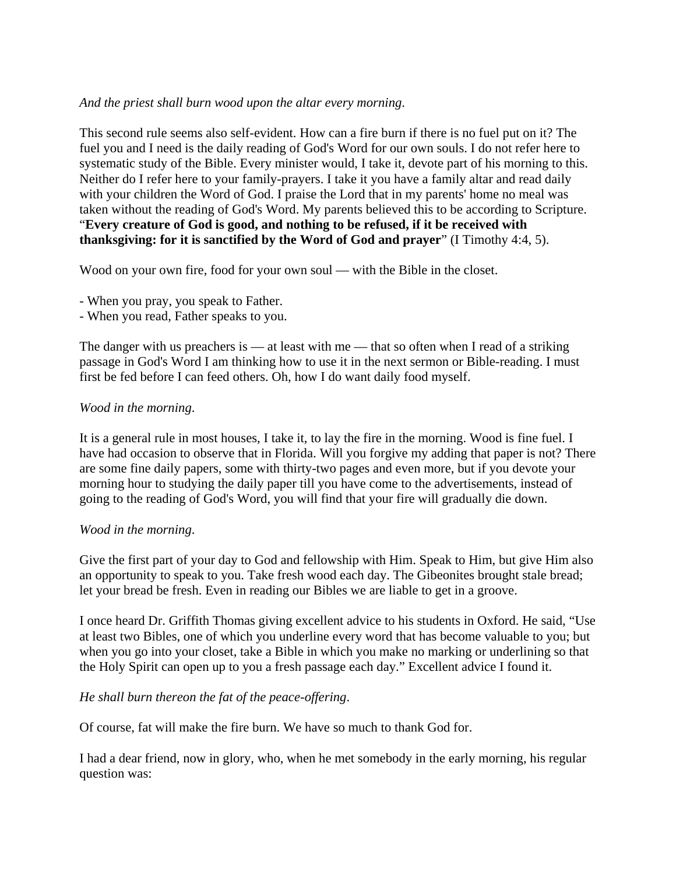#### *And the priest shall burn wood upon the altar every morning*.

This second rule seems also self-evident. How can a fire burn if there is no fuel put on it? The fuel you and I need is the daily reading of God's Word for our own souls. I do not refer here to systematic study of the Bible. Every minister would, I take it, devote part of his morning to this. Neither do I refer here to your family-prayers. I take it you have a family altar and read daily with your children the Word of God. I praise the Lord that in my parents' home no meal was taken without the reading of God's Word. My parents believed this to be according to Scripture. "**Every creature of God is good, and nothing to be refused, if it be received with thanksgiving: for it is sanctified by the Word of God and prayer**" (I Timothy 4:4, 5).

Wood on your own fire, food for your own soul — with the Bible in the closet.

- When you pray, you speak to Father.

- When you read, Father speaks to you.

The danger with us preachers is — at least with me — that so often when I read of a striking passage in God's Word I am thinking how to use it in the next sermon or Bible-reading. I must first be fed before I can feed others. Oh, how I do want daily food myself.

## *Wood in the morning*.

It is a general rule in most houses, I take it, to lay the fire in the morning. Wood is fine fuel. I have had occasion to observe that in Florida. Will you forgive my adding that paper is not? There are some fine daily papers, some with thirty-two pages and even more, but if you devote your morning hour to studying the daily paper till you have come to the advertisements, instead of going to the reading of God's Word, you will find that your fire will gradually die down.

#### *Wood in the morning*.

Give the first part of your day to God and fellowship with Him. Speak to Him, but give Him also an opportunity to speak to you. Take fresh wood each day. The Gibeonites brought stale bread; let your bread be fresh. Even in reading our Bibles we are liable to get in a groove.

I once heard Dr. Griffith Thomas giving excellent advice to his students in Oxford. He said, "Use at least two Bibles, one of which you underline every word that has become valuable to you; but when you go into your closet, take a Bible in which you make no marking or underlining so that the Holy Spirit can open up to you a fresh passage each day." Excellent advice I found it.

## *He shall burn thereon the fat of the peace-offering*.

Of course, fat will make the fire burn. We have so much to thank God for.

I had a dear friend, now in glory, who, when he met somebody in the early morning, his regular question was: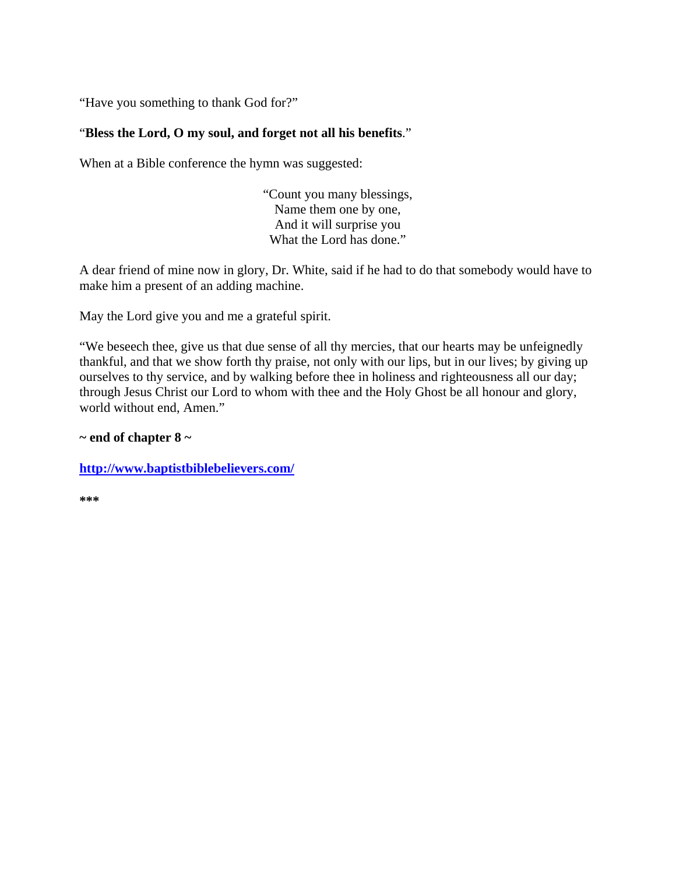"Have you something to thank God for?"

## "**Bless the Lord, O my soul, and forget not all his benefits**."

When at a Bible conference the hymn was suggested:

"Count you many blessings, Name them one by one, And it will surprise you What the Lord has done."

A dear friend of mine now in glory, Dr. White, said if he had to do that somebody would have to make him a present of an adding machine.

May the Lord give you and me a grateful spirit.

"We beseech thee, give us that due sense of all thy mercies, that our hearts may be unfeignedly thankful, and that we show forth thy praise, not only with our lips, but in our lives; by giving up ourselves to thy service, and by walking before thee in holiness and righteousness all our day; through Jesus Christ our Lord to whom with thee and the Holy Ghost be all honour and glory, world without end, Amen."

#### **~ end of chapter 8 ~**

**http://www.baptistbiblebelievers.com/**

**\*\*\***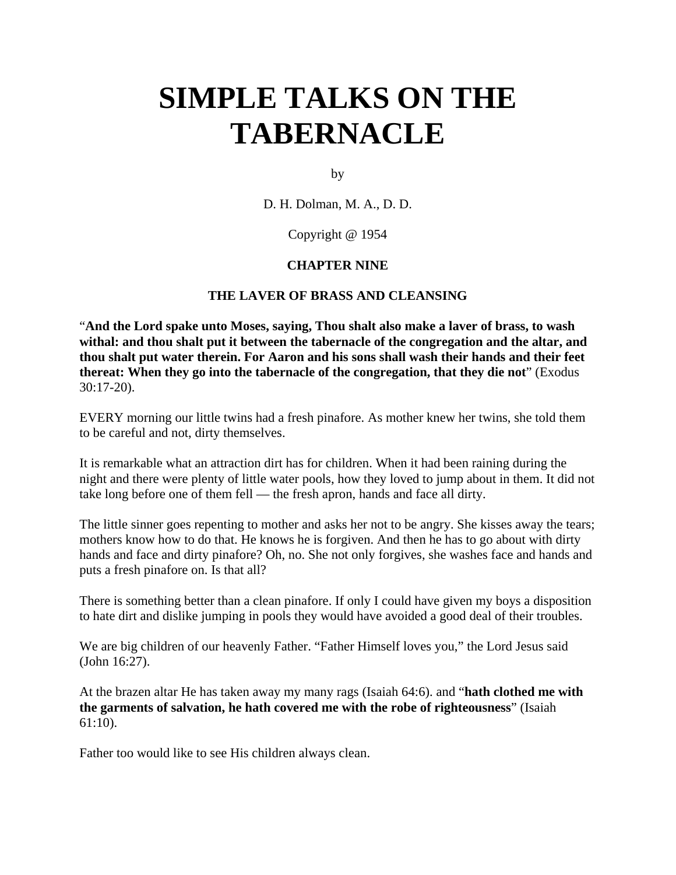# **SIMPLE TALKS ON THE TABERNACLE**

by

D. H. Dolman, M. A., D. D.

Copyright @ 1954

#### **CHAPTER NINE**

#### **THE LAVER OF BRASS AND CLEANSING**

"**And the Lord spake unto Moses, saying, Thou shalt also make a laver of brass, to wash withal: and thou shalt put it between the tabernacle of the congregation and the altar, and thou shalt put water therein. For Aaron and his sons shall wash their hands and their feet thereat: When they go into the tabernacle of the congregation, that they die not**" (Exodus 30:17-20).

EVERY morning our little twins had a fresh pinafore. As mother knew her twins, she told them to be careful and not, dirty themselves.

It is remarkable what an attraction dirt has for children. When it had been raining during the night and there were plenty of little water pools, how they loved to jump about in them. It did not take long before one of them fell — the fresh apron, hands and face all dirty.

The little sinner goes repenting to mother and asks her not to be angry. She kisses away the tears; mothers know how to do that. He knows he is forgiven. And then he has to go about with dirty hands and face and dirty pinafore? Oh, no. She not only forgives, she washes face and hands and puts a fresh pinafore on. Is that all?

There is something better than a clean pinafore. If only I could have given my boys a disposition to hate dirt and dislike jumping in pools they would have avoided a good deal of their troubles.

We are big children of our heavenly Father. "Father Himself loves you," the Lord Jesus said (John 16:27).

At the brazen altar He has taken away my many rags (Isaiah 64:6). and "**hath clothed me with the garments of salvation, he hath covered me with the robe of righteousness**" (Isaiah 61:10).

Father too would like to see His children always clean.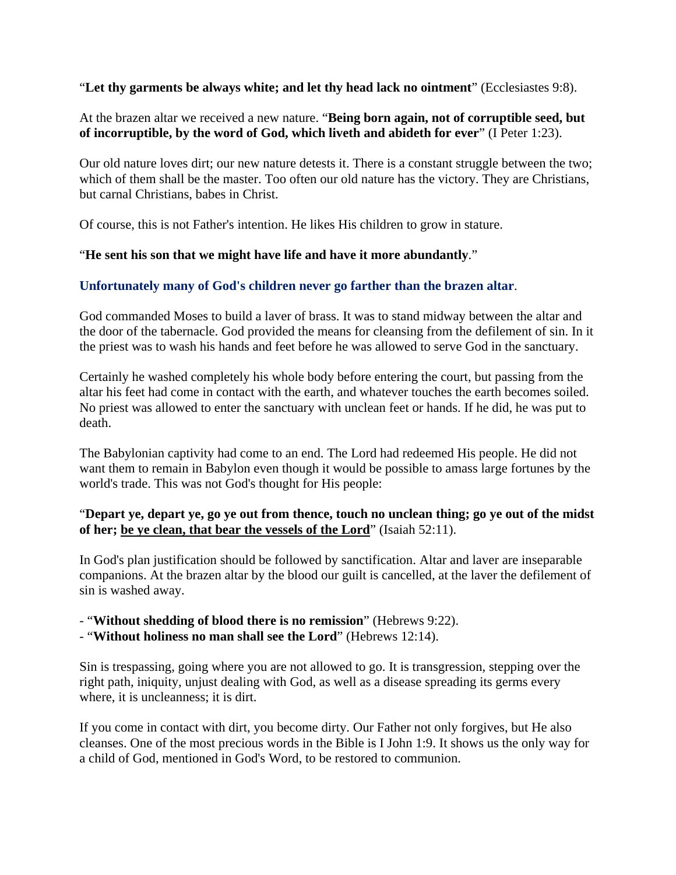"**Let thy garments be always white; and let thy head lack no ointment**" (Ecclesiastes 9:8).

At the brazen altar we received a new nature. "**Being born again, not of corruptible seed, but of incorruptible, by the word of God, which liveth and abideth for ever**" (I Peter 1:23).

Our old nature loves dirt; our new nature detests it. There is a constant struggle between the two; which of them shall be the master. Too often our old nature has the victory. They are Christians, but carnal Christians, babes in Christ.

Of course, this is not Father's intention. He likes His children to grow in stature.

## "**He sent his son that we might have life and have it more abundantly**."

## **Unfortunately many of God's children never go farther than the brazen altar**.

God commanded Moses to build a laver of brass. It was to stand midway between the altar and the door of the tabernacle. God provided the means for cleansing from the defilement of sin. In it the priest was to wash his hands and feet before he was allowed to serve God in the sanctuary.

Certainly he washed completely his whole body before entering the court, but passing from the altar his feet had come in contact with the earth, and whatever touches the earth becomes soiled. No priest was allowed to enter the sanctuary with unclean feet or hands. If he did, he was put to death.

The Babylonian captivity had come to an end. The Lord had redeemed His people. He did not want them to remain in Babylon even though it would be possible to amass large fortunes by the world's trade. This was not God's thought for His people:

## "**Depart ye, depart ye, go ye out from thence, touch no unclean thing; go ye out of the midst of her; be ye clean, that bear the vessels of the Lord**" (Isaiah 52:11).

In God's plan justification should be followed by sanctification. Altar and laver are inseparable companions. At the brazen altar by the blood our guilt is cancelled, at the laver the defilement of sin is washed away.

- "**Without shedding of blood there is no remission**" (Hebrews 9:22).

- "**Without holiness no man shall see the Lord**" (Hebrews 12:14).

Sin is trespassing, going where you are not allowed to go. It is transgression, stepping over the right path, iniquity, unjust dealing with God, as well as a disease spreading its germs every where, it is uncleanness; it is dirt.

If you come in contact with dirt, you become dirty. Our Father not only forgives, but He also cleanses. One of the most precious words in the Bible is I John 1:9. It shows us the only way for a child of God, mentioned in God's Word, to be restored to communion.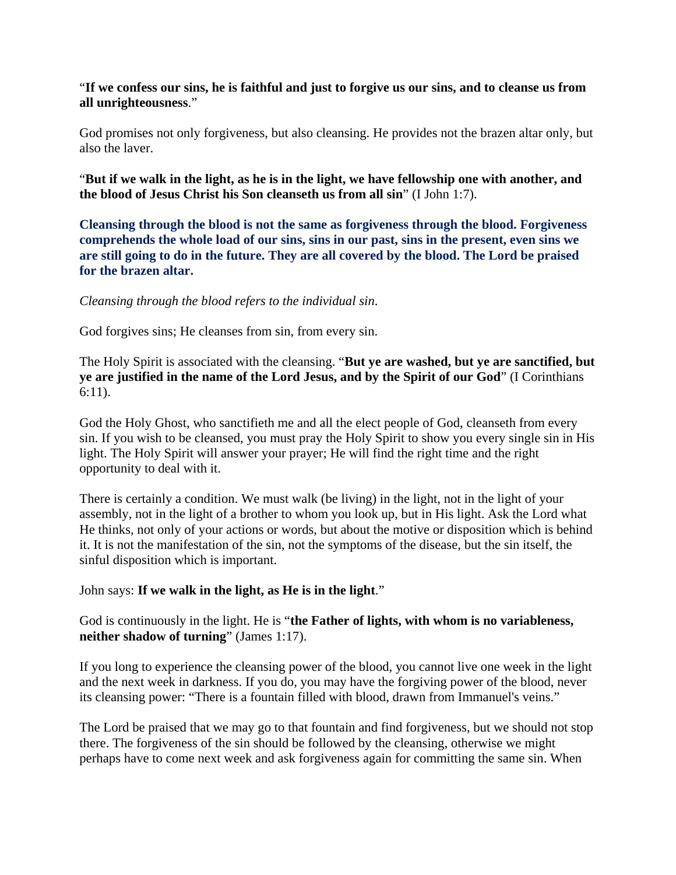#### "**If we confess our sins, he is faithful and just to forgive us our sins, and to cleanse us from all unrighteousness**."

God promises not only forgiveness, but also cleansing. He provides not the brazen altar only, but also the laver.

"**But if we walk in the light, as he is in the light, we have fellowship one with another, and the blood of Jesus Christ his Son cleanseth us from all sin**" (I John 1:7).

**Cleansing through the blood is not the same as forgiveness through the blood. Forgiveness comprehends the whole load of our sins, sins in our past, sins in the present, even sins we are still going to do in the future. They are all covered by the blood. The Lord be praised for the brazen altar.**

*Cleansing through the blood refers to the individual sin*.

God forgives sins; He cleanses from sin, from every sin.

The Holy Spirit is associated with the cleansing. "**But ye are washed, but ye are sanctified, but ye are justified in the name of the Lord Jesus, and by the Spirit of our God**" (I Corinthians 6:11).

God the Holy Ghost, who sanctifieth me and all the elect people of God, cleanseth from every sin. If you wish to be cleansed, you must pray the Holy Spirit to show you every single sin in His light. The Holy Spirit will answer your prayer; He will find the right time and the right opportunity to deal with it.

There is certainly a condition. We must walk (be living) in the light, not in the light of your assembly, not in the light of a brother to whom you look up, but in His light. Ask the Lord what He thinks, not only of your actions or words, but about the motive or disposition which is behind it. It is not the manifestation of the sin, not the symptoms of the disease, but the sin itself, the sinful disposition which is important.

#### John says: **If we walk in the light, as He is in the light**."

God is continuously in the light. He is "**the Father of lights, with whom is no variableness, neither shadow of turning**" (James 1:17).

If you long to experience the cleansing power of the blood, you cannot live one week in the light and the next week in darkness. If you do, you may have the forgiving power of the blood, never its cleansing power: "There is a fountain filled with blood, drawn from Immanuel's veins."

The Lord be praised that we may go to that fountain and find forgiveness, but we should not stop there. The forgiveness of the sin should be followed by the cleansing, otherwise we might perhaps have to come next week and ask forgiveness again for committing the same sin. When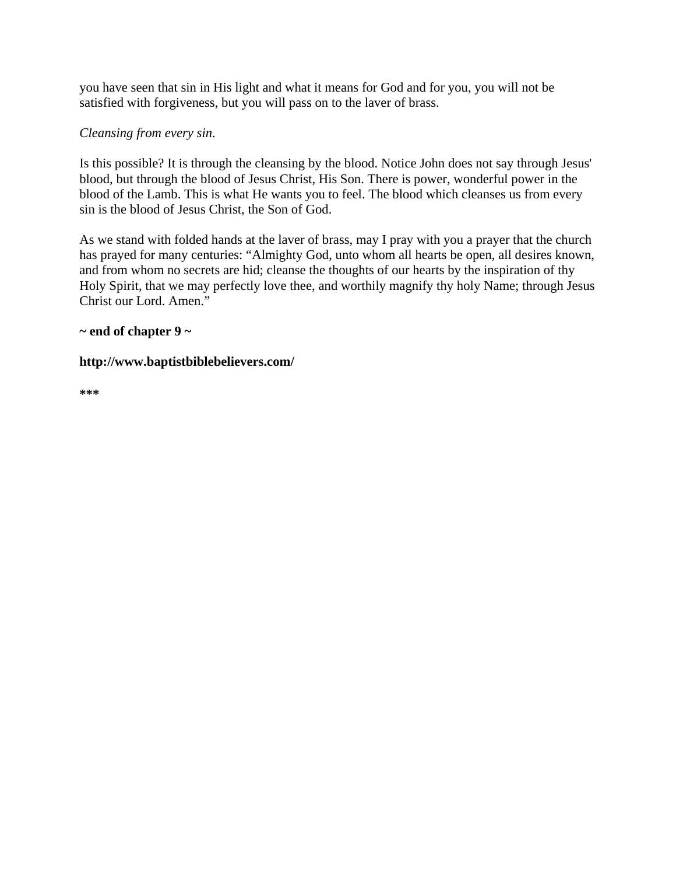you have seen that sin in His light and what it means for God and for you, you will not be satisfied with forgiveness, but you will pass on to the laver of brass.

## *Cleansing from every sin*.

Is this possible? It is through the cleansing by the blood. Notice John does not say through Jesus' blood, but through the blood of Jesus Christ, His Son. There is power, wonderful power in the blood of the Lamb. This is what He wants you to feel. The blood which cleanses us from every sin is the blood of Jesus Christ, the Son of God.

As we stand with folded hands at the laver of brass, may I pray with you a prayer that the church has prayed for many centuries: "Almighty God, unto whom all hearts be open, all desires known, and from whom no secrets are hid; cleanse the thoughts of our hearts by the inspiration of thy Holy Spirit, that we may perfectly love thee, and worthily magnify thy holy Name; through Jesus Christ our Lord. Amen."

## **~ end of chapter 9 ~**

#### **http://www.baptistbiblebelievers.com/**

**\*\*\***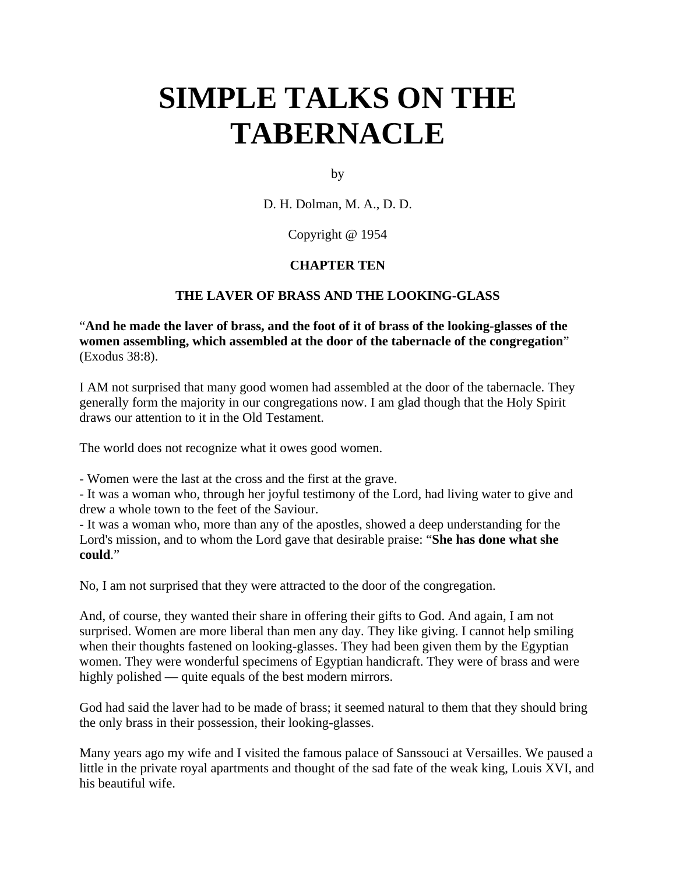# **SIMPLE TALKS ON THE TABERNACLE**

by

D. H. Dolman, M. A., D. D.

Copyright @ 1954

## **CHAPTER TEN**

## **THE LAVER OF BRASS AND THE LOOKING-GLASS**

"**And he made the laver of brass, and the foot of it of brass of the looking-glasses of the women assembling, which assembled at the door of the tabernacle of the congregation**" (Exodus 38:8).

I AM not surprised that many good women had assembled at the door of the tabernacle. They generally form the majority in our congregations now. I am glad though that the Holy Spirit draws our attention to it in the Old Testament.

The world does not recognize what it owes good women.

- Women were the last at the cross and the first at the grave.

- It was a woman who, through her joyful testimony of the Lord, had living water to give and drew a whole town to the feet of the Saviour.

- It was a woman who, more than any of the apostles, showed a deep understanding for the Lord's mission, and to whom the Lord gave that desirable praise: "**She has done what she could**."

No, I am not surprised that they were attracted to the door of the congregation.

And, of course, they wanted their share in offering their gifts to God. And again, I am not surprised. Women are more liberal than men any day. They like giving. I cannot help smiling when their thoughts fastened on looking-glasses. They had been given them by the Egyptian women. They were wonderful specimens of Egyptian handicraft. They were of brass and were highly polished — quite equals of the best modern mirrors.

God had said the laver had to be made of brass; it seemed natural to them that they should bring the only brass in their possession, their looking-glasses.

Many years ago my wife and I visited the famous palace of Sanssouci at Versailles. We paused a little in the private royal apartments and thought of the sad fate of the weak king, Louis XVI, and his beautiful wife.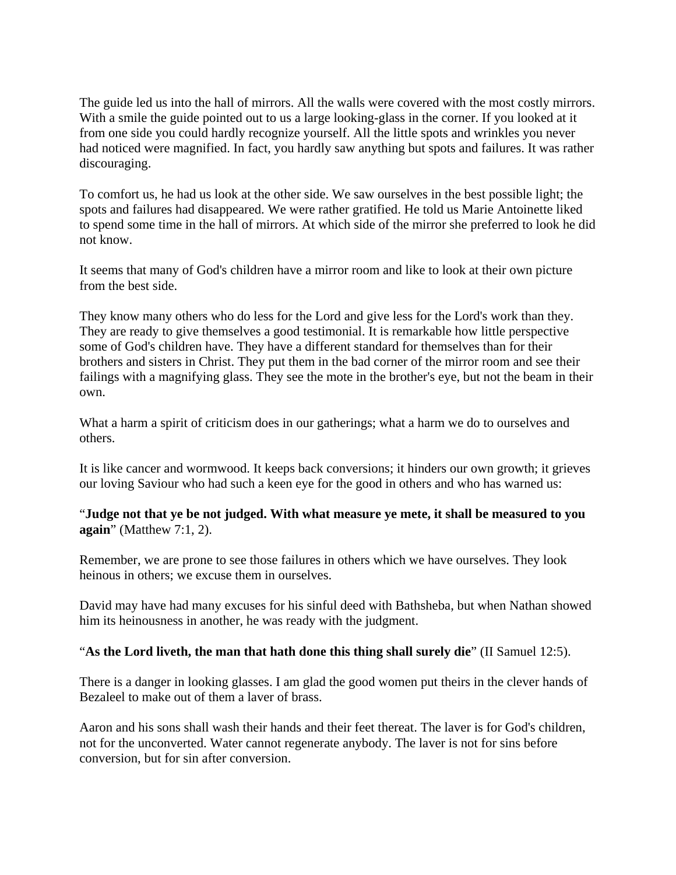The guide led us into the hall of mirrors. All the walls were covered with the most costly mirrors. With a smile the guide pointed out to us a large looking-glass in the corner. If you looked at it from one side you could hardly recognize yourself. All the little spots and wrinkles you never had noticed were magnified. In fact, you hardly saw anything but spots and failures. It was rather discouraging.

To comfort us, he had us look at the other side. We saw ourselves in the best possible light; the spots and failures had disappeared. We were rather gratified. He told us Marie Antoinette liked to spend some time in the hall of mirrors. At which side of the mirror she preferred to look he did not know.

It seems that many of God's children have a mirror room and like to look at their own picture from the best side.

They know many others who do less for the Lord and give less for the Lord's work than they. They are ready to give themselves a good testimonial. It is remarkable how little perspective some of God's children have. They have a different standard for themselves than for their brothers and sisters in Christ. They put them in the bad corner of the mirror room and see their failings with a magnifying glass. They see the mote in the brother's eye, but not the beam in their own.

What a harm a spirit of criticism does in our gatherings; what a harm we do to ourselves and others.

It is like cancer and wormwood. It keeps back conversions; it hinders our own growth; it grieves our loving Saviour who had such a keen eye for the good in others and who has warned us:

## "**Judge not that ye be not judged. With what measure ye mete, it shall be measured to you again**" (Matthew 7:1, 2).

Remember, we are prone to see those failures in others which we have ourselves. They look heinous in others; we excuse them in ourselves.

David may have had many excuses for his sinful deed with Bathsheba, but when Nathan showed him its heinousness in another, he was ready with the judgment.

## "**As the Lord liveth, the man that hath done this thing shall surely die**" (II Samuel 12:5).

There is a danger in looking glasses. I am glad the good women put theirs in the clever hands of Bezaleel to make out of them a laver of brass.

Aaron and his sons shall wash their hands and their feet thereat. The laver is for God's children, not for the unconverted. Water cannot regenerate anybody. The laver is not for sins before conversion, but for sin after conversion.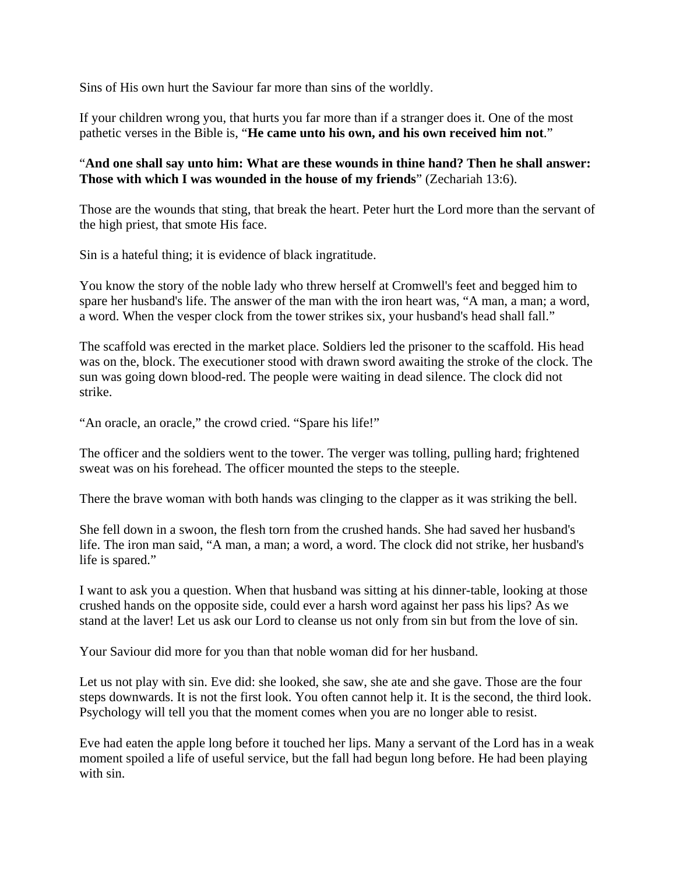Sins of His own hurt the Saviour far more than sins of the worldly.

If your children wrong you, that hurts you far more than if a stranger does it. One of the most pathetic verses in the Bible is, "**He came unto his own, and his own received him not**."

## "**And one shall say unto him: What are these wounds in thine hand? Then he shall answer: Those with which I was wounded in the house of my friends**" (Zechariah 13:6).

Those are the wounds that sting, that break the heart. Peter hurt the Lord more than the servant of the high priest, that smote His face.

Sin is a hateful thing; it is evidence of black ingratitude.

You know the story of the noble lady who threw herself at Cromwell's feet and begged him to spare her husband's life. The answer of the man with the iron heart was, "A man, a man; a word, a word. When the vesper clock from the tower strikes six, your husband's head shall fall."

The scaffold was erected in the market place. Soldiers led the prisoner to the scaffold. His head was on the, block. The executioner stood with drawn sword awaiting the stroke of the clock. The sun was going down blood-red. The people were waiting in dead silence. The clock did not strike.

"An oracle, an oracle," the crowd cried. "Spare his life!"

The officer and the soldiers went to the tower. The verger was tolling, pulling hard; frightened sweat was on his forehead. The officer mounted the steps to the steeple.

There the brave woman with both hands was clinging to the clapper as it was striking the bell.

She fell down in a swoon, the flesh torn from the crushed hands. She had saved her husband's life. The iron man said, "A man, a man; a word, a word. The clock did not strike, her husband's life is spared."

I want to ask you a question. When that husband was sitting at his dinner-table, looking at those crushed hands on the opposite side, could ever a harsh word against her pass his lips? As we stand at the laver! Let us ask our Lord to cleanse us not only from sin but from the love of sin.

Your Saviour did more for you than that noble woman did for her husband.

Let us not play with sin. Eve did: she looked, she saw, she ate and she gave. Those are the four steps downwards. It is not the first look. You often cannot help it. It is the second, the third look. Psychology will tell you that the moment comes when you are no longer able to resist.

Eve had eaten the apple long before it touched her lips. Many a servant of the Lord has in a weak moment spoiled a life of useful service, but the fall had begun long before. He had been playing with sin.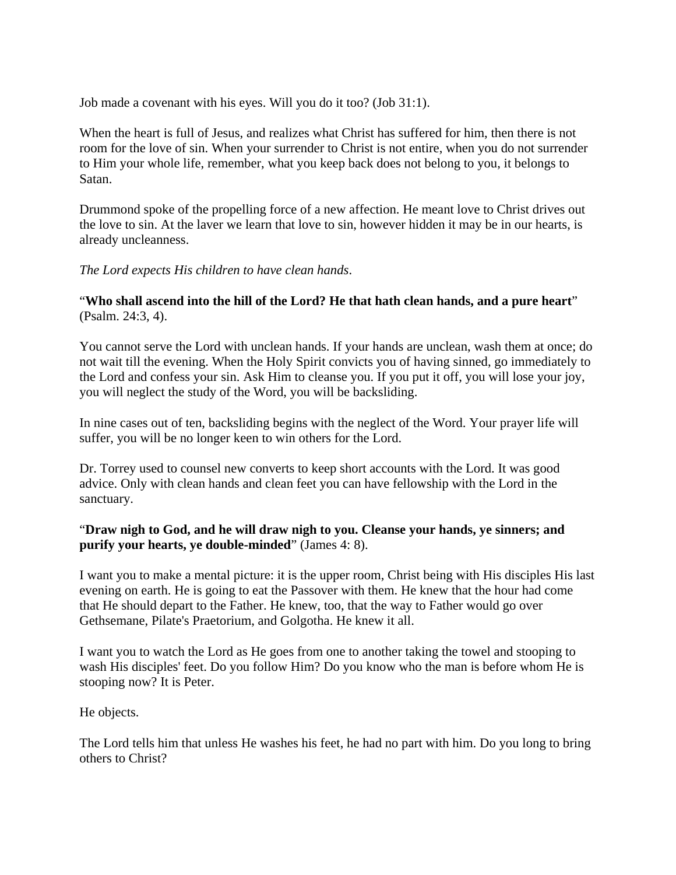Job made a covenant with his eyes. Will you do it too? (Job 31:1).

When the heart is full of Jesus, and realizes what Christ has suffered for him, then there is not room for the love of sin. When your surrender to Christ is not entire, when you do not surrender to Him your whole life, remember, what you keep back does not belong to you, it belongs to Satan.

Drummond spoke of the propelling force of a new affection. He meant love to Christ drives out the love to sin. At the laver we learn that love to sin, however hidden it may be in our hearts, is already uncleanness.

*The Lord expects His children to have clean hands*.

"**Who shall ascend into the hill of the Lord? He that hath clean hands, and a pure heart**" (Psalm. 24:3, 4).

You cannot serve the Lord with unclean hands. If your hands are unclean, wash them at once; do not wait till the evening. When the Holy Spirit convicts you of having sinned, go immediately to the Lord and confess your sin. Ask Him to cleanse you. If you put it off, you will lose your joy, you will neglect the study of the Word, you will be backsliding.

In nine cases out of ten, backsliding begins with the neglect of the Word. Your prayer life will suffer, you will be no longer keen to win others for the Lord.

Dr. Torrey used to counsel new converts to keep short accounts with the Lord. It was good advice. Only with clean hands and clean feet you can have fellowship with the Lord in the sanctuary.

## "**Draw nigh to God, and he will draw nigh to you. Cleanse your hands, ye sinners; and purify your hearts, ye double-minded**" (James 4: 8).

I want you to make a mental picture: it is the upper room, Christ being with His disciples His last evening on earth. He is going to eat the Passover with them. He knew that the hour had come that He should depart to the Father. He knew, too, that the way to Father would go over Gethsemane, Pilate's Praetorium, and Golgotha. He knew it all.

I want you to watch the Lord as He goes from one to another taking the towel and stooping to wash His disciples' feet. Do you follow Him? Do you know who the man is before whom He is stooping now? It is Peter.

He objects.

The Lord tells him that unless He washes his feet, he had no part with him. Do you long to bring others to Christ?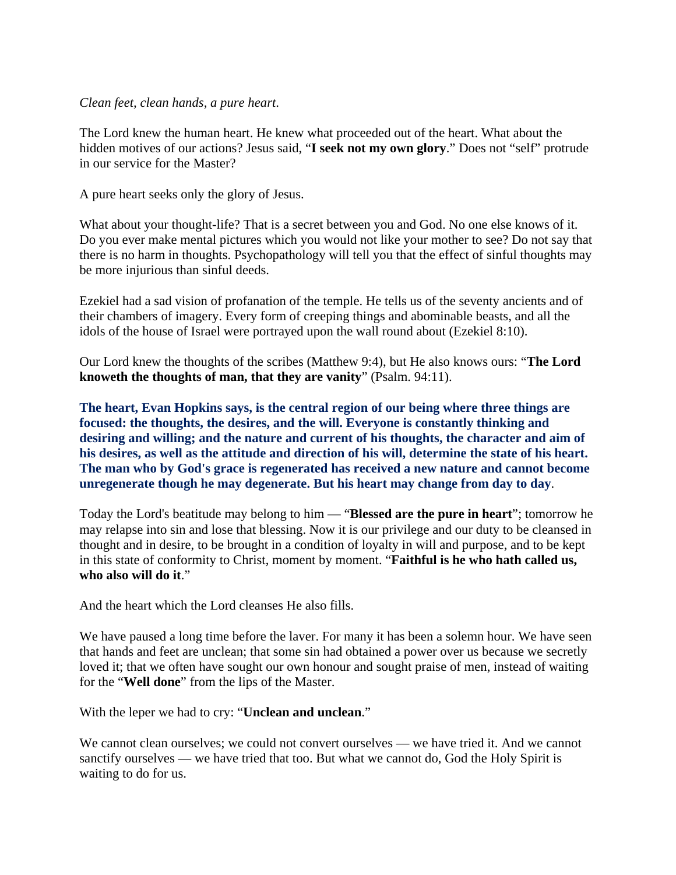#### *Clean feet, clean hands, a pure heart*.

The Lord knew the human heart. He knew what proceeded out of the heart. What about the hidden motives of our actions? Jesus said, "**I seek not my own glory**." Does not "self" protrude in our service for the Master?

A pure heart seeks only the glory of Jesus.

What about your thought-life? That is a secret between you and God. No one else knows of it. Do you ever make mental pictures which you would not like your mother to see? Do not say that there is no harm in thoughts. Psychopathology will tell you that the effect of sinful thoughts may be more injurious than sinful deeds.

Ezekiel had a sad vision of profanation of the temple. He tells us of the seventy ancients and of their chambers of imagery. Every form of creeping things and abominable beasts, and all the idols of the house of Israel were portrayed upon the wall round about (Ezekiel 8:10).

Our Lord knew the thoughts of the scribes (Matthew 9:4), but He also knows ours: "**The Lord knoweth the thoughts of man, that they are vanity**" (Psalm. 94:11).

**The heart, Evan Hopkins says, is the central region of our being where three things are focused: the thoughts, the desires, and the will. Everyone is constantly thinking and desiring and willing; and the nature and current of his thoughts, the character and aim of his desires, as well as the attitude and direction of his will, determine the state of his heart. The man who by God's grace is regenerated has received a new nature and cannot become unregenerate though he may degenerate. But his heart may change from day to day**.

Today the Lord's beatitude may belong to him — "**Blessed are the pure in heart**"; tomorrow he may relapse into sin and lose that blessing. Now it is our privilege and our duty to be cleansed in thought and in desire, to be brought in a condition of loyalty in will and purpose, and to be kept in this state of conformity to Christ, moment by moment. "**Faithful is he who hath called us, who also will do it**."

And the heart which the Lord cleanses He also fills.

We have paused a long time before the laver. For many it has been a solemn hour. We have seen that hands and feet are unclean; that some sin had obtained a power over us because we secretly loved it; that we often have sought our own honour and sought praise of men, instead of waiting for the "**Well done**" from the lips of the Master.

With the leper we had to cry: "**Unclean and unclean**."

We cannot clean ourselves; we could not convert ourselves — we have tried it. And we cannot sanctify ourselves — we have tried that too. But what we cannot do, God the Holy Spirit is waiting to do for us.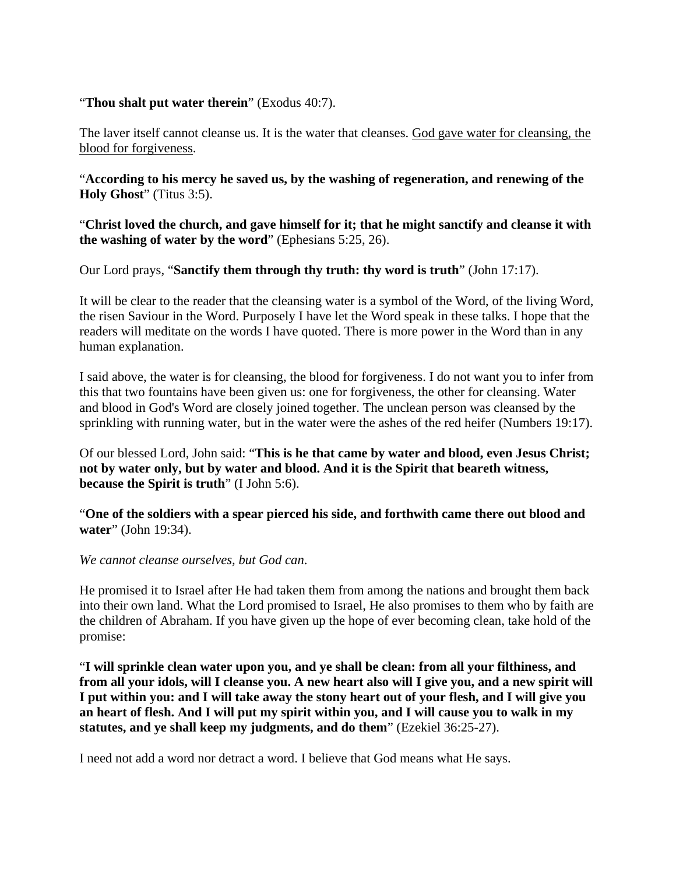#### "**Thou shalt put water therein**" (Exodus 40:7).

The laver itself cannot cleanse us. It is the water that cleanses. God gave water for cleansing, the blood for forgiveness.

"**According to his mercy he saved us, by the washing of regeneration, and renewing of the Holy Ghost**" (Titus 3:5).

"**Christ loved the church, and gave himself for it; that he might sanctify and cleanse it with the washing of water by the word**" (Ephesians 5:25, 26).

Our Lord prays, "**Sanctify them through thy truth: thy word is truth**" (John 17:17).

It will be clear to the reader that the cleansing water is a symbol of the Word, of the living Word, the risen Saviour in the Word. Purposely I have let the Word speak in these talks. I hope that the readers will meditate on the words I have quoted. There is more power in the Word than in any human explanation.

I said above, the water is for cleansing, the blood for forgiveness. I do not want you to infer from this that two fountains have been given us: one for forgiveness, the other for cleansing. Water and blood in God's Word are closely joined together. The unclean person was cleansed by the sprinkling with running water, but in the water were the ashes of the red heifer (Numbers 19:17).

Of our blessed Lord, John said: "**This is he that came by water and blood, even Jesus Christ; not by water only, but by water and blood. And it is the Spirit that beareth witness, because the Spirit is truth**" (I John 5:6).

"**One of the soldiers with a spear pierced his side, and forthwith came there out blood and water**" (John 19:34).

*We cannot cleanse ourselves, but God can*.

He promised it to Israel after He had taken them from among the nations and brought them back into their own land. What the Lord promised to Israel, He also promises to them who by faith are the children of Abraham. If you have given up the hope of ever becoming clean, take hold of the promise:

"**I will sprinkle clean water upon you, and ye shall be clean: from all your filthiness, and from all your idols, will I cleanse you. A new heart also will I give you, and a new spirit will I put within you: and I will take away the stony heart out of your flesh, and I will give you an heart of flesh. And I will put my spirit within you, and I will cause you to walk in my statutes, and ye shall keep my judgments, and do them**" (Ezekiel 36:25-27).

I need not add a word nor detract a word. I believe that God means what He says.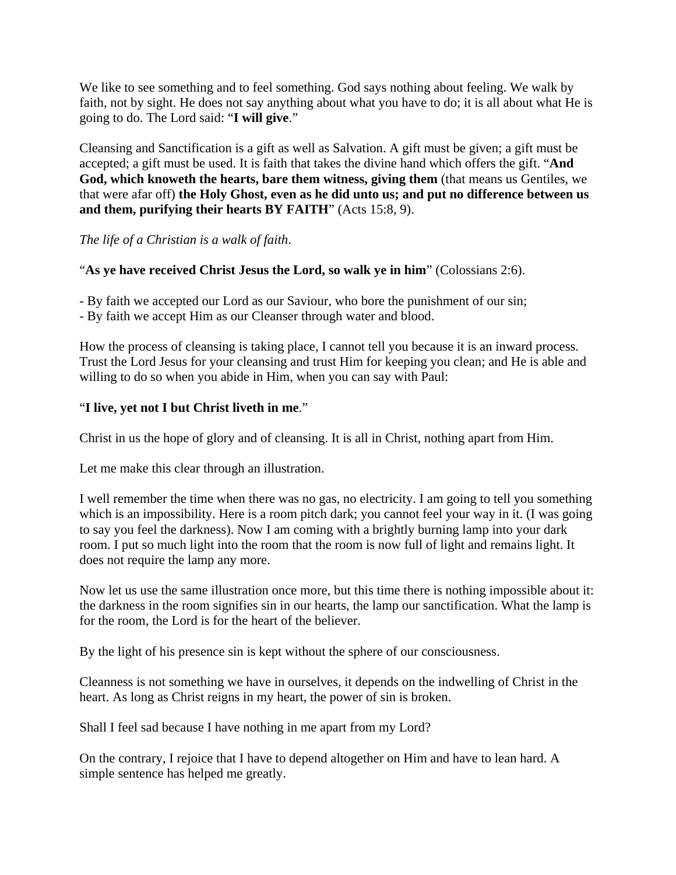We like to see something and to feel something. God says nothing about feeling. We walk by faith, not by sight. He does not say anything about what you have to do; it is all about what He is going to do. The Lord said: "**I will give**."

Cleansing and Sanctification is a gift as well as Salvation. A gift must be given; a gift must be accepted; a gift must be used. It is faith that takes the divine hand which offers the gift. "**And God, which knoweth the hearts, bare them witness, giving them** (that means us Gentiles, we that were afar off) **the Holy Ghost, even as he did unto us; and put no difference between us and them, purifying their hearts BY FAITH**" (Acts 15:8, 9).

*The life of a Christian is a walk of faith*.

## "**As ye have received Christ Jesus the Lord, so walk ye in him**" (Colossians 2:6).

- By faith we accepted our Lord as our Saviour, who bore the punishment of our sin;

- By faith we accept Him as our Cleanser through water and blood.

How the process of cleansing is taking place, I cannot tell you because it is an inward process. Trust the Lord Jesus for your cleansing and trust Him for keeping you clean; and He is able and willing to do so when you abide in Him, when you can say with Paul:

## "**I live, yet not I but Christ liveth in me**."

Christ in us the hope of glory and of cleansing. It is all in Christ, nothing apart from Him.

Let me make this clear through an illustration.

I well remember the time when there was no gas, no electricity. I am going to tell you something which is an impossibility. Here is a room pitch dark; you cannot feel your way in it. (I was going to say you feel the darkness). Now I am coming with a brightly burning lamp into your dark room. I put so much light into the room that the room is now full of light and remains light. It does not require the lamp any more.

Now let us use the same illustration once more, but this time there is nothing impossible about it: the darkness in the room signifies sin in our hearts, the lamp our sanctification. What the lamp is for the room, the Lord is for the heart of the believer.

By the light of his presence sin is kept without the sphere of our consciousness.

Cleanness is not something we have in ourselves, it depends on the indwelling of Christ in the heart. As long as Christ reigns in my heart, the power of sin is broken.

Shall I feel sad because I have nothing in me apart from my Lord?

On the contrary, I rejoice that I have to depend altogether on Him and have to lean hard. A simple sentence has helped me greatly.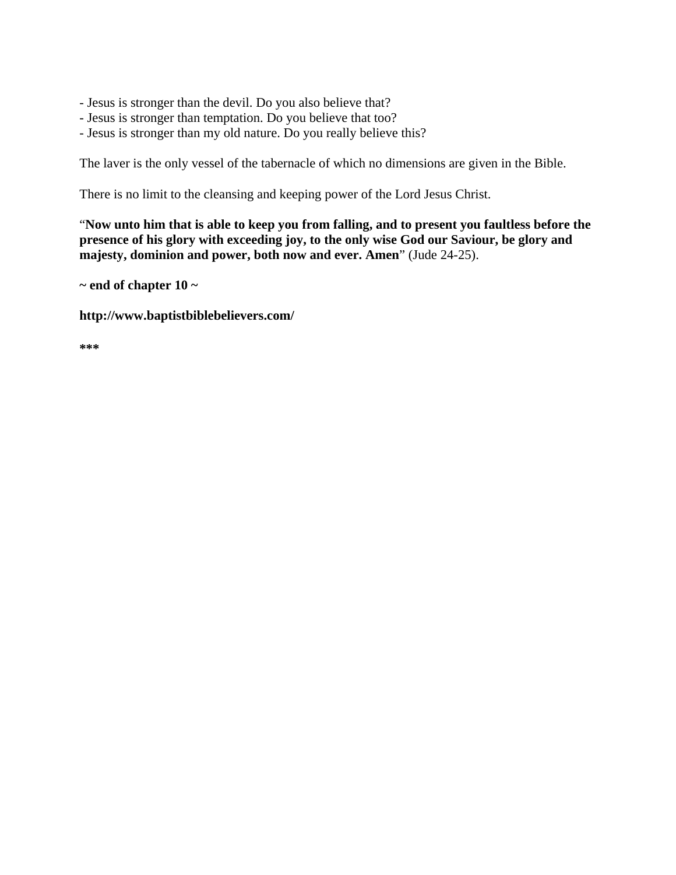- Jesus is stronger than the devil. Do you also believe that?
- Jesus is stronger than temptation. Do you believe that too?
- Jesus is stronger than my old nature. Do you really believe this?

The laver is the only vessel of the tabernacle of which no dimensions are given in the Bible.

There is no limit to the cleansing and keeping power of the Lord Jesus Christ.

"**Now unto him that is able to keep you from falling, and to present you faultless before the presence of his glory with exceeding joy, to the only wise God our Saviour, be glory and majesty, dominion and power, both now and ever. Amen**" (Jude 24-25).

**~ end of chapter 10 ~** 

**http://www.baptistbiblebelievers.com/** 

**\*\*\***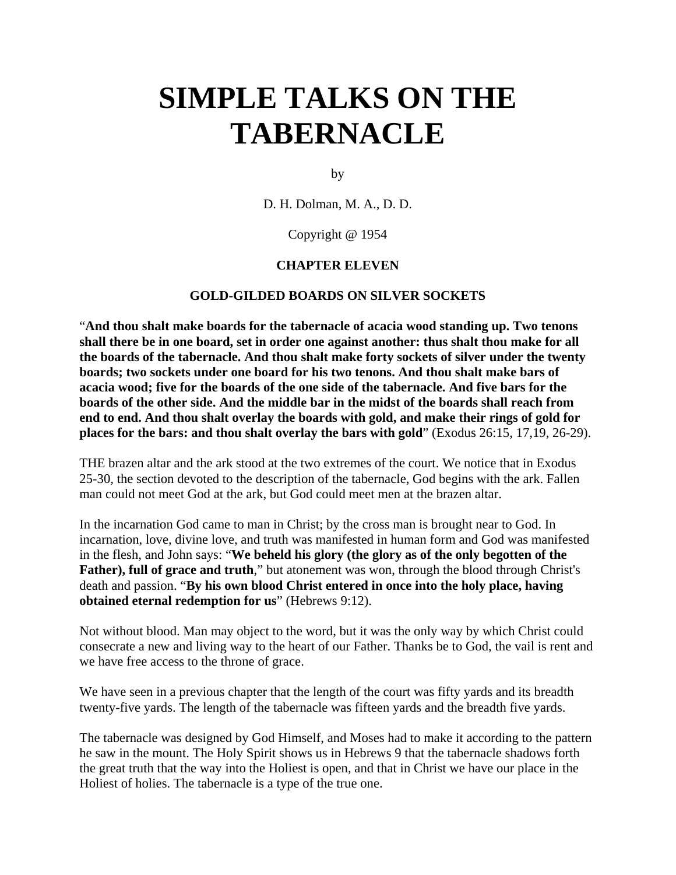# **SIMPLE TALKS ON THE TABERNACLE**

by

D. H. Dolman, M. A., D. D.

#### Copyright @ 1954

#### **CHAPTER ELEVEN**

#### **GOLD-GILDED BOARDS ON SILVER SOCKETS**

"**And thou shalt make boards for the tabernacle of acacia wood standing up. Two tenons shall there be in one board, set in order one against another: thus shalt thou make for all the boards of the tabernacle. And thou shalt make forty sockets of silver under the twenty boards; two sockets under one board for his two tenons. And thou shalt make bars of acacia wood; five for the boards of the one side of the tabernacle. And five bars for the boards of the other side. And the middle bar in the midst of the boards shall reach from end to end. And thou shalt overlay the boards with gold, and make their rings of gold for places for the bars: and thou shalt overlay the bars with gold**" (Exodus 26:15, 17,19, 26-29).

THE brazen altar and the ark stood at the two extremes of the court. We notice that in Exodus 25-30, the section devoted to the description of the tabernacle, God begins with the ark. Fallen man could not meet God at the ark, but God could meet men at the brazen altar.

In the incarnation God came to man in Christ; by the cross man is brought near to God. In incarnation, love, divine love, and truth was manifested in human form and God was manifested in the flesh, and John says: "**We beheld his glory (the glory as of the only begotten of the Father), full of grace and truth**," but atonement was won, through the blood through Christ's death and passion. "**By his own blood Christ entered in once into the holy place, having obtained eternal redemption for us**" (Hebrews 9:12).

Not without blood. Man may object to the word, but it was the only way by which Christ could consecrate a new and living way to the heart of our Father. Thanks be to God, the vail is rent and we have free access to the throne of grace.

We have seen in a previous chapter that the length of the court was fifty yards and its breadth twenty-five yards. The length of the tabernacle was fifteen yards and the breadth five yards.

The tabernacle was designed by God Himself, and Moses had to make it according to the pattern he saw in the mount. The Holy Spirit shows us in Hebrews 9 that the tabernacle shadows forth the great truth that the way into the Holiest is open, and that in Christ we have our place in the Holiest of holies. The tabernacle is a type of the true one.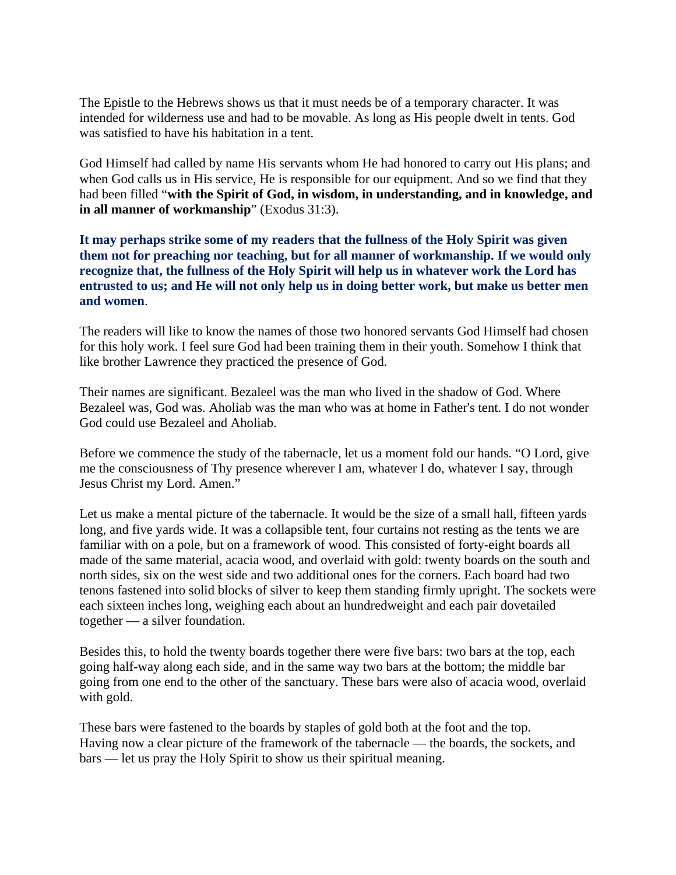The Epistle to the Hebrews shows us that it must needs be of a temporary character. It was intended for wilderness use and had to be movable. As long as His people dwelt in tents. God was satisfied to have his habitation in a tent.

God Himself had called by name His servants whom He had honored to carry out His plans; and when God calls us in His service, He is responsible for our equipment. And so we find that they had been filled "**with the Spirit of God, in wisdom, in understanding, and in knowledge, and in all manner of workmanship**" (Exodus 31:3).

**It may perhaps strike some of my readers that the fullness of the Holy Spirit was given them not for preaching nor teaching, but for all manner of workmanship. If we would only recognize that, the fullness of the Holy Spirit will help us in whatever work the Lord has entrusted to us; and He will not only help us in doing better work, but make us better men and women**.

The readers will like to know the names of those two honored servants God Himself had chosen for this holy work. I feel sure God had been training them in their youth. Somehow I think that like brother Lawrence they practiced the presence of God.

Their names are significant. Bezaleel was the man who lived in the shadow of God. Where Bezaleel was, God was. Aholiab was the man who was at home in Father's tent. I do not wonder God could use Bezaleel and Aholiab.

Before we commence the study of the tabernacle, let us a moment fold our hands. "O Lord, give me the consciousness of Thy presence wherever I am, whatever I do, whatever I say, through Jesus Christ my Lord. Amen."

Let us make a mental picture of the tabernacle. It would be the size of a small hall, fifteen yards long, and five yards wide. It was a collapsible tent, four curtains not resting as the tents we are familiar with on a pole, but on a framework of wood. This consisted of forty-eight boards all made of the same material, acacia wood, and overlaid with gold: twenty boards on the south and north sides, six on the west side and two additional ones for the corners. Each board had two tenons fastened into solid blocks of silver to keep them standing firmly upright. The sockets were each sixteen inches long, weighing each about an hundredweight and each pair dovetailed together — a silver foundation.

Besides this, to hold the twenty boards together there were five bars: two bars at the top, each going half-way along each side, and in the same way two bars at the bottom; the middle bar going from one end to the other of the sanctuary. These bars were also of acacia wood, overlaid with gold.

These bars were fastened to the boards by staples of gold both at the foot and the top. Having now a clear picture of the framework of the tabernacle — the boards, the sockets, and bars — let us pray the Holy Spirit to show us their spiritual meaning.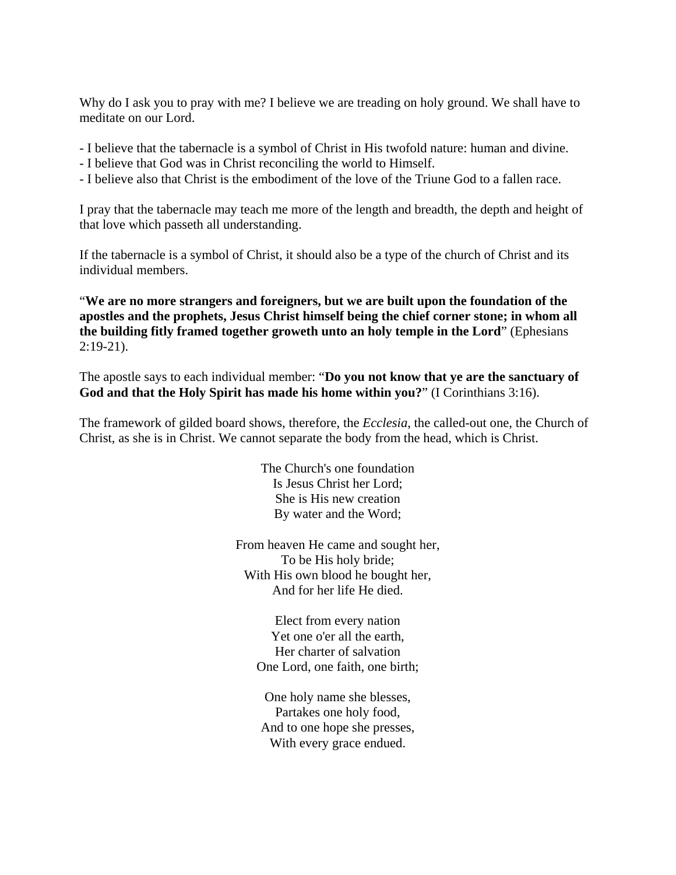Why do I ask you to pray with me? I believe we are treading on holy ground. We shall have to meditate on our Lord.

- I believe that the tabernacle is a symbol of Christ in His twofold nature: human and divine.
- I believe that God was in Christ reconciling the world to Himself.
- I believe also that Christ is the embodiment of the love of the Triune God to a fallen race.

I pray that the tabernacle may teach me more of the length and breadth, the depth and height of that love which passeth all understanding.

If the tabernacle is a symbol of Christ, it should also be a type of the church of Christ and its individual members.

"**We are no more strangers and foreigners, but we are built upon the foundation of the apostles and the prophets, Jesus Christ himself being the chief corner stone; in whom all the building fitly framed together groweth unto an holy temple in the Lord**" (Ephesians 2:19-21).

The apostle says to each individual member: "**Do you not know that ye are the sanctuary of God and that the Holy Spirit has made his home within you?**" (I Corinthians 3:16).

The framework of gilded board shows, therefore, the *Ecclesia*, the called-out one, the Church of Christ, as she is in Christ. We cannot separate the body from the head, which is Christ.

> The Church's one foundation Is Jesus Christ her Lord; She is His new creation By water and the Word;

From heaven He came and sought her, To be His holy bride; With His own blood he bought her, And for her life He died.

> Elect from every nation Yet one o'er all the earth, Her charter of salvation One Lord, one faith, one birth;

One holy name she blesses, Partakes one holy food, And to one hope she presses, With every grace endued.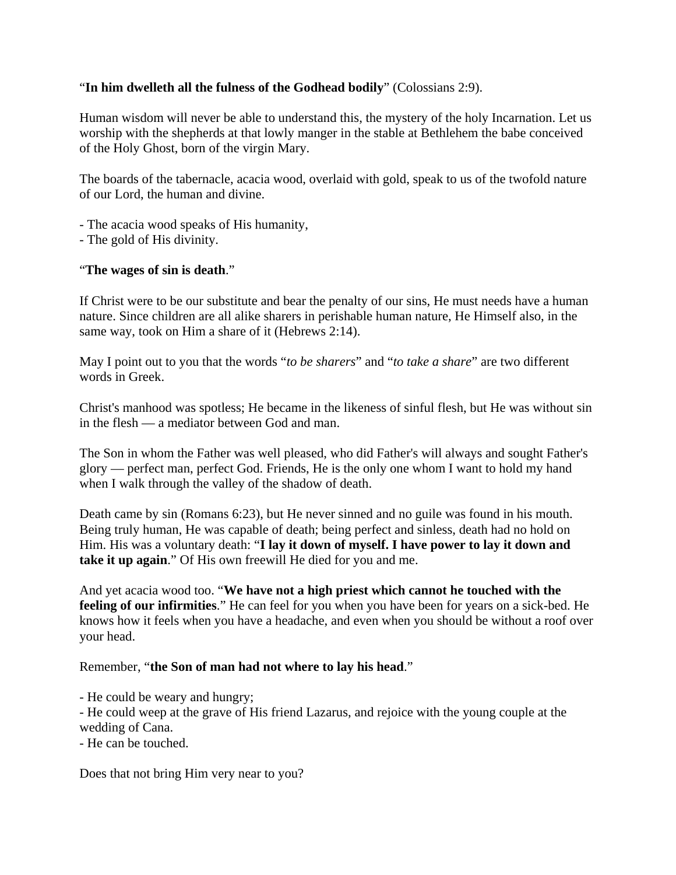## "**In him dwelleth all the fulness of the Godhead bodily**" (Colossians 2:9).

Human wisdom will never be able to understand this, the mystery of the holy Incarnation. Let us worship with the shepherds at that lowly manger in the stable at Bethlehem the babe conceived of the Holy Ghost, born of the virgin Mary.

The boards of the tabernacle, acacia wood, overlaid with gold, speak to us of the twofold nature of our Lord, the human and divine.

- The acacia wood speaks of His humanity,
- The gold of His divinity.

#### "**The wages of sin is death**."

If Christ were to be our substitute and bear the penalty of our sins, He must needs have a human nature. Since children are all alike sharers in perishable human nature, He Himself also, in the same way, took on Him a share of it (Hebrews 2:14).

May I point out to you that the words "*to be sharers*" and "*to take a share*" are two different words in Greek.

Christ's manhood was spotless; He became in the likeness of sinful flesh, but He was without sin in the flesh — a mediator between God and man.

The Son in whom the Father was well pleased, who did Father's will always and sought Father's glory — perfect man, perfect God. Friends, He is the only one whom I want to hold my hand when I walk through the valley of the shadow of death.

Death came by sin (Romans 6:23), but He never sinned and no guile was found in his mouth. Being truly human, He was capable of death; being perfect and sinless, death had no hold on Him. His was a voluntary death: "**I lay it down of myself. I have power to lay it down and take it up again**." Of His own freewill He died for you and me.

And yet acacia wood too. "**We have not a high priest which cannot he touched with the feeling of our infirmities**." He can feel for you when you have been for years on a sick-bed. He knows how it feels when you have a headache, and even when you should be without a roof over your head.

#### Remember, "**the Son of man had not where to lay his head**."

- He could be weary and hungry;

- He could weep at the grave of His friend Lazarus, and rejoice with the young couple at the wedding of Cana.

- He can be touched.

Does that not bring Him very near to you?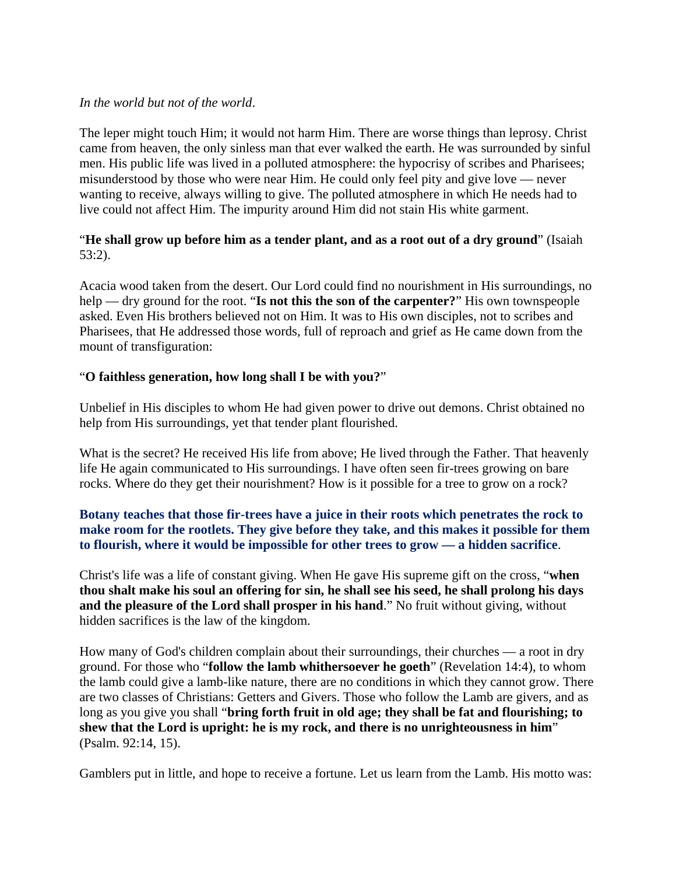## *In the world but not of the world*.

The leper might touch Him; it would not harm Him. There are worse things than leprosy. Christ came from heaven, the only sinless man that ever walked the earth. He was surrounded by sinful men. His public life was lived in a polluted atmosphere: the hypocrisy of scribes and Pharisees; misunderstood by those who were near Him. He could only feel pity and give love — never wanting to receive, always willing to give. The polluted atmosphere in which He needs had to live could not affect Him. The impurity around Him did not stain His white garment.

## "**He shall grow up before him as a tender plant, and as a root out of a dry ground**" (Isaiah 53:2).

Acacia wood taken from the desert. Our Lord could find no nourishment in His surroundings, no help — dry ground for the root. "**Is not this the son of the carpenter?**" His own townspeople asked. Even His brothers believed not on Him. It was to His own disciples, not to scribes and Pharisees, that He addressed those words, full of reproach and grief as He came down from the mount of transfiguration:

## "**O faithless generation, how long shall I be with you?**"

Unbelief in His disciples to whom He had given power to drive out demons. Christ obtained no help from His surroundings, yet that tender plant flourished.

What is the secret? He received His life from above; He lived through the Father. That heavenly life He again communicated to His surroundings. I have often seen fir-trees growing on bare rocks. Where do they get their nourishment? How is it possible for a tree to grow on a rock?

# **Botany teaches that those fir-trees have a juice in their roots which penetrates the rock to make room for the rootlets. They give before they take, and this makes it possible for them to flourish, where it would be impossible for other trees to grow — a hidden sacrifice**.

Christ's life was a life of constant giving. When He gave His supreme gift on the cross, "**when thou shalt make his soul an offering for sin, he shall see his seed, he shall prolong his days and the pleasure of the Lord shall prosper in his hand**." No fruit without giving, without hidden sacrifices is the law of the kingdom.

How many of God's children complain about their surroundings, their churches — a root in dry ground. For those who "**follow the lamb whithersoever he goeth**" (Revelation 14:4), to whom the lamb could give a lamb-like nature, there are no conditions in which they cannot grow. There are two classes of Christians: Getters and Givers. Those who follow the Lamb are givers, and as long as you give you shall "**bring forth fruit in old age; they shall be fat and flourishing; to shew that the Lord is upright: he is my rock, and there is no unrighteousness in him**" (Psalm. 92:14, 15).

Gamblers put in little, and hope to receive a fortune. Let us learn from the Lamb. His motto was: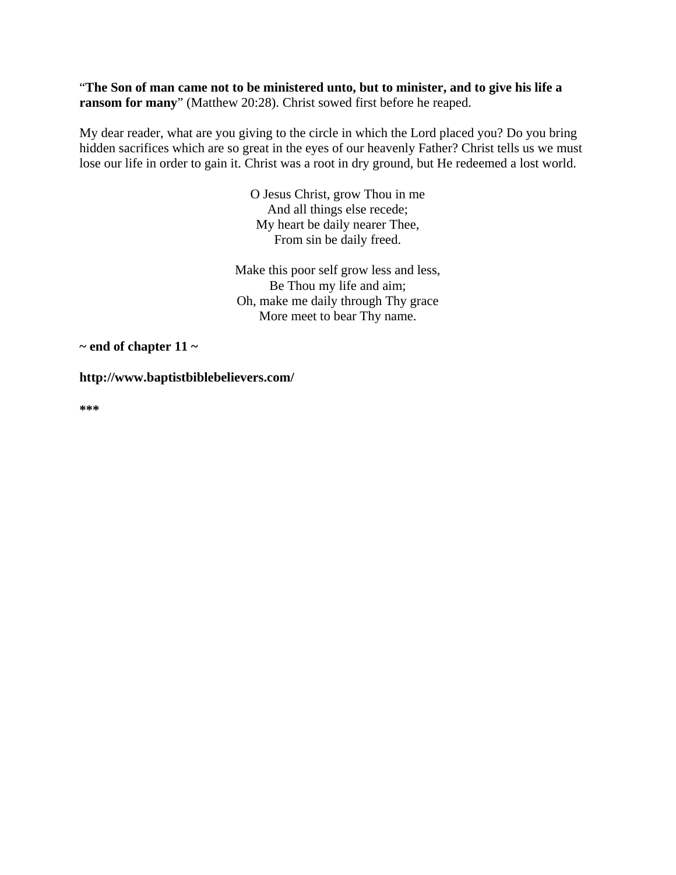"**The Son of man came not to be ministered unto, but to minister, and to give his life a ransom for many**" (Matthew 20:28). Christ sowed first before he reaped.

My dear reader, what are you giving to the circle in which the Lord placed you? Do you bring hidden sacrifices which are so great in the eyes of our heavenly Father? Christ tells us we must lose our life in order to gain it. Christ was a root in dry ground, but He redeemed a lost world.

> O Jesus Christ, grow Thou in me And all things else recede; My heart be daily nearer Thee, From sin be daily freed.

Make this poor self grow less and less, Be Thou my life and aim; Oh, make me daily through Thy grace More meet to bear Thy name.

**~ end of chapter 11 ~** 

**http://www.baptistbiblebelievers.com/** 

**\*\*\***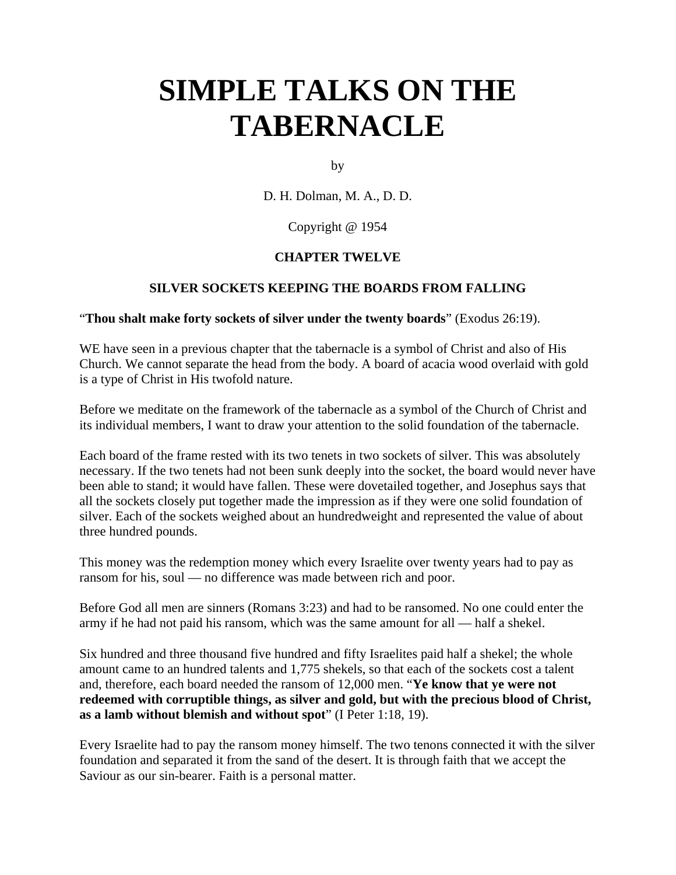# **SIMPLE TALKS ON THE TABERNACLE**

by

D. H. Dolman, M. A., D. D.

Copyright @ 1954

## **CHAPTER TWELVE**

#### **SILVER SOCKETS KEEPING THE BOARDS FROM FALLING**

"**Thou shalt make forty sockets of silver under the twenty boards**" (Exodus 26:19).

WE have seen in a previous chapter that the tabernacle is a symbol of Christ and also of His Church. We cannot separate the head from the body. A board of acacia wood overlaid with gold is a type of Christ in His twofold nature.

Before we meditate on the framework of the tabernacle as a symbol of the Church of Christ and its individual members, I want to draw your attention to the solid foundation of the tabernacle.

Each board of the frame rested with its two tenets in two sockets of silver. This was absolutely necessary. If the two tenets had not been sunk deeply into the socket, the board would never have been able to stand; it would have fallen. These were dovetailed together, and Josephus says that all the sockets closely put together made the impression as if they were one solid foundation of silver. Each of the sockets weighed about an hundredweight and represented the value of about three hundred pounds.

This money was the redemption money which every Israelite over twenty years had to pay as ransom for his, soul — no difference was made between rich and poor.

Before God all men are sinners (Romans 3:23) and had to be ransomed. No one could enter the army if he had not paid his ransom, which was the same amount for all — half a shekel.

Six hundred and three thousand five hundred and fifty Israelites paid half a shekel; the whole amount came to an hundred talents and 1,775 shekels, so that each of the sockets cost a talent and, therefore, each board needed the ransom of 12,000 men. "**Ye know that ye were not redeemed with corruptible things, as silver and gold, but with the precious blood of Christ, as a lamb without blemish and without spot**" (I Peter 1:18, 19).

Every Israelite had to pay the ransom money himself. The two tenons connected it with the silver foundation and separated it from the sand of the desert. It is through faith that we accept the Saviour as our sin-bearer. Faith is a personal matter.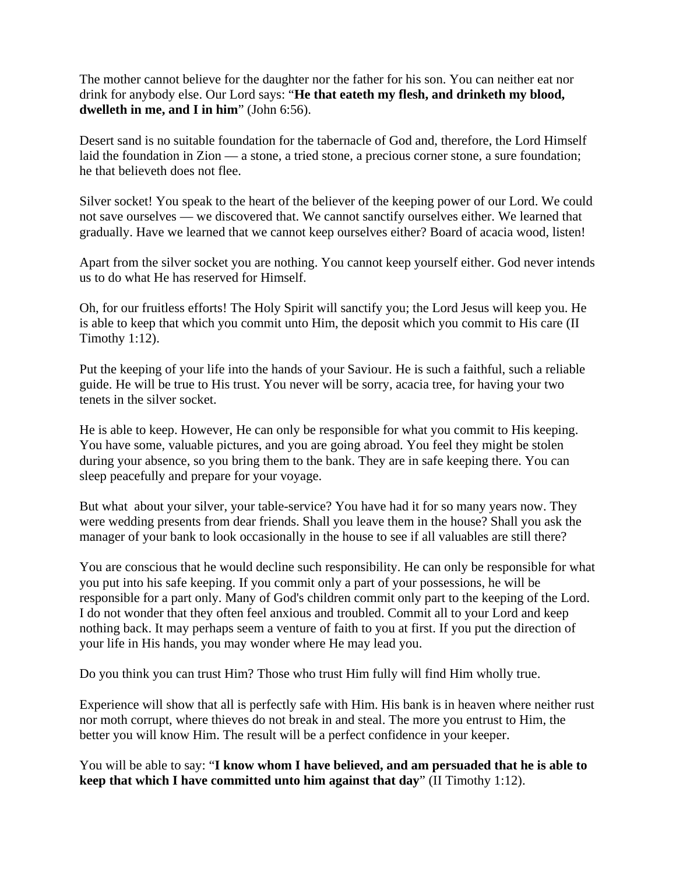The mother cannot believe for the daughter nor the father for his son. You can neither eat nor drink for anybody else. Our Lord says: "**He that eateth my flesh, and drinketh my blood, dwelleth in me, and I in him**" (John 6:56).

Desert sand is no suitable foundation for the tabernacle of God and, therefore, the Lord Himself laid the foundation in Zion — a stone, a tried stone, a precious corner stone, a sure foundation; he that believeth does not flee.

Silver socket! You speak to the heart of the believer of the keeping power of our Lord. We could not save ourselves — we discovered that. We cannot sanctify ourselves either. We learned that gradually. Have we learned that we cannot keep ourselves either? Board of acacia wood, listen!

Apart from the silver socket you are nothing. You cannot keep yourself either. God never intends us to do what He has reserved for Himself.

Oh, for our fruitless efforts! The Holy Spirit will sanctify you; the Lord Jesus will keep you. He is able to keep that which you commit unto Him, the deposit which you commit to His care (II Timothy 1:12).

Put the keeping of your life into the hands of your Saviour. He is such a faithful, such a reliable guide. He will be true to His trust. You never will be sorry, acacia tree, for having your two tenets in the silver socket.

He is able to keep. However, He can only be responsible for what you commit to His keeping. You have some, valuable pictures, and you are going abroad. You feel they might be stolen during your absence, so you bring them to the bank. They are in safe keeping there. You can sleep peacefully and prepare for your voyage.

But what about your silver, your table-service? You have had it for so many years now. They were wedding presents from dear friends. Shall you leave them in the house? Shall you ask the manager of your bank to look occasionally in the house to see if all valuables are still there?

You are conscious that he would decline such responsibility. He can only be responsible for what you put into his safe keeping. If you commit only a part of your possessions, he will be responsible for a part only. Many of God's children commit only part to the keeping of the Lord. I do not wonder that they often feel anxious and troubled. Commit all to your Lord and keep nothing back. It may perhaps seem a venture of faith to you at first. If you put the direction of your life in His hands, you may wonder where He may lead you.

Do you think you can trust Him? Those who trust Him fully will find Him wholly true.

Experience will show that all is perfectly safe with Him. His bank is in heaven where neither rust nor moth corrupt, where thieves do not break in and steal. The more you entrust to Him, the better you will know Him. The result will be a perfect confidence in your keeper.

You will be able to say: "**I know whom I have believed, and am persuaded that he is able to keep that which I have committed unto him against that day**" (II Timothy 1:12).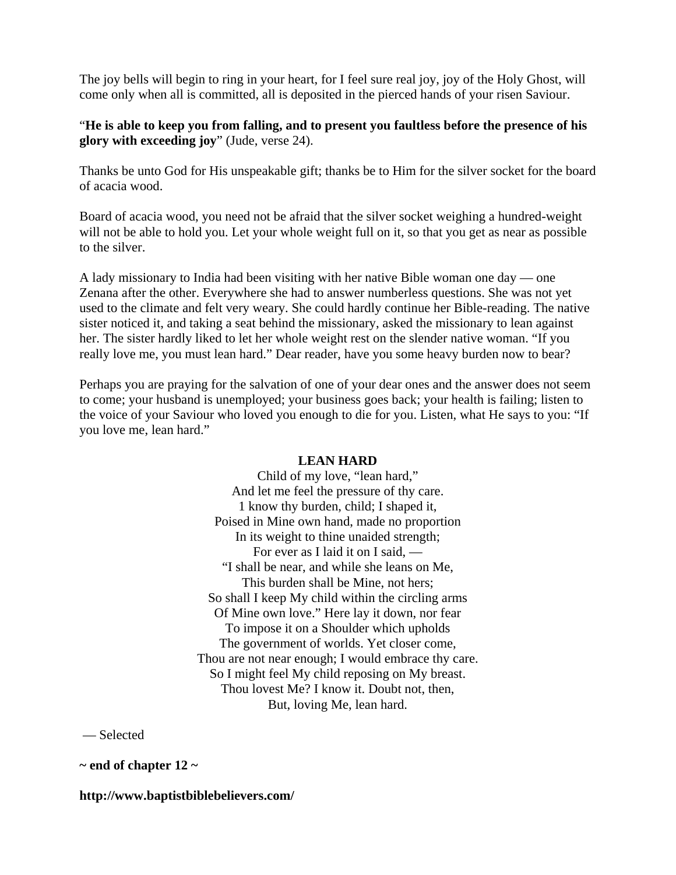The joy bells will begin to ring in your heart, for I feel sure real joy, joy of the Holy Ghost, will come only when all is committed, all is deposited in the pierced hands of your risen Saviour.

## "**He is able to keep you from falling, and to present you faultless before the presence of his glory with exceeding joy**" (Jude, verse 24).

Thanks be unto God for His unspeakable gift; thanks be to Him for the silver socket for the board of acacia wood.

Board of acacia wood, you need not be afraid that the silver socket weighing a hundred-weight will not be able to hold you. Let your whole weight full on it, so that you get as near as possible to the silver.

A lady missionary to India had been visiting with her native Bible woman one day — one Zenana after the other. Everywhere she had to answer numberless questions. She was not yet used to the climate and felt very weary. She could hardly continue her Bible-reading. The native sister noticed it, and taking a seat behind the missionary, asked the missionary to lean against her. The sister hardly liked to let her whole weight rest on the slender native woman. "If you really love me, you must lean hard." Dear reader, have you some heavy burden now to bear?

Perhaps you are praying for the salvation of one of your dear ones and the answer does not seem to come; your husband is unemployed; your business goes back; your health is failing; listen to the voice of your Saviour who loved you enough to die for you. Listen, what He says to you: "If you love me, lean hard."

#### **LEAN HARD**

Child of my love, "lean hard," And let me feel the pressure of thy care. 1 know thy burden, child; I shaped it, Poised in Mine own hand, made no proportion In its weight to thine unaided strength; For ever as I laid it on I said, — "I shall be near, and while she leans on Me, This burden shall be Mine, not hers; So shall I keep My child within the circling arms Of Mine own love." Here lay it down, nor fear To impose it on a Shoulder which upholds The government of worlds. Yet closer come, Thou are not near enough; I would embrace thy care. So I might feel My child reposing on My breast. Thou lovest Me? I know it. Doubt not, then, But, loving Me, lean hard.

— Selected

**~ end of chapter 12 ~** 

#### **http://www.baptistbiblebelievers.com/**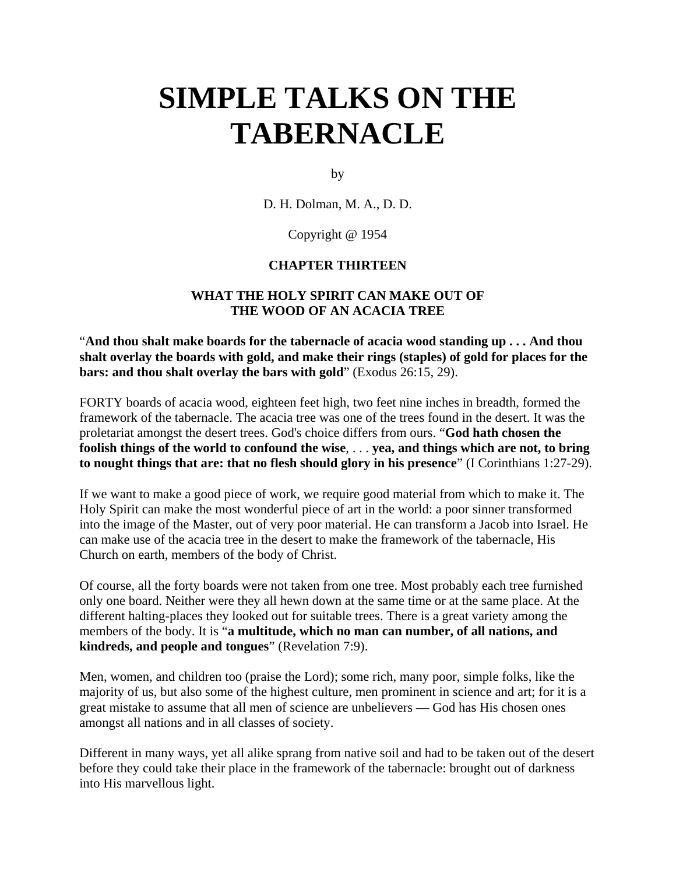# **SIMPLE TALKS ON THE TABERNACLE**

by

D. H. Dolman, M. A., D. D.

Copyright @ 1954

#### **CHAPTER THIRTEEN**

## **WHAT THE HOLY SPIRIT CAN MAKE OUT OF THE WOOD OF AN ACACIA TREE**

"**And thou shalt make boards for the tabernacle of acacia wood standing up . . . And thou shalt overlay the boards with gold, and make their rings (staples) of gold for places for the bars: and thou shalt overlay the bars with gold**" (Exodus 26:15, 29).

FORTY boards of acacia wood, eighteen feet high, two feet nine inches in breadth, formed the framework of the tabernacle. The acacia tree was one of the trees found in the desert. It was the proletariat amongst the desert trees. God's choice differs from ours. "**God hath chosen the foolish things of the world to confound the wise**, . . . **yea, and things which are not, to bring to nought things that are: that no flesh should glory in his presence**" (I Corinthians 1:27-29).

If we want to make a good piece of work, we require good material from which to make it. The Holy Spirit can make the most wonderful piece of art in the world: a poor sinner transformed into the image of the Master, out of very poor material. He can transform a Jacob into Israel. He can make use of the acacia tree in the desert to make the framework of the tabernacle, His Church on earth, members of the body of Christ.

Of course, all the forty boards were not taken from one tree. Most probably each tree furnished only one board. Neither were they all hewn down at the same time or at the same place. At the different halting-places they looked out for suitable trees. There is a great variety among the members of the body. It is "**a multitude, which no man can number, of all nations, and kindreds, and people and tongues**" (Revelation 7:9).

Men, women, and children too (praise the Lord); some rich, many poor, simple folks, like the majority of us, but also some of the highest culture, men prominent in science and art; for it is a great mistake to assume that all men of science are unbelievers — God has His chosen ones amongst all nations and in all classes of society.

Different in many ways, yet all alike sprang from native soil and had to be taken out of the desert before they could take their place in the framework of the tabernacle: brought out of darkness into His marvellous light.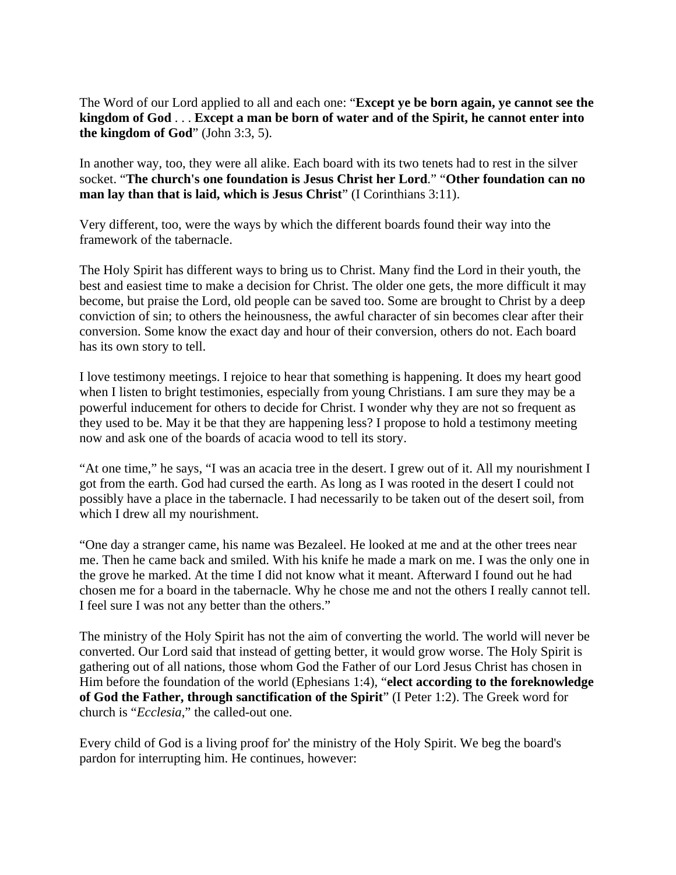The Word of our Lord applied to all and each one: "**Except ye be born again, ye cannot see the kingdom of God** . . . **Except a man be born of water and of the Spirit, he cannot enter into the kingdom of God**" (John 3:3, 5).

In another way, too, they were all alike. Each board with its two tenets had to rest in the silver socket. "**The church's one foundation is Jesus Christ her Lord**." "**Other foundation can no man lay than that is laid, which is Jesus Christ**" (I Corinthians 3:11).

Very different, too, were the ways by which the different boards found their way into the framework of the tabernacle.

The Holy Spirit has different ways to bring us to Christ. Many find the Lord in their youth, the best and easiest time to make a decision for Christ. The older one gets, the more difficult it may become, but praise the Lord, old people can be saved too. Some are brought to Christ by a deep conviction of sin; to others the heinousness, the awful character of sin becomes clear after their conversion. Some know the exact day and hour of their conversion, others do not. Each board has its own story to tell.

I love testimony meetings. I rejoice to hear that something is happening. It does my heart good when I listen to bright testimonies, especially from young Christians. I am sure they may be a powerful inducement for others to decide for Christ. I wonder why they are not so frequent as they used to be. May it be that they are happening less? I propose to hold a testimony meeting now and ask one of the boards of acacia wood to tell its story.

"At one time," he says, "I was an acacia tree in the desert. I grew out of it. All my nourishment I got from the earth. God had cursed the earth. As long as I was rooted in the desert I could not possibly have a place in the tabernacle. I had necessarily to be taken out of the desert soil, from which I drew all my nourishment.

"One day a stranger came, his name was Bezaleel. He looked at me and at the other trees near me. Then he came back and smiled. With his knife he made a mark on me. I was the only one in the grove he marked. At the time I did not know what it meant. Afterward I found out he had chosen me for a board in the tabernacle. Why he chose me and not the others I really cannot tell. I feel sure I was not any better than the others."

The ministry of the Holy Spirit has not the aim of converting the world. The world will never be converted. Our Lord said that instead of getting better, it would grow worse. The Holy Spirit is gathering out of all nations, those whom God the Father of our Lord Jesus Christ has chosen in Him before the foundation of the world (Ephesians 1:4), "**elect according to the foreknowledge of God the Father, through sanctification of the Spirit**" (I Peter 1:2). The Greek word for church is "*Ecclesia*," the called-out one.

Every child of God is a living proof for' the ministry of the Holy Spirit. We beg the board's pardon for interrupting him. He continues, however: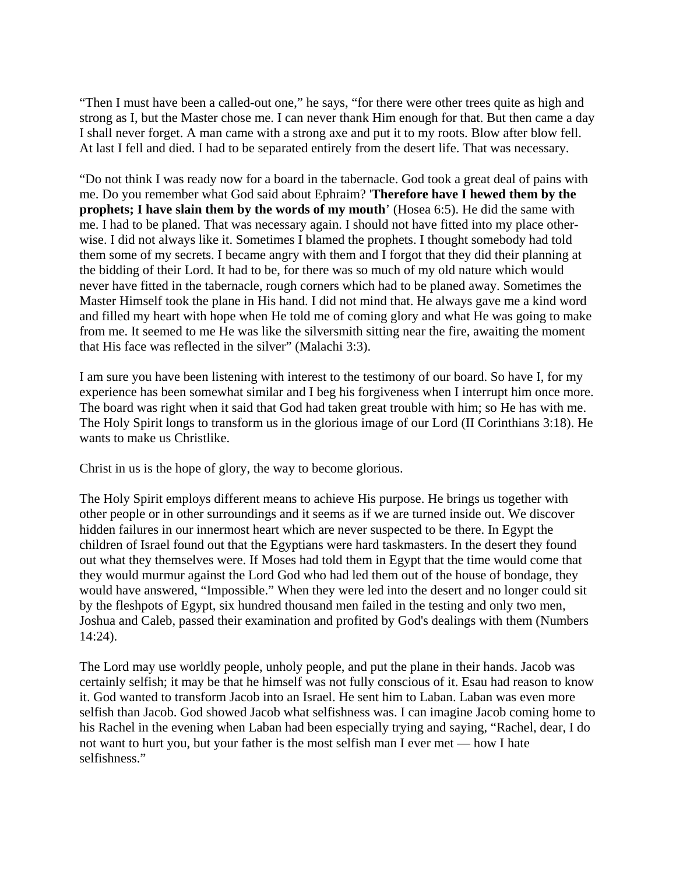"Then I must have been a called-out one," he says, "for there were other trees quite as high and strong as I, but the Master chose me. I can never thank Him enough for that. But then came a day I shall never forget. A man came with a strong axe and put it to my roots. Blow after blow fell. At last I fell and died. I had to be separated entirely from the desert life. That was necessary.

"Do not think I was ready now for a board in the tabernacle. God took a great deal of pains with me. Do you remember what God said about Ephraim? '**Therefore have I hewed them by the prophets; I have slain them by the words of my mouth**' (Hosea 6:5). He did the same with me. I had to be planed. That was necessary again. I should not have fitted into my place otherwise. I did not always like it. Sometimes I blamed the prophets. I thought somebody had told them some of my secrets. I became angry with them and I forgot that they did their planning at the bidding of their Lord. It had to be, for there was so much of my old nature which would never have fitted in the tabernacle, rough corners which had to be planed away. Sometimes the Master Himself took the plane in His hand. I did not mind that. He always gave me a kind word and filled my heart with hope when He told me of coming glory and what He was going to make from me. It seemed to me He was like the silversmith sitting near the fire, awaiting the moment that His face was reflected in the silver" (Malachi 3:3).

I am sure you have been listening with interest to the testimony of our board. So have I, for my experience has been somewhat similar and I beg his forgiveness when I interrupt him once more. The board was right when it said that God had taken great trouble with him; so He has with me. The Holy Spirit longs to transform us in the glorious image of our Lord (II Corinthians 3:18). He wants to make us Christlike.

Christ in us is the hope of glory, the way to become glorious.

The Holy Spirit employs different means to achieve His purpose. He brings us together with other people or in other surroundings and it seems as if we are turned inside out. We discover hidden failures in our innermost heart which are never suspected to be there. In Egypt the children of Israel found out that the Egyptians were hard taskmasters. In the desert they found out what they themselves were. If Moses had told them in Egypt that the time would come that they would murmur against the Lord God who had led them out of the house of bondage, they would have answered, "Impossible." When they were led into the desert and no longer could sit by the fleshpots of Egypt, six hundred thousand men failed in the testing and only two men, Joshua and Caleb, passed their examination and profited by God's dealings with them (Numbers 14:24).

The Lord may use worldly people, unholy people, and put the plane in their hands. Jacob was certainly selfish; it may be that he himself was not fully conscious of it. Esau had reason to know it. God wanted to transform Jacob into an Israel. He sent him to Laban. Laban was even more selfish than Jacob. God showed Jacob what selfishness was. I can imagine Jacob coming home to his Rachel in the evening when Laban had been especially trying and saying, "Rachel, dear, I do not want to hurt you, but your father is the most selfish man I ever met — how I hate selfishness."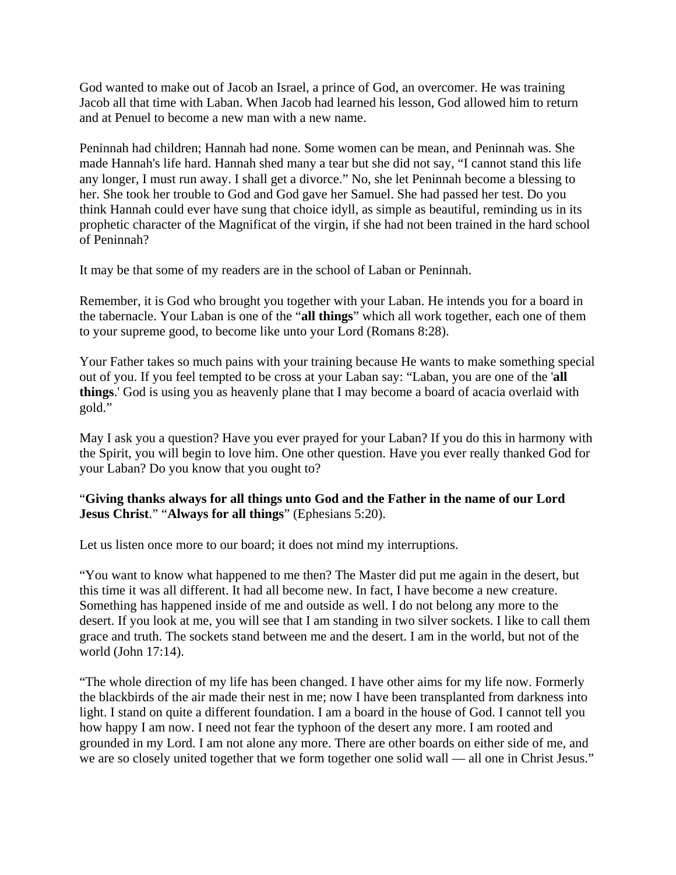God wanted to make out of Jacob an Israel, a prince of God, an overcomer. He was training Jacob all that time with Laban. When Jacob had learned his lesson, God allowed him to return and at Penuel to become a new man with a new name.

Peninnah had children; Hannah had none. Some women can be mean, and Peninnah was. She made Hannah's life hard. Hannah shed many a tear but she did not say, "I cannot stand this life any longer, I must run away. I shall get a divorce." No, she let Peninnah become a blessing to her. She took her trouble to God and God gave her Samuel. She had passed her test. Do you think Hannah could ever have sung that choice idyll, as simple as beautiful, reminding us in its prophetic character of the Magnificat of the virgin, if she had not been trained in the hard school of Peninnah?

It may be that some of my readers are in the school of Laban or Peninnah.

Remember, it is God who brought you together with your Laban. He intends you for a board in the tabernacle. Your Laban is one of the "**all things**" which all work together, each one of them to your supreme good, to become like unto your Lord (Romans 8:28).

Your Father takes so much pains with your training because He wants to make something special out of you. If you feel tempted to be cross at your Laban say: "Laban, you are one of the '**all things**.' God is using you as heavenly plane that I may become a board of acacia overlaid with gold."

May I ask you a question? Have you ever prayed for your Laban? If you do this in harmony with the Spirit, you will begin to love him. One other question. Have you ever really thanked God for your Laban? Do you know that you ought to?

## "**Giving thanks always for all things unto God and the Father in the name of our Lord Jesus Christ**." "**Always for all things**" (Ephesians 5:20).

Let us listen once more to our board; it does not mind my interruptions.

"You want to know what happened to me then? The Master did put me again in the desert, but this time it was all different. It had all become new. In fact, I have become a new creature. Something has happened inside of me and outside as well. I do not belong any more to the desert. If you look at me, you will see that I am standing in two silver sockets. I like to call them grace and truth. The sockets stand between me and the desert. I am in the world, but not of the world (John 17:14).

"The whole direction of my life has been changed. I have other aims for my life now. Formerly the blackbirds of the air made their nest in me; now I have been transplanted from darkness into light. I stand on quite a different foundation. I am a board in the house of God. I cannot tell you how happy I am now. I need not fear the typhoon of the desert any more. I am rooted and grounded in my Lord. I am not alone any more. There are other boards on either side of me, and we are so closely united together that we form together one solid wall — all one in Christ Jesus."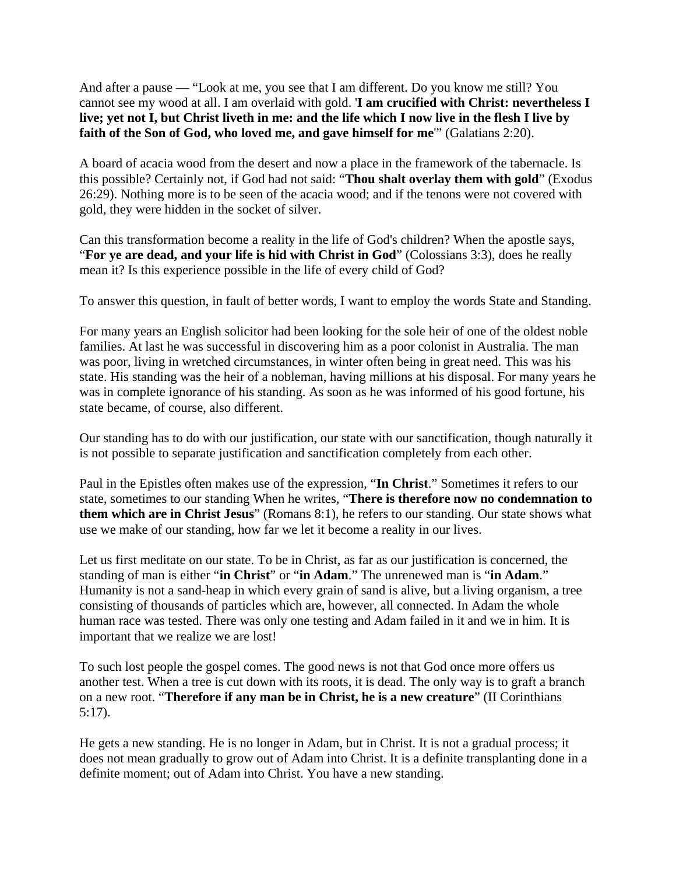And after a pause — "Look at me, you see that I am different. Do you know me still? You cannot see my wood at all. I am overlaid with gold. '**I am crucified with Christ: nevertheless I live; yet not I, but Christ liveth in me: and the life which I now live in the flesh I live by faith of the Son of God, who loved me, and gave himself for me**'" (Galatians 2:20).

A board of acacia wood from the desert and now a place in the framework of the tabernacle. Is this possible? Certainly not, if God had not said: "**Thou shalt overlay them with gold**" (Exodus 26:29). Nothing more is to be seen of the acacia wood; and if the tenons were not covered with gold, they were hidden in the socket of silver.

Can this transformation become a reality in the life of God's children? When the apostle says, "**For ye are dead, and your life is hid with Christ in God**" (Colossians 3:3), does he really mean it? Is this experience possible in the life of every child of God?

To answer this question, in fault of better words, I want to employ the words State and Standing.

For many years an English solicitor had been looking for the sole heir of one of the oldest noble families. At last he was successful in discovering him as a poor colonist in Australia. The man was poor, living in wretched circumstances, in winter often being in great need. This was his state. His standing was the heir of a nobleman, having millions at his disposal. For many years he was in complete ignorance of his standing. As soon as he was informed of his good fortune, his state became, of course, also different.

Our standing has to do with our justification, our state with our sanctification, though naturally it is not possible to separate justification and sanctification completely from each other.

Paul in the Epistles often makes use of the expression, "**In Christ**." Sometimes it refers to our state, sometimes to our standing When he writes, "**There is therefore now no condemnation to them which are in Christ Jesus**" (Romans 8:1), he refers to our standing. Our state shows what use we make of our standing, how far we let it become a reality in our lives.

Let us first meditate on our state. To be in Christ, as far as our justification is concerned, the standing of man is either "**in Christ**" or "**in Adam**." The unrenewed man is "**in Adam**." Humanity is not a sand-heap in which every grain of sand is alive, but a living organism, a tree consisting of thousands of particles which are, however, all connected. In Adam the whole human race was tested. There was only one testing and Adam failed in it and we in him. It is important that we realize we are lost!

To such lost people the gospel comes. The good news is not that God once more offers us another test. When a tree is cut down with its roots, it is dead. The only way is to graft a branch on a new root. "**Therefore if any man be in Christ, he is a new creature**" (II Corinthians 5:17).

He gets a new standing. He is no longer in Adam, but in Christ. It is not a gradual process; it does not mean gradually to grow out of Adam into Christ. It is a definite transplanting done in a definite moment; out of Adam into Christ. You have a new standing.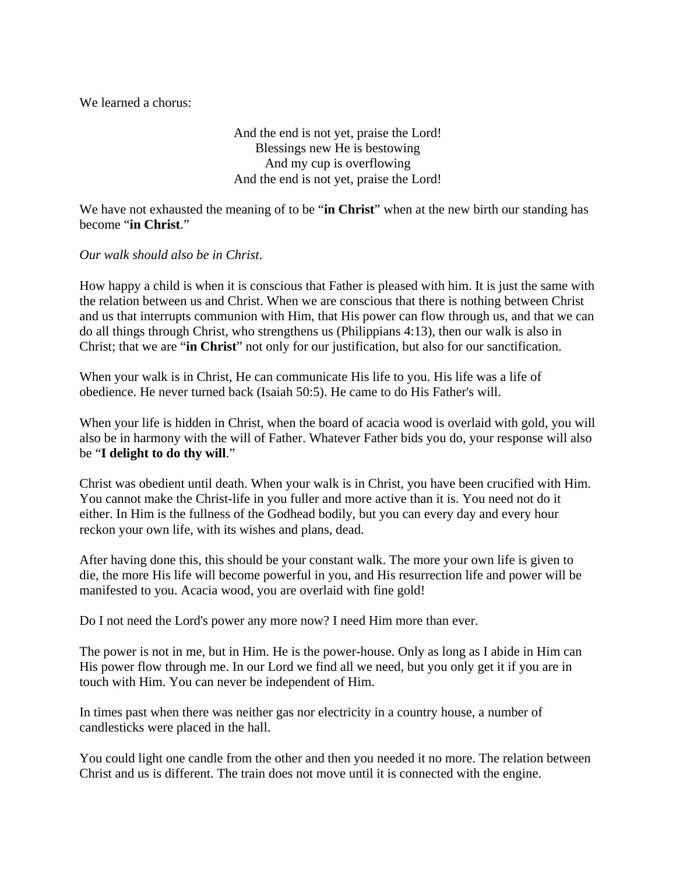We learned a chorus:

And the end is not yet, praise the Lord! Blessings new He is bestowing And my cup is overflowing And the end is not yet, praise the Lord!

We have not exhausted the meaning of to be "**in Christ**" when at the new birth our standing has become "**in Christ**."

*Our walk should also be in Christ*.

How happy a child is when it is conscious that Father is pleased with him. It is just the same with the relation between us and Christ. When we are conscious that there is nothing between Christ and us that interrupts communion with Him, that His power can flow through us, and that we can do all things through Christ, who strengthens us (Philippians 4:13), then our walk is also in Christ; that we are "**in Christ**" not only for our justification, but also for our sanctification.

When your walk is in Christ, He can communicate His life to you. His life was a life of obedience. He never turned back (Isaiah 50:5). He came to do His Father's will.

When your life is hidden in Christ, when the board of acacia wood is overlaid with gold, you will also be in harmony with the will of Father. Whatever Father bids you do, your response will also be "**I delight to do thy will**."

Christ was obedient until death. When your walk is in Christ, you have been crucified with Him. You cannot make the Christ-life in you fuller and more active than it is. You need not do it either. In Him is the fullness of the Godhead bodily, but you can every day and every hour reckon your own life, with its wishes and plans, dead.

After having done this, this should be your constant walk. The more your own life is given to die, the more His life will become powerful in you, and His resurrection life and power will be manifested to you. Acacia wood, you are overlaid with fine gold!

Do I not need the Lord's power any more now? I need Him more than ever.

The power is not in me, but in Him. He is the power-house. Only as long as I abide in Him can His power flow through me. In our Lord we find all we need, but you only get it if you are in touch with Him. You can never be independent of Him.

In times past when there was neither gas nor electricity in a country house, a number of candlesticks were placed in the hall.

You could light one candle from the other and then you needed it no more. The relation between Christ and us is different. The train does not move until it is connected with the engine.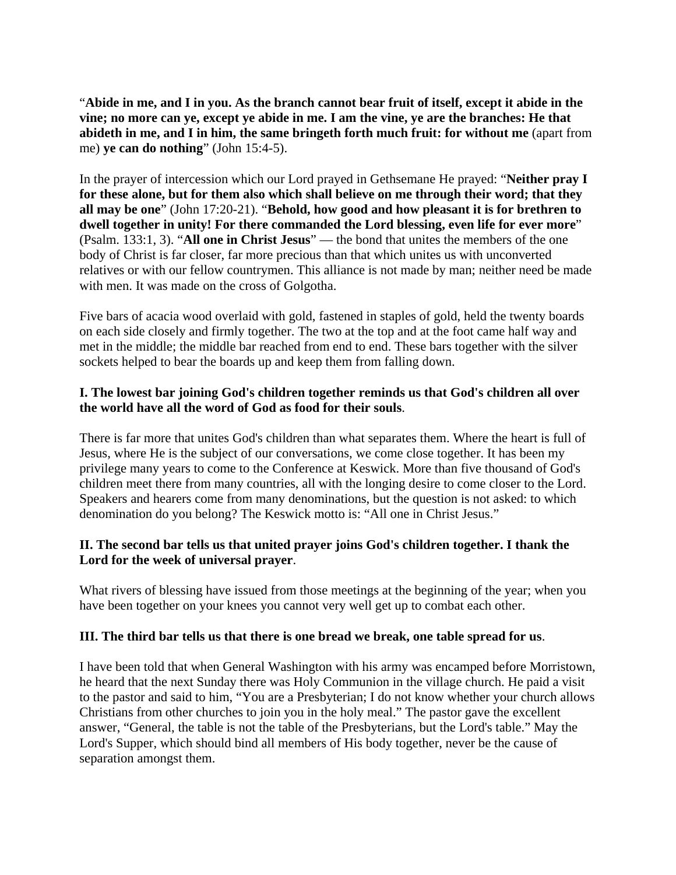"**Abide in me, and I in you. As the branch cannot bear fruit of itself, except it abide in the vine; no more can ye, except ye abide in me. I am the vine, ye are the branches: He that abideth in me, and I in him, the same bringeth forth much fruit: for without me** (apart from me) **ye can do nothing**" (John 15:4-5).

In the prayer of intercession which our Lord prayed in Gethsemane He prayed: "**Neither pray I for these alone, but for them also which shall believe on me through their word; that they all may be one**" (John 17:20-21). "**Behold, how good and how pleasant it is for brethren to dwell together in unity! For there commanded the Lord blessing, even life for ever more**" (Psalm. 133:1, 3). "**All one in Christ Jesus**" — the bond that unites the members of the one body of Christ is far closer, far more precious than that which unites us with unconverted relatives or with our fellow countrymen. This alliance is not made by man; neither need be made with men. It was made on the cross of Golgotha.

Five bars of acacia wood overlaid with gold, fastened in staples of gold, held the twenty boards on each side closely and firmly together. The two at the top and at the foot came half way and met in the middle; the middle bar reached from end to end. These bars together with the silver sockets helped to bear the boards up and keep them from falling down.

## **I. The lowest bar joining God's children together reminds us that God's children all over the world have all the word of God as food for their souls**.

There is far more that unites God's children than what separates them. Where the heart is full of Jesus, where He is the subject of our conversations, we come close together. It has been my privilege many years to come to the Conference at Keswick. More than five thousand of God's children meet there from many countries, all with the longing desire to come closer to the Lord. Speakers and hearers come from many denominations, but the question is not asked: to which denomination do you belong? The Keswick motto is: "All one in Christ Jesus."

## **II. The second bar tells us that united prayer joins God's children together. I thank the Lord for the week of universal prayer**.

What rivers of blessing have issued from those meetings at the beginning of the year; when you have been together on your knees you cannot very well get up to combat each other.

## **III. The third bar tells us that there is one bread we break, one table spread for us**.

I have been told that when General Washington with his army was encamped before Morristown, he heard that the next Sunday there was Holy Communion in the village church. He paid a visit to the pastor and said to him, "You are a Presbyterian; I do not know whether your church allows Christians from other churches to join you in the holy meal." The pastor gave the excellent answer, "General, the table is not the table of the Presbyterians, but the Lord's table." May the Lord's Supper, which should bind all members of His body together, never be the cause of separation amongst them.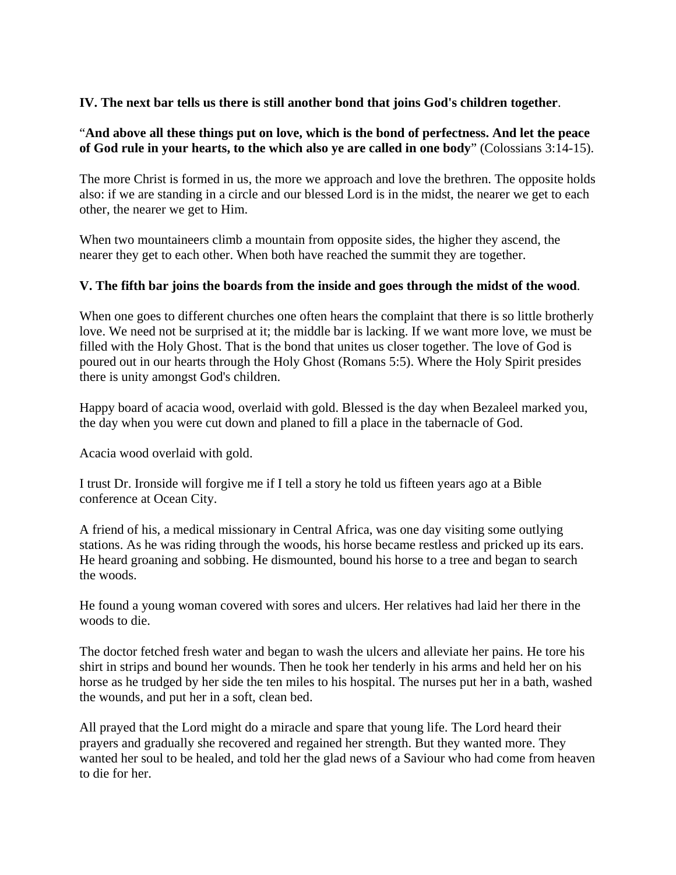## **IV. The next bar tells us there is still another bond that joins God's children together**.

#### "**And above all these things put on love, which is the bond of perfectness. And let the peace of God rule in your hearts, to the which also ye are called in one body**" (Colossians 3:14-15).

The more Christ is formed in us, the more we approach and love the brethren. The opposite holds also: if we are standing in a circle and our blessed Lord is in the midst, the nearer we get to each other, the nearer we get to Him.

When two mountaineers climb a mountain from opposite sides, the higher they ascend, the nearer they get to each other. When both have reached the summit they are together.

#### **V. The fifth bar joins the boards from the inside and goes through the midst of the wood**.

When one goes to different churches one often hears the complaint that there is so little brotherly love. We need not be surprised at it; the middle bar is lacking. If we want more love, we must be filled with the Holy Ghost. That is the bond that unites us closer together. The love of God is poured out in our hearts through the Holy Ghost (Romans 5:5). Where the Holy Spirit presides there is unity amongst God's children.

Happy board of acacia wood, overlaid with gold. Blessed is the day when Bezaleel marked you, the day when you were cut down and planed to fill a place in the tabernacle of God.

Acacia wood overlaid with gold.

I trust Dr. Ironside will forgive me if I tell a story he told us fifteen years ago at a Bible conference at Ocean City.

A friend of his, a medical missionary in Central Africa, was one day visiting some outlying stations. As he was riding through the woods, his horse became restless and pricked up its ears. He heard groaning and sobbing. He dismounted, bound his horse to a tree and began to search the woods.

He found a young woman covered with sores and ulcers. Her relatives had laid her there in the woods to die.

The doctor fetched fresh water and began to wash the ulcers and alleviate her pains. He tore his shirt in strips and bound her wounds. Then he took her tenderly in his arms and held her on his horse as he trudged by her side the ten miles to his hospital. The nurses put her in a bath, washed the wounds, and put her in a soft, clean bed.

All prayed that the Lord might do a miracle and spare that young life. The Lord heard their prayers and gradually she recovered and regained her strength. But they wanted more. They wanted her soul to be healed, and told her the glad news of a Saviour who had come from heaven to die for her.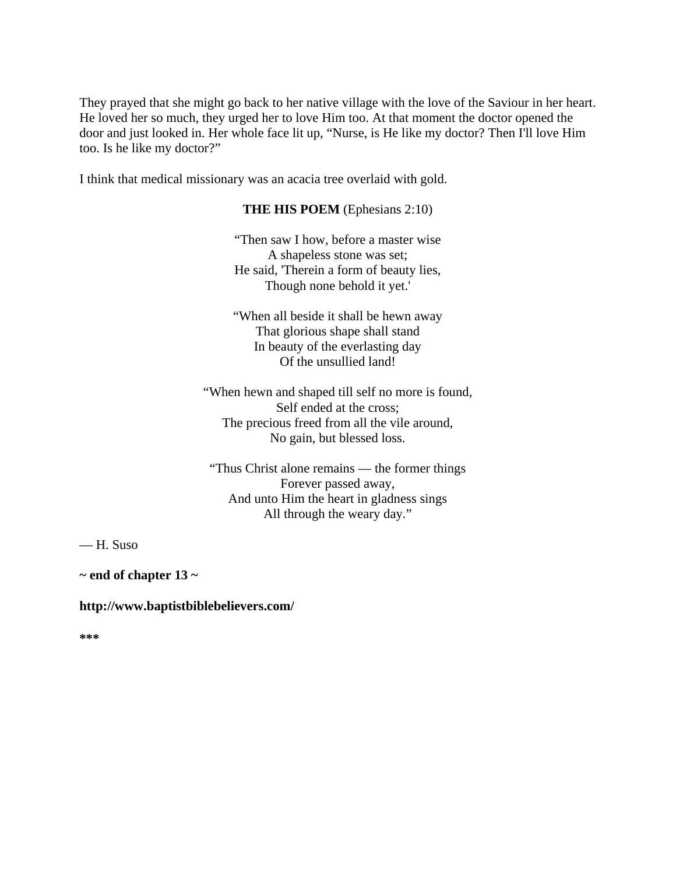They prayed that she might go back to her native village with the love of the Saviour in her heart. He loved her so much, they urged her to love Him too. At that moment the doctor opened the door and just looked in. Her whole face lit up, "Nurse, is He like my doctor? Then I'll love Him too. Is he like my doctor?"

I think that medical missionary was an acacia tree overlaid with gold.

## **THE HIS POEM** (Ephesians 2:10)

"Then saw I how, before a master wise A shapeless stone was set; He said, 'Therein a form of beauty lies, Though none behold it yet.'

"When all beside it shall be hewn away That glorious shape shall stand In beauty of the everlasting day Of the unsullied land!

"When hewn and shaped till self no more is found, Self ended at the cross; The precious freed from all the vile around, No gain, but blessed loss.

"Thus Christ alone remains — the former things Forever passed away, And unto Him the heart in gladness sings All through the weary day."

— H. Suso

**~ end of chapter 13 ~** 

## **http://www.baptistbiblebelievers.com/**

**\*\*\***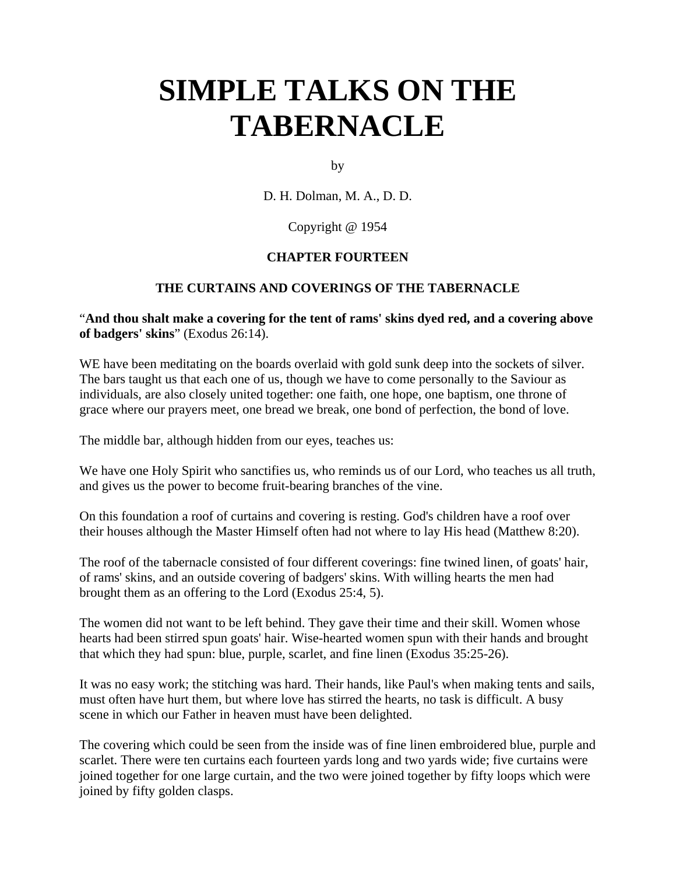# **SIMPLE TALKS ON THE TABERNACLE**

by

D. H. Dolman, M. A., D. D.

## Copyright @ 1954

## **CHAPTER FOURTEEN**

# **THE CURTAINS AND COVERINGS OF THE TABERNACLE**

## "**And thou shalt make a covering for the tent of rams' skins dyed red, and a covering above of badgers' skins**" (Exodus 26:14).

WE have been meditating on the boards overlaid with gold sunk deep into the sockets of silver. The bars taught us that each one of us, though we have to come personally to the Saviour as individuals, are also closely united together: one faith, one hope, one baptism, one throne of grace where our prayers meet, one bread we break, one bond of perfection, the bond of love.

The middle bar, although hidden from our eyes, teaches us:

We have one Holy Spirit who sanctifies us, who reminds us of our Lord, who teaches us all truth, and gives us the power to become fruit-bearing branches of the vine.

On this foundation a roof of curtains and covering is resting. God's children have a roof over their houses although the Master Himself often had not where to lay His head (Matthew 8:20).

The roof of the tabernacle consisted of four different coverings: fine twined linen, of goats' hair, of rams' skins, and an outside covering of badgers' skins. With willing hearts the men had brought them as an offering to the Lord (Exodus 25:4, 5).

The women did not want to be left behind. They gave their time and their skill. Women whose hearts had been stirred spun goats' hair. Wise-hearted women spun with their hands and brought that which they had spun: blue, purple, scarlet, and fine linen (Exodus 35:25-26).

It was no easy work; the stitching was hard. Their hands, like Paul's when making tents and sails, must often have hurt them, but where love has stirred the hearts, no task is difficult. A busy scene in which our Father in heaven must have been delighted.

The covering which could be seen from the inside was of fine linen embroidered blue, purple and scarlet. There were ten curtains each fourteen yards long and two yards wide; five curtains were joined together for one large curtain, and the two were joined together by fifty loops which were joined by fifty golden clasps.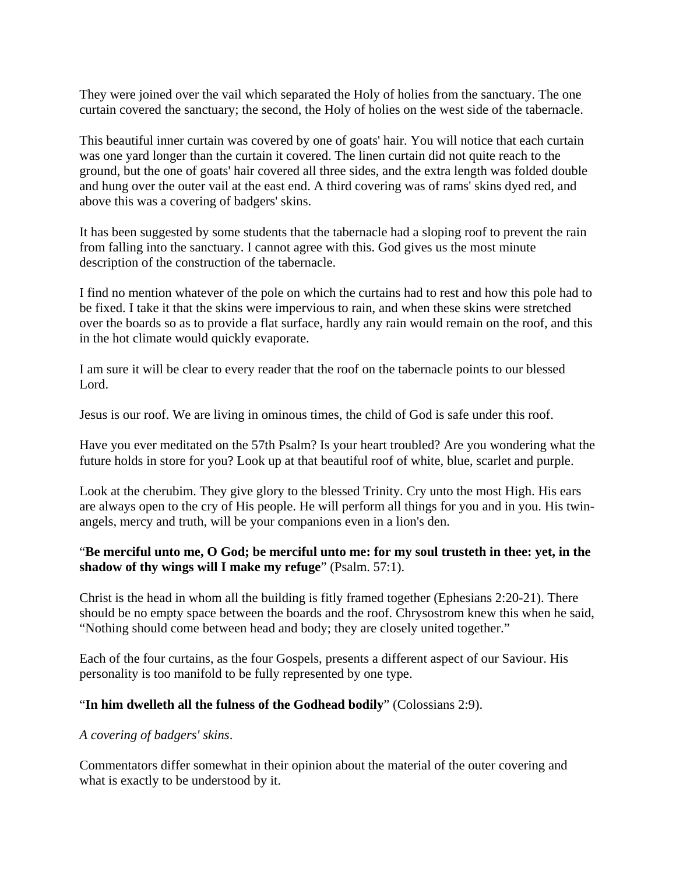They were joined over the vail which separated the Holy of holies from the sanctuary. The one curtain covered the sanctuary; the second, the Holy of holies on the west side of the tabernacle.

This beautiful inner curtain was covered by one of goats' hair. You will notice that each curtain was one yard longer than the curtain it covered. The linen curtain did not quite reach to the ground, but the one of goats' hair covered all three sides, and the extra length was folded double and hung over the outer vail at the east end. A third covering was of rams' skins dyed red, and above this was a covering of badgers' skins.

It has been suggested by some students that the tabernacle had a sloping roof to prevent the rain from falling into the sanctuary. I cannot agree with this. God gives us the most minute description of the construction of the tabernacle.

I find no mention whatever of the pole on which the curtains had to rest and how this pole had to be fixed. I take it that the skins were impervious to rain, and when these skins were stretched over the boards so as to provide a flat surface, hardly any rain would remain on the roof, and this in the hot climate would quickly evaporate.

I am sure it will be clear to every reader that the roof on the tabernacle points to our blessed Lord.

Jesus is our roof. We are living in ominous times, the child of God is safe under this roof.

Have you ever meditated on the 57th Psalm? Is your heart troubled? Are you wondering what the future holds in store for you? Look up at that beautiful roof of white, blue, scarlet and purple.

Look at the cherubim. They give glory to the blessed Trinity. Cry unto the most High. His ears are always open to the cry of His people. He will perform all things for you and in you. His twinangels, mercy and truth, will be your companions even in a lion's den.

# "**Be merciful unto me, O God; be merciful unto me: for my soul trusteth in thee: yet, in the shadow of thy wings will I make my refuge**" (Psalm. 57:1).

Christ is the head in whom all the building is fitly framed together (Ephesians 2:20-21). There should be no empty space between the boards and the roof. Chrysostrom knew this when he said, "Nothing should come between head and body; they are closely united together."

Each of the four curtains, as the four Gospels, presents a different aspect of our Saviour. His personality is too manifold to be fully represented by one type.

## "**In him dwelleth all the fulness of the Godhead bodily**" (Colossians 2:9).

## *A covering of badgers' skins*.

Commentators differ somewhat in their opinion about the material of the outer covering and what is exactly to be understood by it.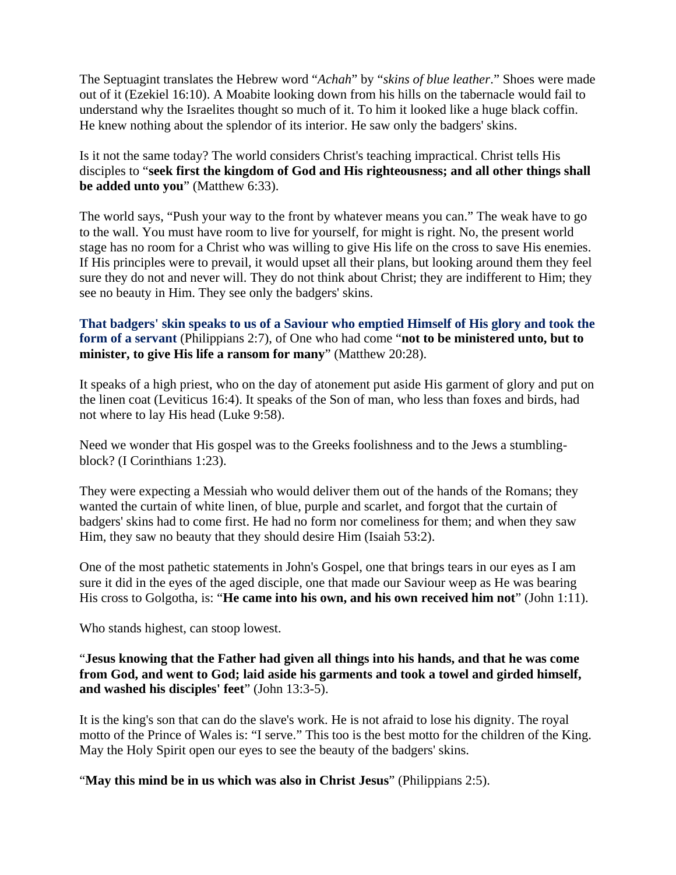The Septuagint translates the Hebrew word "*Achah*" by "*skins of blue leather*." Shoes were made out of it (Ezekiel 16:10). A Moabite looking down from his hills on the tabernacle would fail to understand why the Israelites thought so much of it. To him it looked like a huge black coffin. He knew nothing about the splendor of its interior. He saw only the badgers' skins.

Is it not the same today? The world considers Christ's teaching impractical. Christ tells His disciples to "**seek first the kingdom of God and His righteousness; and all other things shall be added unto you**" (Matthew 6:33).

The world says, "Push your way to the front by whatever means you can." The weak have to go to the wall. You must have room to live for yourself, for might is right. No, the present world stage has no room for a Christ who was willing to give His life on the cross to save His enemies. If His principles were to prevail, it would upset all their plans, but looking around them they feel sure they do not and never will. They do not think about Christ; they are indifferent to Him; they see no beauty in Him. They see only the badgers' skins.

# **That badgers' skin speaks to us of a Saviour who emptied Himself of His glory and took the form of a servant** (Philippians 2:7), of One who had come "**not to be ministered unto, but to minister, to give His life a ransom for many**" (Matthew 20:28).

It speaks of a high priest, who on the day of atonement put aside His garment of glory and put on the linen coat (Leviticus 16:4). It speaks of the Son of man, who less than foxes and birds, had not where to lay His head (Luke 9:58).

Need we wonder that His gospel was to the Greeks foolishness and to the Jews a stumblingblock? (I Corinthians 1:23).

They were expecting a Messiah who would deliver them out of the hands of the Romans; they wanted the curtain of white linen, of blue, purple and scarlet, and forgot that the curtain of badgers' skins had to come first. He had no form nor comeliness for them; and when they saw Him, they saw no beauty that they should desire Him (Isaiah 53:2).

One of the most pathetic statements in John's Gospel, one that brings tears in our eyes as I am sure it did in the eyes of the aged disciple, one that made our Saviour weep as He was bearing His cross to Golgotha, is: "**He came into his own, and his own received him not**" (John 1:11).

Who stands highest, can stoop lowest.

# "**Jesus knowing that the Father had given all things into his hands, and that he was come from God, and went to God; laid aside his garments and took a towel and girded himself, and washed his disciples' feet**" (John 13:3-5).

It is the king's son that can do the slave's work. He is not afraid to lose his dignity. The royal motto of the Prince of Wales is: "I serve." This too is the best motto for the children of the King. May the Holy Spirit open our eyes to see the beauty of the badgers' skins.

"**May this mind be in us which was also in Christ Jesus**" (Philippians 2:5).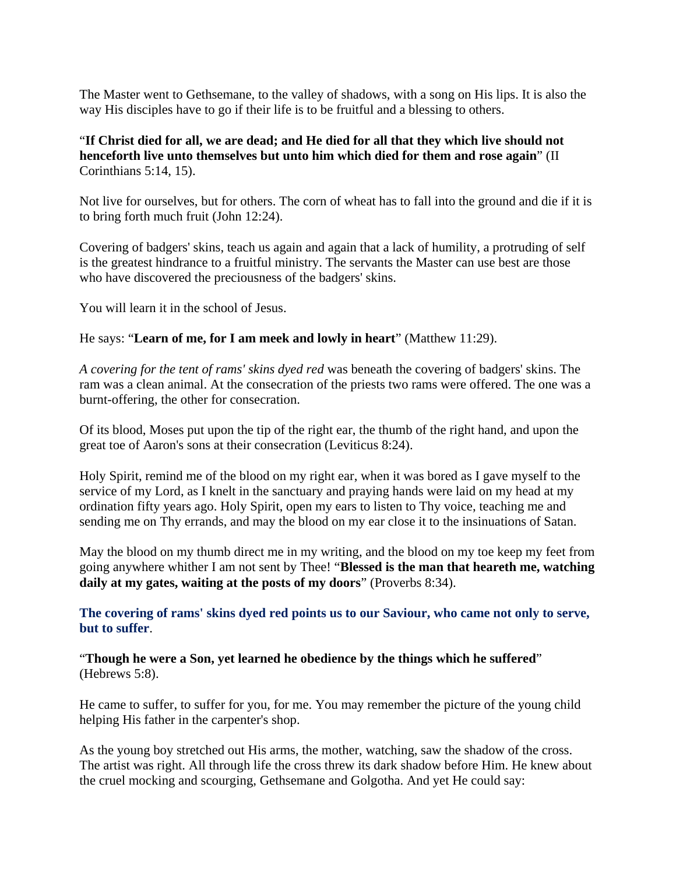The Master went to Gethsemane, to the valley of shadows, with a song on His lips. It is also the way His disciples have to go if their life is to be fruitful and a blessing to others.

"**If Christ died for all, we are dead; and He died for all that they which live should not henceforth live unto themselves but unto him which died for them and rose again**" (II Corinthians 5:14, 15).

Not live for ourselves, but for others. The corn of wheat has to fall into the ground and die if it is to bring forth much fruit (John 12:24).

Covering of badgers' skins, teach us again and again that a lack of humility, a protruding of self is the greatest hindrance to a fruitful ministry. The servants the Master can use best are those who have discovered the preciousness of the badgers' skins.

You will learn it in the school of Jesus.

He says: "**Learn of me, for I am meek and lowly in heart**" (Matthew 11:29).

*A covering for the tent of rams' skins dyed red* was beneath the covering of badgers' skins. The ram was a clean animal. At the consecration of the priests two rams were offered. The one was a burnt-offering, the other for consecration.

Of its blood, Moses put upon the tip of the right ear, the thumb of the right hand, and upon the great toe of Aaron's sons at their consecration (Leviticus 8:24).

Holy Spirit, remind me of the blood on my right ear, when it was bored as I gave myself to the service of my Lord, as I knelt in the sanctuary and praying hands were laid on my head at my ordination fifty years ago. Holy Spirit, open my ears to listen to Thy voice, teaching me and sending me on Thy errands, and may the blood on my ear close it to the insinuations of Satan.

May the blood on my thumb direct me in my writing, and the blood on my toe keep my feet from going anywhere whither I am not sent by Thee! "**Blessed is the man that heareth me, watching daily at my gates, waiting at the posts of my doors**" (Proverbs 8:34).

**The covering of rams' skins dyed red points us to our Saviour, who came not only to serve, but to suffer**.

"**Though he were a Son, yet learned he obedience by the things which he suffered**" (Hebrews 5:8).

He came to suffer, to suffer for you, for me. You may remember the picture of the young child helping His father in the carpenter's shop.

As the young boy stretched out His arms, the mother, watching, saw the shadow of the cross. The artist was right. All through life the cross threw its dark shadow before Him. He knew about the cruel mocking and scourging, Gethsemane and Golgotha. And yet He could say: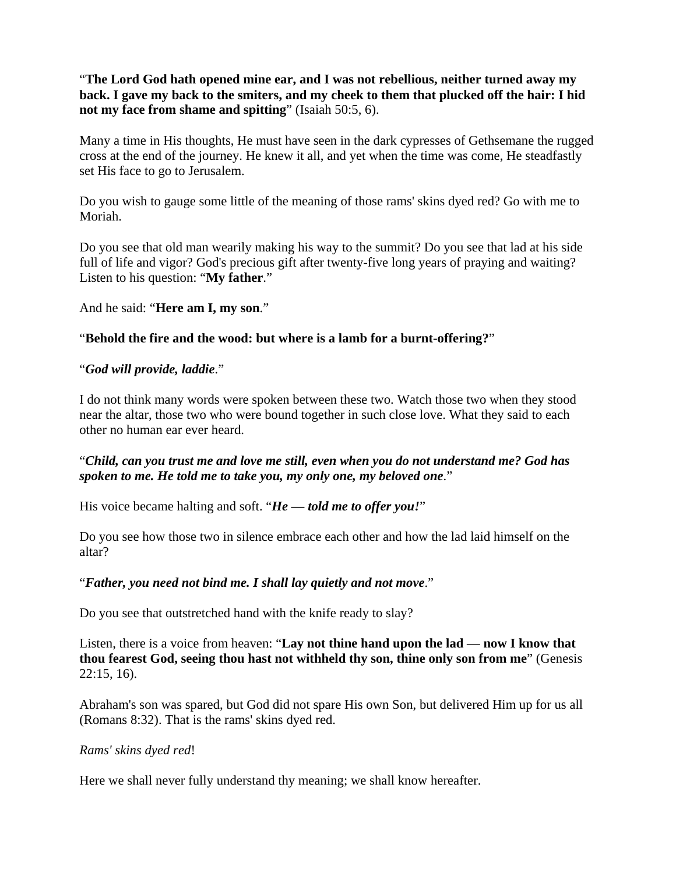"**The Lord God hath opened mine ear, and I was not rebellious, neither turned away my back. I gave my back to the smiters, and my cheek to them that plucked off the hair: I hid not my face from shame and spitting**" (Isaiah 50:5, 6).

Many a time in His thoughts, He must have seen in the dark cypresses of Gethsemane the rugged cross at the end of the journey. He knew it all, and yet when the time was come, He steadfastly set His face to go to Jerusalem.

Do you wish to gauge some little of the meaning of those rams' skins dyed red? Go with me to Moriah.

Do you see that old man wearily making his way to the summit? Do you see that lad at his side full of life and vigor? God's precious gift after twenty-five long years of praying and waiting? Listen to his question: "**My father**."

And he said: "**Here am I, my son**."

# "**Behold the fire and the wood: but where is a lamb for a burnt-offering?**"

# "*God will provide, laddie*."

I do not think many words were spoken between these two. Watch those two when they stood near the altar, those two who were bound together in such close love. What they said to each other no human ear ever heard.

# "*Child, can you trust me and love me still, even when you do not understand me? God has spoken to me. He told me to take you, my only one, my beloved one*."

His voice became halting and soft. "*He — told me to offer you!*"

Do you see how those two in silence embrace each other and how the lad laid himself on the altar?

## "*Father, you need not bind me. I shall lay quietly and not move*."

Do you see that outstretched hand with the knife ready to slay?

Listen, there is a voice from heaven: "**Lay not thine hand upon the lad** — **now I know that thou fearest God, seeing thou hast not withheld thy son, thine only son from me**" (Genesis 22:15, 16).

Abraham's son was spared, but God did not spare His own Son, but delivered Him up for us all (Romans 8:32). That is the rams' skins dyed red.

## *Rams' skins dyed red*!

Here we shall never fully understand thy meaning; we shall know hereafter.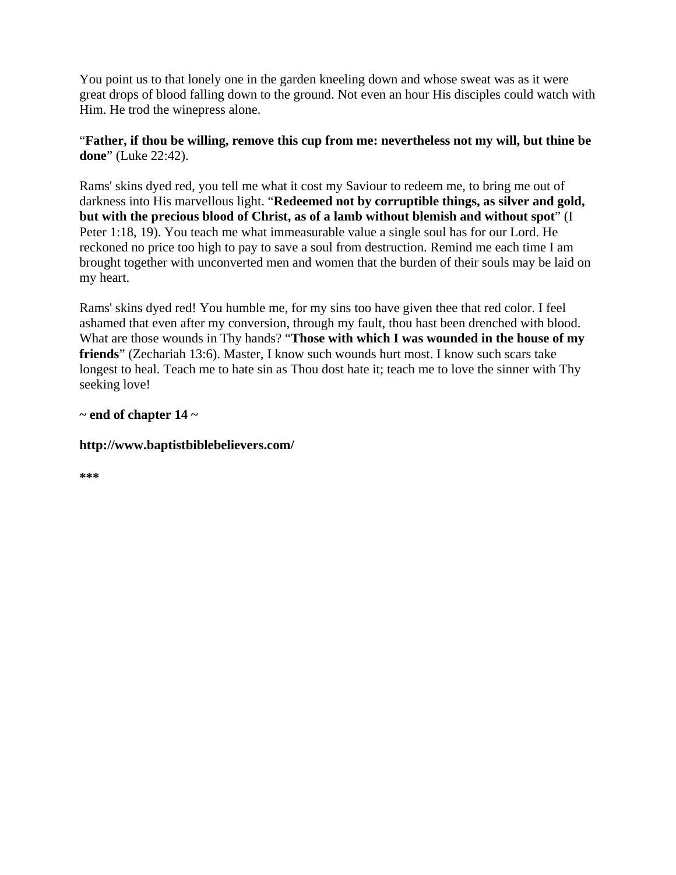You point us to that lonely one in the garden kneeling down and whose sweat was as it were great drops of blood falling down to the ground. Not even an hour His disciples could watch with Him. He trod the winepress alone.

# "**Father, if thou be willing, remove this cup from me: nevertheless not my will, but thine be done**" (Luke 22:42).

Rams' skins dyed red, you tell me what it cost my Saviour to redeem me, to bring me out of darkness into His marvellous light. "**Redeemed not by corruptible things, as silver and gold, but with the precious blood of Christ, as of a lamb without blemish and without spot**" (I Peter 1:18, 19). You teach me what immeasurable value a single soul has for our Lord. He reckoned no price too high to pay to save a soul from destruction. Remind me each time I am brought together with unconverted men and women that the burden of their souls may be laid on my heart.

Rams' skins dyed red! You humble me, for my sins too have given thee that red color. I feel ashamed that even after my conversion, through my fault, thou hast been drenched with blood. What are those wounds in Thy hands? "**Those with which I was wounded in the house of my friends**" (Zechariah 13:6). Master, I know such wounds hurt most. I know such scars take longest to heal. Teach me to hate sin as Thou dost hate it; teach me to love the sinner with Thy seeking love!

# **~ end of chapter 14 ~**

# **http://www.baptistbiblebelievers.com/**

**\*\*\***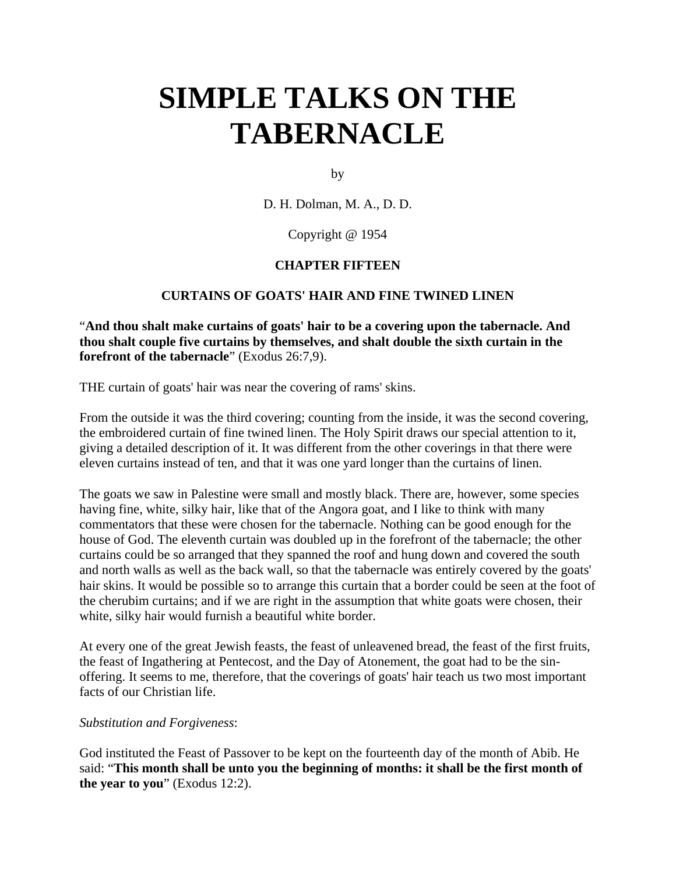# **SIMPLE TALKS ON THE TABERNACLE**

by

D. H. Dolman, M. A., D. D.

Copyright @ 1954

# **CHAPTER FIFTEEN**

# **CURTAINS OF GOATS' HAIR AND FINE TWINED LINEN**

"**And thou shalt make curtains of goats' hair to be a covering upon the tabernacle. And thou shalt couple five curtains by themselves, and shalt double the sixth curtain in the forefront of the tabernacle**" (Exodus 26:7,9).

THE curtain of goats' hair was near the covering of rams' skins.

From the outside it was the third covering; counting from the inside, it was the second covering, the embroidered curtain of fine twined linen. The Holy Spirit draws our special attention to it, giving a detailed description of it. It was different from the other coverings in that there were eleven curtains instead of ten, and that it was one yard longer than the curtains of linen.

The goats we saw in Palestine were small and mostly black. There are, however, some species having fine, white, silky hair, like that of the Angora goat, and I like to think with many commentators that these were chosen for the tabernacle. Nothing can be good enough for the house of God. The eleventh curtain was doubled up in the forefront of the tabernacle; the other curtains could be so arranged that they spanned the roof and hung down and covered the south and north walls as well as the back wall, so that the tabernacle was entirely covered by the goats' hair skins. It would be possible so to arrange this curtain that a border could be seen at the foot of the cherubim curtains; and if we are right in the assumption that white goats were chosen, their white, silky hair would furnish a beautiful white border.

At every one of the great Jewish feasts, the feast of unleavened bread, the feast of the first fruits, the feast of Ingathering at Pentecost, and the Day of Atonement, the goat had to be the sinoffering. It seems to me, therefore, that the coverings of goats' hair teach us two most important facts of our Christian life.

## *Substitution and Forgiveness*:

God instituted the Feast of Passover to be kept on the fourteenth day of the month of Abib. He said: "**This month shall be unto you the beginning of months: it shall be the first month of the year to you**" (Exodus 12:2).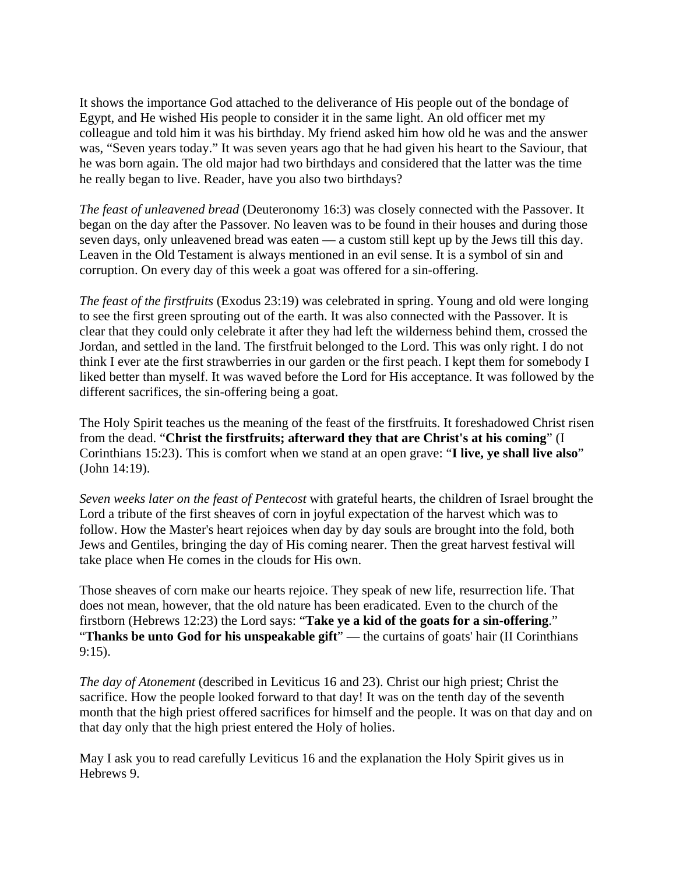It shows the importance God attached to the deliverance of His people out of the bondage of Egypt, and He wished His people to consider it in the same light. An old officer met my colleague and told him it was his birthday. My friend asked him how old he was and the answer was, "Seven years today." It was seven years ago that he had given his heart to the Saviour, that he was born again. The old major had two birthdays and considered that the latter was the time he really began to live. Reader, have you also two birthdays?

*The feast of unleavened bread* (Deuteronomy 16:3) was closely connected with the Passover. It began on the day after the Passover. No leaven was to be found in their houses and during those seven days, only unleavened bread was eaten — a custom still kept up by the Jews till this day. Leaven in the Old Testament is always mentioned in an evil sense. It is a symbol of sin and corruption. On every day of this week a goat was offered for a sin-offering.

*The feast of the firstfruits* (Exodus 23:19) was celebrated in spring. Young and old were longing to see the first green sprouting out of the earth. It was also connected with the Passover. It is clear that they could only celebrate it after they had left the wilderness behind them, crossed the Jordan, and settled in the land. The firstfruit belonged to the Lord. This was only right. I do not think I ever ate the first strawberries in our garden or the first peach. I kept them for somebody I liked better than myself. It was waved before the Lord for His acceptance. It was followed by the different sacrifices, the sin-offering being a goat.

The Holy Spirit teaches us the meaning of the feast of the firstfruits. It foreshadowed Christ risen from the dead. "**Christ the firstfruits; afterward they that are Christ's at his coming**" (I Corinthians 15:23). This is comfort when we stand at an open grave: "**I live, ye shall live also**" (John 14:19).

*Seven weeks later on the feast of Pentecost* with grateful hearts, the children of Israel brought the Lord a tribute of the first sheaves of corn in joyful expectation of the harvest which was to follow. How the Master's heart rejoices when day by day souls are brought into the fold, both Jews and Gentiles, bringing the day of His coming nearer. Then the great harvest festival will take place when He comes in the clouds for His own.

Those sheaves of corn make our hearts rejoice. They speak of new life, resurrection life. That does not mean, however, that the old nature has been eradicated. Even to the church of the firstborn (Hebrews 12:23) the Lord says: "**Take ye a kid of the goats for a sin-offering**." "**Thanks be unto God for his unspeakable gift**" — the curtains of goats' hair (II Corinthians 9:15).

*The day of Atonement* (described in Leviticus 16 and 23). Christ our high priest; Christ the sacrifice. How the people looked forward to that day! It was on the tenth day of the seventh month that the high priest offered sacrifices for himself and the people. It was on that day and on that day only that the high priest entered the Holy of holies.

May I ask you to read carefully Leviticus 16 and the explanation the Holy Spirit gives us in Hebrews 9.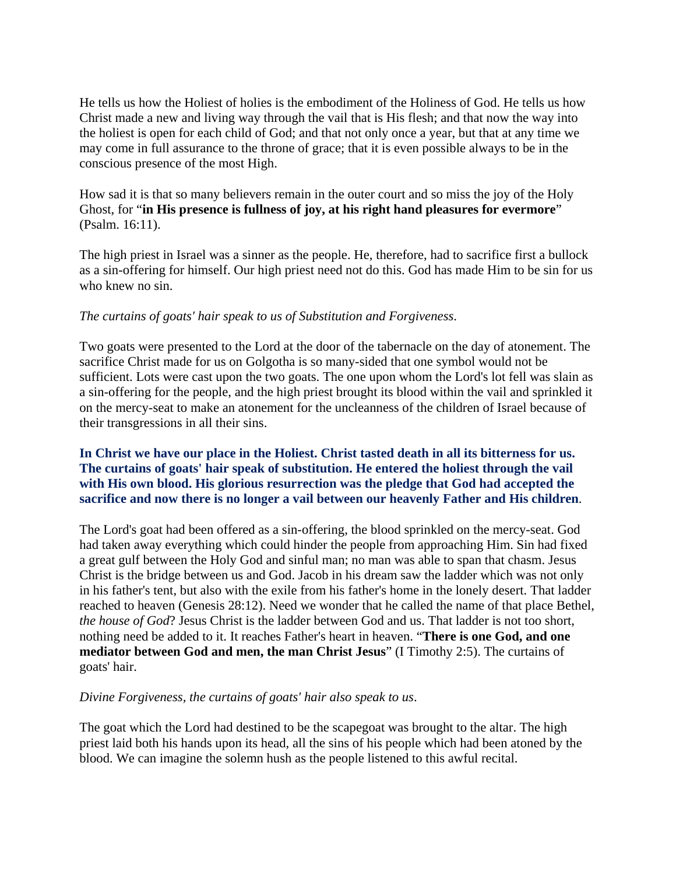He tells us how the Holiest of holies is the embodiment of the Holiness of God. He tells us how Christ made a new and living way through the vail that is His flesh; and that now the way into the holiest is open for each child of God; and that not only once a year, but that at any time we may come in full assurance to the throne of grace; that it is even possible always to be in the conscious presence of the most High.

How sad it is that so many believers remain in the outer court and so miss the joy of the Holy Ghost, for "**in His presence is fullness of joy, at his right hand pleasures for evermore**" (Psalm. 16:11).

The high priest in Israel was a sinner as the people. He, therefore, had to sacrifice first a bullock as a sin-offering for himself. Our high priest need not do this. God has made Him to be sin for us who knew no sin.

## *The curtains of goats' hair speak to us of Substitution and Forgiveness*.

Two goats were presented to the Lord at the door of the tabernacle on the day of atonement. The sacrifice Christ made for us on Golgotha is so many-sided that one symbol would not be sufficient. Lots were cast upon the two goats. The one upon whom the Lord's lot fell was slain as a sin-offering for the people, and the high priest brought its blood within the vail and sprinkled it on the mercy-seat to make an atonement for the uncleanness of the children of Israel because of their transgressions in all their sins.

# **In Christ we have our place in the Holiest. Christ tasted death in all its bitterness for us. The curtains of goats' hair speak of substitution. He entered the holiest through the vail with His own blood. His glorious resurrection was the pledge that God had accepted the sacrifice and now there is no longer a vail between our heavenly Father and His children**.

The Lord's goat had been offered as a sin-offering, the blood sprinkled on the mercy-seat. God had taken away everything which could hinder the people from approaching Him. Sin had fixed a great gulf between the Holy God and sinful man; no man was able to span that chasm. Jesus Christ is the bridge between us and God. Jacob in his dream saw the ladder which was not only in his father's tent, but also with the exile from his father's home in the lonely desert. That ladder reached to heaven (Genesis 28:12). Need we wonder that he called the name of that place Bethel, *the house of God*? Jesus Christ is the ladder between God and us. That ladder is not too short, nothing need be added to it. It reaches Father's heart in heaven. "**There is one God, and one mediator between God and men, the man Christ Jesus**" (I Timothy 2:5). The curtains of goats' hair.

## *Divine Forgiveness, the curtains of goats' hair also speak to us*.

The goat which the Lord had destined to be the scapegoat was brought to the altar. The high priest laid both his hands upon its head, all the sins of his people which had been atoned by the blood. We can imagine the solemn hush as the people listened to this awful recital.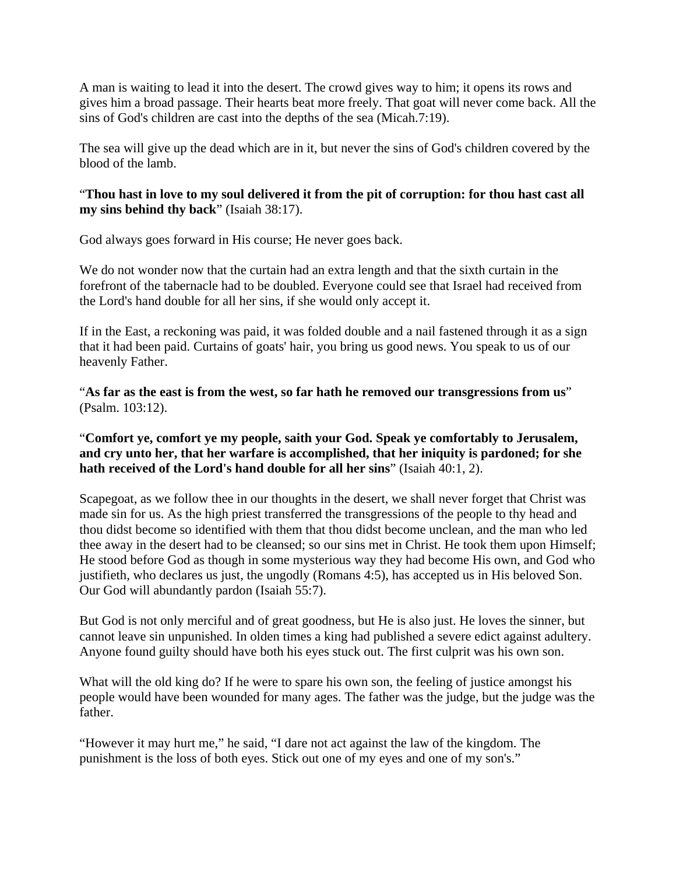A man is waiting to lead it into the desert. The crowd gives way to him; it opens its rows and gives him a broad passage. Their hearts beat more freely. That goat will never come back. All the sins of God's children are cast into the depths of the sea (Micah.7:19).

The sea will give up the dead which are in it, but never the sins of God's children covered by the blood of the lamb.

"**Thou hast in love to my soul delivered it from the pit of corruption: for thou hast cast all my sins behind thy back**" (Isaiah 38:17).

God always goes forward in His course; He never goes back.

We do not wonder now that the curtain had an extra length and that the sixth curtain in the forefront of the tabernacle had to be doubled. Everyone could see that Israel had received from the Lord's hand double for all her sins, if she would only accept it.

If in the East, a reckoning was paid, it was folded double and a nail fastened through it as a sign that it had been paid. Curtains of goats' hair, you bring us good news. You speak to us of our heavenly Father.

"**As far as the east is from the west, so far hath he removed our transgressions from us**" (Psalm. 103:12).

# "**Comfort ye, comfort ye my people, saith your God. Speak ye comfortably to Jerusalem, and cry unto her, that her warfare is accomplished, that her iniquity is pardoned; for she hath received of the Lord's hand double for all her sins**" (Isaiah 40:1, 2).

Scapegoat, as we follow thee in our thoughts in the desert, we shall never forget that Christ was made sin for us. As the high priest transferred the transgressions of the people to thy head and thou didst become so identified with them that thou didst become unclean, and the man who led thee away in the desert had to be cleansed; so our sins met in Christ. He took them upon Himself; He stood before God as though in some mysterious way they had become His own, and God who justifieth, who declares us just, the ungodly (Romans 4:5), has accepted us in His beloved Son. Our God will abundantly pardon (Isaiah 55:7).

But God is not only merciful and of great goodness, but He is also just. He loves the sinner, but cannot leave sin unpunished. In olden times a king had published a severe edict against adultery. Anyone found guilty should have both his eyes stuck out. The first culprit was his own son.

What will the old king do? If he were to spare his own son, the feeling of justice amongst his people would have been wounded for many ages. The father was the judge, but the judge was the father.

"However it may hurt me," he said, "I dare not act against the law of the kingdom. The punishment is the loss of both eyes. Stick out one of my eyes and one of my son's."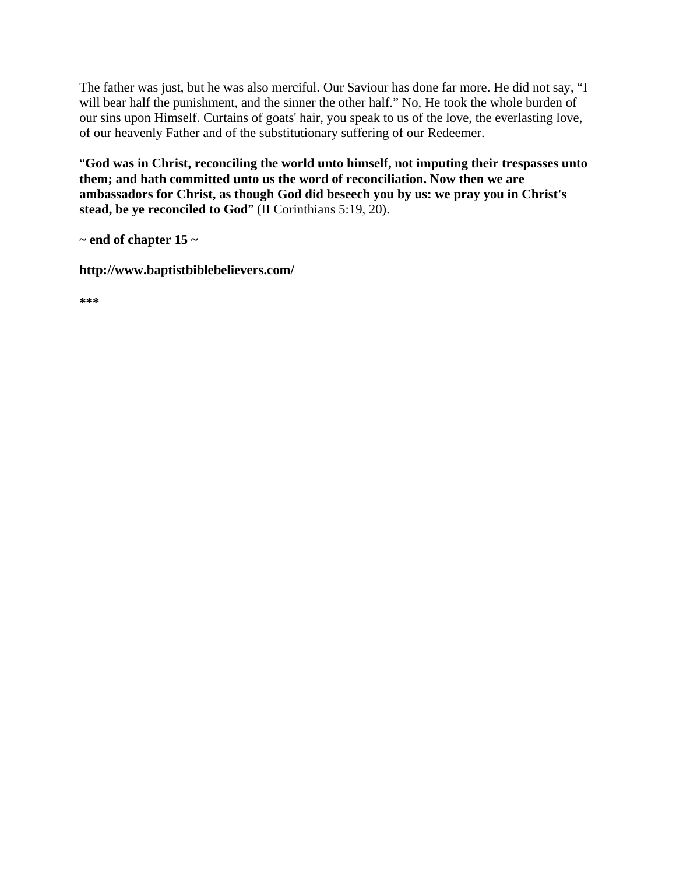The father was just, but he was also merciful. Our Saviour has done far more. He did not say, "I will bear half the punishment, and the sinner the other half." No, He took the whole burden of our sins upon Himself. Curtains of goats' hair, you speak to us of the love, the everlasting love, of our heavenly Father and of the substitutionary suffering of our Redeemer.

"**God was in Christ, reconciling the world unto himself, not imputing their trespasses unto them; and hath committed unto us the word of reconciliation. Now then we are ambassadors for Christ, as though God did beseech you by us: we pray you in Christ's stead, be ye reconciled to God**" (II Corinthians 5:19, 20).

**~ end of chapter 15 ~** 

**http://www.baptistbiblebelievers.com/** 

**\*\*\***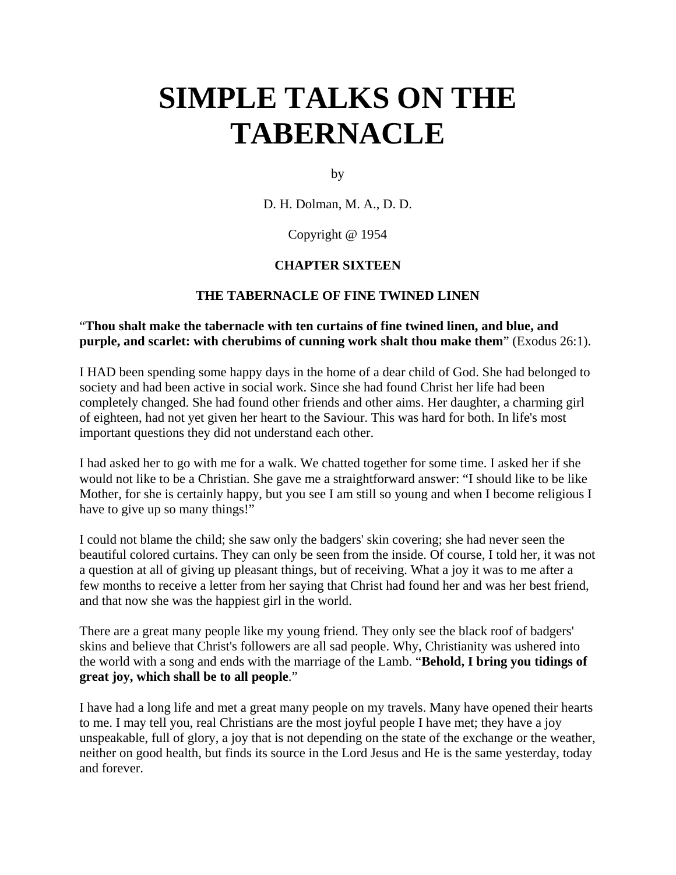# **SIMPLE TALKS ON THE TABERNACLE**

by

D. H. Dolman, M. A., D. D.

Copyright @ 1954

# **CHAPTER SIXTEEN**

# **THE TABERNACLE OF FINE TWINED LINEN**

## "**Thou shalt make the tabernacle with ten curtains of fine twined linen, and blue, and purple, and scarlet: with cherubims of cunning work shalt thou make them**" (Exodus 26:1).

I HAD been spending some happy days in the home of a dear child of God. She had belonged to society and had been active in social work. Since she had found Christ her life had been completely changed. She had found other friends and other aims. Her daughter, a charming girl of eighteen, had not yet given her heart to the Saviour. This was hard for both. In life's most important questions they did not understand each other.

I had asked her to go with me for a walk. We chatted together for some time. I asked her if she would not like to be a Christian. She gave me a straightforward answer: "I should like to be like Mother, for she is certainly happy, but you see I am still so young and when I become religious I have to give up so many things!"

I could not blame the child; she saw only the badgers' skin covering; she had never seen the beautiful colored curtains. They can only be seen from the inside. Of course, I told her, it was not a question at all of giving up pleasant things, but of receiving. What a joy it was to me after a few months to receive a letter from her saying that Christ had found her and was her best friend, and that now she was the happiest girl in the world.

There are a great many people like my young friend. They only see the black roof of badgers' skins and believe that Christ's followers are all sad people. Why, Christianity was ushered into the world with a song and ends with the marriage of the Lamb. "**Behold, I bring you tidings of great joy, which shall be to all people**."

I have had a long life and met a great many people on my travels. Many have opened their hearts to me. I may tell you, real Christians are the most joyful people I have met; they have a joy unspeakable, full of glory, a joy that is not depending on the state of the exchange or the weather, neither on good health, but finds its source in the Lord Jesus and He is the same yesterday, today and forever.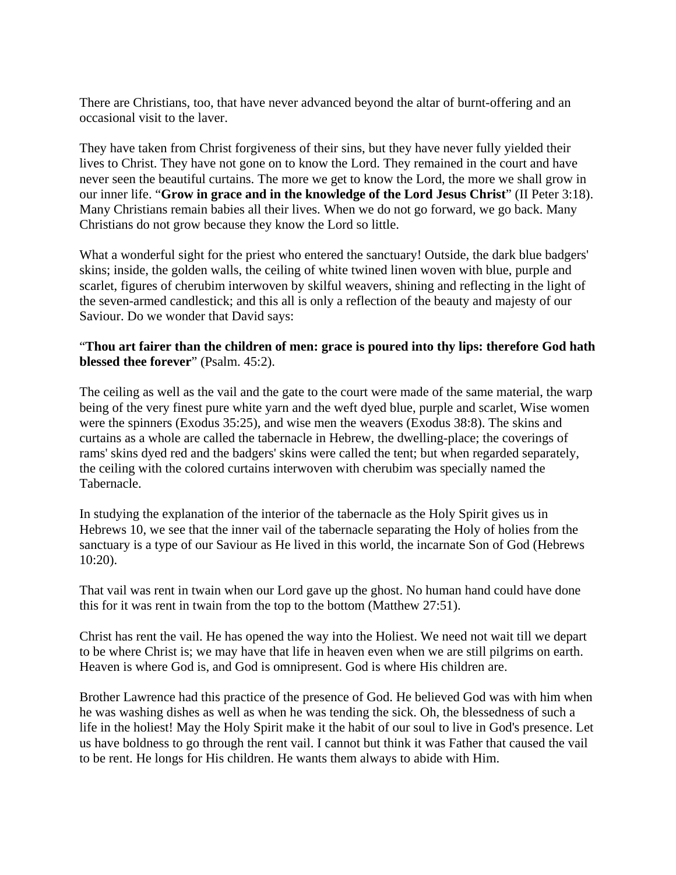There are Christians, too, that have never advanced beyond the altar of burnt-offering and an occasional visit to the laver.

They have taken from Christ forgiveness of their sins, but they have never fully yielded their lives to Christ. They have not gone on to know the Lord. They remained in the court and have never seen the beautiful curtains. The more we get to know the Lord, the more we shall grow in our inner life. "**Grow in grace and in the knowledge of the Lord Jesus Christ**" (II Peter 3:18). Many Christians remain babies all their lives. When we do not go forward, we go back. Many Christians do not grow because they know the Lord so little.

What a wonderful sight for the priest who entered the sanctuary! Outside, the dark blue badgers' skins; inside, the golden walls, the ceiling of white twined linen woven with blue, purple and scarlet, figures of cherubim interwoven by skilful weavers, shining and reflecting in the light of the seven-armed candlestick; and this all is only a reflection of the beauty and majesty of our Saviour. Do we wonder that David says:

## "**Thou art fairer than the children of men: grace is poured into thy lips: therefore God hath blessed thee forever**" (Psalm. 45:2).

The ceiling as well as the vail and the gate to the court were made of the same material, the warp being of the very finest pure white yarn and the weft dyed blue, purple and scarlet, Wise women were the spinners (Exodus 35:25), and wise men the weavers (Exodus 38:8). The skins and curtains as a whole are called the tabernacle in Hebrew, the dwelling-place; the coverings of rams' skins dyed red and the badgers' skins were called the tent; but when regarded separately, the ceiling with the colored curtains interwoven with cherubim was specially named the Tabernacle.

In studying the explanation of the interior of the tabernacle as the Holy Spirit gives us in Hebrews 10, we see that the inner vail of the tabernacle separating the Holy of holies from the sanctuary is a type of our Saviour as He lived in this world, the incarnate Son of God (Hebrews 10:20).

That vail was rent in twain when our Lord gave up the ghost. No human hand could have done this for it was rent in twain from the top to the bottom (Matthew 27:51).

Christ has rent the vail. He has opened the way into the Holiest. We need not wait till we depart to be where Christ is; we may have that life in heaven even when we are still pilgrims on earth. Heaven is where God is, and God is omnipresent. God is where His children are.

Brother Lawrence had this practice of the presence of God. He believed God was with him when he was washing dishes as well as when he was tending the sick. Oh, the blessedness of such a life in the holiest! May the Holy Spirit make it the habit of our soul to live in God's presence. Let us have boldness to go through the rent vail. I cannot but think it was Father that caused the vail to be rent. He longs for His children. He wants them always to abide with Him.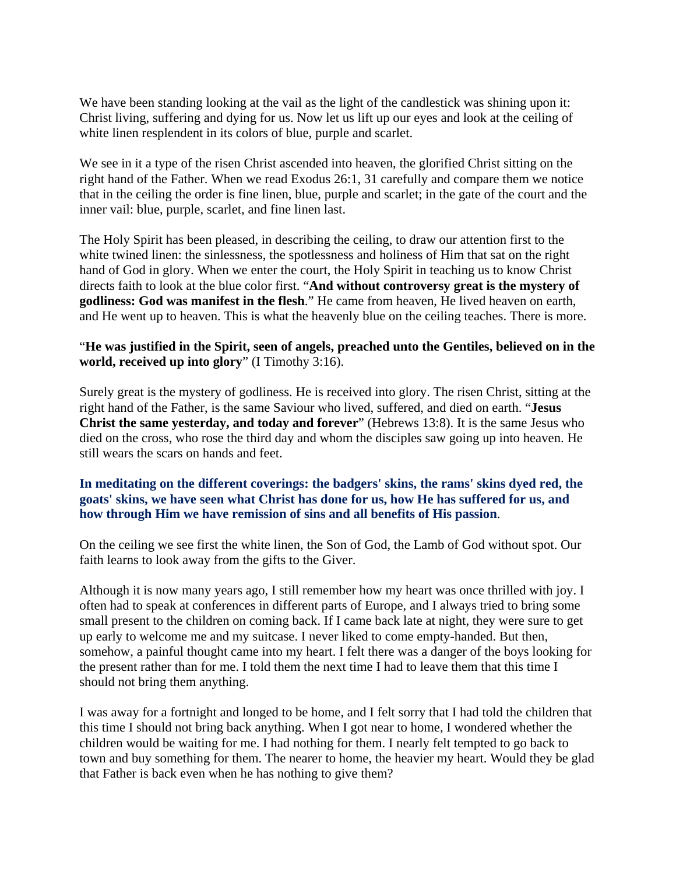We have been standing looking at the vail as the light of the candlestick was shining upon it: Christ living, suffering and dying for us. Now let us lift up our eyes and look at the ceiling of white linen resplendent in its colors of blue, purple and scarlet.

We see in it a type of the risen Christ ascended into heaven, the glorified Christ sitting on the right hand of the Father. When we read Exodus 26:1, 31 carefully and compare them we notice that in the ceiling the order is fine linen, blue, purple and scarlet; in the gate of the court and the inner vail: blue, purple, scarlet, and fine linen last.

The Holy Spirit has been pleased, in describing the ceiling, to draw our attention first to the white twined linen: the sinlessness, the spotlessness and holiness of Him that sat on the right hand of God in glory. When we enter the court, the Holy Spirit in teaching us to know Christ directs faith to look at the blue color first. "**And without controversy great is the mystery of godliness: God was manifest in the flesh**." He came from heaven, He lived heaven on earth, and He went up to heaven. This is what the heavenly blue on the ceiling teaches. There is more.

## "**He was justified in the Spirit, seen of angels, preached unto the Gentiles, believed on in the world, received up into glory**" (I Timothy 3:16).

Surely great is the mystery of godliness. He is received into glory. The risen Christ, sitting at the right hand of the Father, is the same Saviour who lived, suffered, and died on earth. "**Jesus Christ the same yesterday, and today and forever**" (Hebrews 13:8). It is the same Jesus who died on the cross, who rose the third day and whom the disciples saw going up into heaven. He still wears the scars on hands and feet.

# **In meditating on the different coverings: the badgers' skins, the rams' skins dyed red, the goats' skins, we have seen what Christ has done for us, how He has suffered for us, and how through Him we have remission of sins and all benefits of His passion**.

On the ceiling we see first the white linen, the Son of God, the Lamb of God without spot. Our faith learns to look away from the gifts to the Giver.

Although it is now many years ago, I still remember how my heart was once thrilled with joy. I often had to speak at conferences in different parts of Europe, and I always tried to bring some small present to the children on coming back. If I came back late at night, they were sure to get up early to welcome me and my suitcase. I never liked to come empty-handed. But then, somehow, a painful thought came into my heart. I felt there was a danger of the boys looking for the present rather than for me. I told them the next time I had to leave them that this time I should not bring them anything.

I was away for a fortnight and longed to be home, and I felt sorry that I had told the children that this time I should not bring back anything. When I got near to home, I wondered whether the children would be waiting for me. I had nothing for them. I nearly felt tempted to go back to town and buy something for them. The nearer to home, the heavier my heart. Would they be glad that Father is back even when he has nothing to give them?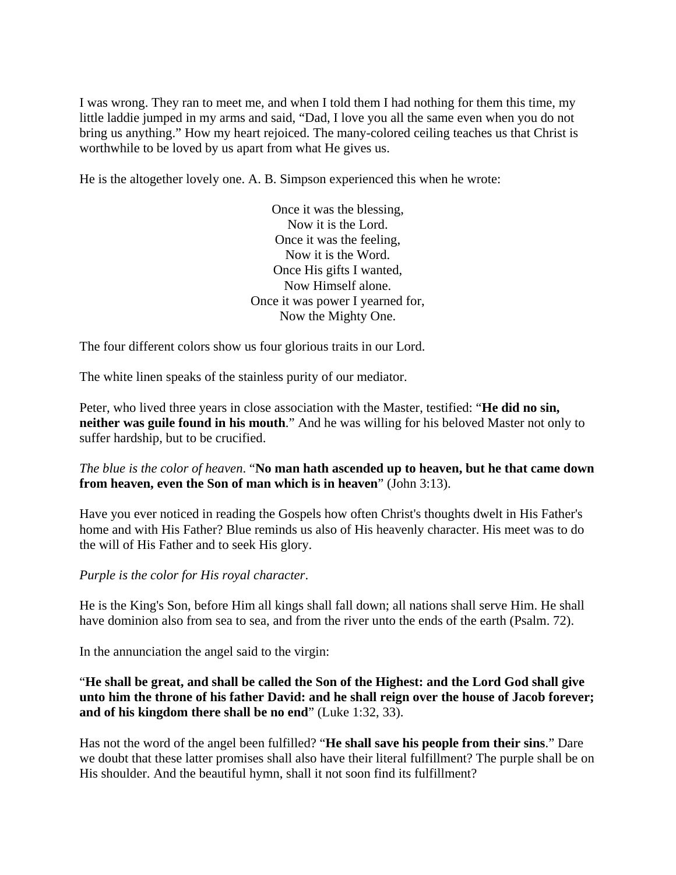I was wrong. They ran to meet me, and when I told them I had nothing for them this time, my little laddie jumped in my arms and said, "Dad, I love you all the same even when you do not bring us anything." How my heart rejoiced. The many-colored ceiling teaches us that Christ is worthwhile to be loved by us apart from what He gives us.

He is the altogether lovely one. A. B. Simpson experienced this when he wrote:

Once it was the blessing, Now it is the Lord. Once it was the feeling, Now it is the Word. Once His gifts I wanted, Now Himself alone. Once it was power I yearned for, Now the Mighty One.

The four different colors show us four glorious traits in our Lord.

The white linen speaks of the stainless purity of our mediator.

Peter, who lived three years in close association with the Master, testified: "**He did no sin, neither was guile found in his mouth**." And he was willing for his beloved Master not only to suffer hardship, but to be crucified.

# *The blue is the color of heaven*. "**No man hath ascended up to heaven, but he that came down from heaven, even the Son of man which is in heaven**" (John 3:13).

Have you ever noticed in reading the Gospels how often Christ's thoughts dwelt in His Father's home and with His Father? Blue reminds us also of His heavenly character. His meet was to do the will of His Father and to seek His glory.

*Purple is the color for His royal character*.

He is the King's Son, before Him all kings shall fall down; all nations shall serve Him. He shall have dominion also from sea to sea, and from the river unto the ends of the earth (Psalm. 72).

In the annunciation the angel said to the virgin:

"**He shall be great, and shall be called the Son of the Highest: and the Lord God shall give unto him the throne of his father David: and he shall reign over the house of Jacob forever; and of his kingdom there shall be no end**" (Luke 1:32, 33).

Has not the word of the angel been fulfilled? "**He shall save his people from their sins**." Dare we doubt that these latter promises shall also have their literal fulfillment? The purple shall be on His shoulder. And the beautiful hymn, shall it not soon find its fulfillment?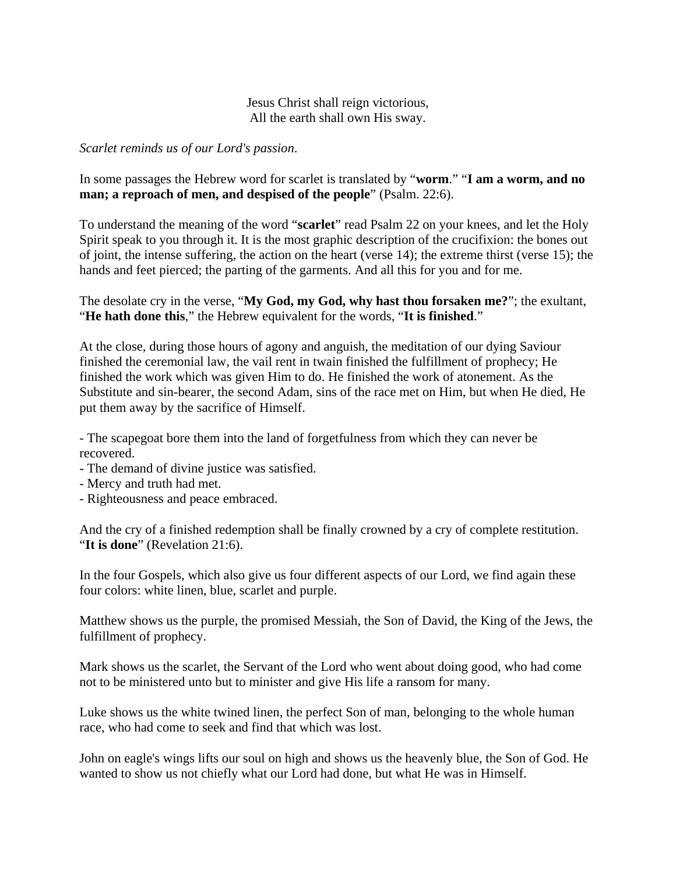# Jesus Christ shall reign victorious, All the earth shall own His sway.

*Scarlet reminds us of our Lord's passion*.

# In some passages the Hebrew word for scarlet is translated by "**worm**." "**I am a worm, and no man; a reproach of men, and despised of the people**" (Psalm. 22:6).

To understand the meaning of the word "**scarlet**" read Psalm 22 on your knees, and let the Holy Spirit speak to you through it. It is the most graphic description of the crucifixion: the bones out of joint, the intense suffering, the action on the heart (verse 14); the extreme thirst (verse 15); the hands and feet pierced; the parting of the garments. And all this for you and for me.

The desolate cry in the verse, "**My God, my God, why hast thou forsaken me?**"; the exultant, "**He hath done this**," the Hebrew equivalent for the words, "**It is finished**."

At the close, during those hours of agony and anguish, the meditation of our dying Saviour finished the ceremonial law, the vail rent in twain finished the fulfillment of prophecy; He finished the work which was given Him to do. He finished the work of atonement. As the Substitute and sin-bearer, the second Adam, sins of the race met on Him, but when He died, He put them away by the sacrifice of Himself.

- The scapegoat bore them into the land of forgetfulness from which they can never be recovered.

- The demand of divine justice was satisfied.
- Mercy and truth had met.
- Righteousness and peace embraced.

And the cry of a finished redemption shall be finally crowned by a cry of complete restitution. "It is done" (Revelation 21:6).

In the four Gospels, which also give us four different aspects of our Lord, we find again these four colors: white linen, blue, scarlet and purple.

Matthew shows us the purple, the promised Messiah, the Son of David, the King of the Jews, the fulfillment of prophecy.

Mark shows us the scarlet, the Servant of the Lord who went about doing good, who had come not to be ministered unto but to minister and give His life a ransom for many.

Luke shows us the white twined linen, the perfect Son of man, belonging to the whole human race, who had come to seek and find that which was lost.

John on eagle's wings lifts our soul on high and shows us the heavenly blue, the Son of God. He wanted to show us not chiefly what our Lord had done, but what He was in Himself.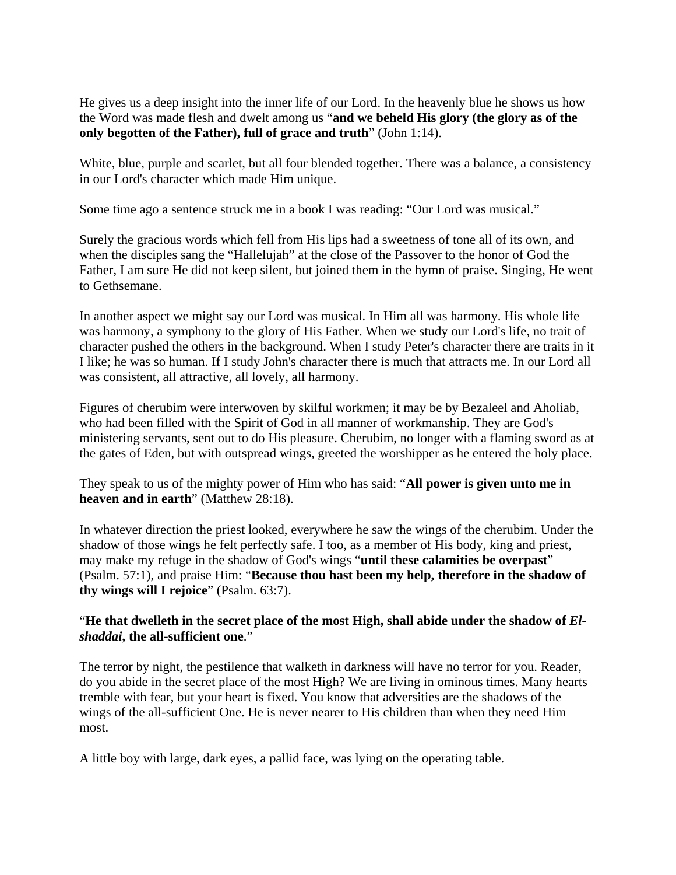He gives us a deep insight into the inner life of our Lord. In the heavenly blue he shows us how the Word was made flesh and dwelt among us "**and we beheld His glory (the glory as of the only begotten of the Father), full of grace and truth**" (John 1:14).

White, blue, purple and scarlet, but all four blended together. There was a balance, a consistency in our Lord's character which made Him unique.

Some time ago a sentence struck me in a book I was reading: "Our Lord was musical."

Surely the gracious words which fell from His lips had a sweetness of tone all of its own, and when the disciples sang the "Hallelujah" at the close of the Passover to the honor of God the Father, I am sure He did not keep silent, but joined them in the hymn of praise. Singing, He went to Gethsemane.

In another aspect we might say our Lord was musical. In Him all was harmony. His whole life was harmony, a symphony to the glory of His Father. When we study our Lord's life, no trait of character pushed the others in the background. When I study Peter's character there are traits in it I like; he was so human. If I study John's character there is much that attracts me. In our Lord all was consistent, all attractive, all lovely, all harmony.

Figures of cherubim were interwoven by skilful workmen; it may be by Bezaleel and Aholiab, who had been filled with the Spirit of God in all manner of workmanship. They are God's ministering servants, sent out to do His pleasure. Cherubim, no longer with a flaming sword as at the gates of Eden, but with outspread wings, greeted the worshipper as he entered the holy place.

They speak to us of the mighty power of Him who has said: "**All power is given unto me in heaven and in earth**" (Matthew 28:18).

In whatever direction the priest looked, everywhere he saw the wings of the cherubim. Under the shadow of those wings he felt perfectly safe. I too, as a member of His body, king and priest, may make my refuge in the shadow of God's wings "**until these calamities be overpast**" (Psalm. 57:1), and praise Him: "**Because thou hast been my help, therefore in the shadow of thy wings will I rejoice**" (Psalm. 63:7).

# "He that dwelleth in the secret place of the most High, shall abide under the shadow of *Elshaddai***, the all-sufficient one**."

The terror by night, the pestilence that walketh in darkness will have no terror for you. Reader, do you abide in the secret place of the most High? We are living in ominous times. Many hearts tremble with fear, but your heart is fixed. You know that adversities are the shadows of the wings of the all-sufficient One. He is never nearer to His children than when they need Him most.

A little boy with large, dark eyes, a pallid face, was lying on the operating table.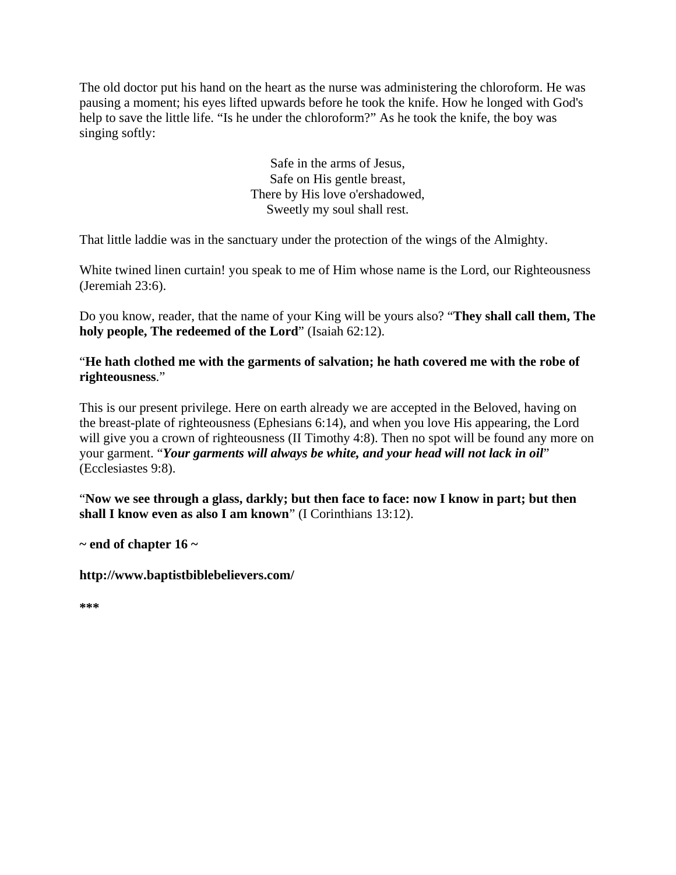The old doctor put his hand on the heart as the nurse was administering the chloroform. He was pausing a moment; his eyes lifted upwards before he took the knife. How he longed with God's help to save the little life. "Is he under the chloroform?" As he took the knife, the boy was singing softly:

> Safe in the arms of Jesus, Safe on His gentle breast, There by His love o'ershadowed, Sweetly my soul shall rest.

That little laddie was in the sanctuary under the protection of the wings of the Almighty.

White twined linen curtain! you speak to me of Him whose name is the Lord, our Righteousness (Jeremiah 23:6).

Do you know, reader, that the name of your King will be yours also? "**They shall call them, The holy people, The redeemed of the Lord**" (Isaiah 62:12).

"**He hath clothed me with the garments of salvation; he hath covered me with the robe of righteousness**."

This is our present privilege. Here on earth already we are accepted in the Beloved, having on the breast-plate of righteousness (Ephesians 6:14), and when you love His appearing, the Lord will give you a crown of righteousness (II Timothy 4:8). Then no spot will be found any more on your garment. "*Your garments will always be white, and your head will not lack in oil*" (Ecclesiastes 9:8).

"**Now we see through a glass, darkly; but then face to face: now I know in part; but then shall I know even as also I am known**" (I Corinthians 13:12).

**~ end of chapter 16 ~** 

**http://www.baptistbiblebelievers.com/** 

**\*\*\***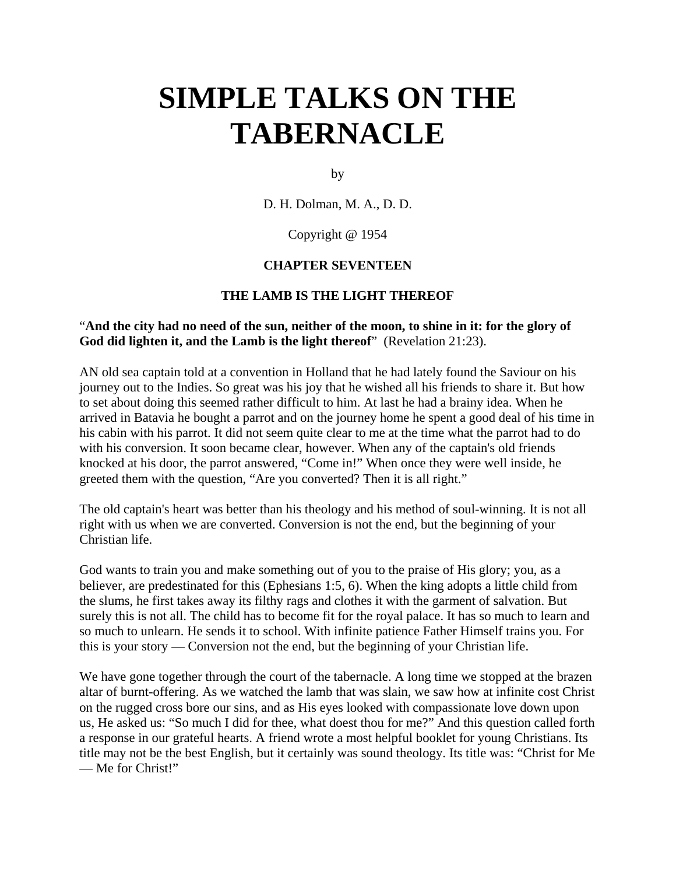# **SIMPLE TALKS ON THE TABERNACLE**

by

D. H. Dolman, M. A., D. D.

Copyright @ 1954

## **CHAPTER SEVENTEEN**

#### **THE LAMB IS THE LIGHT THEREOF**

## "**And the city had no need of the sun, neither of the moon, to shine in it: for the glory of God did lighten it, and the Lamb is the light thereof**" (Revelation 21:23).

AN old sea captain told at a convention in Holland that he had lately found the Saviour on his journey out to the Indies. So great was his joy that he wished all his friends to share it. But how to set about doing this seemed rather difficult to him. At last he had a brainy idea. When he arrived in Batavia he bought a parrot and on the journey home he spent a good deal of his time in his cabin with his parrot. It did not seem quite clear to me at the time what the parrot had to do with his conversion. It soon became clear, however. When any of the captain's old friends knocked at his door, the parrot answered, "Come in!" When once they were well inside, he greeted them with the question, "Are you converted? Then it is all right."

The old captain's heart was better than his theology and his method of soul-winning. It is not all right with us when we are converted. Conversion is not the end, but the beginning of your Christian life.

God wants to train you and make something out of you to the praise of His glory; you, as a believer, are predestinated for this (Ephesians 1:5, 6). When the king adopts a little child from the slums, he first takes away its filthy rags and clothes it with the garment of salvation. But surely this is not all. The child has to become fit for the royal palace. It has so much to learn and so much to unlearn. He sends it to school. With infinite patience Father Himself trains you. For this is your story — Conversion not the end, but the beginning of your Christian life.

We have gone together through the court of the tabernacle. A long time we stopped at the brazen altar of burnt-offering. As we watched the lamb that was slain, we saw how at infinite cost Christ on the rugged cross bore our sins, and as His eyes looked with compassionate love down upon us, He asked us: "So much I did for thee, what doest thou for me?" And this question called forth a response in our grateful hearts. A friend wrote a most helpful booklet for young Christians. Its title may not be the best English, but it certainly was sound theology. Its title was: "Christ for Me — Me for Christ!"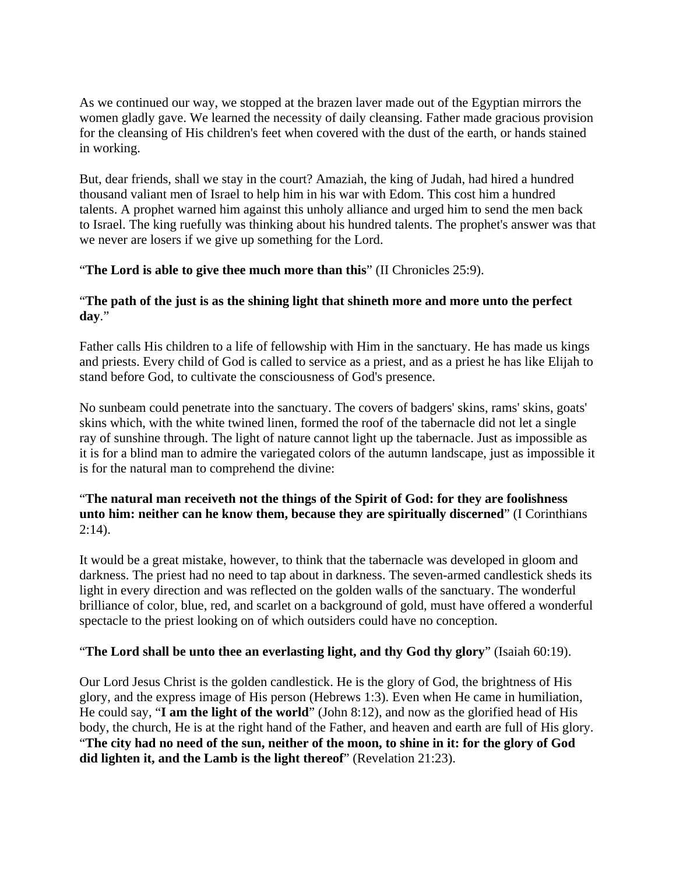As we continued our way, we stopped at the brazen laver made out of the Egyptian mirrors the women gladly gave. We learned the necessity of daily cleansing. Father made gracious provision for the cleansing of His children's feet when covered with the dust of the earth, or hands stained in working.

But, dear friends, shall we stay in the court? Amaziah, the king of Judah, had hired a hundred thousand valiant men of Israel to help him in his war with Edom. This cost him a hundred talents. A prophet warned him against this unholy alliance and urged him to send the men back to Israel. The king ruefully was thinking about his hundred talents. The prophet's answer was that we never are losers if we give up something for the Lord.

# "**The Lord is able to give thee much more than this**" (II Chronicles 25:9).

# "**The path of the just is as the shining light that shineth more and more unto the perfect day**."

Father calls His children to a life of fellowship with Him in the sanctuary. He has made us kings and priests. Every child of God is called to service as a priest, and as a priest he has like Elijah to stand before God, to cultivate the consciousness of God's presence.

No sunbeam could penetrate into the sanctuary. The covers of badgers' skins, rams' skins, goats' skins which, with the white twined linen, formed the roof of the tabernacle did not let a single ray of sunshine through. The light of nature cannot light up the tabernacle. Just as impossible as it is for a blind man to admire the variegated colors of the autumn landscape, just as impossible it is for the natural man to comprehend the divine:

# "**The natural man receiveth not the things of the Spirit of God: for they are foolishness unto him: neither can he know them, because they are spiritually discerned**" (I Corinthians  $2:14$ ).

It would be a great mistake, however, to think that the tabernacle was developed in gloom and darkness. The priest had no need to tap about in darkness. The seven-armed candlestick sheds its light in every direction and was reflected on the golden walls of the sanctuary. The wonderful brilliance of color, blue, red, and scarlet on a background of gold, must have offered a wonderful spectacle to the priest looking on of which outsiders could have no conception.

# "**The Lord shall be unto thee an everlasting light, and thy God thy glory**" (Isaiah 60:19).

Our Lord Jesus Christ is the golden candlestick. He is the glory of God, the brightness of His glory, and the express image of His person (Hebrews 1:3). Even when He came in humiliation, He could say, "**I am the light of the world**" (John 8:12), and now as the glorified head of His body, the church, He is at the right hand of the Father, and heaven and earth are full of His glory. "**The city had no need of the sun, neither of the moon, to shine in it: for the glory of God did lighten it, and the Lamb is the light thereof**" (Revelation 21:23).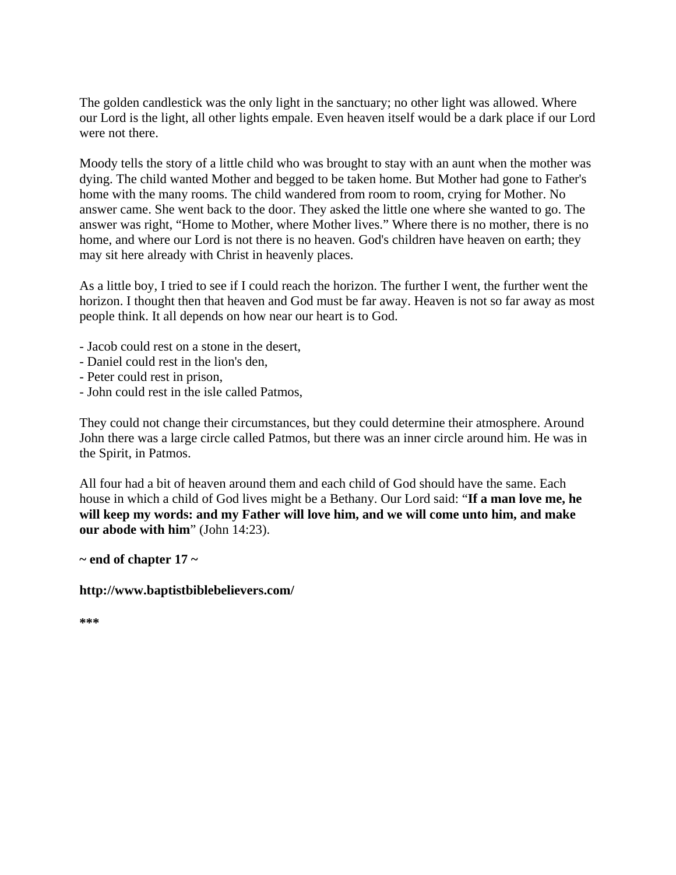The golden candlestick was the only light in the sanctuary; no other light was allowed. Where our Lord is the light, all other lights empale. Even heaven itself would be a dark place if our Lord were not there.

Moody tells the story of a little child who was brought to stay with an aunt when the mother was dying. The child wanted Mother and begged to be taken home. But Mother had gone to Father's home with the many rooms. The child wandered from room to room, crying for Mother. No answer came. She went back to the door. They asked the little one where she wanted to go. The answer was right, "Home to Mother, where Mother lives." Where there is no mother, there is no home, and where our Lord is not there is no heaven. God's children have heaven on earth; they may sit here already with Christ in heavenly places.

As a little boy, I tried to see if I could reach the horizon. The further I went, the further went the horizon. I thought then that heaven and God must be far away. Heaven is not so far away as most people think. It all depends on how near our heart is to God.

- Jacob could rest on a stone in the desert,
- Daniel could rest in the lion's den,
- Peter could rest in prison,
- John could rest in the isle called Patmos,

They could not change their circumstances, but they could determine their atmosphere. Around John there was a large circle called Patmos, but there was an inner circle around him. He was in the Spirit, in Patmos.

All four had a bit of heaven around them and each child of God should have the same. Each house in which a child of God lives might be a Bethany. Our Lord said: "**If a man love me, he will keep my words: and my Father will love him, and we will come unto him, and make our abode with him**" (John 14:23).

**~ end of chapter 17 ~** 

**http://www.baptistbiblebelievers.com/** 

**\*\*\***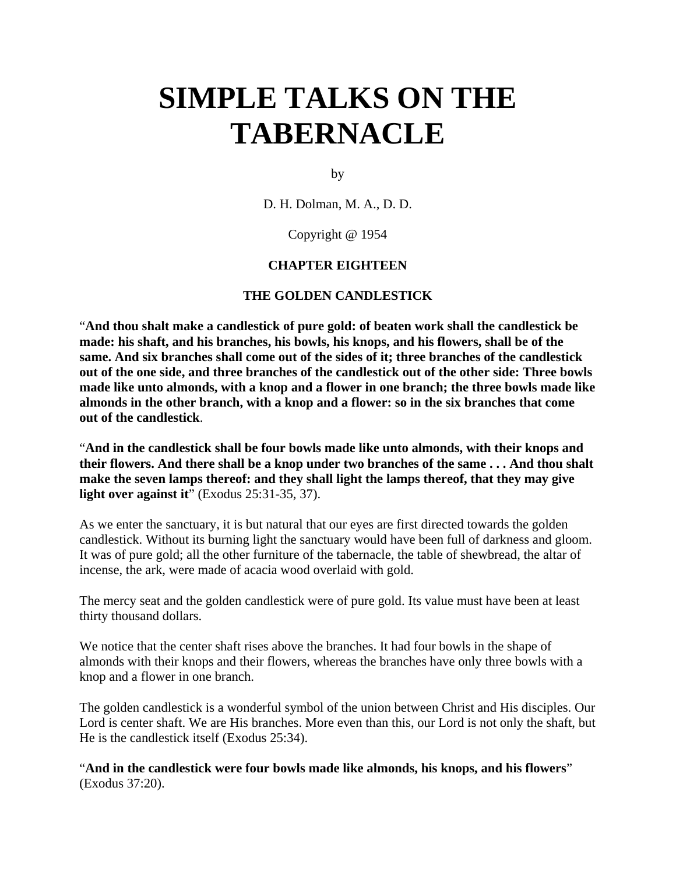# **SIMPLE TALKS ON THE TABERNACLE**

by

D. H. Dolman, M. A., D. D.

Copyright @ 1954

## **CHAPTER EIGHTEEN**

#### **THE GOLDEN CANDLESTICK**

"**And thou shalt make a candlestick of pure gold: of beaten work shall the candlestick be made: his shaft, and his branches, his bowls, his knops, and his flowers, shall be of the same. And six branches shall come out of the sides of it; three branches of the candlestick out of the one side, and three branches of the candlestick out of the other side: Three bowls made like unto almonds, with a knop and a flower in one branch; the three bowls made like almonds in the other branch, with a knop and a flower: so in the six branches that come out of the candlestick**.

"**And in the candlestick shall be four bowls made like unto almonds, with their knops and their flowers. And there shall be a knop under two branches of the same . . . And thou shalt make the seven lamps thereof: and they shall light the lamps thereof, that they may give light over against it**" (Exodus 25:31-35, 37).

As we enter the sanctuary, it is but natural that our eyes are first directed towards the golden candlestick. Without its burning light the sanctuary would have been full of darkness and gloom. It was of pure gold; all the other furniture of the tabernacle, the table of shewbread, the altar of incense, the ark, were made of acacia wood overlaid with gold.

The mercy seat and the golden candlestick were of pure gold. Its value must have been at least thirty thousand dollars.

We notice that the center shaft rises above the branches. It had four bowls in the shape of almonds with their knops and their flowers, whereas the branches have only three bowls with a knop and a flower in one branch.

The golden candlestick is a wonderful symbol of the union between Christ and His disciples. Our Lord is center shaft. We are His branches. More even than this, our Lord is not only the shaft, but He is the candlestick itself (Exodus 25:34).

"**And in the candlestick were four bowls made like almonds, his knops, and his flowers**" (Exodus 37:20).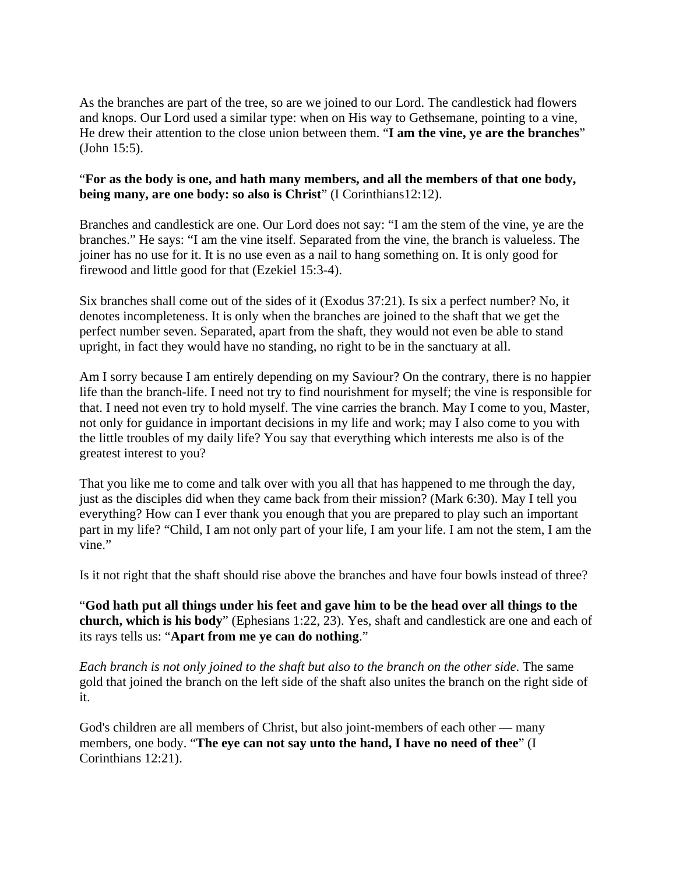As the branches are part of the tree, so are we joined to our Lord. The candlestick had flowers and knops. Our Lord used a similar type: when on His way to Gethsemane, pointing to a vine, He drew their attention to the close union between them. "**I am the vine, ye are the branches**" (John 15:5).

# "**For as the body is one, and hath many members, and all the members of that one body, being many, are one body: so also is Christ**" (I Corinthians12:12).

Branches and candlestick are one. Our Lord does not say: "I am the stem of the vine, ye are the branches." He says: "I am the vine itself. Separated from the vine, the branch is valueless. The joiner has no use for it. It is no use even as a nail to hang something on. It is only good for firewood and little good for that (Ezekiel 15:3-4).

Six branches shall come out of the sides of it (Exodus 37:21). Is six a perfect number? No, it denotes incompleteness. It is only when the branches are joined to the shaft that we get the perfect number seven. Separated, apart from the shaft, they would not even be able to stand upright, in fact they would have no standing, no right to be in the sanctuary at all.

Am I sorry because I am entirely depending on my Saviour? On the contrary, there is no happier life than the branch-life. I need not try to find nourishment for myself; the vine is responsible for that. I need not even try to hold myself. The vine carries the branch. May I come to you, Master, not only for guidance in important decisions in my life and work; may I also come to you with the little troubles of my daily life? You say that everything which interests me also is of the greatest interest to you?

That you like me to come and talk over with you all that has happened to me through the day, just as the disciples did when they came back from their mission? (Mark 6:30). May I tell you everything? How can I ever thank you enough that you are prepared to play such an important part in my life? "Child, I am not only part of your life, I am your life. I am not the stem, I am the vine."

Is it not right that the shaft should rise above the branches and have four bowls instead of three?

"**God hath put all things under his feet and gave him to be the head over all things to the church, which is his body**" (Ephesians 1:22, 23). Yes, shaft and candlestick are one and each of its rays tells us: "**Apart from me ye can do nothing**."

*Each branch is not only joined to the shaft but also to the branch on the other side*. The same gold that joined the branch on the left side of the shaft also unites the branch on the right side of it.

God's children are all members of Christ, but also joint-members of each other — many members, one body. "**The eye can not say unto the hand, I have no need of thee**" (I Corinthians 12:21).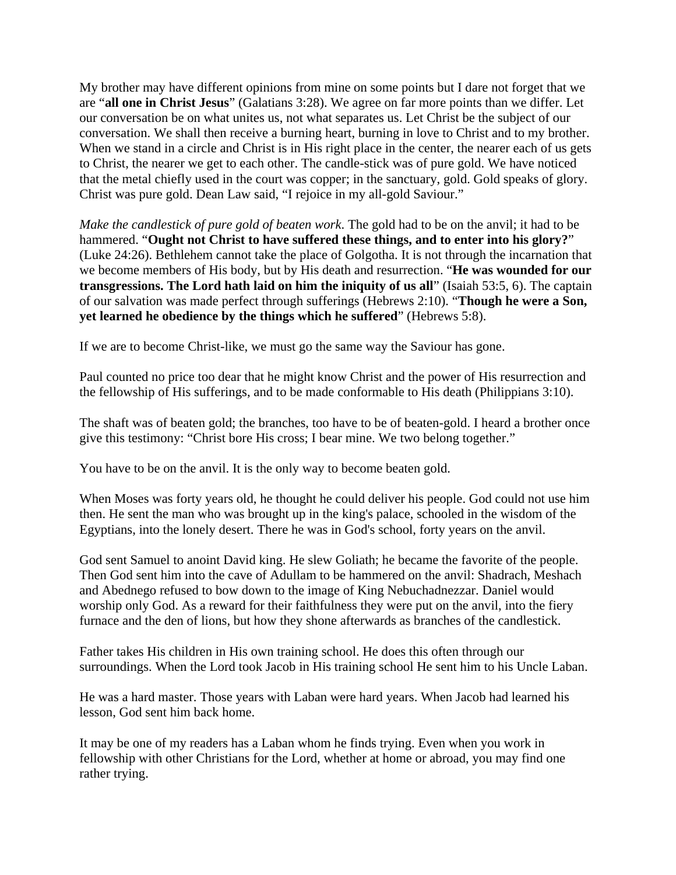My brother may have different opinions from mine on some points but I dare not forget that we are "**all one in Christ Jesus**" (Galatians 3:28). We agree on far more points than we differ. Let our conversation be on what unites us, not what separates us. Let Christ be the subject of our conversation. We shall then receive a burning heart, burning in love to Christ and to my brother. When we stand in a circle and Christ is in His right place in the center, the nearer each of us gets to Christ, the nearer we get to each other. The candle-stick was of pure gold. We have noticed that the metal chiefly used in the court was copper; in the sanctuary, gold. Gold speaks of glory. Christ was pure gold. Dean Law said, "I rejoice in my all-gold Saviour."

*Make the candlestick of pure gold of beaten work*. The gold had to be on the anvil; it had to be hammered. "**Ought not Christ to have suffered these things, and to enter into his glory?**" (Luke 24:26). Bethlehem cannot take the place of Golgotha. It is not through the incarnation that we become members of His body, but by His death and resurrection. "**He was wounded for our transgressions. The Lord hath laid on him the iniquity of us all**" (Isaiah 53:5, 6). The captain of our salvation was made perfect through sufferings (Hebrews 2:10). "**Though he were a Son, yet learned he obedience by the things which he suffered**" (Hebrews 5:8).

If we are to become Christ-like, we must go the same way the Saviour has gone.

Paul counted no price too dear that he might know Christ and the power of His resurrection and the fellowship of His sufferings, and to be made conformable to His death (Philippians 3:10).

The shaft was of beaten gold; the branches, too have to be of beaten-gold. I heard a brother once give this testimony: "Christ bore His cross; I bear mine. We two belong together."

You have to be on the anvil. It is the only way to become beaten gold.

When Moses was forty years old, he thought he could deliver his people. God could not use him then. He sent the man who was brought up in the king's palace, schooled in the wisdom of the Egyptians, into the lonely desert. There he was in God's school, forty years on the anvil.

God sent Samuel to anoint David king. He slew Goliath; he became the favorite of the people. Then God sent him into the cave of Adullam to be hammered on the anvil: Shadrach, Meshach and Abednego refused to bow down to the image of King Nebuchadnezzar. Daniel would worship only God. As a reward for their faithfulness they were put on the anvil, into the fiery furnace and the den of lions, but how they shone afterwards as branches of the candlestick.

Father takes His children in His own training school. He does this often through our surroundings. When the Lord took Jacob in His training school He sent him to his Uncle Laban.

He was a hard master. Those years with Laban were hard years. When Jacob had learned his lesson, God sent him back home.

It may be one of my readers has a Laban whom he finds trying. Even when you work in fellowship with other Christians for the Lord, whether at home or abroad, you may find one rather trying.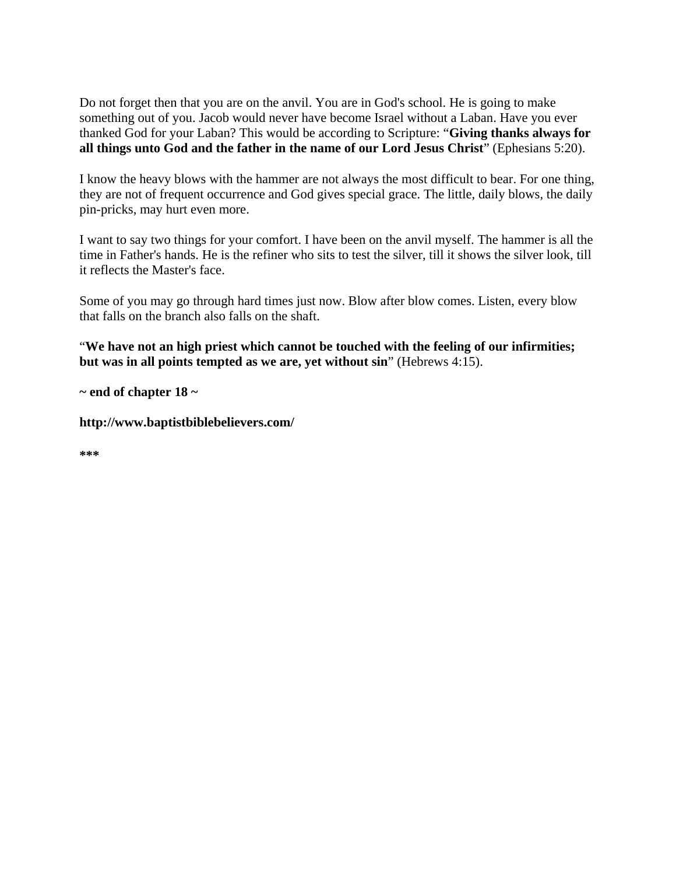Do not forget then that you are on the anvil. You are in God's school. He is going to make something out of you. Jacob would never have become Israel without a Laban. Have you ever thanked God for your Laban? This would be according to Scripture: "**Giving thanks always for all things unto God and the father in the name of our Lord Jesus Christ**" (Ephesians 5:20).

I know the heavy blows with the hammer are not always the most difficult to bear. For one thing, they are not of frequent occurrence and God gives special grace. The little, daily blows, the daily pin-pricks, may hurt even more.

I want to say two things for your comfort. I have been on the anvil myself. The hammer is all the time in Father's hands. He is the refiner who sits to test the silver, till it shows the silver look, till it reflects the Master's face.

Some of you may go through hard times just now. Blow after blow comes. Listen, every blow that falls on the branch also falls on the shaft.

"**We have not an high priest which cannot be touched with the feeling of our infirmities; but was in all points tempted as we are, yet without sin**" (Hebrews 4:15).

**~ end of chapter 18 ~** 

**http://www.baptistbiblebelievers.com/** 

**\*\*\***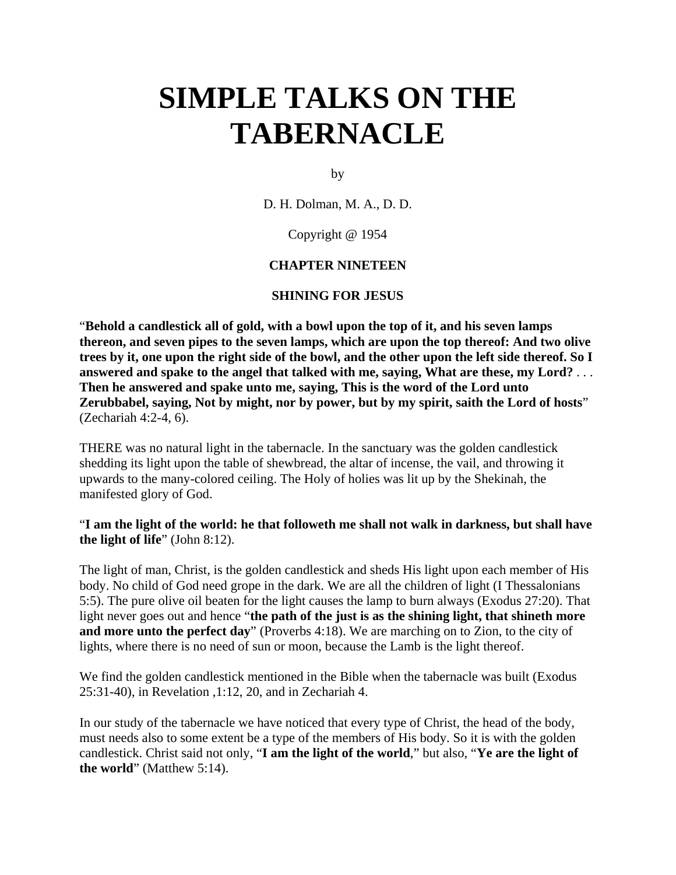# **SIMPLE TALKS ON THE TABERNACLE**

by

D. H. Dolman, M. A., D. D.

Copyright @ 1954

## **CHAPTER NINETEEN**

#### **SHINING FOR JESUS**

"**Behold a candlestick all of gold, with a bowl upon the top of it, and his seven lamps thereon, and seven pipes to the seven lamps, which are upon the top thereof: And two olive trees by it, one upon the right side of the bowl, and the other upon the left side thereof. So I answered and spake to the angel that talked with me, saying, What are these, my Lord?** . . . **Then he answered and spake unto me, saying, This is the word of the Lord unto Zerubbabel, saying, Not by might, nor by power, but by my spirit, saith the Lord of hosts**" (Zechariah 4:2-4, 6).

THERE was no natural light in the tabernacle. In the sanctuary was the golden candlestick shedding its light upon the table of shewbread, the altar of incense, the vail, and throwing it upwards to the many-colored ceiling. The Holy of holies was lit up by the Shekinah, the manifested glory of God.

"**I am the light of the world: he that followeth me shall not walk in darkness, but shall have the light of life**" (John 8:12).

The light of man, Christ, is the golden candlestick and sheds His light upon each member of His body. No child of God need grope in the dark. We are all the children of light (I Thessalonians 5:5). The pure olive oil beaten for the light causes the lamp to burn always (Exodus 27:20). That light never goes out and hence "**the path of the just is as the shining light, that shineth more and more unto the perfect day**" (Proverbs 4:18). We are marching on to Zion, to the city of lights, where there is no need of sun or moon, because the Lamb is the light thereof.

We find the golden candlestick mentioned in the Bible when the tabernacle was built (Exodus 25:31-40), in Revelation ,1:12, 20, and in Zechariah 4.

In our study of the tabernacle we have noticed that every type of Christ, the head of the body, must needs also to some extent be a type of the members of His body. So it is with the golden candlestick. Christ said not only, "**I am the light of the world**," but also, "**Ye are the light of the world**" (Matthew 5:14).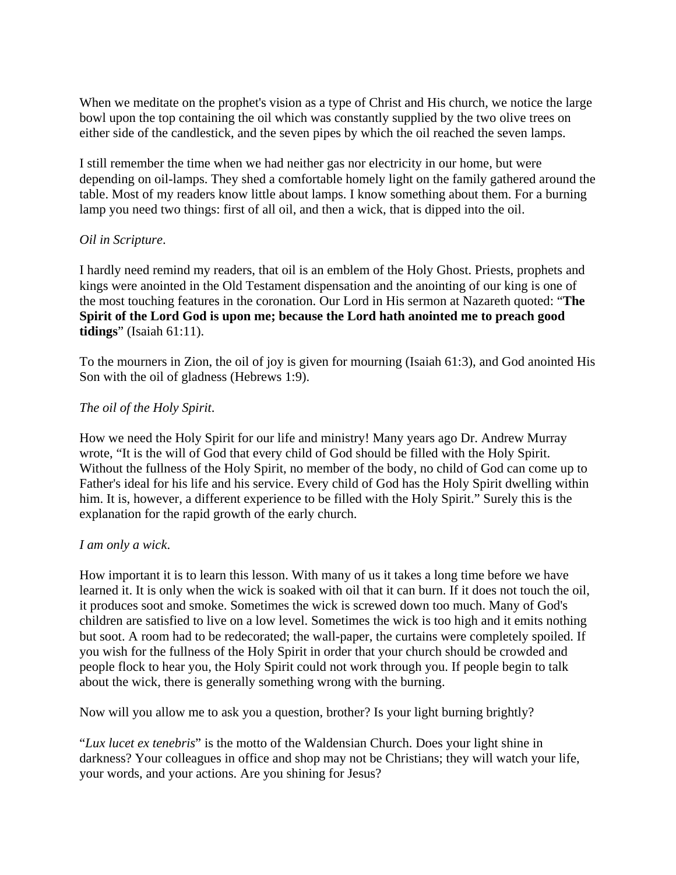When we meditate on the prophet's vision as a type of Christ and His church, we notice the large bowl upon the top containing the oil which was constantly supplied by the two olive trees on either side of the candlestick, and the seven pipes by which the oil reached the seven lamps.

I still remember the time when we had neither gas nor electricity in our home, but were depending on oil-lamps. They shed a comfortable homely light on the family gathered around the table. Most of my readers know little about lamps. I know something about them. For a burning lamp you need two things: first of all oil, and then a wick, that is dipped into the oil.

## *Oil in Scripture*.

I hardly need remind my readers, that oil is an emblem of the Holy Ghost. Priests, prophets and kings were anointed in the Old Testament dispensation and the anointing of our king is one of the most touching features in the coronation. Our Lord in His sermon at Nazareth quoted: "**The Spirit of the Lord God is upon me; because the Lord hath anointed me to preach good tidings**" (Isaiah 61:11).

To the mourners in Zion, the oil of joy is given for mourning (Isaiah 61:3), and God anointed His Son with the oil of gladness (Hebrews 1:9).

# *The oil of the Holy Spirit*.

How we need the Holy Spirit for our life and ministry! Many years ago Dr. Andrew Murray wrote, "It is the will of God that every child of God should be filled with the Holy Spirit. Without the fullness of the Holy Spirit, no member of the body, no child of God can come up to Father's ideal for his life and his service. Every child of God has the Holy Spirit dwelling within him. It is, however, a different experience to be filled with the Holy Spirit." Surely this is the explanation for the rapid growth of the early church.

## *I am only a wick*.

How important it is to learn this lesson. With many of us it takes a long time before we have learned it. It is only when the wick is soaked with oil that it can burn. If it does not touch the oil, it produces soot and smoke. Sometimes the wick is screwed down too much. Many of God's children are satisfied to live on a low level. Sometimes the wick is too high and it emits nothing but soot. A room had to be redecorated; the wall-paper, the curtains were completely spoiled. If you wish for the fullness of the Holy Spirit in order that your church should be crowded and people flock to hear you, the Holy Spirit could not work through you. If people begin to talk about the wick, there is generally something wrong with the burning.

Now will you allow me to ask you a question, brother? Is your light burning brightly?

"*Lux lucet ex tenebris*" is the motto of the Waldensian Church. Does your light shine in darkness? Your colleagues in office and shop may not be Christians; they will watch your life, your words, and your actions. Are you shining for Jesus?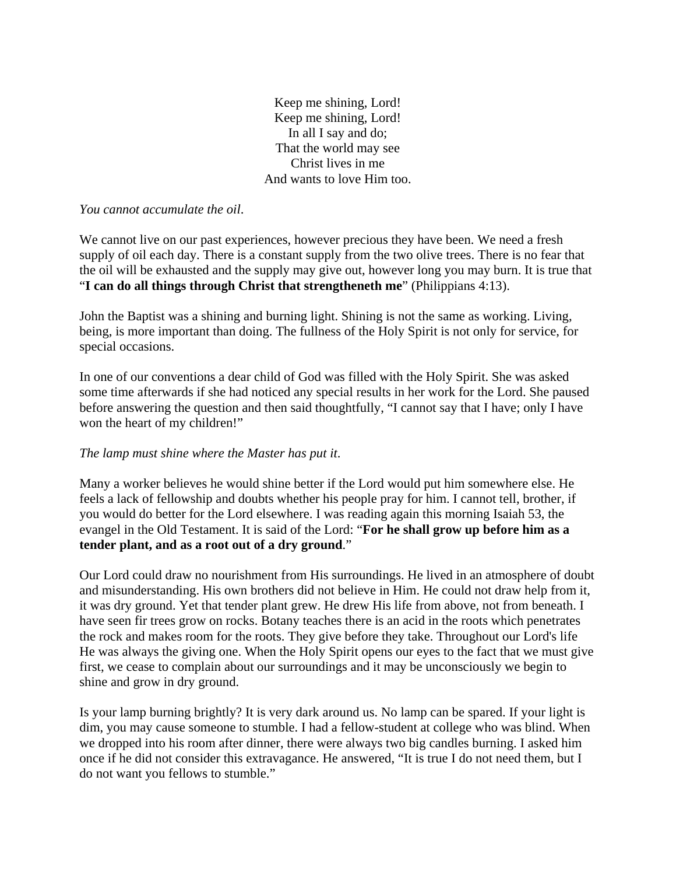Keep me shining, Lord! Keep me shining, Lord! In all I say and do; That the world may see Christ lives in me And wants to love Him too.

*You cannot accumulate the oil*.

We cannot live on our past experiences, however precious they have been. We need a fresh supply of oil each day. There is a constant supply from the two olive trees. There is no fear that the oil will be exhausted and the supply may give out, however long you may burn. It is true that "**I can do all things through Christ that strengtheneth me**" (Philippians 4:13).

John the Baptist was a shining and burning light. Shining is not the same as working. Living, being, is more important than doing. The fullness of the Holy Spirit is not only for service, for special occasions.

In one of our conventions a dear child of God was filled with the Holy Spirit. She was asked some time afterwards if she had noticed any special results in her work for the Lord. She paused before answering the question and then said thoughtfully, "I cannot say that I have; only I have won the heart of my children!"

## *The lamp must shine where the Master has put it*.

Many a worker believes he would shine better if the Lord would put him somewhere else. He feels a lack of fellowship and doubts whether his people pray for him. I cannot tell, brother, if you would do better for the Lord elsewhere. I was reading again this morning Isaiah 53, the evangel in the Old Testament. It is said of the Lord: "**For he shall grow up before him as a tender plant, and as a root out of a dry ground**."

Our Lord could draw no nourishment from His surroundings. He lived in an atmosphere of doubt and misunderstanding. His own brothers did not believe in Him. He could not draw help from it, it was dry ground. Yet that tender plant grew. He drew His life from above, not from beneath. I have seen fir trees grow on rocks. Botany teaches there is an acid in the roots which penetrates the rock and makes room for the roots. They give before they take. Throughout our Lord's life He was always the giving one. When the Holy Spirit opens our eyes to the fact that we must give first, we cease to complain about our surroundings and it may be unconsciously we begin to shine and grow in dry ground.

Is your lamp burning brightly? It is very dark around us. No lamp can be spared. If your light is dim, you may cause someone to stumble. I had a fellow-student at college who was blind. When we dropped into his room after dinner, there were always two big candles burning. I asked him once if he did not consider this extravagance. He answered, "It is true I do not need them, but I do not want you fellows to stumble."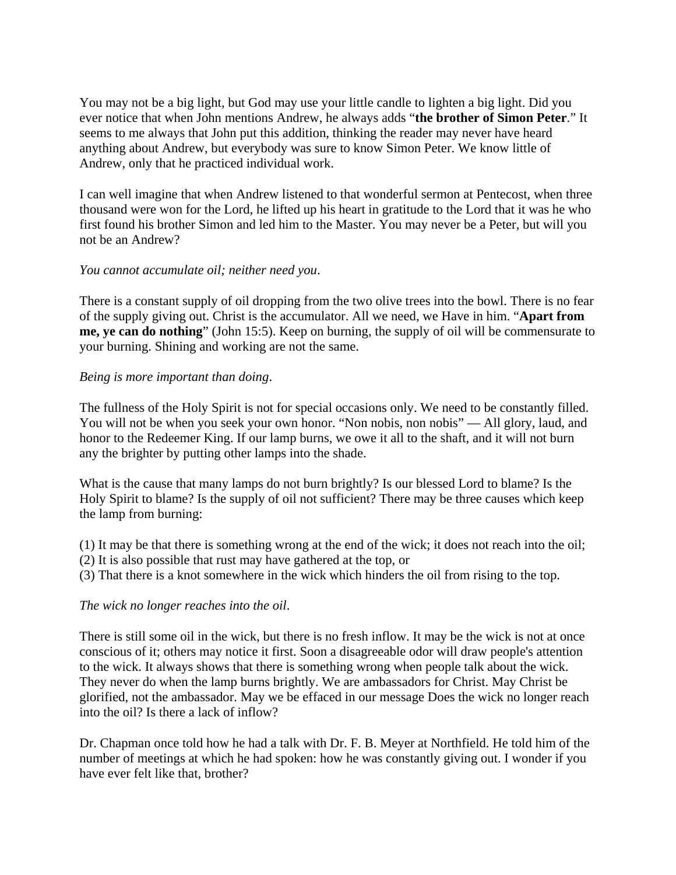You may not be a big light, but God may use your little candle to lighten a big light. Did you ever notice that when John mentions Andrew, he always adds "**the brother of Simon Peter**." It seems to me always that John put this addition, thinking the reader may never have heard anything about Andrew, but everybody was sure to know Simon Peter. We know little of Andrew, only that he practiced individual work.

I can well imagine that when Andrew listened to that wonderful sermon at Pentecost, when three thousand were won for the Lord, he lifted up his heart in gratitude to the Lord that it was he who first found his brother Simon and led him to the Master. You may never be a Peter, but will you not be an Andrew?

## *You cannot accumulate oil; neither need you*.

There is a constant supply of oil dropping from the two olive trees into the bowl. There is no fear of the supply giving out. Christ is the accumulator. All we need, we Have in him. "**Apart from me, ye can do nothing**" (John 15:5). Keep on burning, the supply of oil will be commensurate to your burning. Shining and working are not the same.

#### *Being is more important than doing*.

The fullness of the Holy Spirit is not for special occasions only. We need to be constantly filled. You will not be when you seek your own honor. "Non nobis, non nobis" — All glory, laud, and honor to the Redeemer King. If our lamp burns, we owe it all to the shaft, and it will not burn any the brighter by putting other lamps into the shade.

What is the cause that many lamps do not burn brightly? Is our blessed Lord to blame? Is the Holy Spirit to blame? Is the supply of oil not sufficient? There may be three causes which keep the lamp from burning:

- (1) It may be that there is something wrong at the end of the wick; it does not reach into the oil;
- (2) It is also possible that rust may have gathered at the top, or
- (3) That there is a knot somewhere in the wick which hinders the oil from rising to the top.

## *The wick no longer reaches into the oil*.

There is still some oil in the wick, but there is no fresh inflow. It may be the wick is not at once conscious of it; others may notice it first. Soon a disagreeable odor will draw people's attention to the wick. It always shows that there is something wrong when people talk about the wick. They never do when the lamp burns brightly. We are ambassadors for Christ. May Christ be glorified, not the ambassador. May we be effaced in our message Does the wick no longer reach into the oil? Is there a lack of inflow?

Dr. Chapman once told how he had a talk with Dr. F. B. Meyer at Northfield. He told him of the number of meetings at which he had spoken: how he was constantly giving out. I wonder if you have ever felt like that, brother?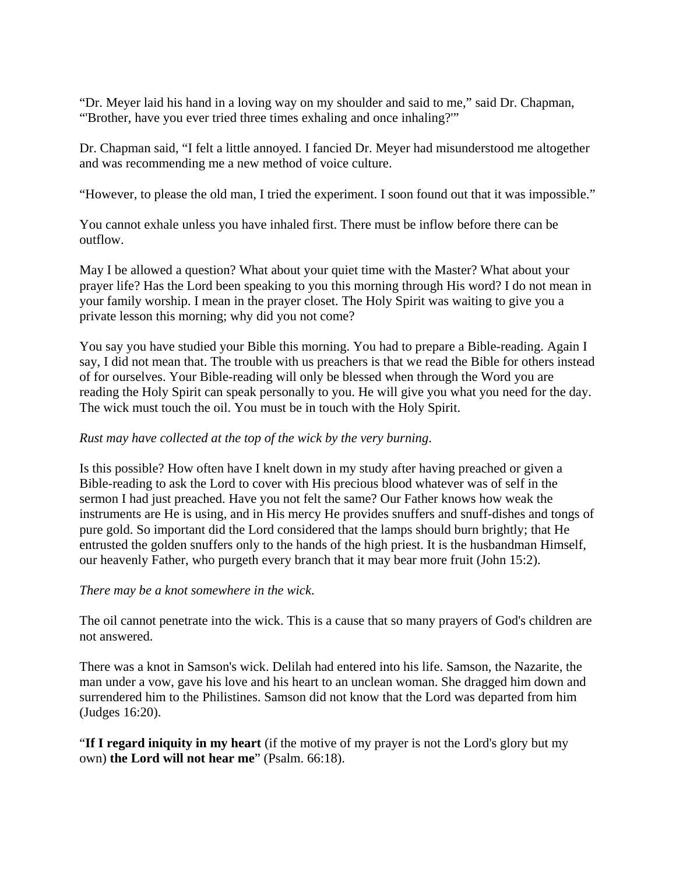"Dr. Meyer laid his hand in a loving way on my shoulder and said to me," said Dr. Chapman, "'Brother, have you ever tried three times exhaling and once inhaling?'"

Dr. Chapman said, "I felt a little annoyed. I fancied Dr. Meyer had misunderstood me altogether and was recommending me a new method of voice culture.

"However, to please the old man, I tried the experiment. I soon found out that it was impossible."

You cannot exhale unless you have inhaled first. There must be inflow before there can be outflow.

May I be allowed a question? What about your quiet time with the Master? What about your prayer life? Has the Lord been speaking to you this morning through His word? I do not mean in your family worship. I mean in the prayer closet. The Holy Spirit was waiting to give you a private lesson this morning; why did you not come?

You say you have studied your Bible this morning. You had to prepare a Bible-reading. Again I say, I did not mean that. The trouble with us preachers is that we read the Bible for others instead of for ourselves. Your Bible-reading will only be blessed when through the Word you are reading the Holy Spirit can speak personally to you. He will give you what you need for the day. The wick must touch the oil. You must be in touch with the Holy Spirit.

# *Rust may have collected at the top of the wick by the very burning*.

Is this possible? How often have I knelt down in my study after having preached or given a Bible-reading to ask the Lord to cover with His precious blood whatever was of self in the sermon I had just preached. Have you not felt the same? Our Father knows how weak the instruments are He is using, and in His mercy He provides snuffers and snuff-dishes and tongs of pure gold. So important did the Lord considered that the lamps should burn brightly; that He entrusted the golden snuffers only to the hands of the high priest. It is the husbandman Himself, our heavenly Father, who purgeth every branch that it may bear more fruit (John 15:2).

## *There may be a knot somewhere in the wick*.

The oil cannot penetrate into the wick. This is a cause that so many prayers of God's children are not answered.

There was a knot in Samson's wick. Delilah had entered into his life. Samson, the Nazarite, the man under a vow, gave his love and his heart to an unclean woman. She dragged him down and surrendered him to the Philistines. Samson did not know that the Lord was departed from him (Judges 16:20).

"**If I regard iniquity in my heart** (if the motive of my prayer is not the Lord's glory but my own) **the Lord will not hear me**" (Psalm. 66:18).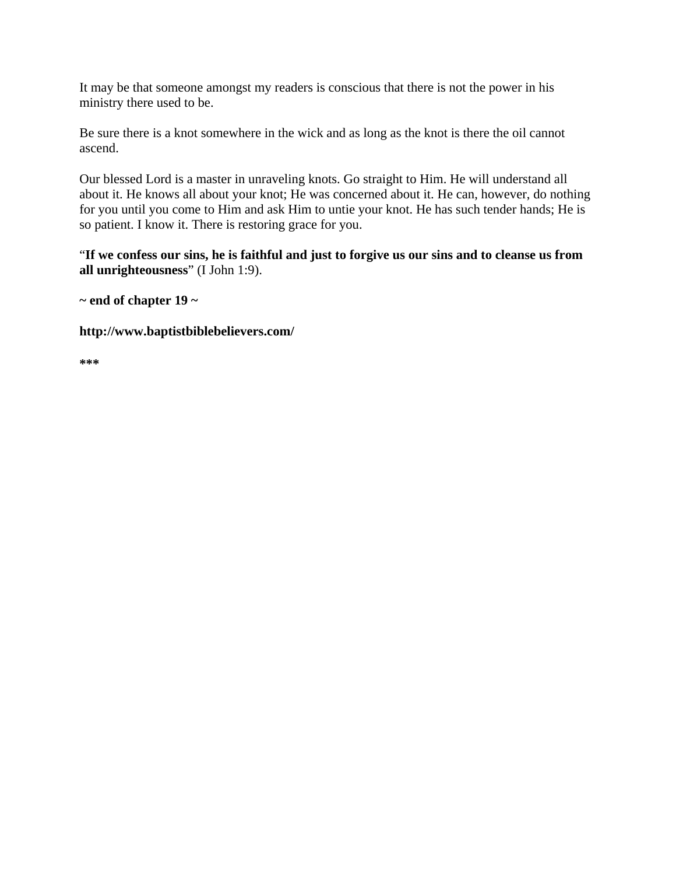It may be that someone amongst my readers is conscious that there is not the power in his ministry there used to be.

Be sure there is a knot somewhere in the wick and as long as the knot is there the oil cannot ascend.

Our blessed Lord is a master in unraveling knots. Go straight to Him. He will understand all about it. He knows all about your knot; He was concerned about it. He can, however, do nothing for you until you come to Him and ask Him to untie your knot. He has such tender hands; He is so patient. I know it. There is restoring grace for you.

"**If we confess our sins, he is faithful and just to forgive us our sins and to cleanse us from all unrighteousness**" (I John 1:9).

**~ end of chapter 19 ~** 

**http://www.baptistbiblebelievers.com/** 

**\*\*\***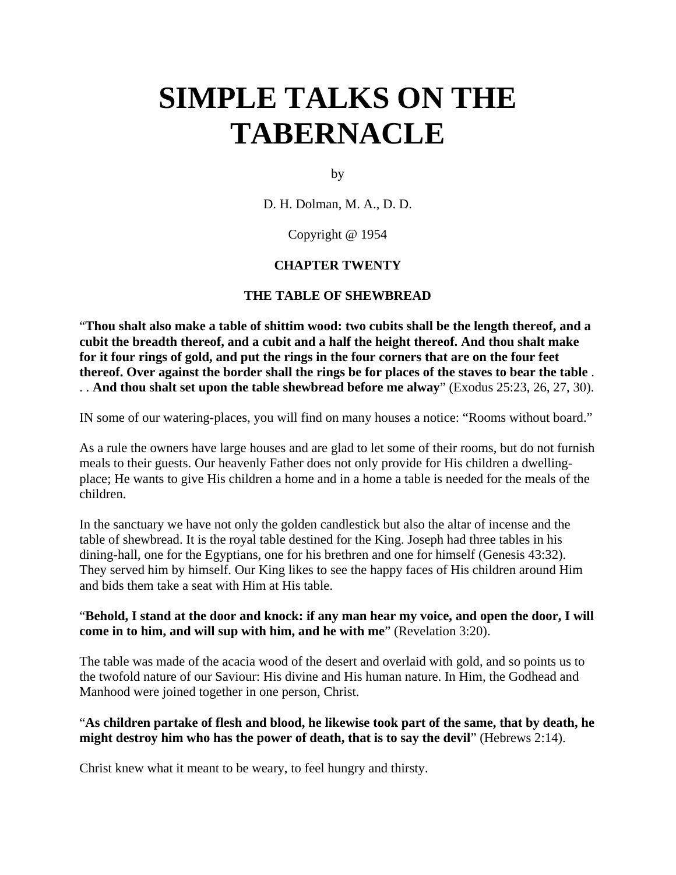# **SIMPLE TALKS ON THE TABERNACLE**

by

D. H. Dolman, M. A., D. D.

Copyright @ 1954

# **CHAPTER TWENTY**

# **THE TABLE OF SHEWBREAD**

"**Thou shalt also make a table of shittim wood: two cubits shall be the length thereof, and a cubit the breadth thereof, and a cubit and a half the height thereof. And thou shalt make for it four rings of gold, and put the rings in the four corners that are on the four feet thereof. Over against the border shall the rings be for places of the staves to bear the table** . . . **And thou shalt set upon the table shewbread before me alway**" (Exodus 25:23, 26, 27, 30).

IN some of our watering-places, you will find on many houses a notice: "Rooms without board."

As a rule the owners have large houses and are glad to let some of their rooms, but do not furnish meals to their guests. Our heavenly Father does not only provide for His children a dwellingplace; He wants to give His children a home and in a home a table is needed for the meals of the children.

In the sanctuary we have not only the golden candlestick but also the altar of incense and the table of shewbread. It is the royal table destined for the King. Joseph had three tables in his dining-hall, one for the Egyptians, one for his brethren and one for himself (Genesis 43:32). They served him by himself. Our King likes to see the happy faces of His children around Him and bids them take a seat with Him at His table.

## "**Behold, I stand at the door and knock: if any man hear my voice, and open the door, I will come in to him, and will sup with him, and he with me**" (Revelation 3:20).

The table was made of the acacia wood of the desert and overlaid with gold, and so points us to the twofold nature of our Saviour: His divine and His human nature. In Him, the Godhead and Manhood were joined together in one person, Christ.

# "**As children partake of flesh and blood, he likewise took part of the same, that by death, he might destroy him who has the power of death, that is to say the devil**" (Hebrews 2:14).

Christ knew what it meant to be weary, to feel hungry and thirsty.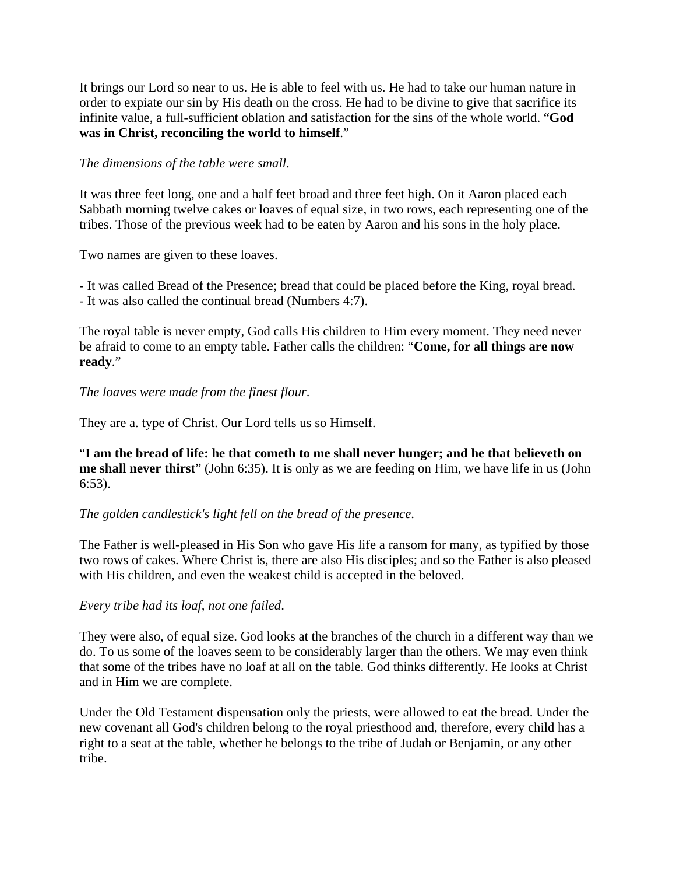It brings our Lord so near to us. He is able to feel with us. He had to take our human nature in order to expiate our sin by His death on the cross. He had to be divine to give that sacrifice its infinite value, a full-sufficient oblation and satisfaction for the sins of the whole world. "**God was in Christ, reconciling the world to himself**."

## *The dimensions of the table were small*.

It was three feet long, one and a half feet broad and three feet high. On it Aaron placed each Sabbath morning twelve cakes or loaves of equal size, in two rows, each representing one of the tribes. Those of the previous week had to be eaten by Aaron and his sons in the holy place.

Two names are given to these loaves.

- It was called Bread of the Presence; bread that could be placed before the King, royal bread. - It was also called the continual bread (Numbers 4:7).

The royal table is never empty, God calls His children to Him every moment. They need never be afraid to come to an empty table. Father calls the children: "**Come, for all things are now ready**."

# *The loaves were made from the finest flour*.

They are a. type of Christ. Our Lord tells us so Himself.

"**I am the bread of life: he that cometh to me shall never hunger; and he that believeth on me shall never thirst**" (John 6:35). It is only as we are feeding on Him, we have life in us (John 6:53).

## *The golden candlestick's light fell on the bread of the presence*.

The Father is well-pleased in His Son who gave His life a ransom for many, as typified by those two rows of cakes. Where Christ is, there are also His disciples; and so the Father is also pleased with His children, and even the weakest child is accepted in the beloved.

## *Every tribe had its loaf, not one failed*.

They were also, of equal size. God looks at the branches of the church in a different way than we do. To us some of the loaves seem to be considerably larger than the others. We may even think that some of the tribes have no loaf at all on the table. God thinks differently. He looks at Christ and in Him we are complete.

Under the Old Testament dispensation only the priests, were allowed to eat the bread. Under the new covenant all God's children belong to the royal priesthood and, therefore, every child has a right to a seat at the table, whether he belongs to the tribe of Judah or Benjamin, or any other tribe.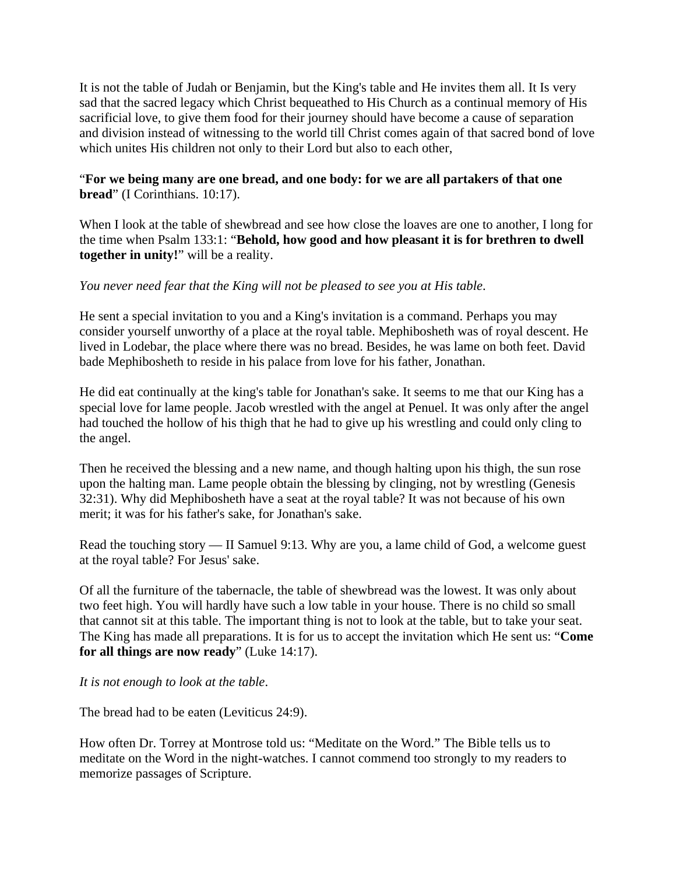It is not the table of Judah or Benjamin, but the King's table and He invites them all. It Is very sad that the sacred legacy which Christ bequeathed to His Church as a continual memory of His sacrificial love, to give them food for their journey should have become a cause of separation and division instead of witnessing to the world till Christ comes again of that sacred bond of love which unites His children not only to their Lord but also to each other,

# "**For we being many are one bread, and one body: for we are all partakers of that one bread**" (I Corinthians. 10:17).

When I look at the table of shewbread and see how close the loaves are one to another, I long for the time when Psalm 133:1: "**Behold, how good and how pleasant it is for brethren to dwell together in unity!**" will be a reality.

# *You never need fear that the King will not be pleased to see you at His table*.

He sent a special invitation to you and a King's invitation is a command. Perhaps you may consider yourself unworthy of a place at the royal table. Mephibosheth was of royal descent. He lived in Lodebar, the place where there was no bread. Besides, he was lame on both feet. David bade Mephibosheth to reside in his palace from love for his father, Jonathan.

He did eat continually at the king's table for Jonathan's sake. It seems to me that our King has a special love for lame people. Jacob wrestled with the angel at Penuel. It was only after the angel had touched the hollow of his thigh that he had to give up his wrestling and could only cling to the angel.

Then he received the blessing and a new name, and though halting upon his thigh, the sun rose upon the halting man. Lame people obtain the blessing by clinging, not by wrestling (Genesis 32:31). Why did Mephibosheth have a seat at the royal table? It was not because of his own merit; it was for his father's sake, for Jonathan's sake.

Read the touching story — II Samuel 9:13. Why are you, a lame child of God, a welcome guest at the royal table? For Jesus' sake.

Of all the furniture of the tabernacle, the table of shewbread was the lowest. It was only about two feet high. You will hardly have such a low table in your house. There is no child so small that cannot sit at this table. The important thing is not to look at the table, but to take your seat. The King has made all preparations. It is for us to accept the invitation which He sent us: "**Come for all things are now ready**" (Luke 14:17).

*It is not enough to look at the table*.

The bread had to be eaten (Leviticus 24:9).

How often Dr. Torrey at Montrose told us: "Meditate on the Word." The Bible tells us to meditate on the Word in the night-watches. I cannot commend too strongly to my readers to memorize passages of Scripture.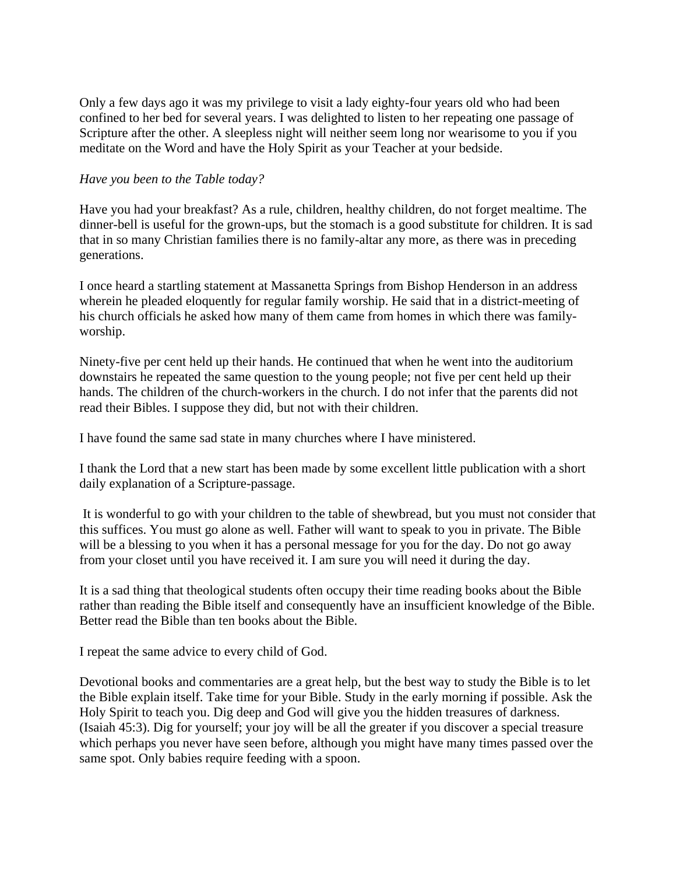Only a few days ago it was my privilege to visit a lady eighty-four years old who had been confined to her bed for several years. I was delighted to listen to her repeating one passage of Scripture after the other. A sleepless night will neither seem long nor wearisome to you if you meditate on the Word and have the Holy Spirit as your Teacher at your bedside.

## *Have you been to the Table today?*

Have you had your breakfast? As a rule, children, healthy children, do not forget mealtime. The dinner-bell is useful for the grown-ups, but the stomach is a good substitute for children. It is sad that in so many Christian families there is no family-altar any more, as there was in preceding generations.

I once heard a startling statement at Massanetta Springs from Bishop Henderson in an address wherein he pleaded eloquently for regular family worship. He said that in a district-meeting of his church officials he asked how many of them came from homes in which there was familyworship.

Ninety-five per cent held up their hands. He continued that when he went into the auditorium downstairs he repeated the same question to the young people; not five per cent held up their hands. The children of the church-workers in the church. I do not infer that the parents did not read their Bibles. I suppose they did, but not with their children.

I have found the same sad state in many churches where I have ministered.

I thank the Lord that a new start has been made by some excellent little publication with a short daily explanation of a Scripture-passage.

 It is wonderful to go with your children to the table of shewbread, but you must not consider that this suffices. You must go alone as well. Father will want to speak to you in private. The Bible will be a blessing to you when it has a personal message for you for the day. Do not go away from your closet until you have received it. I am sure you will need it during the day.

It is a sad thing that theological students often occupy their time reading books about the Bible rather than reading the Bible itself and consequently have an insufficient knowledge of the Bible. Better read the Bible than ten books about the Bible.

I repeat the same advice to every child of God.

Devotional books and commentaries are a great help, but the best way to study the Bible is to let the Bible explain itself. Take time for your Bible. Study in the early morning if possible. Ask the Holy Spirit to teach you. Dig deep and God will give you the hidden treasures of darkness. (Isaiah 45:3). Dig for yourself; your joy will be all the greater if you discover a special treasure which perhaps you never have seen before, although you might have many times passed over the same spot. Only babies require feeding with a spoon.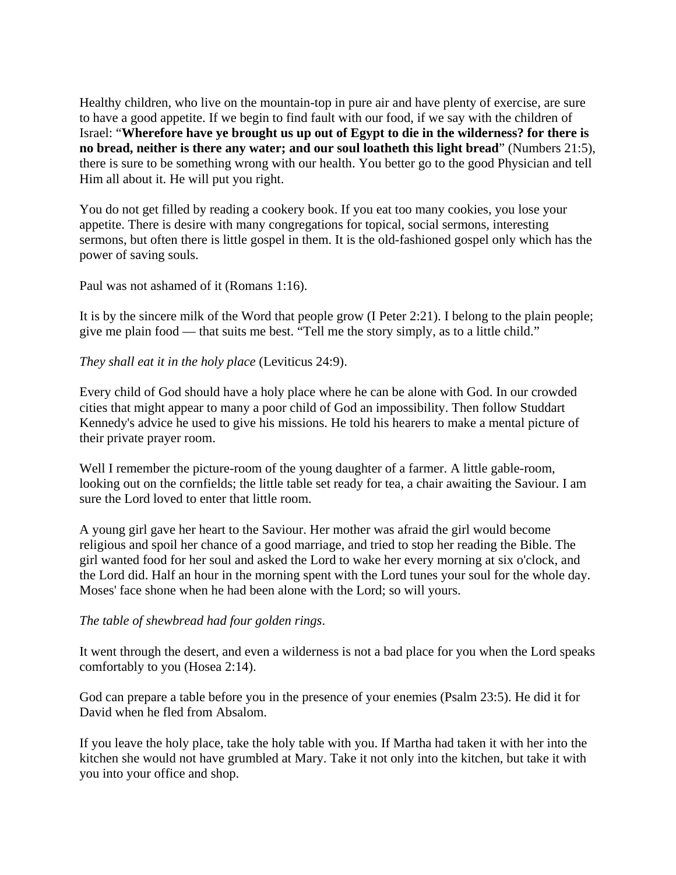Healthy children, who live on the mountain-top in pure air and have plenty of exercise, are sure to have a good appetite. If we begin to find fault with our food, if we say with the children of Israel: "**Wherefore have ye brought us up out of Egypt to die in the wilderness? for there is no bread, neither is there any water; and our soul loatheth this light bread**" (Numbers 21:5), there is sure to be something wrong with our health. You better go to the good Physician and tell Him all about it. He will put you right.

You do not get filled by reading a cookery book. If you eat too many cookies, you lose your appetite. There is desire with many congregations for topical, social sermons, interesting sermons, but often there is little gospel in them. It is the old-fashioned gospel only which has the power of saving souls.

Paul was not ashamed of it (Romans 1:16).

It is by the sincere milk of the Word that people grow (I Peter 2:21). I belong to the plain people; give me plain food — that suits me best. "Tell me the story simply, as to a little child."

*They shall eat it in the holy place* (Leviticus 24:9).

Every child of God should have a holy place where he can be alone with God. In our crowded cities that might appear to many a poor child of God an impossibility. Then follow Studdart Kennedy's advice he used to give his missions. He told his hearers to make a mental picture of their private prayer room.

Well I remember the picture-room of the young daughter of a farmer. A little gable-room, looking out on the cornfields; the little table set ready for tea, a chair awaiting the Saviour. I am sure the Lord loved to enter that little room.

A young girl gave her heart to the Saviour. Her mother was afraid the girl would become religious and spoil her chance of a good marriage, and tried to stop her reading the Bible. The girl wanted food for her soul and asked the Lord to wake her every morning at six o'clock, and the Lord did. Half an hour in the morning spent with the Lord tunes your soul for the whole day. Moses' face shone when he had been alone with the Lord; so will yours.

*The table of shewbread had four golden rings*.

It went through the desert, and even a wilderness is not a bad place for you when the Lord speaks comfortably to you (Hosea 2:14).

God can prepare a table before you in the presence of your enemies (Psalm 23:5). He did it for David when he fled from Absalom.

If you leave the holy place, take the holy table with you. If Martha had taken it with her into the kitchen she would not have grumbled at Mary. Take it not only into the kitchen, but take it with you into your office and shop.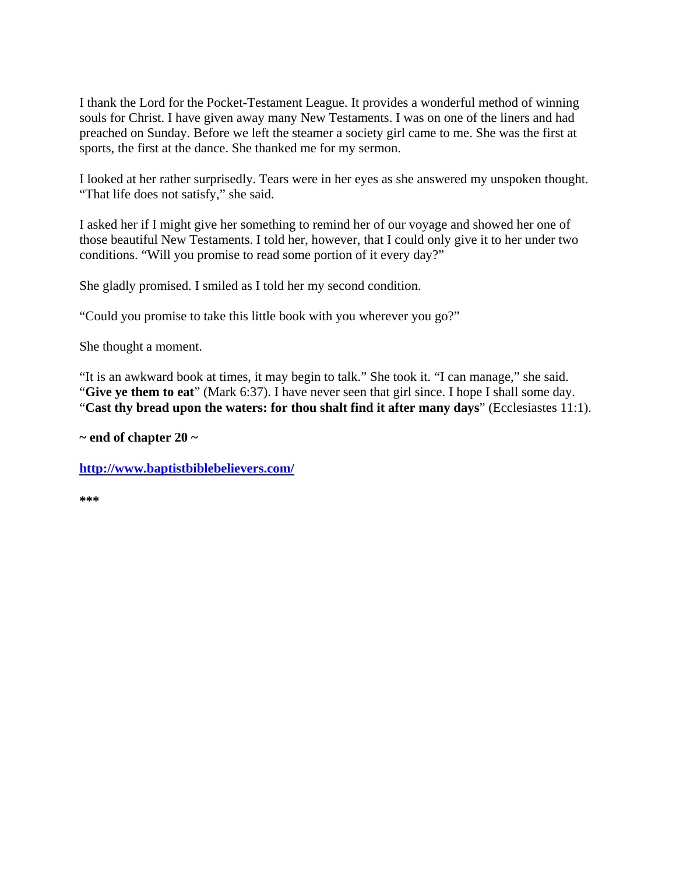I thank the Lord for the Pocket-Testament League. It provides a wonderful method of winning souls for Christ. I have given away many New Testaments. I was on one of the liners and had preached on Sunday. Before we left the steamer a society girl came to me. She was the first at sports, the first at the dance. She thanked me for my sermon.

I looked at her rather surprisedly. Tears were in her eyes as she answered my unspoken thought. "That life does not satisfy," she said.

I asked her if I might give her something to remind her of our voyage and showed her one of those beautiful New Testaments. I told her, however, that I could only give it to her under two conditions. "Will you promise to read some portion of it every day?"

She gladly promised. I smiled as I told her my second condition.

"Could you promise to take this little book with you wherever you go?"

She thought a moment.

"It is an awkward book at times, it may begin to talk." She took it. "I can manage," she said. "**Give ye them to eat**" (Mark 6:37). I have never seen that girl since. I hope I shall some day. "**Cast thy bread upon the waters: for thou shalt find it after many days**" (Ecclesiastes 11:1).

**~ end of chapter 20 ~** 

**http://www.baptistbiblebelievers.com/**

**\*\*\***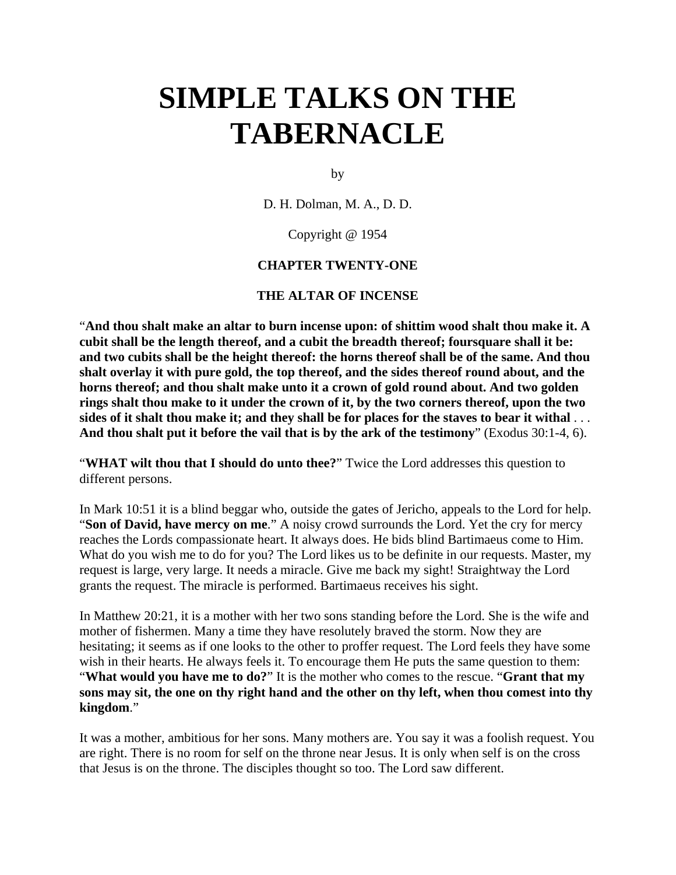# **SIMPLE TALKS ON THE TABERNACLE**

by

D. H. Dolman, M. A., D. D.

Copyright @ 1954

#### **CHAPTER TWENTY-ONE**

#### **THE ALTAR OF INCENSE**

"**And thou shalt make an altar to burn incense upon: of shittim wood shalt thou make it. A cubit shall be the length thereof, and a cubit the breadth thereof; foursquare shall it be: and two cubits shall be the height thereof: the horns thereof shall be of the same. And thou shalt overlay it with pure gold, the top thereof, and the sides thereof round about, and the horns thereof; and thou shalt make unto it a crown of gold round about. And two golden rings shalt thou make to it under the crown of it, by the two corners thereof, upon the two sides of it shalt thou make it; and they shall be for places for the staves to bear it withal** . . . **And thou shalt put it before the vail that is by the ark of the testimony**" (Exodus 30:1-4, 6).

"**WHAT wilt thou that I should do unto thee?**" Twice the Lord addresses this question to different persons.

In Mark 10:51 it is a blind beggar who, outside the gates of Jericho, appeals to the Lord for help. "**Son of David, have mercy on me**." A noisy crowd surrounds the Lord. Yet the cry for mercy reaches the Lords compassionate heart. It always does. He bids blind Bartimaeus come to Him. What do you wish me to do for you? The Lord likes us to be definite in our requests. Master, my request is large, very large. It needs a miracle. Give me back my sight! Straightway the Lord grants the request. The miracle is performed. Bartimaeus receives his sight.

In Matthew 20:21, it is a mother with her two sons standing before the Lord. She is the wife and mother of fishermen. Many a time they have resolutely braved the storm. Now they are hesitating; it seems as if one looks to the other to proffer request. The Lord feels they have some wish in their hearts. He always feels it. To encourage them He puts the same question to them: "**What would you have me to do?**" It is the mother who comes to the rescue. "**Grant that my sons may sit, the one on thy right hand and the other on thy left, when thou comest into thy kingdom**."

It was a mother, ambitious for her sons. Many mothers are. You say it was a foolish request. You are right. There is no room for self on the throne near Jesus. It is only when self is on the cross that Jesus is on the throne. The disciples thought so too. The Lord saw different.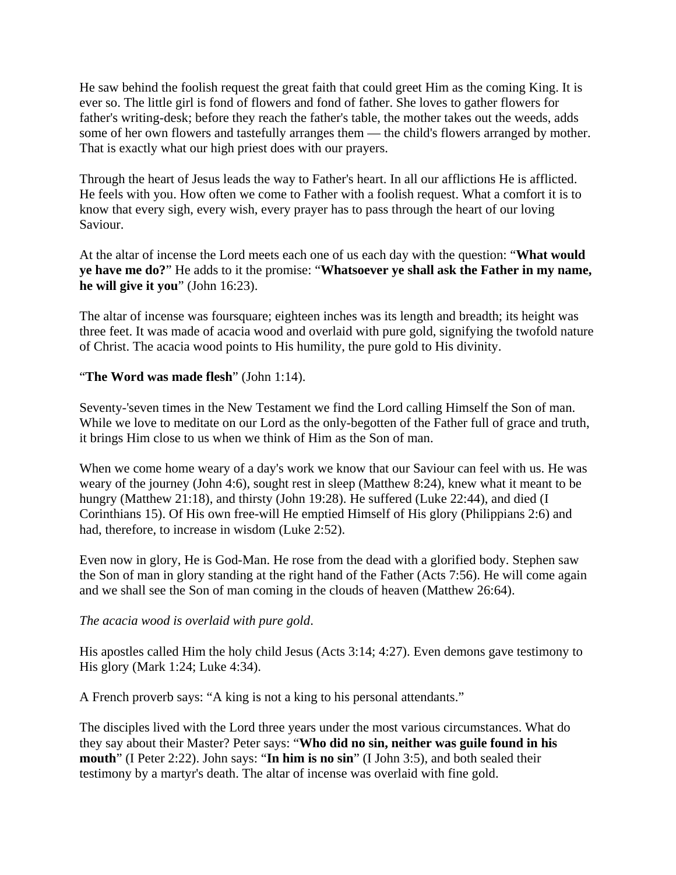He saw behind the foolish request the great faith that could greet Him as the coming King. It is ever so. The little girl is fond of flowers and fond of father. She loves to gather flowers for father's writing-desk; before they reach the father's table, the mother takes out the weeds, adds some of her own flowers and tastefully arranges them — the child's flowers arranged by mother. That is exactly what our high priest does with our prayers.

Through the heart of Jesus leads the way to Father's heart. In all our afflictions He is afflicted. He feels with you. How often we come to Father with a foolish request. What a comfort it is to know that every sigh, every wish, every prayer has to pass through the heart of our loving Saviour.

At the altar of incense the Lord meets each one of us each day with the question: "**What would ye have me do?**" He adds to it the promise: "**Whatsoever ye shall ask the Father in my name, he will give it you**" (John 16:23).

The altar of incense was foursquare; eighteen inches was its length and breadth; its height was three feet. It was made of acacia wood and overlaid with pure gold, signifying the twofold nature of Christ. The acacia wood points to His humility, the pure gold to His divinity.

## "**The Word was made flesh**" (John 1:14).

Seventy-'seven times in the New Testament we find the Lord calling Himself the Son of man. While we love to meditate on our Lord as the only-begotten of the Father full of grace and truth, it brings Him close to us when we think of Him as the Son of man.

When we come home weary of a day's work we know that our Saviour can feel with us. He was weary of the journey (John 4:6), sought rest in sleep (Matthew 8:24), knew what it meant to be hungry (Matthew 21:18), and thirsty (John 19:28). He suffered (Luke 22:44), and died (I Corinthians 15). Of His own free-will He emptied Himself of His glory (Philippians 2:6) and had, therefore, to increase in wisdom (Luke 2:52).

Even now in glory, He is God-Man. He rose from the dead with a glorified body. Stephen saw the Son of man in glory standing at the right hand of the Father (Acts 7:56). He will come again and we shall see the Son of man coming in the clouds of heaven (Matthew 26:64).

#### *The acacia wood is overlaid with pure gold*.

His apostles called Him the holy child Jesus (Acts 3:14; 4:27). Even demons gave testimony to His glory (Mark 1:24; Luke 4:34).

A French proverb says: "A king is not a king to his personal attendants."

The disciples lived with the Lord three years under the most various circumstances. What do they say about their Master? Peter says: "**Who did no sin, neither was guile found in his mouth**" (I Peter 2:22). John says: "**In him is no sin**" (I John 3:5), and both sealed their testimony by a martyr's death. The altar of incense was overlaid with fine gold.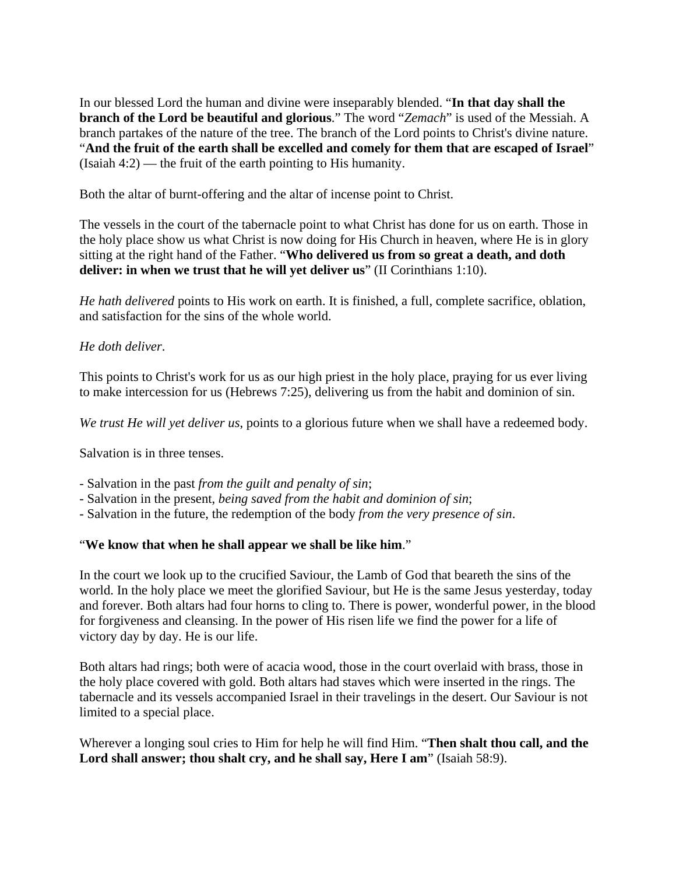In our blessed Lord the human and divine were inseparably blended. "**In that day shall the branch of the Lord be beautiful and glorious**." The word "*Zemach*" is used of the Messiah. A branch partakes of the nature of the tree. The branch of the Lord points to Christ's divine nature. "**And the fruit of the earth shall be excelled and comely for them that are escaped of Israel**" (Isaiah 4:2) — the fruit of the earth pointing to His humanity.

Both the altar of burnt-offering and the altar of incense point to Christ.

The vessels in the court of the tabernacle point to what Christ has done for us on earth. Those in the holy place show us what Christ is now doing for His Church in heaven, where He is in glory sitting at the right hand of the Father. "**Who delivered us from so great a death, and doth deliver: in when we trust that he will yet deliver us**" (II Corinthians 1:10).

*He hath delivered* points to His work on earth. It is finished, a full, complete sacrifice, oblation, and satisfaction for the sins of the whole world.

## *He doth deliver*.

This points to Christ's work for us as our high priest in the holy place, praying for us ever living to make intercession for us (Hebrews 7:25), delivering us from the habit and dominion of sin.

*We trust He will yet deliver us*, points to a glorious future when we shall have a redeemed body.

Salvation is in three tenses.

- Salvation in the past *from the guilt and penalty of sin*;

- Salvation in the present, *being saved from the habit and dominion of sin*;
- Salvation in the future, the redemption of the body *from the very presence of sin*.

#### "**We know that when he shall appear we shall be like him**."

In the court we look up to the crucified Saviour, the Lamb of God that beareth the sins of the world. In the holy place we meet the glorified Saviour, but He is the same Jesus yesterday, today and forever. Both altars had four horns to cling to. There is power, wonderful power, in the blood for forgiveness and cleansing. In the power of His risen life we find the power for a life of victory day by day. He is our life.

Both altars had rings; both were of acacia wood, those in the court overlaid with brass, those in the holy place covered with gold. Both altars had staves which were inserted in the rings. The tabernacle and its vessels accompanied Israel in their travelings in the desert. Our Saviour is not limited to a special place.

Wherever a longing soul cries to Him for help he will find Him. "**Then shalt thou call, and the Lord shall answer; thou shalt cry, and he shall say, Here I am**" (Isaiah 58:9).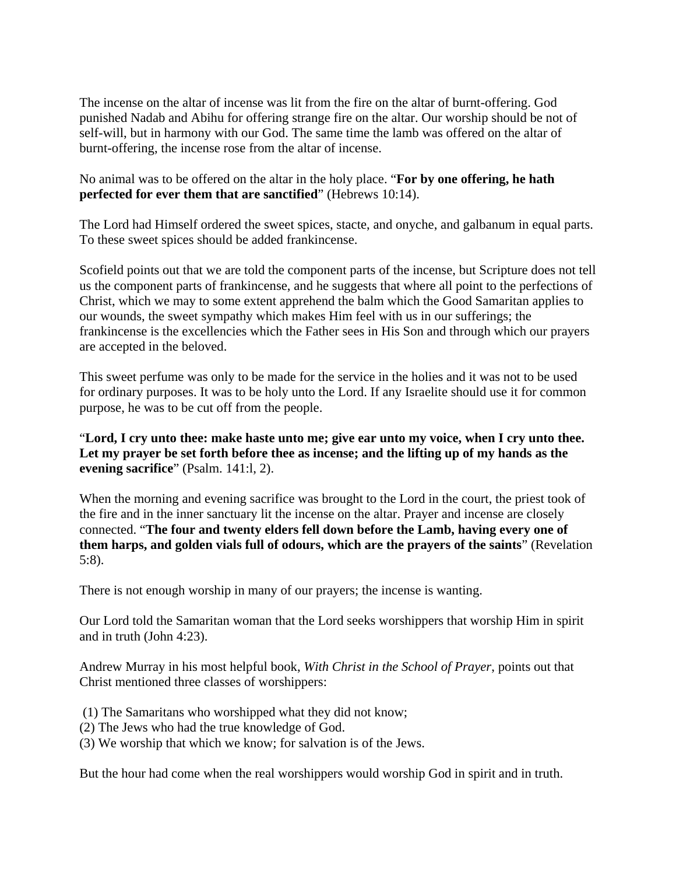The incense on the altar of incense was lit from the fire on the altar of burnt-offering. God punished Nadab and Abihu for offering strange fire on the altar. Our worship should be not of self-will, but in harmony with our God. The same time the lamb was offered on the altar of burnt-offering, the incense rose from the altar of incense.

# No animal was to be offered on the altar in the holy place. "**For by one offering, he hath perfected for ever them that are sanctified**" (Hebrews 10:14).

The Lord had Himself ordered the sweet spices, stacte, and onyche, and galbanum in equal parts. To these sweet spices should be added frankincense.

Scofield points out that we are told the component parts of the incense, but Scripture does not tell us the component parts of frankincense, and he suggests that where all point to the perfections of Christ, which we may to some extent apprehend the balm which the Good Samaritan applies to our wounds, the sweet sympathy which makes Him feel with us in our sufferings; the frankincense is the excellencies which the Father sees in His Son and through which our prayers are accepted in the beloved.

This sweet perfume was only to be made for the service in the holies and it was not to be used for ordinary purposes. It was to be holy unto the Lord. If any Israelite should use it for common purpose, he was to be cut off from the people.

"**Lord, I cry unto thee: make haste unto me; give ear unto my voice, when I cry unto thee. Let my prayer be set forth before thee as incense; and the lifting up of my hands as the evening sacrifice**" (Psalm. 141:l, 2).

When the morning and evening sacrifice was brought to the Lord in the court, the priest took of the fire and in the inner sanctuary lit the incense on the altar. Prayer and incense are closely connected. "**The four and twenty elders fell down before the Lamb, having every one of them harps, and golden vials full of odours, which are the prayers of the saints**" (Revelation 5:8).

There is not enough worship in many of our prayers; the incense is wanting.

Our Lord told the Samaritan woman that the Lord seeks worshippers that worship Him in spirit and in truth (John 4:23).

Andrew Murray in his most helpful book, *With Christ in the School of Prayer*, points out that Christ mentioned three classes of worshippers:

- (1) The Samaritans who worshipped what they did not know;
- (2) The Jews who had the true knowledge of God.
- (3) We worship that which we know; for salvation is of the Jews.

But the hour had come when the real worshippers would worship God in spirit and in truth.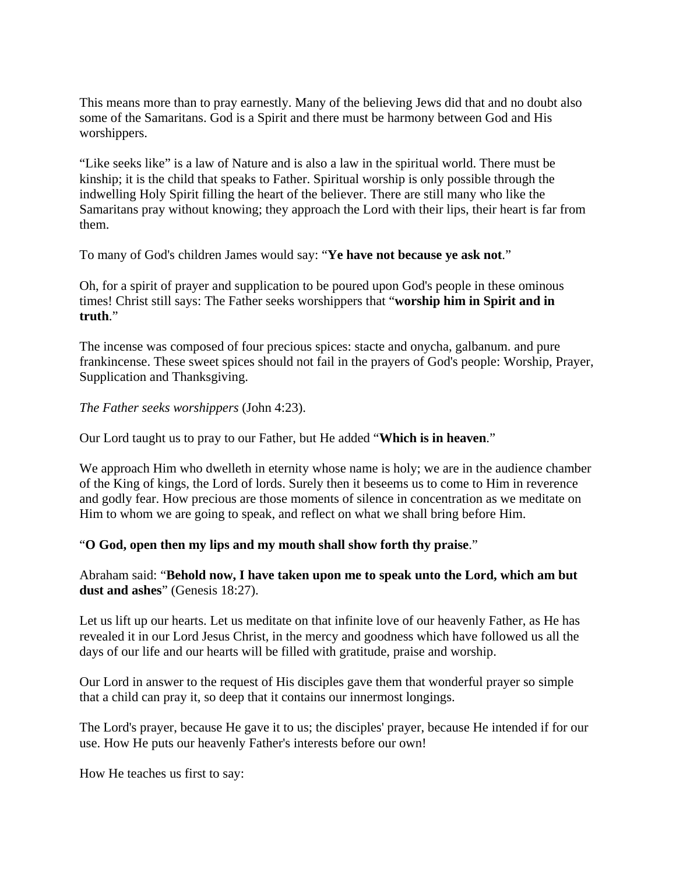This means more than to pray earnestly. Many of the believing Jews did that and no doubt also some of the Samaritans. God is a Spirit and there must be harmony between God and His worshippers.

"Like seeks like" is a law of Nature and is also a law in the spiritual world. There must be kinship; it is the child that speaks to Father. Spiritual worship is only possible through the indwelling Holy Spirit filling the heart of the believer. There are still many who like the Samaritans pray without knowing; they approach the Lord with their lips, their heart is far from them.

To many of God's children James would say: "**Ye have not because ye ask not**."

Oh, for a spirit of prayer and supplication to be poured upon God's people in these ominous times! Christ still says: The Father seeks worshippers that "**worship him in Spirit and in truth**."

The incense was composed of four precious spices: stacte and onycha, galbanum. and pure frankincense. These sweet spices should not fail in the prayers of God's people: Worship, Prayer, Supplication and Thanksgiving.

*The Father seeks worshippers* (John 4:23).

Our Lord taught us to pray to our Father, but He added "**Which is in heaven**."

We approach Him who dwelleth in eternity whose name is holy; we are in the audience chamber of the King of kings, the Lord of lords. Surely then it beseems us to come to Him in reverence and godly fear. How precious are those moments of silence in concentration as we meditate on Him to whom we are going to speak, and reflect on what we shall bring before Him.

#### "**O God, open then my lips and my mouth shall show forth thy praise**."

Abraham said: "**Behold now, I have taken upon me to speak unto the Lord, which am but dust and ashes**" (Genesis 18:27).

Let us lift up our hearts. Let us meditate on that infinite love of our heavenly Father, as He has revealed it in our Lord Jesus Christ, in the mercy and goodness which have followed us all the days of our life and our hearts will be filled with gratitude, praise and worship.

Our Lord in answer to the request of His disciples gave them that wonderful prayer so simple that a child can pray it, so deep that it contains our innermost longings.

The Lord's prayer, because He gave it to us; the disciples' prayer, because He intended if for our use. How He puts our heavenly Father's interests before our own!

How He teaches us first to say: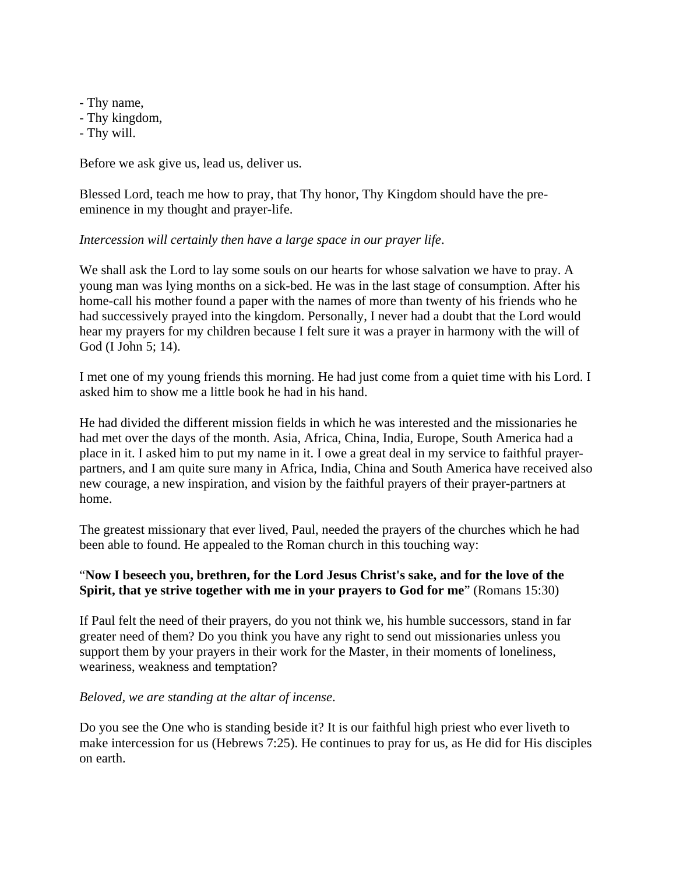- Thy name,

- Thy kingdom,
- Thy will.

Before we ask give us, lead us, deliver us.

Blessed Lord, teach me how to pray, that Thy honor, Thy Kingdom should have the preeminence in my thought and prayer-life.

## *Intercession will certainly then have a large space in our prayer life*.

We shall ask the Lord to lay some souls on our hearts for whose salvation we have to pray. A young man was lying months on a sick-bed. He was in the last stage of consumption. After his home-call his mother found a paper with the names of more than twenty of his friends who he had successively prayed into the kingdom. Personally, I never had a doubt that the Lord would hear my prayers for my children because I felt sure it was a prayer in harmony with the will of God (I John 5; 14).

I met one of my young friends this morning. He had just come from a quiet time with his Lord. I asked him to show me a little book he had in his hand.

He had divided the different mission fields in which he was interested and the missionaries he had met over the days of the month. Asia, Africa, China, India, Europe, South America had a place in it. I asked him to put my name in it. I owe a great deal in my service to faithful prayerpartners, and I am quite sure many in Africa, India, China and South America have received also new courage, a new inspiration, and vision by the faithful prayers of their prayer-partners at home.

The greatest missionary that ever lived, Paul, needed the prayers of the churches which he had been able to found. He appealed to the Roman church in this touching way:

# "**Now I beseech you, brethren, for the Lord Jesus Christ's sake, and for the love of the Spirit, that ye strive together with me in your prayers to God for me**" (Romans 15:30)

If Paul felt the need of their prayers, do you not think we, his humble successors, stand in far greater need of them? Do you think you have any right to send out missionaries unless you support them by your prayers in their work for the Master, in their moments of loneliness, weariness, weakness and temptation?

#### *Beloved, we are standing at the altar of incense*.

Do you see the One who is standing beside it? It is our faithful high priest who ever liveth to make intercession for us (Hebrews 7:25). He continues to pray for us, as He did for His disciples on earth.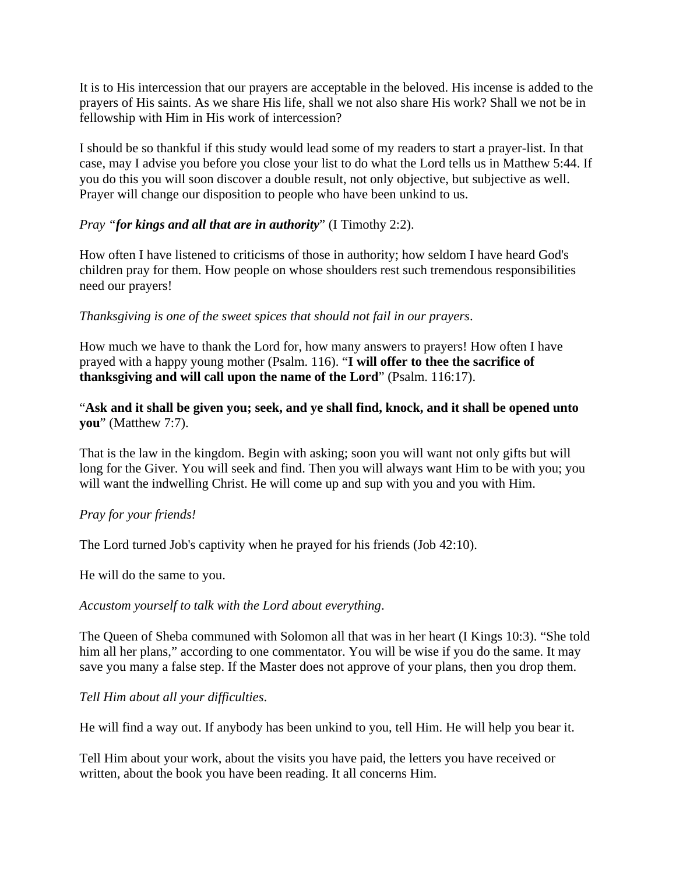It is to His intercession that our prayers are acceptable in the beloved. His incense is added to the prayers of His saints. As we share His life, shall we not also share His work? Shall we not be in fellowship with Him in His work of intercession?

I should be so thankful if this study would lead some of my readers to start a prayer-list. In that case, may I advise you before you close your list to do what the Lord tells us in Matthew 5:44. If you do this you will soon discover a double result, not only objective, but subjective as well. Prayer will change our disposition to people who have been unkind to us.

# *Pray "for kings and all that are in authority*" (I Timothy 2:2).

How often I have listened to criticisms of those in authority; how seldom I have heard God's children pray for them. How people on whose shoulders rest such tremendous responsibilities need our prayers!

# *Thanksgiving is one of the sweet spices that should not fail in our prayers*.

How much we have to thank the Lord for, how many answers to prayers! How often I have prayed with a happy young mother (Psalm. 116). "**I will offer to thee the sacrifice of thanksgiving and will call upon the name of the Lord**" (Psalm. 116:17).

# "**Ask and it shall be given you; seek, and ye shall find, knock, and it shall be opened unto you**" (Matthew 7:7).

That is the law in the kingdom. Begin with asking; soon you will want not only gifts but will long for the Giver. You will seek and find. Then you will always want Him to be with you; you will want the indwelling Christ. He will come up and sup with you and you with Him.

# *Pray for your friends!*

The Lord turned Job's captivity when he prayed for his friends (Job 42:10).

He will do the same to you.

# *Accustom yourself to talk with the Lord about everything*.

The Queen of Sheba communed with Solomon all that was in her heart (I Kings 10:3). "She told him all her plans," according to one commentator. You will be wise if you do the same. It may save you many a false step. If the Master does not approve of your plans, then you drop them.

# *Tell Him about all your difficulties*.

He will find a way out. If anybody has been unkind to you, tell Him. He will help you bear it.

Tell Him about your work, about the visits you have paid, the letters you have received or written, about the book you have been reading. It all concerns Him.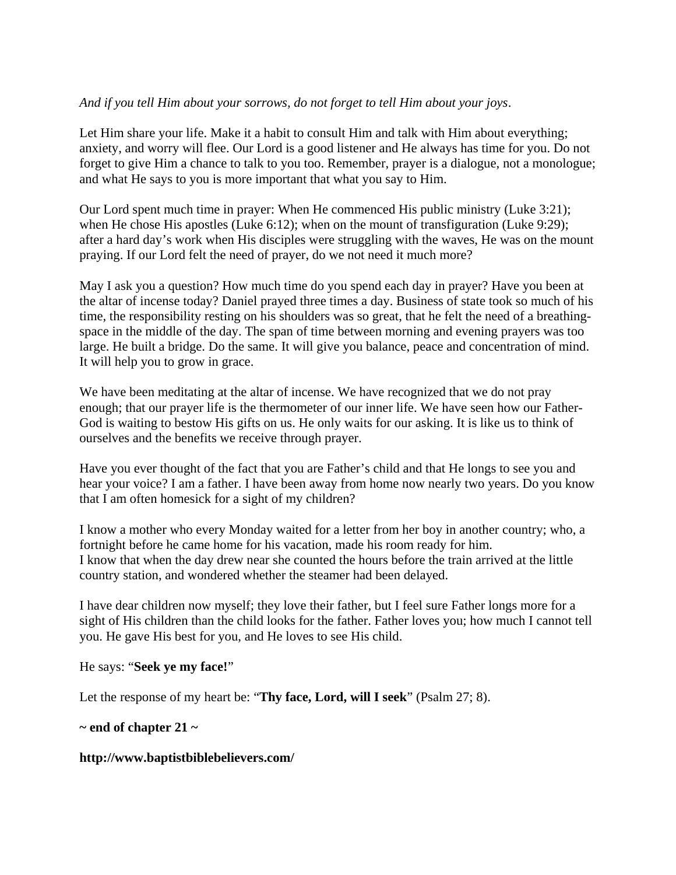## *And if you tell Him about your sorrows, do not forget to tell Him about your joys*.

Let Him share your life. Make it a habit to consult Him and talk with Him about everything; anxiety, and worry will flee. Our Lord is a good listener and He always has time for you. Do not forget to give Him a chance to talk to you too. Remember, prayer is a dialogue, not a monologue; and what He says to you is more important that what you say to Him.

Our Lord spent much time in prayer: When He commenced His public ministry (Luke 3:21); when He chose His apostles (Luke 6:12); when on the mount of transfiguration (Luke 9:29); after a hard day's work when His disciples were struggling with the waves, He was on the mount praying. If our Lord felt the need of prayer, do we not need it much more?

May I ask you a question? How much time do you spend each day in prayer? Have you been at the altar of incense today? Daniel prayed three times a day. Business of state took so much of his time, the responsibility resting on his shoulders was so great, that he felt the need of a breathingspace in the middle of the day. The span of time between morning and evening prayers was too large. He built a bridge. Do the same. It will give you balance, peace and concentration of mind. It will help you to grow in grace.

We have been meditating at the altar of incense. We have recognized that we do not pray enough; that our prayer life is the thermometer of our inner life. We have seen how our Father-God is waiting to bestow His gifts on us. He only waits for our asking. It is like us to think of ourselves and the benefits we receive through prayer.

Have you ever thought of the fact that you are Father's child and that He longs to see you and hear your voice? I am a father. I have been away from home now nearly two years. Do you know that I am often homesick for a sight of my children?

I know a mother who every Monday waited for a letter from her boy in another country; who, a fortnight before he came home for his vacation, made his room ready for him. I know that when the day drew near she counted the hours before the train arrived at the little country station, and wondered whether the steamer had been delayed.

I have dear children now myself; they love their father, but I feel sure Father longs more for a sight of His children than the child looks for the father. Father loves you; how much I cannot tell you. He gave His best for you, and He loves to see His child.

He says: "**Seek ye my face!**"

Let the response of my heart be: "**Thy face, Lord, will I seek**" (Psalm 27; 8).

#### **~ end of chapter 21 ~**

#### **http://www.baptistbiblebelievers.com/**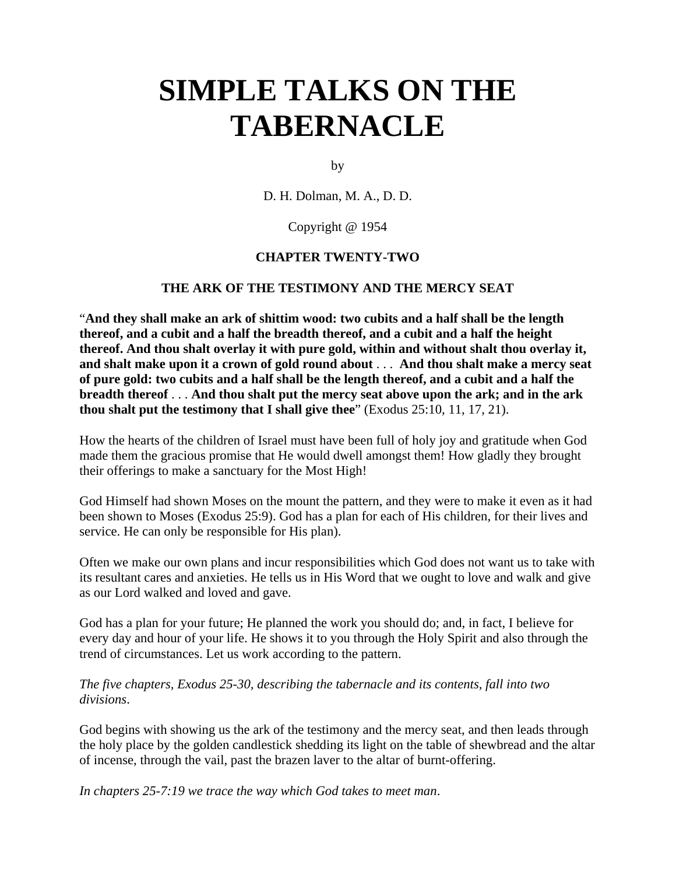# **SIMPLE TALKS ON THE TABERNACLE**

by

D. H. Dolman, M. A., D. D.

### Copyright @ 1954

## **CHAPTER TWENTY-TWO**

#### **THE ARK OF THE TESTIMONY AND THE MERCY SEAT**

"**And they shall make an ark of shittim wood: two cubits and a half shall be the length thereof, and a cubit and a half the breadth thereof, and a cubit and a half the height thereof. And thou shalt overlay it with pure gold, within and without shalt thou overlay it, and shalt make upon it a crown of gold round about** . . . **And thou shalt make a mercy seat of pure gold: two cubits and a half shall be the length thereof, and a cubit and a half the breadth thereof** . . . **And thou shalt put the mercy seat above upon the ark; and in the ark thou shalt put the testimony that I shall give thee**" (Exodus 25:10, 11, 17, 21).

How the hearts of the children of Israel must have been full of holy joy and gratitude when God made them the gracious promise that He would dwell amongst them! How gladly they brought their offerings to make a sanctuary for the Most High!

God Himself had shown Moses on the mount the pattern, and they were to make it even as it had been shown to Moses (Exodus 25:9). God has a plan for each of His children, for their lives and service. He can only be responsible for His plan).

Often we make our own plans and incur responsibilities which God does not want us to take with its resultant cares and anxieties. He tells us in His Word that we ought to love and walk and give as our Lord walked and loved and gave.

God has a plan for your future; He planned the work you should do; and, in fact, I believe for every day and hour of your life. He shows it to you through the Holy Spirit and also through the trend of circumstances. Let us work according to the pattern.

*The five chapters, Exodus 25-30, describing the tabernacle and its contents, fall into two divisions*.

God begins with showing us the ark of the testimony and the mercy seat, and then leads through the holy place by the golden candlestick shedding its light on the table of shewbread and the altar of incense, through the vail, past the brazen laver to the altar of burnt-offering.

*In chapters 25-7:19 we trace the way which God takes to meet man*.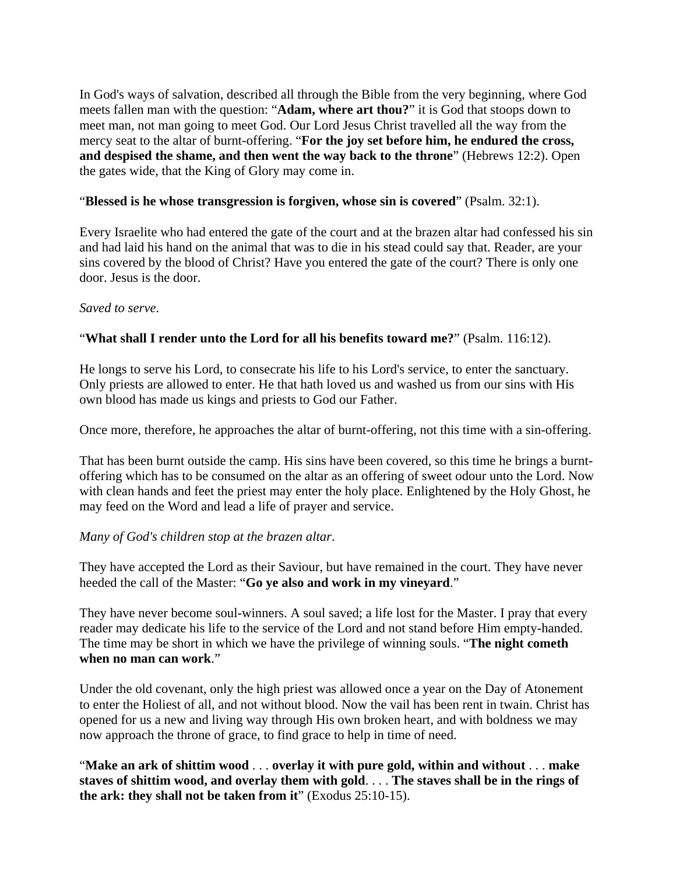In God's ways of salvation, described all through the Bible from the very beginning, where God meets fallen man with the question: "**Adam, where art thou?**" it is God that stoops down to meet man, not man going to meet God. Our Lord Jesus Christ travelled all the way from the mercy seat to the altar of burnt-offering. "**For the joy set before him, he endured the cross, and despised the shame, and then went the way back to the throne**" (Hebrews 12:2). Open the gates wide, that the King of Glory may come in.

## "**Blessed is he whose transgression is forgiven, whose sin is covered**" (Psalm. 32:1).

Every Israelite who had entered the gate of the court and at the brazen altar had confessed his sin and had laid his hand on the animal that was to die in his stead could say that. Reader, are your sins covered by the blood of Christ? Have you entered the gate of the court? There is only one door. Jesus is the door.

#### *Saved to serve*.

#### "**What shall I render unto the Lord for all his benefits toward me?**" (Psalm. 116:12).

He longs to serve his Lord, to consecrate his life to his Lord's service, to enter the sanctuary. Only priests are allowed to enter. He that hath loved us and washed us from our sins with His own blood has made us kings and priests to God our Father.

Once more, therefore, he approaches the altar of burnt-offering, not this time with a sin-offering.

That has been burnt outside the camp. His sins have been covered, so this time he brings a burntoffering which has to be consumed on the altar as an offering of sweet odour unto the Lord. Now with clean hands and feet the priest may enter the holy place. Enlightened by the Holy Ghost, he may feed on the Word and lead a life of prayer and service.

#### *Many of God's children stop at the brazen altar*.

They have accepted the Lord as their Saviour, but have remained in the court. They have never heeded the call of the Master: "**Go ye also and work in my vineyard**."

They have never become soul-winners. A soul saved; a life lost for the Master. I pray that every reader may dedicate his life to the service of the Lord and not stand before Him empty-handed. The time may be short in which we have the privilege of winning souls. "**The night cometh when no man can work**."

Under the old covenant, only the high priest was allowed once a year on the Day of Atonement to enter the Holiest of all, and not without blood. Now the vail has been rent in twain. Christ has opened for us a new and living way through His own broken heart, and with boldness we may now approach the throne of grace, to find grace to help in time of need.

"**Make an ark of shittim wood** . . . **overlay it with pure gold, within and without** . . . **make staves of shittim wood, and overlay them with gold**. . . . **The staves shall be in the rings of the ark: they shall not be taken from it**" (Exodus 25:10-15).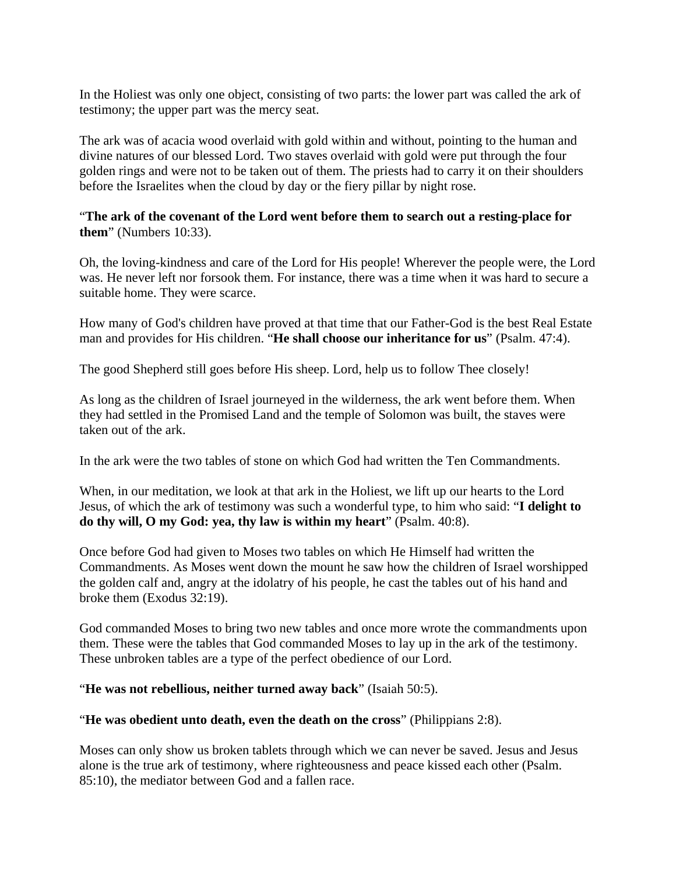In the Holiest was only one object, consisting of two parts: the lower part was called the ark of testimony; the upper part was the mercy seat.

The ark was of acacia wood overlaid with gold within and without, pointing to the human and divine natures of our blessed Lord. Two staves overlaid with gold were put through the four golden rings and were not to be taken out of them. The priests had to carry it on their shoulders before the Israelites when the cloud by day or the fiery pillar by night rose.

"**The ark of the covenant of the Lord went before them to search out a resting-place for them**" (Numbers 10:33).

Oh, the loving-kindness and care of the Lord for His people! Wherever the people were, the Lord was. He never left nor forsook them. For instance, there was a time when it was hard to secure a suitable home. They were scarce.

How many of God's children have proved at that time that our Father-God is the best Real Estate man and provides for His children. "**He shall choose our inheritance for us**" (Psalm. 47:4).

The good Shepherd still goes before His sheep. Lord, help us to follow Thee closely!

As long as the children of Israel journeyed in the wilderness, the ark went before them. When they had settled in the Promised Land and the temple of Solomon was built, the staves were taken out of the ark.

In the ark were the two tables of stone on which God had written the Ten Commandments.

When, in our meditation, we look at that ark in the Holiest, we lift up our hearts to the Lord Jesus, of which the ark of testimony was such a wonderful type, to him who said: "**I delight to do thy will, O my God: yea, thy law is within my heart**" (Psalm. 40:8).

Once before God had given to Moses two tables on which He Himself had written the Commandments. As Moses went down the mount he saw how the children of Israel worshipped the golden calf and, angry at the idolatry of his people, he cast the tables out of his hand and broke them (Exodus 32:19).

God commanded Moses to bring two new tables and once more wrote the commandments upon them. These were the tables that God commanded Moses to lay up in the ark of the testimony. These unbroken tables are a type of the perfect obedience of our Lord.

"**He was not rebellious, neither turned away back**" (Isaiah 50:5).

"**He was obedient unto death, even the death on the cross**" (Philippians 2:8).

Moses can only show us broken tablets through which we can never be saved. Jesus and Jesus alone is the true ark of testimony, where righteousness and peace kissed each other (Psalm. 85:10), the mediator between God and a fallen race.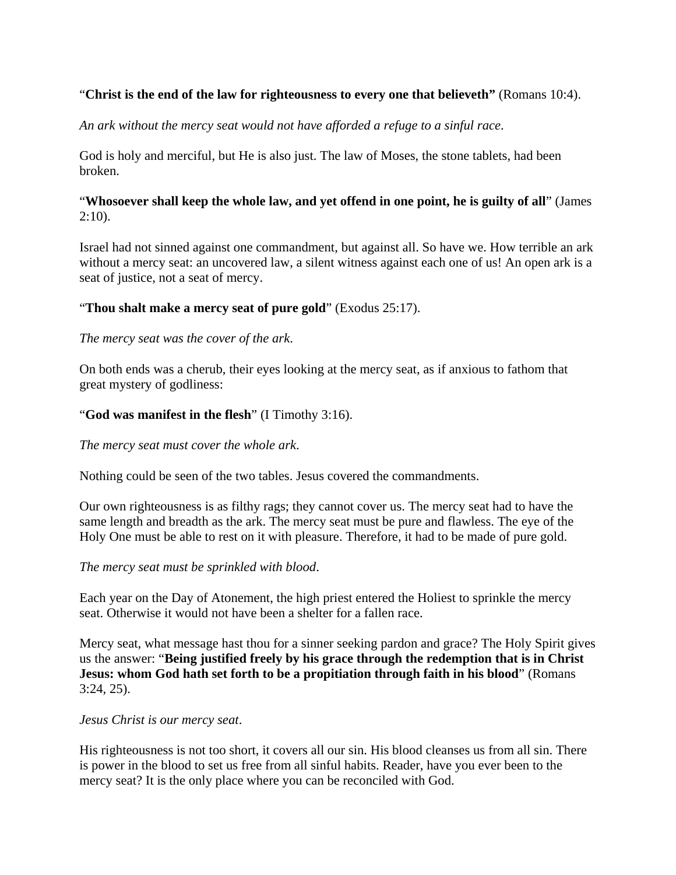## "**Christ is the end of the law for righteousness to every one that believeth"** (Romans 10:4).

*An ark without the mercy seat would not have afforded a refuge to a sinful race*.

God is holy and merciful, but He is also just. The law of Moses, the stone tablets, had been broken.

## "**Whosoever shall keep the whole law, and yet offend in one point, he is guilty of all**" (James  $2:10$ ).

Israel had not sinned against one commandment, but against all. So have we. How terrible an ark without a mercy seat: an uncovered law, a silent witness against each one of us! An open ark is a seat of justice, not a seat of mercy.

## "**Thou shalt make a mercy seat of pure gold**" (Exodus 25:17).

#### *The mercy seat was the cover of the ark*.

On both ends was a cherub, their eyes looking at the mercy seat, as if anxious to fathom that great mystery of godliness:

#### "**God was manifest in the flesh**" (I Timothy 3:16).

#### *The mercy seat must cover the whole ark*.

Nothing could be seen of the two tables. Jesus covered the commandments.

Our own righteousness is as filthy rags; they cannot cover us. The mercy seat had to have the same length and breadth as the ark. The mercy seat must be pure and flawless. The eye of the Holy One must be able to rest on it with pleasure. Therefore, it had to be made of pure gold.

#### *The mercy seat must be sprinkled with blood*.

Each year on the Day of Atonement, the high priest entered the Holiest to sprinkle the mercy seat. Otherwise it would not have been a shelter for a fallen race.

Mercy seat, what message hast thou for a sinner seeking pardon and grace? The Holy Spirit gives us the answer: "**Being justified freely by his grace through the redemption that is in Christ Jesus: whom God hath set forth to be a propitiation through faith in his blood**" (Romans 3:24, 25).

#### *Jesus Christ is our mercy seat*.

His righteousness is not too short, it covers all our sin. His blood cleanses us from all sin. There is power in the blood to set us free from all sinful habits. Reader, have you ever been to the mercy seat? It is the only place where you can be reconciled with God.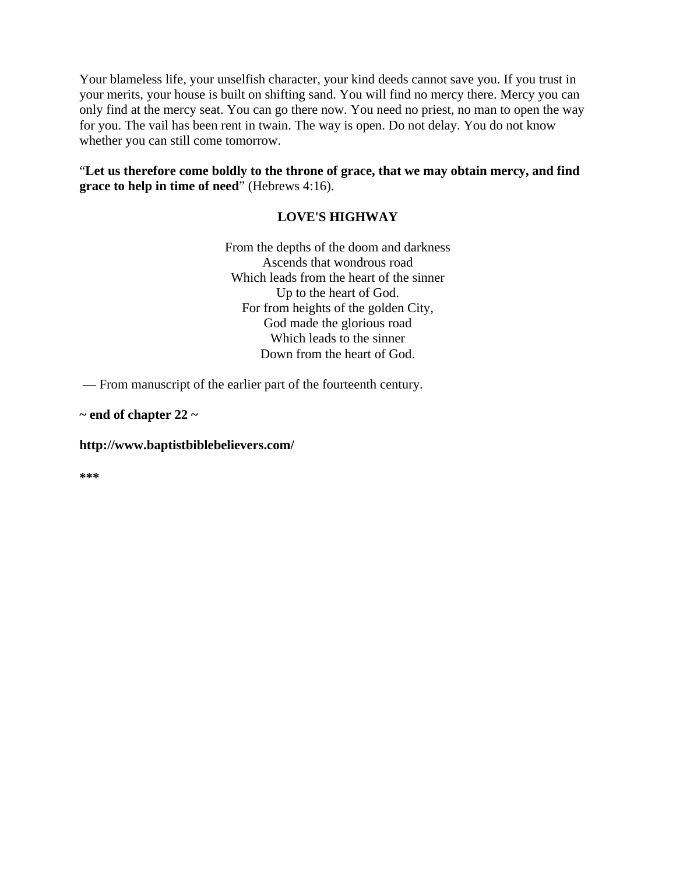Your blameless life, your unselfish character, your kind deeds cannot save you. If you trust in your merits, your house is built on shifting sand. You will find no mercy there. Mercy you can only find at the mercy seat. You can go there now. You need no priest, no man to open the way for you. The vail has been rent in twain. The way is open. Do not delay. You do not know whether you can still come tomorrow.

"**Let us therefore come boldly to the throne of grace, that we may obtain mercy, and find grace to help in time of need**" (Hebrews 4:16).

## **LOVE'S HIGHWAY**

From the depths of the doom and darkness Ascends that wondrous road Which leads from the heart of the sinner Up to the heart of God. For from heights of the golden City, God made the glorious road Which leads to the sinner Down from the heart of God.

— From manuscript of the earlier part of the fourteenth century.

**~ end of chapter 22 ~** 

#### **http://www.baptistbiblebelievers.com/**

**\*\*\***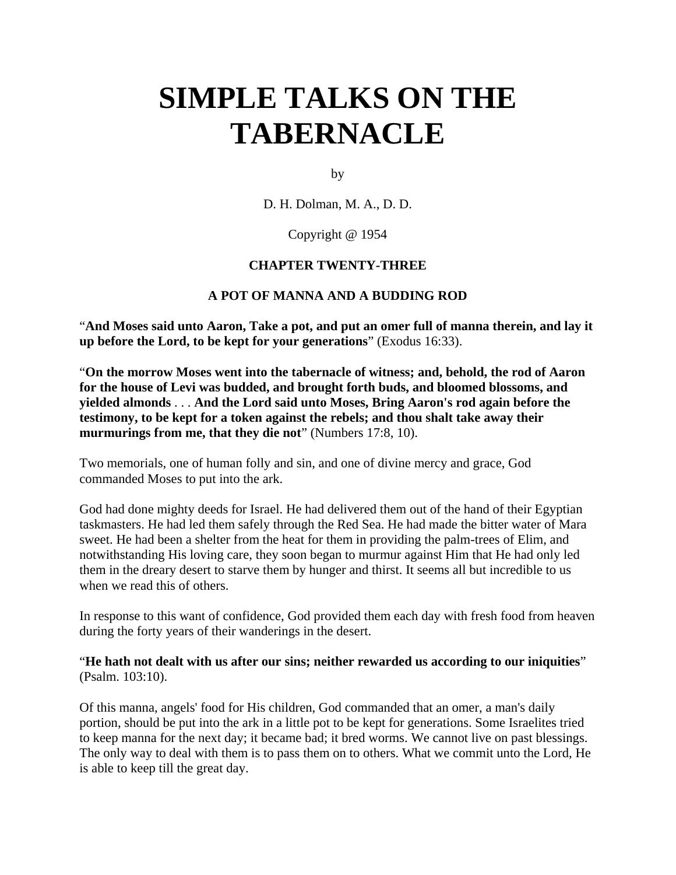# **SIMPLE TALKS ON THE TABERNACLE**

by

D. H. Dolman, M. A., D. D.

Copyright @ 1954

#### **CHAPTER TWENTY-THREE**

#### **A POT OF MANNA AND A BUDDING ROD**

"**And Moses said unto Aaron, Take a pot, and put an omer full of manna therein, and lay it up before the Lord, to be kept for your generations**" (Exodus 16:33).

"**On the morrow Moses went into the tabernacle of witness; and, behold, the rod of Aaron for the house of Levi was budded, and brought forth buds, and bloomed blossoms, and yielded almonds** . . . **And the Lord said unto Moses, Bring Aaron's rod again before the testimony, to be kept for a token against the rebels; and thou shalt take away their murmurings from me, that they die not**" (Numbers 17:8, 10).

Two memorials, one of human folly and sin, and one of divine mercy and grace, God commanded Moses to put into the ark.

God had done mighty deeds for Israel. He had delivered them out of the hand of their Egyptian taskmasters. He had led them safely through the Red Sea. He had made the bitter water of Mara sweet. He had been a shelter from the heat for them in providing the palm-trees of Elim, and notwithstanding His loving care, they soon began to murmur against Him that He had only led them in the dreary desert to starve them by hunger and thirst. It seems all but incredible to us when we read this of others.

In response to this want of confidence, God provided them each day with fresh food from heaven during the forty years of their wanderings in the desert.

"**He hath not dealt with us after our sins; neither rewarded us according to our iniquities**" (Psalm. 103:10).

Of this manna, angels' food for His children, God commanded that an omer, a man's daily portion, should be put into the ark in a little pot to be kept for generations. Some Israelites tried to keep manna for the next day; it became bad; it bred worms. We cannot live on past blessings. The only way to deal with them is to pass them on to others. What we commit unto the Lord, He is able to keep till the great day.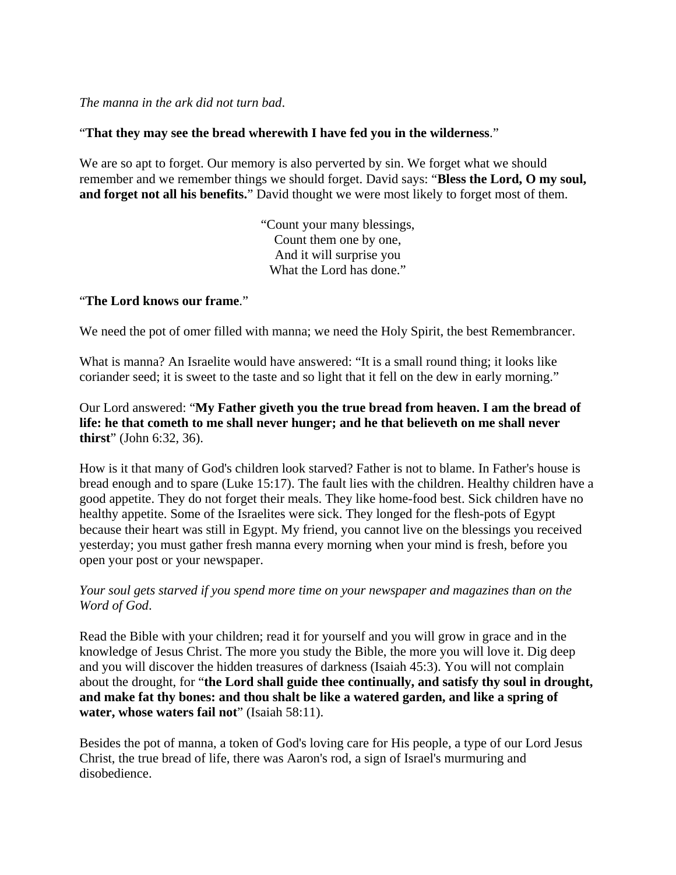### *The manna in the ark did not turn bad*.

## "**That they may see the bread wherewith I have fed you in the wilderness**."

We are so apt to forget. Our memory is also perverted by sin. We forget what we should remember and we remember things we should forget. David says: "**Bless the Lord, O my soul, and forget not all his benefits.**" David thought we were most likely to forget most of them.

> "Count your many blessings, Count them one by one, And it will surprise you What the Lord has done."

## "**The Lord knows our frame**."

We need the pot of omer filled with manna; we need the Holy Spirit, the best Remembrancer.

What is manna? An Israelite would have answered: "It is a small round thing; it looks like coriander seed; it is sweet to the taste and so light that it fell on the dew in early morning."

Our Lord answered: "**My Father giveth you the true bread from heaven. I am the bread of life: he that cometh to me shall never hunger; and he that believeth on me shall never thirst**" (John 6:32, 36).

How is it that many of God's children look starved? Father is not to blame. In Father's house is bread enough and to spare (Luke 15:17). The fault lies with the children. Healthy children have a good appetite. They do not forget their meals. They like home-food best. Sick children have no healthy appetite. Some of the Israelites were sick. They longed for the flesh-pots of Egypt because their heart was still in Egypt. My friend, you cannot live on the blessings you received yesterday; you must gather fresh manna every morning when your mind is fresh, before you open your post or your newspaper.

*Your soul gets starved if you spend more time on your newspaper and magazines than on the Word of God*.

Read the Bible with your children; read it for yourself and you will grow in grace and in the knowledge of Jesus Christ. The more you study the Bible, the more you will love it. Dig deep and you will discover the hidden treasures of darkness (Isaiah 45:3). You will not complain about the drought, for "**the Lord shall guide thee continually, and satisfy thy soul in drought, and make fat thy bones: and thou shalt be like a watered garden, and like a spring of water, whose waters fail not**" (Isaiah 58:11).

Besides the pot of manna, a token of God's loving care for His people, a type of our Lord Jesus Christ, the true bread of life, there was Aaron's rod, a sign of Israel's murmuring and disobedience.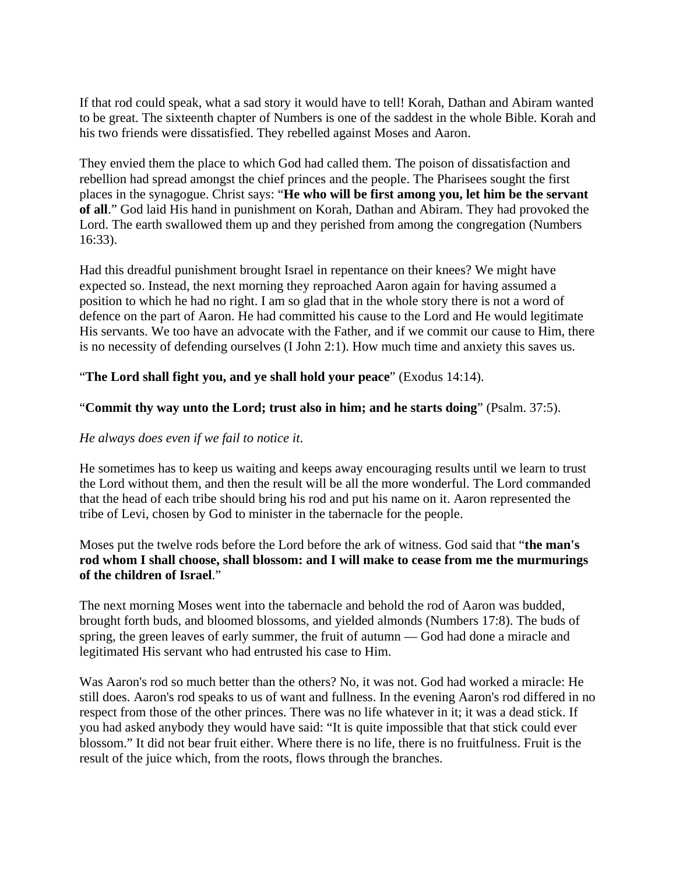If that rod could speak, what a sad story it would have to tell! Korah, Dathan and Abiram wanted to be great. The sixteenth chapter of Numbers is one of the saddest in the whole Bible. Korah and his two friends were dissatisfied. They rebelled against Moses and Aaron.

They envied them the place to which God had called them. The poison of dissatisfaction and rebellion had spread amongst the chief princes and the people. The Pharisees sought the first places in the synagogue. Christ says: "**He who will be first among you, let him be the servant of all**." God laid His hand in punishment on Korah, Dathan and Abiram. They had provoked the Lord. The earth swallowed them up and they perished from among the congregation (Numbers 16:33).

Had this dreadful punishment brought Israel in repentance on their knees? We might have expected so. Instead, the next morning they reproached Aaron again for having assumed a position to which he had no right. I am so glad that in the whole story there is not a word of defence on the part of Aaron. He had committed his cause to the Lord and He would legitimate His servants. We too have an advocate with the Father, and if we commit our cause to Him, there is no necessity of defending ourselves (I John 2:1). How much time and anxiety this saves us.

"**The Lord shall fight you, and ye shall hold your peace**" (Exodus 14:14).

# "**Commit thy way unto the Lord; trust also in him; and he starts doing**" (Psalm. 37:5).

# *He always does even if we fail to notice it*.

He sometimes has to keep us waiting and keeps away encouraging results until we learn to trust the Lord without them, and then the result will be all the more wonderful. The Lord commanded that the head of each tribe should bring his rod and put his name on it. Aaron represented the tribe of Levi, chosen by God to minister in the tabernacle for the people.

Moses put the twelve rods before the Lord before the ark of witness. God said that "**the man's rod whom I shall choose, shall blossom: and I will make to cease from me the murmurings of the children of Israel**."

The next morning Moses went into the tabernacle and behold the rod of Aaron was budded, brought forth buds, and bloomed blossoms, and yielded almonds (Numbers 17:8). The buds of spring, the green leaves of early summer, the fruit of autumn — God had done a miracle and legitimated His servant who had entrusted his case to Him.

Was Aaron's rod so much better than the others? No, it was not. God had worked a miracle: He still does. Aaron's rod speaks to us of want and fullness. In the evening Aaron's rod differed in no respect from those of the other princes. There was no life whatever in it; it was a dead stick. If you had asked anybody they would have said: "It is quite impossible that that stick could ever blossom." It did not bear fruit either. Where there is no life, there is no fruitfulness. Fruit is the result of the juice which, from the roots, flows through the branches.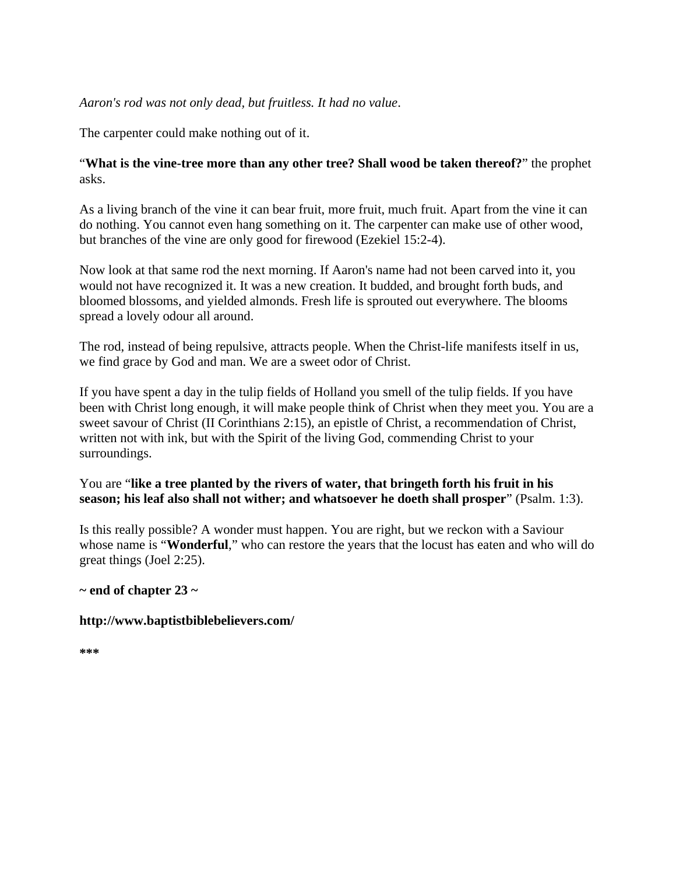## *Aaron's rod was not only dead, but fruitless. It had no value*.

The carpenter could make nothing out of it.

# "**What is the vine-tree more than any other tree? Shall wood be taken thereof?**" the prophet asks.

As a living branch of the vine it can bear fruit, more fruit, much fruit. Apart from the vine it can do nothing. You cannot even hang something on it. The carpenter can make use of other wood, but branches of the vine are only good for firewood (Ezekiel 15:2-4).

Now look at that same rod the next morning. If Aaron's name had not been carved into it, you would not have recognized it. It was a new creation. It budded, and brought forth buds, and bloomed blossoms, and yielded almonds. Fresh life is sprouted out everywhere. The blooms spread a lovely odour all around.

The rod, instead of being repulsive, attracts people. When the Christ-life manifests itself in us, we find grace by God and man. We are a sweet odor of Christ.

If you have spent a day in the tulip fields of Holland you smell of the tulip fields. If you have been with Christ long enough, it will make people think of Christ when they meet you. You are a sweet savour of Christ (II Corinthians 2:15), an epistle of Christ, a recommendation of Christ, written not with ink, but with the Spirit of the living God, commending Christ to your surroundings.

# You are "**like a tree planted by the rivers of water, that bringeth forth his fruit in his season; his leaf also shall not wither; and whatsoever he doeth shall prosper**" (Psalm. 1:3).

Is this really possible? A wonder must happen. You are right, but we reckon with a Saviour whose name is "**Wonderful**," who can restore the years that the locust has eaten and who will do great things (Joel 2:25).

# **~ end of chapter 23 ~**

#### **http://www.baptistbiblebelievers.com/**

**\*\*\***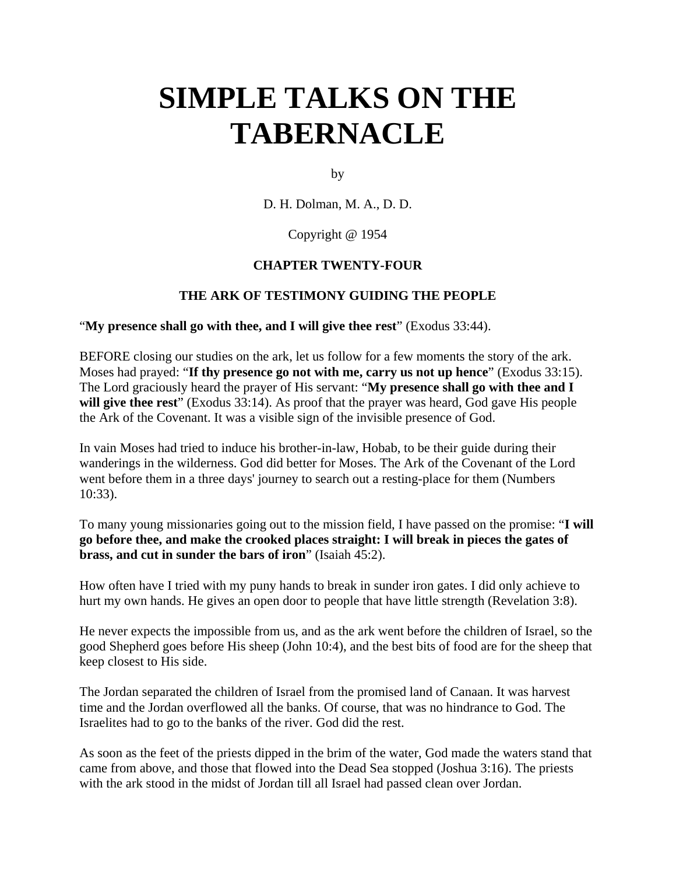# **SIMPLE TALKS ON THE TABERNACLE**

by

D. H. Dolman, M. A., D. D.

Copyright @ 1954

#### **CHAPTER TWENTY-FOUR**

#### **THE ARK OF TESTIMONY GUIDING THE PEOPLE**

"**My presence shall go with thee, and I will give thee rest**" (Exodus 33:44).

BEFORE closing our studies on the ark, let us follow for a few moments the story of the ark. Moses had prayed: "**If thy presence go not with me, carry us not up hence**" (Exodus 33:15). The Lord graciously heard the prayer of His servant: "**My presence shall go with thee and I**  will give thee rest<sup>"</sup> (Exodus 33:14). As proof that the prayer was heard, God gave His people the Ark of the Covenant. It was a visible sign of the invisible presence of God.

In vain Moses had tried to induce his brother-in-law, Hobab, to be their guide during their wanderings in the wilderness. God did better for Moses. The Ark of the Covenant of the Lord went before them in a three days' journey to search out a resting-place for them (Numbers 10:33).

To many young missionaries going out to the mission field, I have passed on the promise: "**I will go before thee, and make the crooked places straight: I will break in pieces the gates of brass, and cut in sunder the bars of iron**" (Isaiah 45:2).

How often have I tried with my puny hands to break in sunder iron gates. I did only achieve to hurt my own hands. He gives an open door to people that have little strength (Revelation 3:8).

He never expects the impossible from us, and as the ark went before the children of Israel, so the good Shepherd goes before His sheep (John 10:4), and the best bits of food are for the sheep that keep closest to His side.

The Jordan separated the children of Israel from the promised land of Canaan. It was harvest time and the Jordan overflowed all the banks. Of course, that was no hindrance to God. The Israelites had to go to the banks of the river. God did the rest.

As soon as the feet of the priests dipped in the brim of the water, God made the waters stand that came from above, and those that flowed into the Dead Sea stopped (Joshua 3:16). The priests with the ark stood in the midst of Jordan till all Israel had passed clean over Jordan.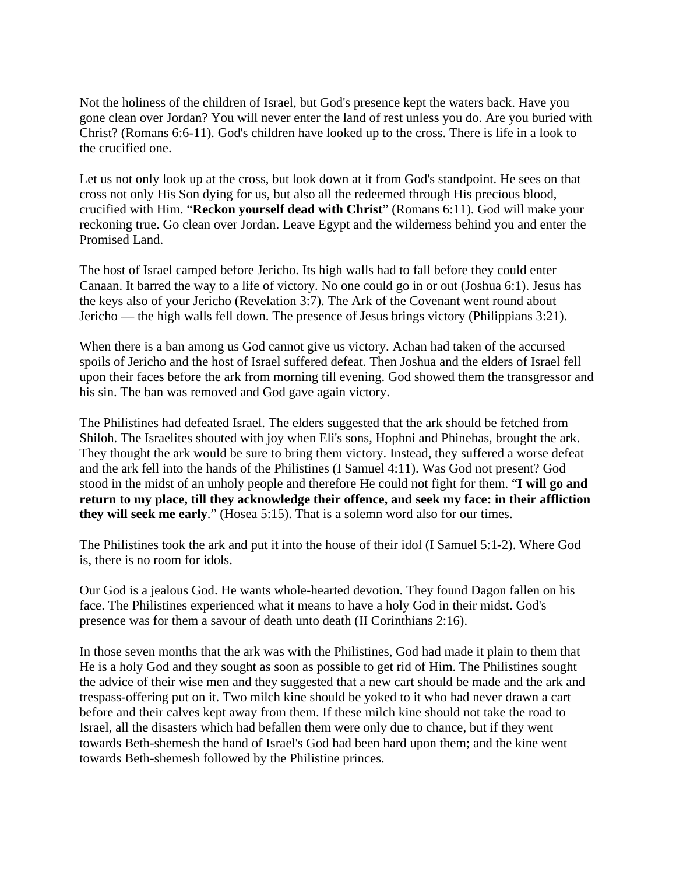Not the holiness of the children of Israel, but God's presence kept the waters back. Have you gone clean over Jordan? You will never enter the land of rest unless you do. Are you buried with Christ? (Romans 6:6-11). God's children have looked up to the cross. There is life in a look to the crucified one.

Let us not only look up at the cross, but look down at it from God's standpoint. He sees on that cross not only His Son dying for us, but also all the redeemed through His precious blood, crucified with Him. "**Reckon yourself dead with Christ**" (Romans 6:11). God will make your reckoning true. Go clean over Jordan. Leave Egypt and the wilderness behind you and enter the Promised Land.

The host of Israel camped before Jericho. Its high walls had to fall before they could enter Canaan. It barred the way to a life of victory. No one could go in or out (Joshua 6:1). Jesus has the keys also of your Jericho (Revelation 3:7). The Ark of the Covenant went round about Jericho — the high walls fell down. The presence of Jesus brings victory (Philippians 3:21).

When there is a ban among us God cannot give us victory. Achan had taken of the accursed spoils of Jericho and the host of Israel suffered defeat. Then Joshua and the elders of Israel fell upon their faces before the ark from morning till evening. God showed them the transgressor and his sin. The ban was removed and God gave again victory.

The Philistines had defeated Israel. The elders suggested that the ark should be fetched from Shiloh. The Israelites shouted with joy when Eli's sons, Hophni and Phinehas, brought the ark. They thought the ark would be sure to bring them victory. Instead, they suffered a worse defeat and the ark fell into the hands of the Philistines (I Samuel 4:11). Was God not present? God stood in the midst of an unholy people and therefore He could not fight for them. "**I will go and return to my place, till they acknowledge their offence, and seek my face: in their affliction they will seek me early**." (Hosea 5:15). That is a solemn word also for our times.

The Philistines took the ark and put it into the house of their idol (I Samuel 5:1-2). Where God is, there is no room for idols.

Our God is a jealous God. He wants whole-hearted devotion. They found Dagon fallen on his face. The Philistines experienced what it means to have a holy God in their midst. God's presence was for them a savour of death unto death (II Corinthians 2:16).

In those seven months that the ark was with the Philistines, God had made it plain to them that He is a holy God and they sought as soon as possible to get rid of Him. The Philistines sought the advice of their wise men and they suggested that a new cart should be made and the ark and trespass-offering put on it. Two milch kine should be yoked to it who had never drawn a cart before and their calves kept away from them. If these milch kine should not take the road to Israel, all the disasters which had befallen them were only due to chance, but if they went towards Beth-shemesh the hand of Israel's God had been hard upon them; and the kine went towards Beth-shemesh followed by the Philistine princes.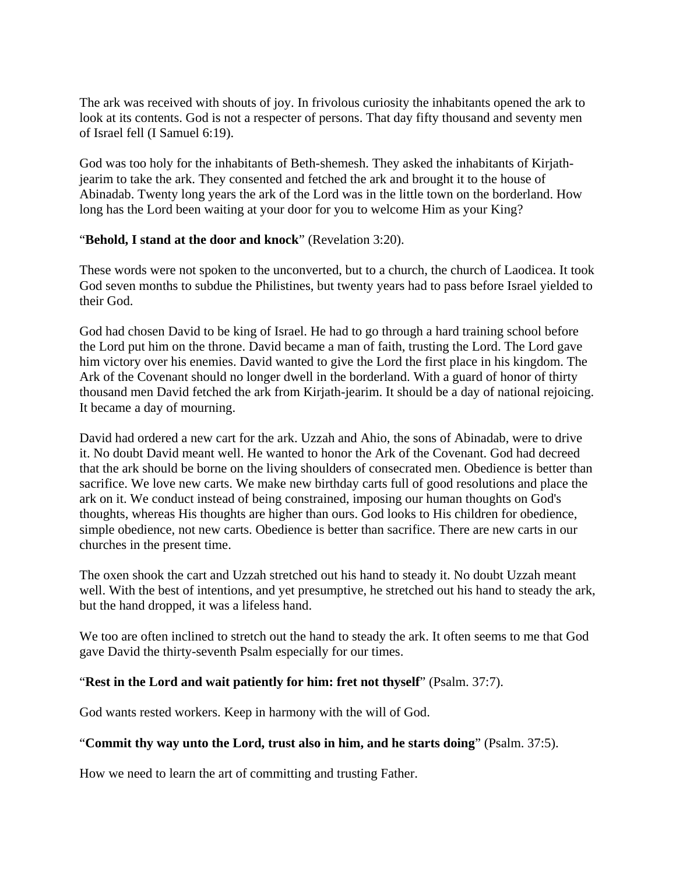The ark was received with shouts of joy. In frivolous curiosity the inhabitants opened the ark to look at its contents. God is not a respecter of persons. That day fifty thousand and seventy men of Israel fell (I Samuel 6:19).

God was too holy for the inhabitants of Beth-shemesh. They asked the inhabitants of Kirjathjearim to take the ark. They consented and fetched the ark and brought it to the house of Abinadab. Twenty long years the ark of the Lord was in the little town on the borderland. How long has the Lord been waiting at your door for you to welcome Him as your King?

## "**Behold, I stand at the door and knock**" (Revelation 3:20).

These words were not spoken to the unconverted, but to a church, the church of Laodicea. It took God seven months to subdue the Philistines, but twenty years had to pass before Israel yielded to their God.

God had chosen David to be king of Israel. He had to go through a hard training school before the Lord put him on the throne. David became a man of faith, trusting the Lord. The Lord gave him victory over his enemies. David wanted to give the Lord the first place in his kingdom. The Ark of the Covenant should no longer dwell in the borderland. With a guard of honor of thirty thousand men David fetched the ark from Kirjath-jearim. It should be a day of national rejoicing. It became a day of mourning.

David had ordered a new cart for the ark. Uzzah and Ahio, the sons of Abinadab, were to drive it. No doubt David meant well. He wanted to honor the Ark of the Covenant. God had decreed that the ark should be borne on the living shoulders of consecrated men. Obedience is better than sacrifice. We love new carts. We make new birthday carts full of good resolutions and place the ark on it. We conduct instead of being constrained, imposing our human thoughts on God's thoughts, whereas His thoughts are higher than ours. God looks to His children for obedience, simple obedience, not new carts. Obedience is better than sacrifice. There are new carts in our churches in the present time.

The oxen shook the cart and Uzzah stretched out his hand to steady it. No doubt Uzzah meant well. With the best of intentions, and yet presumptive, he stretched out his hand to steady the ark, but the hand dropped, it was a lifeless hand.

We too are often inclined to stretch out the hand to steady the ark. It often seems to me that God gave David the thirty-seventh Psalm especially for our times.

#### "**Rest in the Lord and wait patiently for him: fret not thyself**" (Psalm. 37:7).

God wants rested workers. Keep in harmony with the will of God.

#### "**Commit thy way unto the Lord, trust also in him, and he starts doing**" (Psalm. 37:5).

How we need to learn the art of committing and trusting Father.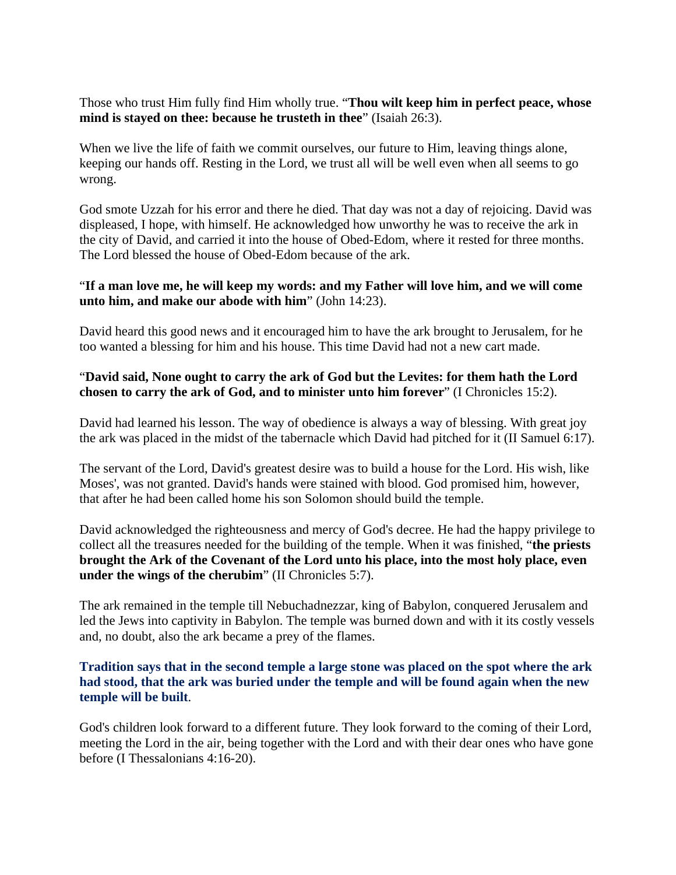Those who trust Him fully find Him wholly true. "**Thou wilt keep him in perfect peace, whose mind is stayed on thee: because he trusteth in thee**" (Isaiah 26:3).

When we live the life of faith we commit ourselves, our future to Him, leaving things alone, keeping our hands off. Resting in the Lord, we trust all will be well even when all seems to go wrong.

God smote Uzzah for his error and there he died. That day was not a day of rejoicing. David was displeased, I hope, with himself. He acknowledged how unworthy he was to receive the ark in the city of David, and carried it into the house of Obed-Edom, where it rested for three months. The Lord blessed the house of Obed-Edom because of the ark.

## "**If a man love me, he will keep my words: and my Father will love him, and we will come unto him, and make our abode with him**" (John 14:23).

David heard this good news and it encouraged him to have the ark brought to Jerusalem, for he too wanted a blessing for him and his house. This time David had not a new cart made.

# "**David said, None ought to carry the ark of God but the Levites: for them hath the Lord chosen to carry the ark of God, and to minister unto him forever**" (I Chronicles 15:2).

David had learned his lesson. The way of obedience is always a way of blessing. With great joy the ark was placed in the midst of the tabernacle which David had pitched for it (II Samuel 6:17).

The servant of the Lord, David's greatest desire was to build a house for the Lord. His wish, like Moses', was not granted. David's hands were stained with blood. God promised him, however, that after he had been called home his son Solomon should build the temple.

David acknowledged the righteousness and mercy of God's decree. He had the happy privilege to collect all the treasures needed for the building of the temple. When it was finished, "**the priests brought the Ark of the Covenant of the Lord unto his place, into the most holy place, even under the wings of the cherubim**" (II Chronicles 5:7).

The ark remained in the temple till Nebuchadnezzar, king of Babylon, conquered Jerusalem and led the Jews into captivity in Babylon. The temple was burned down and with it its costly vessels and, no doubt, also the ark became a prey of the flames.

## **Tradition says that in the second temple a large stone was placed on the spot where the ark had stood, that the ark was buried under the temple and will be found again when the new temple will be built**.

God's children look forward to a different future. They look forward to the coming of their Lord, meeting the Lord in the air, being together with the Lord and with their dear ones who have gone before (I Thessalonians 4:16-20).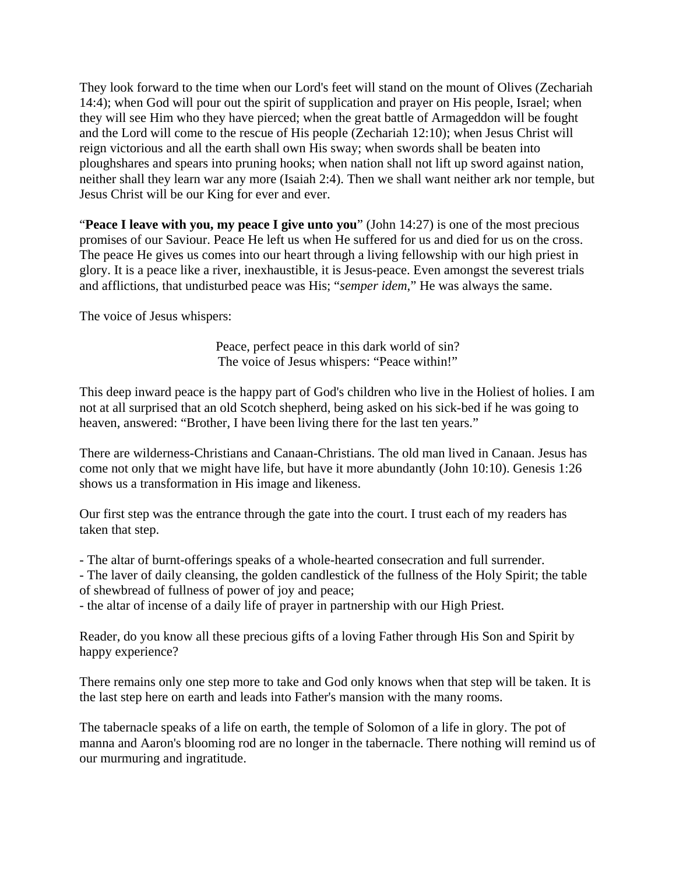They look forward to the time when our Lord's feet will stand on the mount of Olives (Zechariah 14:4); when God will pour out the spirit of supplication and prayer on His people, Israel; when they will see Him who they have pierced; when the great battle of Armageddon will be fought and the Lord will come to the rescue of His people (Zechariah 12:10); when Jesus Christ will reign victorious and all the earth shall own His sway; when swords shall be beaten into ploughshares and spears into pruning hooks; when nation shall not lift up sword against nation, neither shall they learn war any more (Isaiah 2:4). Then we shall want neither ark nor temple, but Jesus Christ will be our King for ever and ever.

"**Peace I leave with you, my peace I give unto you**" (John 14:27) is one of the most precious promises of our Saviour. Peace He left us when He suffered for us and died for us on the cross. The peace He gives us comes into our heart through a living fellowship with our high priest in glory. It is a peace like a river, inexhaustible, it is Jesus-peace. Even amongst the severest trials and afflictions, that undisturbed peace was His; "*semper idem*," He was always the same.

The voice of Jesus whispers:

Peace, perfect peace in this dark world of sin? The voice of Jesus whispers: "Peace within!"

This deep inward peace is the happy part of God's children who live in the Holiest of holies. I am not at all surprised that an old Scotch shepherd, being asked on his sick-bed if he was going to heaven, answered: "Brother, I have been living there for the last ten years."

There are wilderness-Christians and Canaan-Christians. The old man lived in Canaan. Jesus has come not only that we might have life, but have it more abundantly (John 10:10). Genesis 1:26 shows us a transformation in His image and likeness.

Our first step was the entrance through the gate into the court. I trust each of my readers has taken that step.

- The altar of burnt-offerings speaks of a whole-hearted consecration and full surrender.

- The laver of daily cleansing, the golden candlestick of the fullness of the Holy Spirit; the table of shewbread of fullness of power of joy and peace;

- the altar of incense of a daily life of prayer in partnership with our High Priest.

Reader, do you know all these precious gifts of a loving Father through His Son and Spirit by happy experience?

There remains only one step more to take and God only knows when that step will be taken. It is the last step here on earth and leads into Father's mansion with the many rooms.

The tabernacle speaks of a life on earth, the temple of Solomon of a life in glory. The pot of manna and Aaron's blooming rod are no longer in the tabernacle. There nothing will remind us of our murmuring and ingratitude.